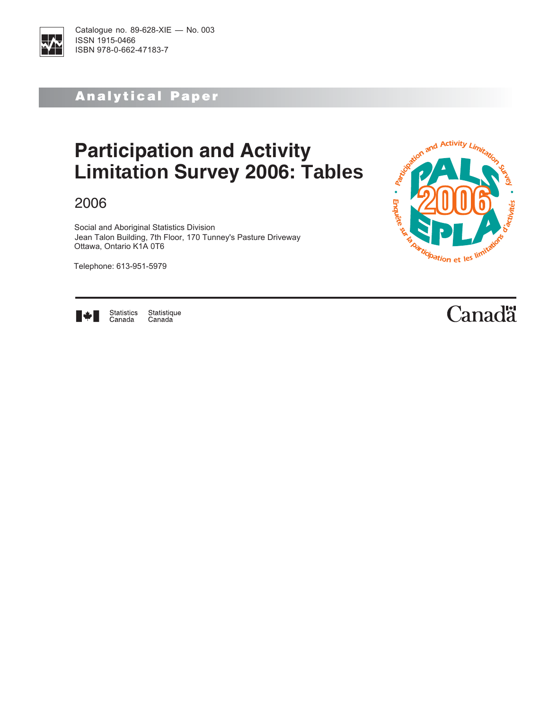

## Analytical Paper

## **Participation and Activity Limitation Survey 2006: Tables**

## 2006

Social and Aboriginal Statistics Division Jean Talon Building, 7th Floor, 170 Tunney's Pasture Driveway Ottawa, Ontario K1A 0T6

Telephone: 613-951-5979





Statistics<br>Canada Statistique Canada

# **Canadä**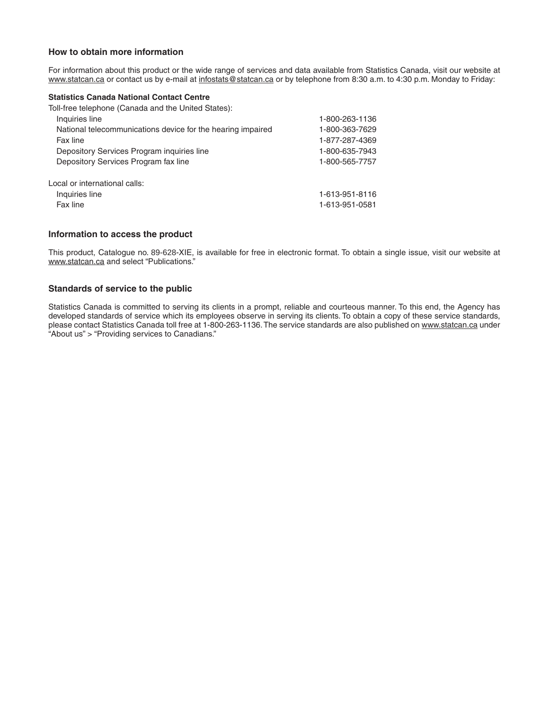### **How to obtain more information**

For information about this product or the wide range of services and data available from Statistics Canada, visit our website at www.statcan.ca or contact us by e-mail at infostats@statcan.ca or by telephone from 8:30 a.m. to 4:30 p.m. Monday to Friday:

#### **Statistics Canada National Contact Centre**

Toll-free telephone (Canada and the United States):

| Inquiries line                                              | 1-800-263-1136 |
|-------------------------------------------------------------|----------------|
| National telecommunications device for the hearing impaired | 1-800-363-7629 |
| Fax line                                                    | 1-877-287-4369 |
| Depository Services Program inquiries line                  | 1-800-635-7943 |
| Depository Services Program fax line                        | 1-800-565-7757 |
| Local or international calls:                               |                |
| Inquiries line                                              | 1-613-951-8116 |
| Fax line                                                    | 1-613-951-0581 |
|                                                             |                |

#### **Information to access the product**

This product, Catalogue no. 89-628-XIE, is available for free in electronic format. To obtain a single issue, visit our website at www.statcan.ca and select "Publications."

#### **Standards of service to the public**

Statistics Canada is committed to serving its clients in a prompt, reliable and courteous manner. To this end, the Agency has developed standards of service which its employees observe in serving its clients. To obtain a copy of these service standards, please contact Statistics Canada toll free at 1-800-263-1136. The service standards are also published on www.statcan.ca under "About us" > "Providing services to Canadians."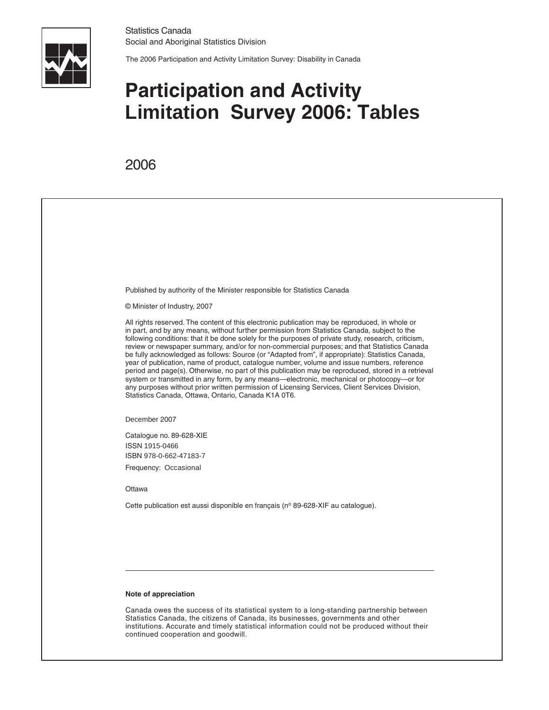

Statistics Canada Social and Aboriginal Statistics Division

The 2006 Participation and Activity Limitation Survey: Disability in Canada

## **Participation and Activity Limitation Survey 2006: Tables <sup>t</sup>**

## 2006

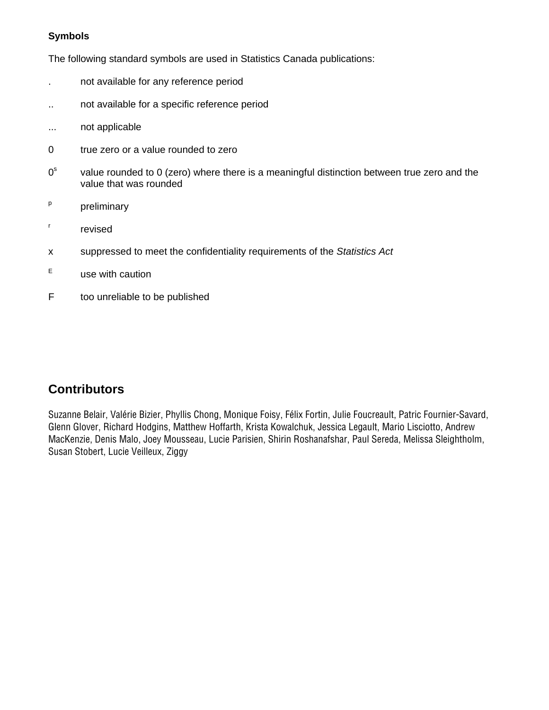### **Symbols**

The following standard symbols are used in Statistics Canada publications:

- . not available for any reference period
- .. not available for a specific reference period
- ... not applicable
- 0 true zero or a value rounded to zero
- $0<sup>s</sup>$  value rounded to 0 (zero) where there is a meaningful distinction between true zero and the value that was rounded
- p preliminary
- r revised
- x suppressed to meet the confidentiality requirements of the *Statistics Act*
- E use with caution
- F too unreliable to be published

### **Contributors**

Suzanne Belair, Valérie Bizier, Phyllis Chong, Monique Foisy, Félix Fortin, Julie Foucreault, Patric Fournier-Savard, Glenn Glover, Richard Hodgins, Matthew Hoffarth, Krista Kowalchuk, Jessica Legault, Mario Lisciotto, Andrew MacKenzie, Denis Malo, Joey Mousseau, Lucie Parisien, Shirin Roshanafshar, Paul Sereda, Melissa Sleightholm, Susan Stobert, Lucie Veilleux, Ziggy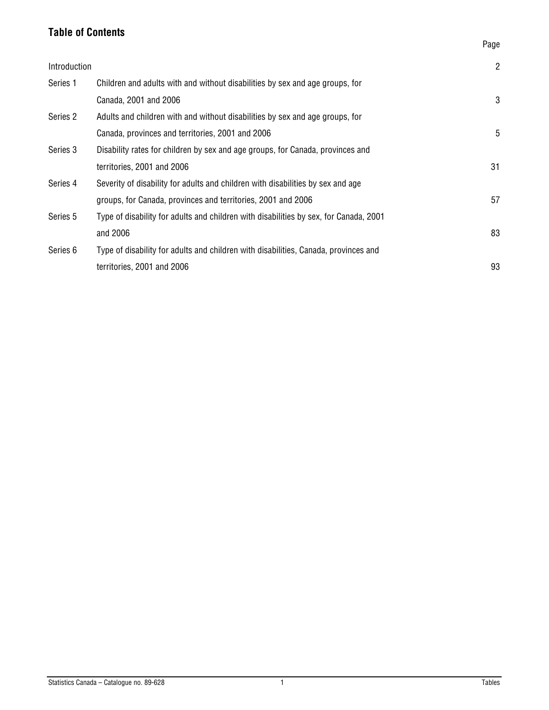### **Table of Contents**

| Introduction |                                                                                       | $\overline{2}$ |
|--------------|---------------------------------------------------------------------------------------|----------------|
| Series 1     | Children and adults with and without disabilities by sex and age groups, for          |                |
|              | Canada, 2001 and 2006                                                                 | 3              |
| Series 2     | Adults and children with and without disabilities by sex and age groups, for          |                |
|              | Canada, provinces and territories, 2001 and 2006                                      | 5              |
| Series 3     | Disability rates for children by sex and age groups, for Canada, provinces and        |                |
|              | territories, 2001 and 2006                                                            | 31             |
| Series 4     | Severity of disability for adults and children with disabilities by sex and age       |                |
|              | groups, for Canada, provinces and territories, 2001 and 2006                          | 57             |
| Series 5     | Type of disability for adults and children with disabilities by sex, for Canada, 2001 |                |
|              | and 2006                                                                              | 83             |
| Series 6     | Type of disability for adults and children with disabilities, Canada, provinces and   |                |
|              | territories, 2001 and 2006                                                            | 93             |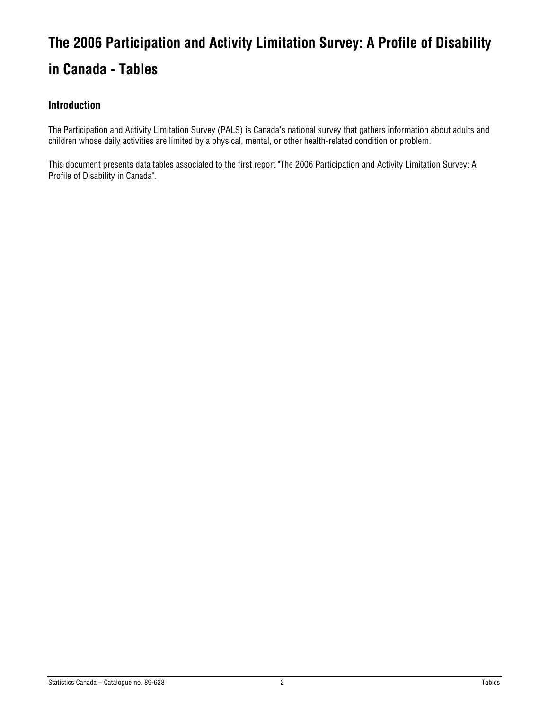## <span id="page-5-0"></span>**The 2006 Participation and Activity Limitation Survey: A Profile of Disability in Canada - Tables**

### **Introduction**

The Participation and Activity Limitation Survey (PALS) is Canada's national survey that gathers information about adults and children whose daily activities are limited by a physical, mental, or other health-related condition or problem.

This document presents data tables associated to the first report "The 2006 Participation and Activity Limitation Survey: A Profile of Disability in Canada".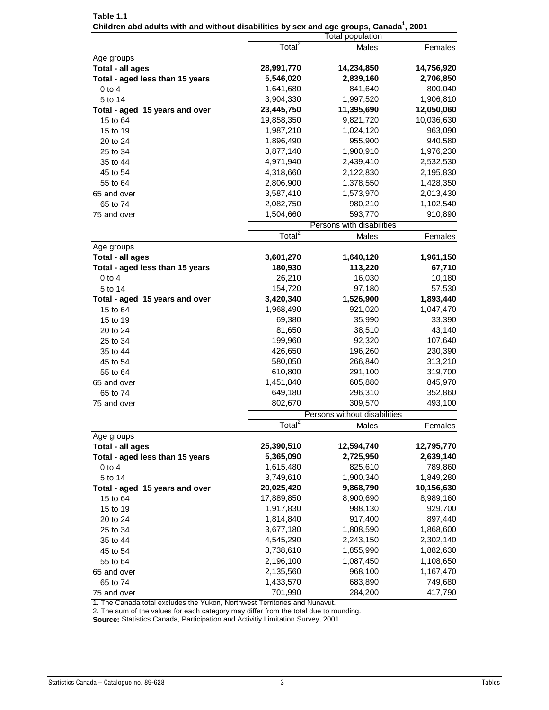|                                 |                    | <b>Total population</b>      |            |
|---------------------------------|--------------------|------------------------------|------------|
|                                 | Total <sup>2</sup> | Males                        | Females    |
| Age groups                      |                    |                              |            |
| Total - all ages                | 28,991,770         | 14,234,850                   | 14,756,920 |
| Total - aged less than 15 years | 5,546,020          | 2,839,160                    | 2,706,850  |
| $0$ to $4$                      | 1,641,680          | 841,640                      | 800,040    |
| 5 to 14                         | 3,904,330          | 1,997,520                    | 1,906,810  |
| Total - aged 15 years and over  | 23,445,750         | 11,395,690                   | 12,050,060 |
| 15 to 64                        | 19,858,350         | 9,821,720                    | 10,036,630 |
| 15 to 19                        | 1,987,210          | 1,024,120                    | 963,090    |
| 20 to 24                        | 1,896,490          | 955,900                      | 940,580    |
| 25 to 34                        | 3,877,140          | 1,900,910                    | 1,976,230  |
| 35 to 44                        | 4,971,940          | 2,439,410                    | 2,532,530  |
| 45 to 54                        | 4,318,660          | 2,122,830                    | 2,195,830  |
| 55 to 64                        | 2,806,900          | 1,378,550                    | 1,428,350  |
| 65 and over                     | 3,587,410          | 1,573,970                    | 2,013,430  |
| 65 to 74                        | 2,082,750          | 980,210                      | 1,102,540  |
| 75 and over                     | 1,504,660          | 593,770                      | 910,890    |
|                                 |                    | Persons with disabilities    |            |
|                                 | Total <sup>2</sup> | Males                        | Females    |
| Age groups                      |                    |                              |            |
| Total - all ages                | 3,601,270          | 1,640,120                    | 1,961,150  |
| Total - aged less than 15 years | 180,930            | 113,220                      | 67,710     |
| $0$ to $4$                      | 26,210             | 16,030                       | 10,180     |
| 5 to 14                         | 154,720            | 97,180                       | 57,530     |
| Total - aged 15 years and over  | 3,420,340          | 1,526,900                    | 1,893,440  |
| 15 to 64                        | 1,968,490          | 921,020                      | 1,047,470  |
| 15 to 19                        | 69,380             | 35,990                       | 33,390     |
| 20 to 24                        | 81,650             | 38,510                       | 43,140     |
| 25 to 34                        | 199,960            | 92,320                       | 107,640    |
| 35 to 44                        | 426,650            | 196,260                      | 230,390    |
| 45 to 54                        | 580,050            | 266,840                      | 313,210    |
| 55 to 64                        | 610,800            | 291,100                      | 319,700    |
| 65 and over                     | 1,451,840          | 605,880                      | 845,970    |
| 65 to 74                        | 649,180            | 296,310                      | 352,860    |
| 75 and over                     | 802,670            | 309,570                      | 493,100    |
|                                 |                    | Persons without disabilities |            |
|                                 | Total <sup>2</sup> | Males                        | Females    |
| Age groups                      |                    |                              |            |
| Total - all ages                | 25,390,510         | 12,594,740                   | 12,795,770 |
| Total - aged less than 15 years | 5,365,090          | 2,725,950                    | 2,639,140  |
| $0$ to $4$                      | 1,615,480          | 825,610                      | 789,860    |
| 5 to 14                         | 3,749,610          | 1,900,340                    | 1,849,280  |
| Total - aged 15 years and over  | 20,025,420         | 9,868,790                    | 10,156,630 |
| 15 to 64                        | 17,889,850         | 8,900,690                    | 8,989,160  |
| 15 to 19                        | 1,917,830          | 988,130                      | 929,700    |
| 20 to 24                        | 1,814,840          | 917,400                      | 897,440    |
| 25 to 34                        | 3,677,180          | 1,808,590                    | 1,868,600  |
| 35 to 44                        | 4,545,290          | 2,243,150                    | 2,302,140  |
| 45 to 54                        | 3,738,610          | 1,855,990                    | 1,882,630  |
| 55 to 64                        | 2,196,100          | 1,087,450                    | 1,108,650  |
| 65 and over                     | 2,135,560          | 968,100                      | 1,167,470  |
| 65 to 74                        | 1,433,570          | 683,890                      | 749,680    |
| 75 and over                     | 701,990            | 284,200                      | 417,790    |

<span id="page-6-0"></span>**Table 1.1** Children abd adults with and without disabilities by sex and age groups, Canada<sup>1</sup>, 2001

1. The Canada total excludes the Yukon, Northwest Territories and Nunavut.

2. The sum of the values for each category may differ from the total due to rounding.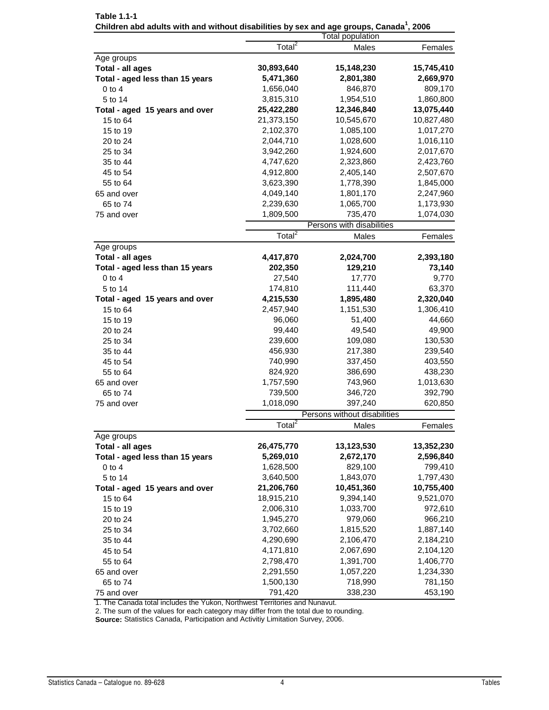| addition in the direct vital or diodom |                        | oupo, ourraua<br>Total population |            |
|----------------------------------------|------------------------|-----------------------------------|------------|
|                                        | Total <sup>2</sup>     | Males                             | Females    |
| Age groups                             |                        |                                   |            |
| Total - all ages                       | 30,893,640             | 15,148,230                        | 15,745,410 |
| Total - aged less than 15 years        | 5,471,360              | 2,801,380                         | 2,669,970  |
| $0$ to $4$                             | 1,656,040              | 846,870                           | 809,170    |
| 5 to 14                                | 3,815,310              | 1,954,510                         | 1,860,800  |
| Total - aged 15 years and over         | 25,422,280             | 12,346,840                        | 13,075,440 |
| 15 to 64                               | 21,373,150             | 10,545,670                        | 10,827,480 |
| 15 to 19                               | 2,102,370              | 1,085,100                         | 1,017,270  |
| 20 to 24                               | 2,044,710              | 1,028,600                         | 1,016,110  |
| 25 to 34                               | 3,942,260              | 1,924,600                         | 2,017,670  |
| 35 to 44                               | 4,747,620              | 2,323,860                         | 2,423,760  |
| 45 to 54                               | 4,912,800              | 2,405,140                         | 2,507,670  |
| 55 to 64                               | 3,623,390              | 1,778,390                         | 1,845,000  |
| 65 and over                            | 4,049,140              | 1,801,170                         | 2,247,960  |
| 65 to 74                               | 2,239,630              | 1,065,700                         | 1,173,930  |
| 75 and over                            | 1,809,500              | 735,470                           | 1,074,030  |
|                                        |                        | Persons with disabilities         |            |
|                                        | Total <sup>2</sup>     | Males                             | Females    |
| Age groups                             |                        |                                   |            |
| Total - all ages                       | 4,417,870              | 2,024,700                         | 2,393,180  |
| Total - aged less than 15 years        | 202,350                | 129,210                           | 73,140     |
| $0$ to $4$                             | 27,540                 | 17,770                            | 9,770      |
| 5 to 14                                | 174,810                | 111,440                           | 63,370     |
| Total - aged 15 years and over         | 4,215,530              | 1,895,480                         | 2,320,040  |
| 15 to 64                               | 2,457,940              | 1,151,530                         | 1,306,410  |
| 15 to 19                               | 96,060                 | 51,400                            | 44,660     |
| 20 to 24                               | 99,440                 | 49,540                            | 49,900     |
| 25 to 34                               | 239,600                | 109,080                           | 130,530    |
| 35 to 44                               | 456,930                | 217,380                           | 239,540    |
| 45 to 54                               | 740,990                | 337,450                           | 403,550    |
| 55 to 64                               | 824,920                | 386,690                           | 438,230    |
| 65 and over                            | 1,757,590              | 743,960                           | 1,013,630  |
| 65 to 74                               | 739,500                | 346,720                           | 392,790    |
| 75 and over                            | 1,018,090              | 397,240                           | 620,850    |
|                                        |                        | Persons without disabilities      |            |
|                                        | Total $\overline{1^2}$ | Males                             | Females    |
| Age groups                             |                        |                                   |            |
| Total - all ages                       | 26,475,770             | 13,123,530                        | 13,352,230 |
| Total - aged less than 15 years        | 5,269,010              | 2,672,170                         | 2,596,840  |
| $0$ to $4$                             | 1,628,500              | 829,100                           | 799,410    |
| 5 to 14                                | 3,640,500              | 1,843,070                         | 1,797,430  |
| Total - aged 15 years and over         | 21,206,760             | 10,451,360                        | 10,755,400 |
| 15 to 64                               | 18,915,210             | 9,394,140                         | 9,521,070  |
| 15 to 19                               | 2,006,310              | 1,033,700                         | 972,610    |
| 20 to 24                               | 1,945,270              | 979,060                           | 966,210    |
| 25 to 34                               | 3,702,660              | 1,815,520                         | 1,887,140  |
| 35 to 44                               | 4,290,690              | 2,106,470                         | 2,184,210  |
| 45 to 54                               | 4,171,810              | 2,067,690                         | 2,104,120  |
| 55 to 64                               | 2,798,470              | 1,391,700                         | 1,406,770  |
| 65 and over                            | 2,291,550              | 1,057,220                         | 1,234,330  |
| 65 to 74                               | 1,500,130              | 718,990                           | 781,150    |
| 75 and over                            | 791,420                | 338,230                           | 453,190    |

| <b>Table 1.1-1</b>                                                                                  |  |
|-----------------------------------------------------------------------------------------------------|--|
| Children abd adults with and without disabilities by sex and age groups, Canada <sup>1</sup> , 2006 |  |

1. The Canada total includes the Yukon, Northwest Territories and Nunavut.

2. The sum of the values for each category may differ from the total due to rounding.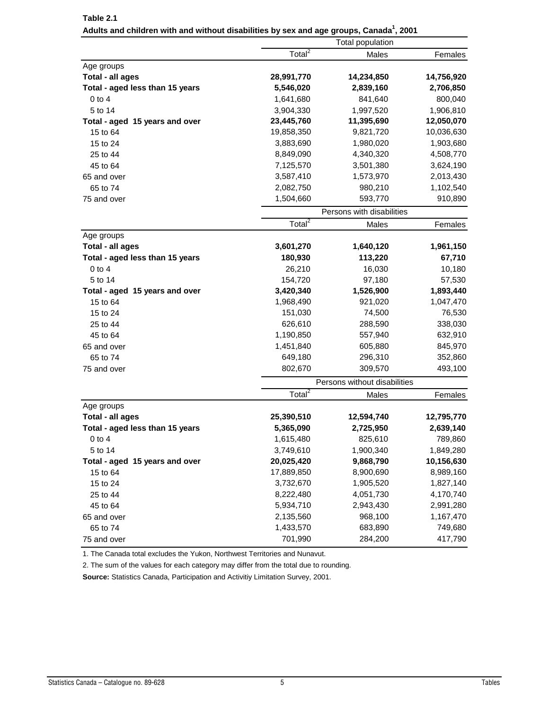|                                 |                        | Total population             |            |
|---------------------------------|------------------------|------------------------------|------------|
|                                 | Total <sup>2</sup>     | Males                        | Females    |
| Age groups                      |                        |                              |            |
| Total - all ages                | 28,991,770             | 14,234,850                   | 14,756,920 |
| Total - aged less than 15 years | 5,546,020              | 2,839,160                    | 2,706,850  |
| $0$ to $4$                      | 1,641,680              | 841,640                      | 800,040    |
| 5 to 14                         | 3,904,330              | 1,997,520                    | 1,906,810  |
| Total - aged 15 years and over  | 23,445,760             | 11,395,690                   | 12,050,070 |
| 15 to 64                        | 19,858,350             | 9,821,720                    | 10,036,630 |
| 15 to 24                        | 3,883,690              | 1,980,020                    | 1,903,680  |
| 25 to 44                        | 8,849,090              | 4,340,320                    | 4,508,770  |
| 45 to 64                        | 7,125,570              | 3,501,380                    | 3,624,190  |
| 65 and over                     | 3,587,410              | 1,573,970                    | 2,013,430  |
| 65 to 74                        | 2,082,750              | 980,210                      | 1,102,540  |
| 75 and over                     | 1,504,660              | 593,770                      | 910,890    |
|                                 |                        | Persons with disabilities    |            |
|                                 | Total $^2$             | Males                        | Females    |
| Age groups                      |                        |                              |            |
| Total - all ages                | 3,601,270              | 1,640,120                    | 1,961,150  |
| Total - aged less than 15 years | 180,930                | 113,220                      | 67,710     |
| $0$ to $4$                      | 26,210                 | 16,030                       | 10,180     |
| 5 to 14                         | 154,720                | 97,180                       | 57,530     |
| Total - aged 15 years and over  | 3,420,340              | 1,526,900                    | 1,893,440  |
| 15 to 64                        | 1,968,490              | 921,020                      | 1,047,470  |
| 15 to 24                        | 151,030                | 74,500                       | 76,530     |
| 25 to 44                        | 626,610                | 288,590                      | 338,030    |
| 45 to 64                        | 1,190,850              | 557,940                      | 632,910    |
| 65 and over                     | 1,451,840              | 605,880                      | 845,970    |
| 65 to 74                        | 649,180                | 296,310                      | 352,860    |
| 75 and over                     | 802,670                | 309,570                      | 493,100    |
|                                 |                        | Persons without disabilities |            |
|                                 | Total $\overline{a^2}$ | Males                        | Females    |
| Age groups                      |                        |                              |            |
| Total - all ages                | 25,390,510             | 12,594,740                   | 12,795,770 |
| Total - aged less than 15 years | 5,365,090              | 2,725,950                    | 2,639,140  |
| $0$ to $4$                      | 1,615,480              | 825,610                      | 789,860    |
| 5 to 14                         | 3,749,610              | 1,900,340                    | 1,849,280  |
| Total - aged 15 years and over  | 20,025,420             | 9,868,790                    | 10,156,630 |
| 15 to 64                        | 17,889,850             | 8,900,690                    | 8,989,160  |
| 15 to 24                        | 3,732,670              | 1,905,520                    | 1,827,140  |
| 25 to 44                        | 8,222,480              | 4,051,730                    | 4,170,740  |
| 45 to 64                        | 5,934,710              | 2,943,430                    | 2,991,280  |
| 65 and over                     | 2,135,560              | 968,100                      | 1,167,470  |
| 65 to 74                        | 1,433,570              | 683,890                      | 749,680    |
| 75 and over                     | 701,990                | 284,200                      | 417,790    |

<span id="page-8-0"></span>**Table 2.1** Adults and children with and without disabilities by sex and age groups, Canada<sup>1</sup>, 2001

1. The Canada total excludes the Yukon, Northwest Territories and Nunavut.

2. The sum of the values for each category may differ from the total due to rounding.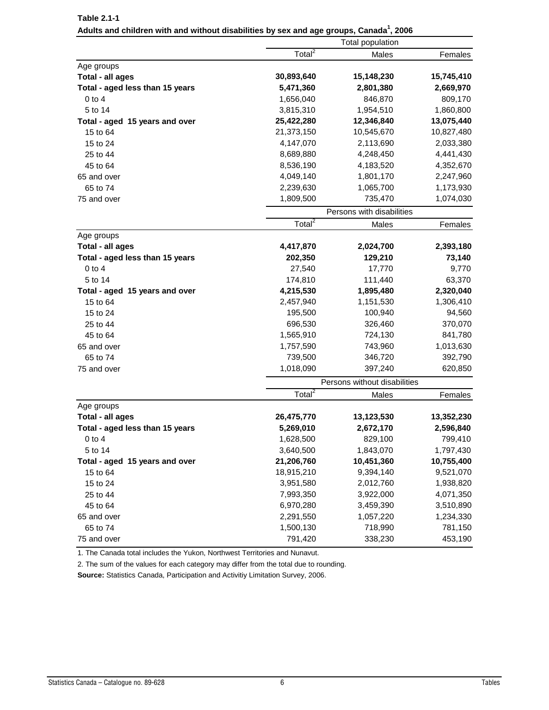|                                 |                        | Total population             |            |
|---------------------------------|------------------------|------------------------------|------------|
|                                 | Total <sup>2</sup>     | Males                        | Females    |
| Age groups                      |                        |                              |            |
| Total - all ages                | 30,893,640             | 15,148,230                   | 15,745,410 |
| Total - aged less than 15 years | 5,471,360              | 2,801,380                    | 2,669,970  |
| $0$ to $4$                      | 1,656,040              | 846,870                      | 809,170    |
| 5 to 14                         | 3,815,310              | 1,954,510                    | 1,860,800  |
| Total - aged 15 years and over  | 25,422,280             | 12,346,840                   | 13,075,440 |
| 15 to 64                        | 21,373,150             | 10,545,670                   | 10,827,480 |
| 15 to 24                        | 4,147,070              | 2,113,690                    | 2,033,380  |
| 25 to 44                        | 8,689,880              | 4,248,450                    | 4,441,430  |
| 45 to 64                        | 8,536,190              | 4,183,520                    | 4,352,670  |
| 65 and over                     | 4,049,140              | 1,801,170                    | 2,247,960  |
| 65 to 74                        | 2,239,630              | 1,065,700                    | 1,173,930  |
| 75 and over                     | 1,809,500              | 735,470                      | 1,074,030  |
|                                 |                        | Persons with disabilities    |            |
|                                 | Total $^2$             | Males                        | Females    |
| Age groups                      |                        |                              |            |
| Total - all ages                | 4,417,870              | 2,024,700                    | 2,393,180  |
| Total - aged less than 15 years | 202,350                | 129,210                      | 73,140     |
| $0$ to $4$                      | 27,540                 | 17,770                       | 9,770      |
| 5 to 14                         | 174,810                | 111,440                      | 63,370     |
| Total - aged 15 years and over  | 4,215,530              | 1,895,480                    | 2,320,040  |
| 15 to 64                        | 2,457,940              | 1,151,530                    | 1,306,410  |
| 15 to 24                        | 195,500                | 100,940                      | 94,560     |
| 25 to 44                        | 696,530                | 326,460                      | 370,070    |
| 45 to 64                        | 1,565,910              | 724,130                      | 841,780    |
| 65 and over                     | 1,757,590              | 743,960                      | 1,013,630  |
| 65 to 74                        | 739,500                | 346,720                      | 392,790    |
| 75 and over                     | 1,018,090              | 397,240                      | 620,850    |
|                                 |                        | Persons without disabilities |            |
|                                 | Total $\overline{a^2}$ | Males                        | Females    |
| Age groups                      |                        |                              |            |
| Total - all ages                | 26,475,770             | 13,123,530                   | 13,352,230 |
| Total - aged less than 15 years | 5,269,010              | 2,672,170                    | 2,596,840  |
| $0$ to $4$                      | 1,628,500              | 829,100                      | 799,410    |
| 5 to 14                         | 3,640,500              | 1,843,070                    | 1,797,430  |
| Total - aged 15 years and over  | 21,206,760             | 10,451,360                   | 10,755,400 |
| 15 to 64                        | 18,915,210             | 9,394,140                    | 9,521,070  |
| 15 to 24                        | 3,951,580              | 2,012,760                    | 1,938,820  |
| 25 to 44                        | 7,993,350              | 3,922,000                    | 4,071,350  |
| 45 to 64                        | 6,970,280              | 3,459,390                    | 3,510,890  |
| 65 and over                     | 2,291,550              | 1,057,220                    | 1,234,330  |
| 65 to 74                        | 1,500,130              | 718,990                      | 781,150    |
| 75 and over                     | 791,420                | 338,230                      | 453,190    |

**Table 2.1-1 Adults and children with and without disabilities by sex and age groups, Canada<sup>1</sup> , 2006**

1. The Canada total includes the Yukon, Northwest Territories and Nunavut.

2. The sum of the values for each category may differ from the total due to rounding.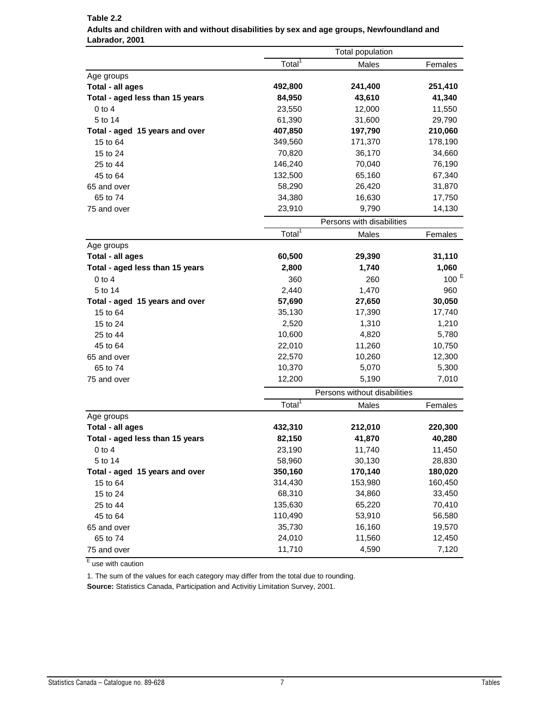|                                 | Total population   |                              |                  |
|---------------------------------|--------------------|------------------------------|------------------|
|                                 | Total <sup>1</sup> | Males                        | Females          |
| Age groups                      |                    |                              |                  |
| Total - all ages                | 492,800            | 241,400                      | 251,410          |
| Total - aged less than 15 years | 84,950             | 43,610                       | 41,340           |
| $0$ to $4$                      | 23,550             | 12,000                       | 11,550           |
| 5 to 14                         | 61,390             | 31,600                       | 29,790           |
| Total - aged 15 years and over  | 407,850            | 197,790                      | 210,060          |
| 15 to 64                        | 349,560            | 171,370                      | 178,190          |
| 15 to 24                        | 70,820             | 36,170                       | 34,660           |
| 25 to 44                        | 146,240            | 70,040                       | 76,190           |
| 45 to 64                        | 132,500            | 65,160                       | 67,340           |
| 65 and over                     | 58,290             | 26,420                       | 31,870           |
| 65 to 74                        | 34,380             | 16,630                       | 17,750           |
| 75 and over                     | 23,910             | 9,790                        | 14,130           |
|                                 |                    | Persons with disabilities    |                  |
|                                 | Total <sup>1</sup> | Males                        | Females          |
| Age groups                      |                    |                              |                  |
| Total - all ages                | 60,500             | 29,390                       | 31,110           |
| Total - aged less than 15 years | 2,800              | 1,740                        | 1,060            |
| $0$ to 4                        | 360                | 260                          | 100 <sup>E</sup> |
| 5 to 14                         | 2,440              | 1,470                        | 960              |
| Total - aged 15 years and over  | 57,690             | 27,650                       | 30,050           |
| 15 to 64                        | 35,130             | 17,390                       | 17,740           |
| 15 to 24                        | 2,520              | 1,310                        | 1,210            |
| 25 to 44                        | 10,600             | 4,820                        | 5,780            |
| 45 to 64                        | 22,010             | 11,260                       | 10,750           |
| 65 and over                     | 22,570             | 10,260                       | 12,300           |
| 65 to 74                        | 10,370             | 5,070                        | 5,300            |
| 75 and over                     | 12,200             | 5,190                        | 7,010            |
|                                 |                    | Persons without disabilities |                  |
|                                 | Total <sup>1</sup> | Males                        | Females          |
| Age groups                      |                    |                              |                  |
| Total - all ages                | 432,310            | 212,010                      | 220,300          |
| Total - aged less than 15 years | 82,150             | 41,870                       | 40,280           |
| 0 to 4                          | 23,190             | 11,740                       | 11,450           |
| 5 to 14                         | 58,960             | 30,130                       | 28,830           |
| Total - aged 15 years and over  | 350,160            | 170,140                      | 180,020          |
| 15 to 64                        | 314,430            | 153,980                      | 160,450          |
| 15 to 24                        | 68,310             | 34,860                       | 33,450           |
| 25 to 44                        | 135,630            | 65,220                       | 70,410           |
| 45 to 64                        | 110,490            | 53,910                       | 56,580           |
| 65 and over                     | 35,730             | 16,160                       | 19,570           |
| 65 to 74                        | 24,010             | 11,560                       | 12,450           |
| 75 and over                     | 11,710             | 4,590                        | 7,120            |

**Table 2.2 Adults and children with and without disabilities by sex and age groups, Newfoundland and Labrador, 2001**

<sup>E</sup> use with caution

1. The sum of the values for each category may differ from the total due to rounding.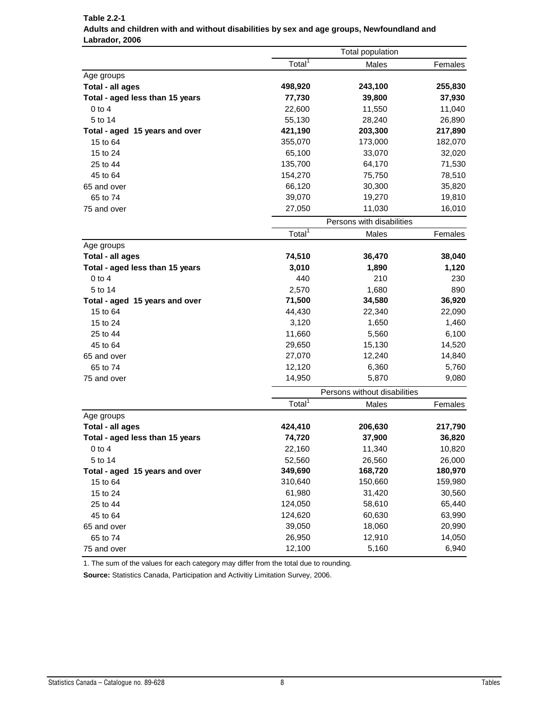|                                 | Total population   |                              |         |
|---------------------------------|--------------------|------------------------------|---------|
|                                 | Total <sup>1</sup> | Males                        | Females |
| Age groups                      |                    |                              |         |
| Total - all ages                | 498,920            | 243,100                      | 255,830 |
| Total - aged less than 15 years | 77,730             | 39,800                       | 37,930  |
| $0$ to $4$                      | 22,600             | 11,550                       | 11,040  |
| 5 to 14                         | 55,130             | 28,240                       | 26,890  |
| Total - aged 15 years and over  | 421,190            | 203,300                      | 217,890 |
| 15 to 64                        | 355,070            | 173,000                      | 182,070 |
| 15 to 24                        | 65,100             | 33,070                       | 32,020  |
| 25 to 44                        | 135,700            | 64,170                       | 71,530  |
| 45 to 64                        | 154,270            | 75,750                       | 78,510  |
| 65 and over                     | 66,120             | 30,300                       | 35,820  |
| 65 to 74                        | 39,070             | 19,270                       | 19,810  |
| 75 and over                     | 27,050             | 11,030                       | 16,010  |
|                                 |                    | Persons with disabilities    |         |
|                                 | Total <sup>1</sup> | Males                        | Females |
| Age groups                      |                    |                              |         |
| Total - all ages                | 74,510             | 36,470                       | 38,040  |
| Total - aged less than 15 years | 3,010              | 1,890                        | 1,120   |
| $0$ to 4                        | 440                | 210                          | 230     |
| 5 to 14                         | 2,570              | 1,680                        | 890     |
| Total - aged 15 years and over  | 71,500             | 34,580                       | 36,920  |
| 15 to 64                        | 44,430             | 22,340                       | 22,090  |
| 15 to 24                        | 3,120              | 1,650                        | 1,460   |
| 25 to 44                        | 11,660             | 5,560                        | 6,100   |
| 45 to 64                        | 29,650             | 15,130                       | 14,520  |
| 65 and over                     | 27,070             | 12,240                       | 14,840  |
| 65 to 74                        | 12,120             | 6,360                        | 5,760   |
| 75 and over                     | 14,950             | 5,870                        | 9,080   |
|                                 |                    | Persons without disabilities |         |
|                                 | Total <sup>1</sup> | Males                        | Females |
| Age groups                      |                    |                              |         |
| Total - all ages                | 424,410            | 206,630                      | 217,790 |
| Total - aged less than 15 years | 74,720             | 37,900                       | 36,820  |
| 0 to 4                          | 22,160             | 11,340                       | 10,820  |
| 5 to 14                         | 52,560             | 26,560                       | 26,000  |
| Total - aged 15 years and over  | 349,690            | 168,720                      | 180,970 |
| 15 to 64                        | 310,640            | 150,660                      | 159,980 |
| 15 to 24                        | 61,980             | 31,420                       | 30,560  |
| 25 to 44                        | 124,050            | 58,610                       | 65,440  |
| 45 to 64                        | 124,620            | 60,630                       | 63,990  |
| 65 and over                     | 39,050             | 18,060                       | 20,990  |
| 65 to 74                        | 26,950             | 12,910                       | 14,050  |
| 75 and over                     | 12,100             | 5,160                        | 6,940   |

**Table 2.2-1 Adults and children with and without disabilities by sex and age groups, Newfoundland and Labrador, 2006**

1. The sum of the values for each category may differ from the total due to rounding.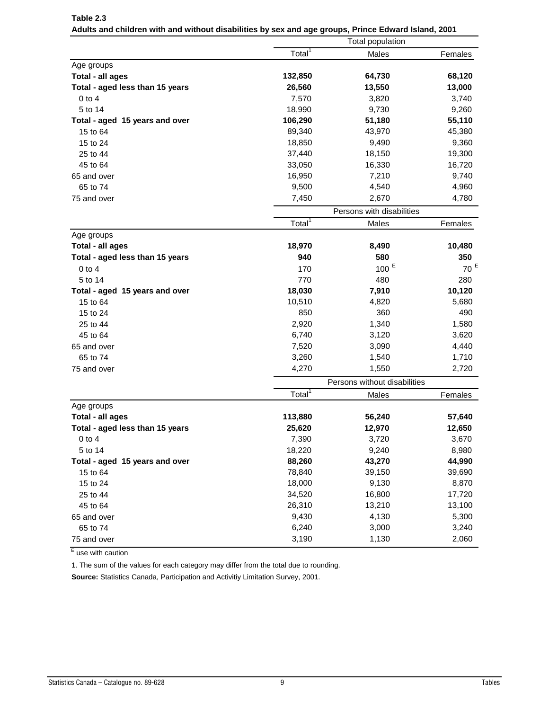|                                 | <b>Total population</b> |                              |                 |
|---------------------------------|-------------------------|------------------------------|-----------------|
|                                 | Total $\overline{1}$    | Males                        | Females         |
| Age groups                      |                         |                              |                 |
| Total - all ages                | 132,850                 | 64,730                       | 68,120          |
| Total - aged less than 15 years | 26,560                  | 13,550                       | 13,000          |
| $0$ to $4$                      | 7,570                   | 3,820                        | 3,740           |
| 5 to 14                         | 18,990                  | 9,730                        | 9,260           |
| Total - aged 15 years and over  | 106,290                 | 51,180                       | 55,110          |
| 15 to 64                        | 89,340                  | 43,970                       | 45,380          |
| 15 to 24                        | 18,850                  | 9,490                        | 9,360           |
| 25 to 44                        | 37,440                  | 18,150                       | 19,300          |
| 45 to 64                        | 33,050                  | 16,330                       | 16,720          |
| 65 and over                     | 16,950                  | 7,210                        | 9,740           |
| 65 to 74                        | 9,500                   | 4,540                        | 4,960           |
| 75 and over                     | 7,450                   | 2,670                        | 4,780           |
|                                 |                         | Persons with disabilities    |                 |
|                                 | Total <sup>1</sup>      | Males                        | Females         |
| Age groups                      |                         |                              |                 |
| Total - all ages                | 18,970                  | 8,490                        | 10,480          |
| Total - aged less than 15 years | 940                     | 580                          | 350             |
| $0$ to $4$                      | 170                     | 100 <sup>E</sup>             | 70 <sup>E</sup> |
| 5 to 14                         | 770                     | 480                          | 280             |
| Total - aged 15 years and over  | 18,030                  | 7,910                        | 10,120          |
| 15 to 64                        | 10,510                  | 4,820                        | 5,680           |
| 15 to 24                        | 850                     | 360                          | 490             |
| 25 to 44                        | 2,920                   | 1,340                        | 1,580           |
| 45 to 64                        | 6,740                   | 3,120                        | 3,620           |
| 65 and over                     | 7,520                   | 3,090                        | 4,440           |
| 65 to 74                        | 3,260                   | 1,540                        | 1,710           |
| 75 and over                     | 4,270                   | 1,550                        | 2,720           |
|                                 |                         | Persons without disabilities |                 |
|                                 | Total <sup>1</sup>      | Males                        | Females         |
| Age groups                      |                         |                              |                 |
| Total - all ages                | 113,880                 | 56,240                       | 57,640          |
| Total - aged less than 15 years | 25,620                  | 12,970                       | 12,650          |
| $0$ to $4$                      | 7,390                   | 3,720                        | 3,670           |
| 5 to 14                         | 18,220                  | 9,240                        | 8,980           |
| Total - aged 15 years and over  | 88,260                  | 43,270                       | 44,990          |
| 15 to 64                        | 78,840                  | 39,150                       | 39,690          |
| 15 to 24                        | 18,000                  | 9,130                        | 8,870           |
| 25 to 44                        | 34,520                  | 16,800                       | 17,720          |
| 45 to 64                        | 26,310                  | 13,210                       | 13,100          |
| 65 and over                     | 9,430                   | 4,130                        | 5,300           |
| 65 to 74                        | 6,240                   | 3,000                        | 3,240           |
| 75 and over                     | 3,190                   | 1,130                        | 2,060           |

**Table 2.3 Adults and children with and without disabilities by sex and age groups, Prince Edward Island, 2001**

E use with caution

1. The sum of the values for each category may differ from the total due to rounding.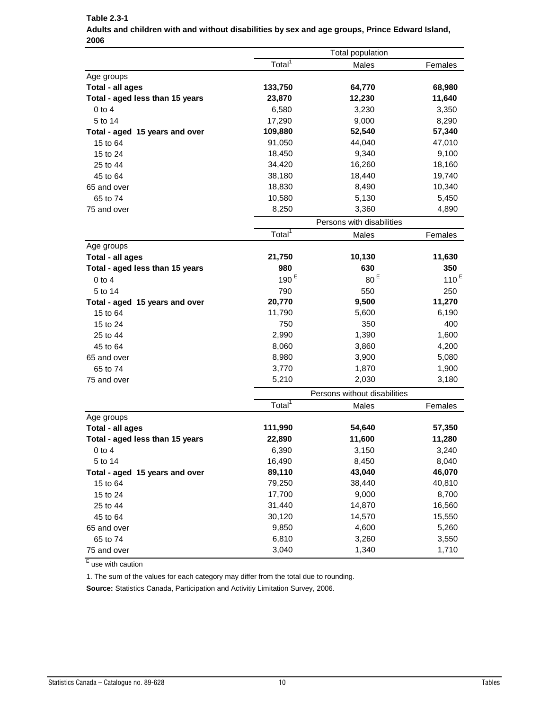|                                 | Total population   |                              |         |
|---------------------------------|--------------------|------------------------------|---------|
|                                 | Total <sup>1</sup> | Males                        | Females |
| Age groups                      |                    |                              |         |
| Total - all ages                | 133,750            | 64,770                       | 68,980  |
| Total - aged less than 15 years | 23,870             | 12,230                       | 11,640  |
| $0$ to $4$                      | 6,580              | 3,230                        | 3,350   |
| 5 to 14                         | 17,290             | 9,000                        | 8,290   |
| Total - aged 15 years and over  | 109,880            | 52,540                       | 57,340  |
| 15 to 64                        | 91,050             | 44,040                       | 47,010  |
| 15 to 24                        | 18,450             | 9,340                        | 9,100   |
| 25 to 44                        | 34,420             | 16,260                       | 18,160  |
| 45 to 64                        | 38,180             | 18,440                       | 19,740  |
| 65 and over                     | 18,830             | 8,490                        | 10,340  |
| 65 to 74                        | 10,580             | 5,130                        | 5,450   |
| 75 and over                     | 8,250              | 3,360                        | 4,890   |
|                                 |                    | Persons with disabilities    |         |
|                                 | Total <sup>1</sup> | Males                        | Females |
| Age groups                      |                    |                              |         |
| Total - all ages                | 21,750             | 10,130                       | 11,630  |
| Total - aged less than 15 years | 980                | 630                          | 350     |
| $0$ to $4$                      | 190 <sup>E</sup>   | 80 <sup>E</sup>              | 110 $E$ |
| 5 to 14                         | 790                | 550                          | 250     |
| Total - aged 15 years and over  | 20,770             | 9,500                        | 11,270  |
| 15 to 64                        | 11,790             | 5,600                        | 6,190   |
| 15 to 24                        | 750                | 350                          | 400     |
| 25 to 44                        | 2,990              | 1,390                        | 1,600   |
| 45 to 64                        | 8,060              | 3,860                        | 4,200   |
| 65 and over                     | 8,980              | 3,900                        | 5,080   |
| 65 to 74                        | 3,770              | 1,870                        | 1,900   |
| 75 and over                     | 5,210              | 2,030                        | 3,180   |
|                                 |                    | Persons without disabilities |         |
|                                 | Total <sup>1</sup> | Males                        | Females |
| Age groups                      |                    |                              |         |
| Total - all ages                | 111,990            | 54,640                       | 57,350  |
| Total - aged less than 15 years | 22,890             | 11,600                       | 11,280  |
| 0 to 4                          | 6,390              | 3,150                        | 3,240   |
| 5 to 14                         | 16,490             | 8,450                        | 8,040   |
| Total - aged 15 years and over  | 89,110             | 43,040                       | 46,070  |
| 15 to 64                        | 79,250             | 38,440                       | 40,810  |
| 15 to 24                        | 17,700             | 9,000                        | 8,700   |
| 25 to 44                        | 31,440             | 14,870                       | 16,560  |
| 45 to 64                        | 30,120             | 14,570                       | 15,550  |
| 65 and over                     | 9,850              | 4,600                        | 5,260   |
| 65 to 74                        | 6,810              | 3,260                        | 3,550   |
| 75 and over                     | 3,040              | 1,340                        | 1,710   |

**Table 2.3-1 Adults and children with and without disabilities by sex and age groups, Prince Edward Island, 2006**

1. The sum of the values for each category may differ from the total due to rounding.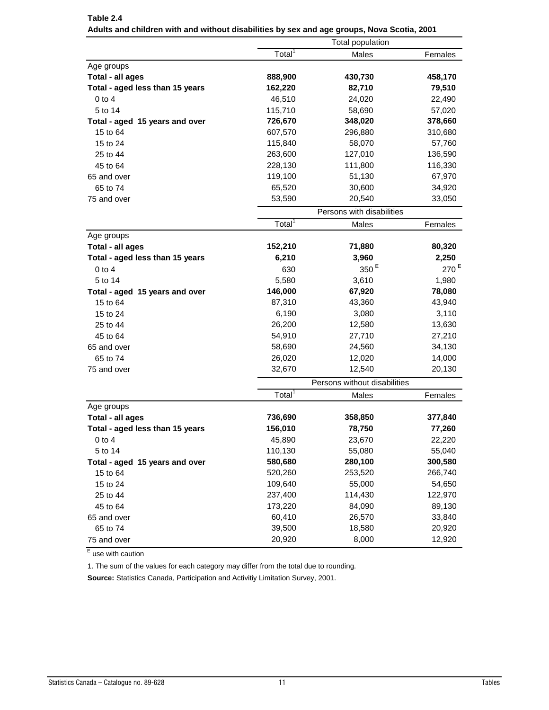|                                 |                    | Total population             |                  |
|---------------------------------|--------------------|------------------------------|------------------|
|                                 | Total <sup>1</sup> | Males                        | Females          |
| Age groups                      |                    |                              |                  |
| Total - all ages                | 888,900            | 430,730                      | 458,170          |
| Total - aged less than 15 years | 162,220            | 82,710                       | 79,510           |
| $0$ to 4                        | 46,510             | 24,020                       | 22,490           |
| 5 to 14                         | 115,710            | 58,690                       | 57,020           |
| Total - aged 15 years and over  | 726,670            | 348,020                      | 378,660          |
| 15 to 64                        | 607,570            | 296,880                      | 310,680          |
| 15 to 24                        | 115,840            | 58,070                       | 57,760           |
| 25 to 44                        | 263,600            | 127,010                      | 136,590          |
| 45 to 64                        | 228,130            | 111,800                      | 116,330          |
| 65 and over                     | 119,100            | 51,130                       | 67,970           |
| 65 to 74                        | 65,520             | 30,600                       | 34,920           |
| 75 and over                     | 53,590             | 20,540                       | 33,050           |
|                                 |                    | Persons with disabilities    |                  |
|                                 | Total <sup>1</sup> | Males                        | Females          |
| Age groups                      |                    |                              |                  |
| Total - all ages                | 152,210            | 71,880                       | 80,320           |
| Total - aged less than 15 years | 6,210              | 3,960                        | 2,250            |
| $0$ to $4$                      | 630                | 350 <sup>E</sup>             | 270 <sup>E</sup> |
| 5 to 14                         | 5,580              | 3,610                        | 1,980            |
| Total - aged 15 years and over  | 146,000            | 67,920                       | 78,080           |
| 15 to 64                        | 87,310             | 43,360                       | 43,940           |
| 15 to 24                        | 6,190              | 3,080                        | 3,110            |
| 25 to 44                        | 26,200             | 12,580                       | 13,630           |
| 45 to 64                        | 54,910             | 27,710                       | 27,210           |
| 65 and over                     | 58,690             | 24,560                       | 34,130           |
| 65 to 74                        | 26,020             | 12,020                       | 14,000           |
| 75 and over                     | 32,670             | 12,540                       | 20,130           |
|                                 |                    | Persons without disabilities |                  |
|                                 | Total <sup>1</sup> | Males                        | Females          |
| Age groups                      |                    |                              |                  |
| Total - all ages                | 736,690            | 358,850                      | 377,840          |
| Total - aged less than 15 years | 156,010            | 78,750                       | 77,260           |
| $0$ to $4$                      | 45,890             | 23,670                       | 22,220           |
| 5 to 14                         | 110,130            | 55,080                       | 55,040           |
| Total - aged 15 years and over  | 580,680            | 280,100                      | 300,580          |
| 15 to 64                        | 520,260            | 253,520                      | 266,740          |
| 15 to 24                        | 109,640            | 55,000                       | 54,650           |
| 25 to 44                        | 237,400            | 114,430                      | 122,970          |
| 45 to 64                        | 173,220            | 84,090                       | 89,130           |
| 65 and over                     | 60,410             | 26,570                       | 33,840           |
| 65 to 74                        | 39,500             | 18,580                       | 20,920           |
| 75 and over                     | 20,920             | 8,000                        | 12,920           |

**Table 2.4 Adults and children with and without disabilities by sex and age groups, Nova Scotia, 2001**

1. The sum of the values for each category may differ from the total due to rounding.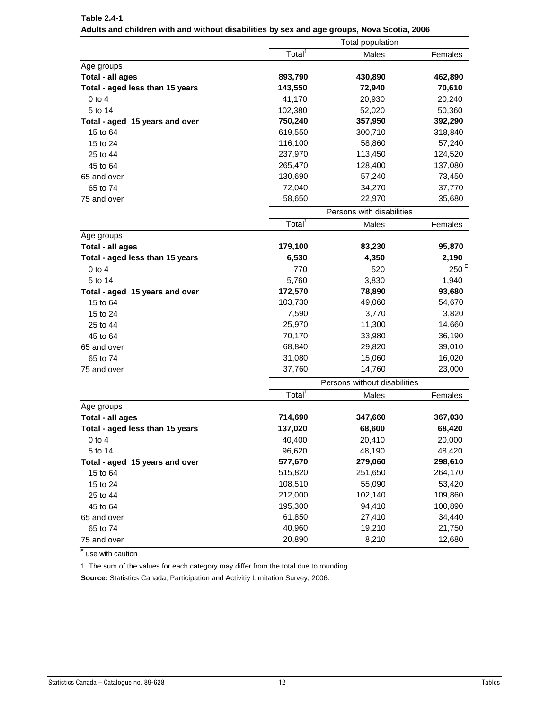|                                 | Total population   |                              |                  |
|---------------------------------|--------------------|------------------------------|------------------|
|                                 | Total <sup>1</sup> | Males                        | Females          |
| Age groups                      |                    |                              |                  |
| Total - all ages                | 893,790            | 430,890                      | 462,890          |
| Total - aged less than 15 years | 143,550            | 72,940                       | 70,610           |
| $0$ to $4$                      | 41,170             | 20,930                       | 20,240           |
| 5 to 14                         | 102,380            | 52,020                       | 50,360           |
| Total - aged 15 years and over  | 750,240            | 357,950                      | 392,290          |
| 15 to 64                        | 619,550            | 300,710                      | 318,840          |
| 15 to 24                        | 116,100            | 58,860                       | 57,240           |
| 25 to 44                        | 237,970            | 113,450                      | 124,520          |
| 45 to 64                        | 265,470            | 128,400                      | 137,080          |
| 65 and over                     | 130,690            | 57,240                       | 73,450           |
| 65 to 74                        | 72,040             | 34,270                       | 37,770           |
| 75 and over                     | 58,650             | 22,970                       | 35,680           |
|                                 |                    | Persons with disabilities    |                  |
|                                 | Total <sup>1</sup> | Males                        | Females          |
| Age groups                      |                    |                              |                  |
| Total - all ages                | 179,100            | 83,230                       | 95,870           |
| Total - aged less than 15 years | 6,530              | 4,350                        | 2,190            |
| $0$ to $4$                      | 770                | 520                          | 250 <sup>E</sup> |
| 5 to 14                         | 5,760              | 3,830                        | 1,940            |
| Total - aged 15 years and over  | 172,570            | 78,890                       | 93,680           |
| 15 to 64                        | 103,730            | 49,060                       | 54,670           |
| 15 to 24                        | 7,590              | 3,770                        | 3,820            |
| 25 to 44                        | 25,970             | 11,300                       | 14,660           |
| 45 to 64                        | 70,170             | 33,980                       | 36,190           |
| 65 and over                     | 68,840             | 29,820                       | 39,010           |
| 65 to 74                        | 31,080             | 15,060                       | 16,020           |
| 75 and over                     | 37,760             | 14,760                       | 23,000           |
|                                 |                    | Persons without disabilities |                  |
|                                 | Total <sup>1</sup> | Males                        | Females          |
| Age groups                      |                    |                              |                  |
| Total - all ages                | 714,690            | 347,660                      | 367,030          |
| Total - aged less than 15 years | 137,020            | 68,600                       | 68,420           |
| $0$ to $4$                      | 40,400             | 20,410                       | 20,000           |
| 5 to 14                         | 96,620             | 48,190                       | 48,420           |
| Total - aged 15 years and over  | 577,670            | 279,060                      | 298,610          |
| 15 to 64                        | 515,820            | 251,650                      | 264,170          |
| 15 to 24                        | 108,510            | 55,090                       | 53,420           |
| 25 to 44                        | 212,000            | 102,140                      | 109,860          |
| 45 to 64                        | 195,300            | 94,410                       | 100,890          |
| 65 and over                     | 61,850             | 27,410                       | 34,440           |
| 65 to 74                        | 40,960             | 19,210                       | 21,750           |
| 75 and over                     | 20,890             | 8,210                        | 12,680           |

**Table 2.4-1 Adults and children with and without disabilities by sex and age groups, Nova Scotia, 2006**

1. The sum of the values for each category may differ from the total due to rounding.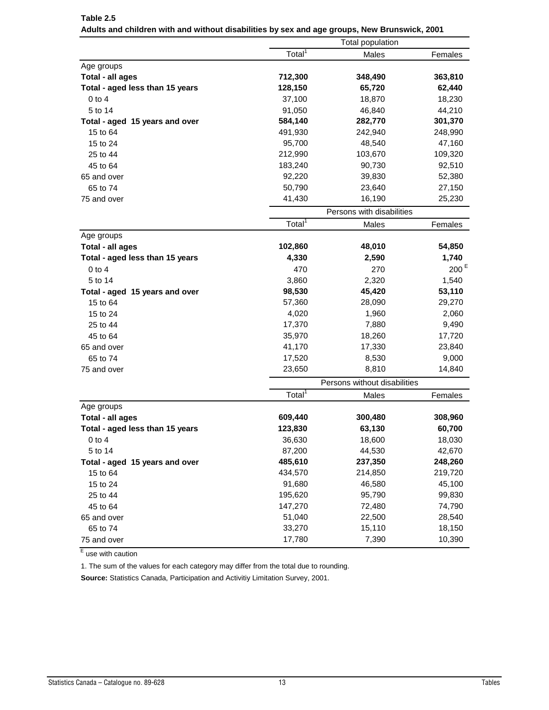|                                 | <b>Total population</b> |                              |                  |
|---------------------------------|-------------------------|------------------------------|------------------|
|                                 | Total <sup>1</sup>      | Males                        | Females          |
| Age groups                      |                         |                              |                  |
| Total - all ages                | 712,300                 | 348,490                      | 363,810          |
| Total - aged less than 15 years | 128,150                 | 65,720                       | 62,440           |
| $0$ to $4$                      | 37,100                  | 18,870                       | 18,230           |
| 5 to 14                         | 91,050                  | 46,840                       | 44,210           |
| Total - aged 15 years and over  | 584,140                 | 282,770                      | 301,370          |
| 15 to 64                        | 491,930                 | 242,940                      | 248,990          |
| 15 to 24                        | 95,700                  | 48,540                       | 47,160           |
| 25 to 44                        | 212,990                 | 103,670                      | 109,320          |
| 45 to 64                        | 183,240                 | 90,730                       | 92,510           |
| 65 and over                     | 92,220                  | 39,830                       | 52,380           |
| 65 to 74                        | 50,790                  | 23,640                       | 27,150           |
| 75 and over                     | 41,430                  | 16,190                       | 25,230           |
|                                 |                         | Persons with disabilities    |                  |
|                                 | Total <sup>1</sup>      | Males                        | Females          |
| Age groups                      |                         |                              |                  |
| Total - all ages                | 102,860                 | 48,010                       | 54,850           |
| Total - aged less than 15 years | 4,330                   | 2,590                        | 1,740            |
| 0 to 4                          | 470                     | 270                          | 200 <sup>E</sup> |
| 5 to 14                         | 3,860                   | 2,320                        | 1,540            |
| Total - aged 15 years and over  | 98,530                  | 45,420                       | 53,110           |
| 15 to 64                        | 57,360                  | 28,090                       | 29,270           |
| 15 to 24                        | 4,020                   | 1,960                        | 2,060            |
| 25 to 44                        | 17,370                  | 7,880                        | 9,490            |
| 45 to 64                        | 35,970                  | 18,260                       | 17,720           |
| 65 and over                     | 41,170                  | 17,330                       | 23,840           |
| 65 to 74                        | 17,520                  | 8,530                        | 9,000            |
| 75 and over                     | 23,650                  | 8,810                        | 14,840           |
|                                 |                         | Persons without disabilities |                  |
|                                 | Total <sup>1</sup>      | Males                        | Females          |
| Age groups                      |                         |                              |                  |
| Total - all ages                | 609,440                 | 300,480                      | 308,960          |
| Total - aged less than 15 years | 123,830                 | 63,130                       | 60,700           |
| $0$ to $4$                      | 36,630                  | 18,600                       | 18,030           |
| 5 to 14                         | 87,200                  | 44,530                       | 42,670           |
| Total - aged 15 years and over  | 485,610                 | 237,350                      | 248,260          |
| 15 to 64                        | 434,570                 | 214,850                      | 219,720          |
| 15 to 24                        | 91,680                  | 46,580                       | 45,100           |
| 25 to 44                        | 195,620                 | 95,790                       | 99,830           |
| 45 to 64                        | 147,270                 | 72,480                       | 74,790           |
| 65 and over                     | 51,040                  | 22,500                       | 28,540           |
| 65 to 74                        | 33,270                  | 15,110                       | 18,150           |
| 75 and over                     | 17,780                  | 7,390                        | 10,390           |

**Table 2.5 Adults and children with and without disabilities by sex and age groups, New Brunswick, 2001**

1. The sum of the values for each category may differ from the total due to rounding.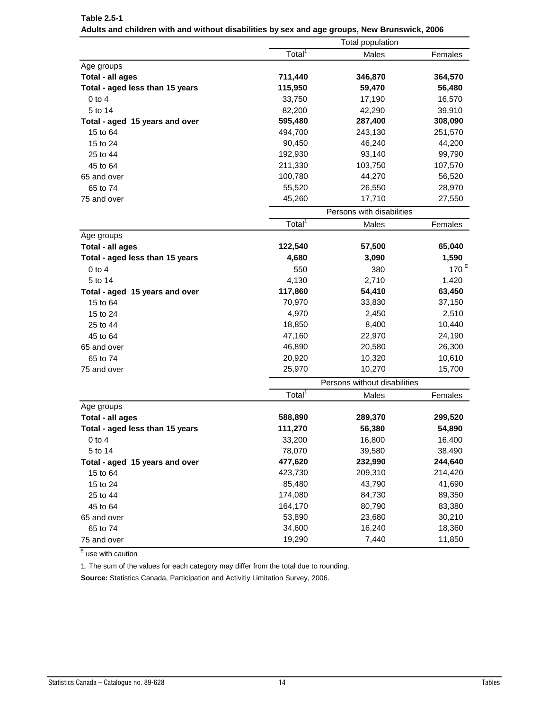|                                 | <b>Total population</b> |                              |                  |
|---------------------------------|-------------------------|------------------------------|------------------|
|                                 | Total <sup>1</sup>      | Males                        | Females          |
| Age groups                      |                         |                              |                  |
| Total - all ages                | 711,440                 | 346,870                      | 364,570          |
| Total - aged less than 15 years | 115,950                 | 59,470                       | 56,480           |
| $0$ to $4$                      | 33,750                  | 17,190                       | 16,570           |
| 5 to 14                         | 82,200                  | 42,290                       | 39,910           |
| Total - aged 15 years and over  | 595,480                 | 287,400                      | 308,090          |
| 15 to 64                        | 494,700                 | 243,130                      | 251,570          |
| 15 to 24                        | 90,450                  | 46,240                       | 44,200           |
| 25 to 44                        | 192,930                 | 93,140                       | 99,790           |
| 45 to 64                        | 211,330                 | 103,750                      | 107,570          |
| 65 and over                     | 100,780                 | 44,270                       | 56,520           |
| 65 to 74                        | 55,520                  | 26,550                       | 28,970           |
| 75 and over                     | 45,260                  | 17,710                       | 27,550           |
|                                 |                         | Persons with disabilities    |                  |
|                                 | Total <sup>1</sup>      | Males                        | Females          |
| Age groups                      |                         |                              |                  |
| Total - all ages                | 122,540                 | 57,500                       | 65,040           |
| Total - aged less than 15 years | 4,680                   | 3,090                        | 1,590            |
| $0$ to $4$                      | 550                     | 380                          | 170 <sup>E</sup> |
| 5 to 14                         | 4,130                   | 2,710                        | 1,420            |
| Total - aged 15 years and over  | 117,860                 | 54,410                       | 63,450           |
| 15 to 64                        | 70,970                  | 33,830                       | 37,150           |
| 15 to 24                        | 4,970                   | 2,450                        | 2,510            |
| 25 to 44                        | 18,850                  | 8,400                        | 10,440           |
| 45 to 64                        | 47,160                  | 22,970                       | 24,190           |
| 65 and over                     | 46,890                  | 20,580                       | 26,300           |
| 65 to 74                        | 20,920                  | 10,320                       | 10,610           |
| 75 and over                     | 25,970                  | 10,270                       | 15,700           |
|                                 |                         | Persons without disabilities |                  |
|                                 | $Total^1$               | Males                        | Females          |
| Age groups                      |                         |                              |                  |
| Total - all ages                | 588,890                 | 289,370                      | 299,520          |
| Total - aged less than 15 years | 111,270                 | 56,380                       | 54,890           |
| $0$ to $4$                      | 33,200                  | 16,800                       | 16,400           |
| 5 to 14                         | 78,070                  | 39,580                       | 38,490           |
| Total - aged 15 years and over  | 477,620                 | 232,990                      | 244,640          |
| 15 to 64                        | 423,730                 | 209,310                      | 214,420          |
| 15 to 24                        | 85,480                  | 43,790                       | 41,690           |
| 25 to 44                        | 174,080                 | 84,730                       | 89,350           |
| 45 to 64                        | 164,170                 | 80,790                       | 83,380           |
| 65 and over                     | 53,890                  | 23,680                       | 30,210           |
| 65 to 74                        | 34,600                  | 16,240                       | 18,360           |
| 75 and over                     | 19,290                  | 7,440                        | 11,850           |

**Table 2.5-1 Adults and children with and without disabilities by sex and age groups, New Brunswick, 2006**

1. The sum of the values for each category may differ from the total due to rounding.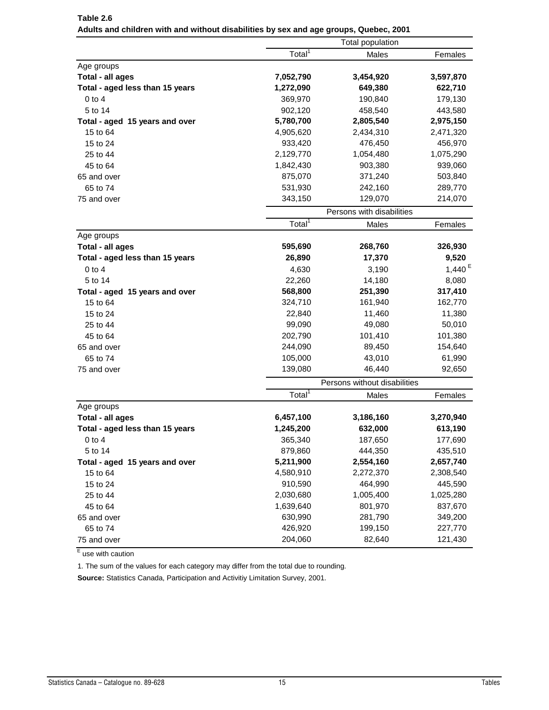|                                 | Total population   |                              |           |
|---------------------------------|--------------------|------------------------------|-----------|
|                                 | Total <sup>1</sup> | Males                        | Females   |
| Age groups                      |                    |                              |           |
| Total - all ages                | 7,052,790          | 3,454,920                    | 3,597,870 |
| Total - aged less than 15 years | 1,272,090          | 649,380                      | 622,710   |
| $0$ to $4$                      | 369,970            | 190,840                      | 179,130   |
| 5 to 14                         | 902,120            | 458,540                      | 443,580   |
| Total - aged 15 years and over  | 5,780,700          | 2,805,540                    | 2,975,150 |
| 15 to 64                        | 4,905,620          | 2,434,310                    | 2,471,320 |
| 15 to 24                        | 933,420            | 476,450                      | 456,970   |
| 25 to 44                        | 2,129,770          | 1,054,480                    | 1,075,290 |
| 45 to 64                        | 1,842,430          | 903,380                      | 939,060   |
| 65 and over                     | 875,070            | 371,240                      | 503,840   |
| 65 to 74                        | 531,930            | 242,160                      | 289,770   |
| 75 and over                     | 343,150            | 129,070                      | 214,070   |
|                                 |                    | Persons with disabilities    |           |
|                                 | Total <sup>1</sup> | Males                        | Females   |
| Age groups                      |                    |                              |           |
| Total - all ages                | 595,690            | 268,760                      | 326,930   |
| Total - aged less than 15 years | 26,890             | 17,370                       | 9,520     |
| $0$ to $4$                      | 4,630              | 3,190                        | 1,440 $E$ |
| 5 to 14                         | 22,260             | 14,180                       | 8,080     |
| Total - aged 15 years and over  | 568,800            | 251,390                      | 317,410   |
| 15 to 64                        | 324,710            | 161,940                      | 162,770   |
| 15 to 24                        | 22,840             | 11,460                       | 11,380    |
| 25 to 44                        | 99,090             | 49,080                       | 50,010    |
| 45 to 64                        | 202,790            | 101,410                      | 101,380   |
| 65 and over                     | 244,090            | 89,450                       | 154,640   |
| 65 to 74                        | 105,000            | 43,010                       | 61,990    |
| 75 and over                     | 139,080            | 46,440                       | 92,650    |
|                                 |                    | Persons without disabilities |           |
|                                 | Total <sup>1</sup> | Males                        | Females   |
| Age groups                      |                    |                              |           |
| Total - all ages                | 6,457,100          | 3,186,160                    | 3,270,940 |
| Total - aged less than 15 years | 1,245,200          | 632,000                      | 613,190   |
| $0$ to $4$                      | 365,340            | 187,650                      | 177,690   |
| 5 to 14                         | 879,860            | 444,350                      | 435,510   |
| Total - aged 15 years and over  | 5,211,900          | 2,554,160                    | 2,657,740 |
| 15 to 64                        | 4,580,910          | 2,272,370                    | 2,308,540 |
| 15 to 24                        | 910,590            | 464,990                      | 445,590   |
| 25 to 44                        | 2,030,680          | 1,005,400                    | 1,025,280 |
| 45 to 64                        | 1,639,640          | 801,970                      | 837,670   |
| 65 and over                     | 630,990            | 281,790                      | 349,200   |
| 65 to 74                        | 426,920            | 199,150                      | 227,770   |
| 75 and over                     | 204,060            | 82,640                       | 121,430   |

**Table 2.6 Adults and children with and without disabilities by sex and age groups, Quebec, 2001**

1. The sum of the values for each category may differ from the total due to rounding.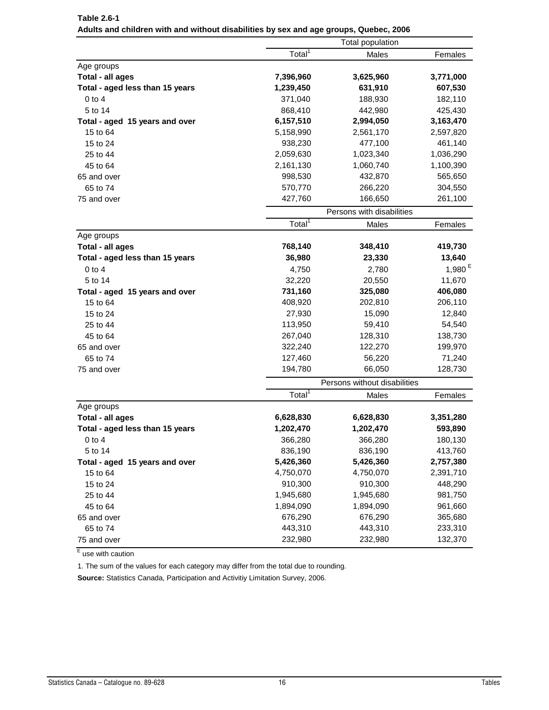|                                 | <b>Total population</b> |                              |                    |
|---------------------------------|-------------------------|------------------------------|--------------------|
|                                 | Total <sup>1</sup>      | Males                        | Females            |
| Age groups                      |                         |                              |                    |
| Total - all ages                | 7,396,960               | 3,625,960                    | 3,771,000          |
| Total - aged less than 15 years | 1,239,450               | 631,910                      | 607,530            |
| $0$ to $4$                      | 371,040                 | 188,930                      | 182,110            |
| 5 to 14                         | 868,410                 | 442,980                      | 425,430            |
| Total - aged 15 years and over  | 6,157,510               | 2,994,050                    | 3,163,470          |
| 15 to 64                        | 5,158,990               | 2,561,170                    | 2,597,820          |
| 15 to 24                        | 938,230                 | 477,100                      | 461,140            |
| 25 to 44                        | 2,059,630               | 1,023,340                    | 1,036,290          |
| 45 to 64                        | 2,161,130               | 1,060,740                    | 1,100,390          |
| 65 and over                     | 998,530                 | 432,870                      | 565,650            |
| 65 to 74                        | 570,770                 | 266,220                      | 304,550            |
| 75 and over                     | 427,760                 | 166,650                      | 261,100            |
|                                 |                         | Persons with disabilities    |                    |
|                                 | Total <sup>1</sup>      | Males                        | Females            |
| Age groups                      |                         |                              |                    |
| Total - all ages                | 768,140                 | 348,410                      | 419,730            |
| Total - aged less than 15 years | 36,980                  | 23,330                       | 13,640             |
| $0$ to 4                        | 4,750                   | 2,780                        | 1,980 <sup>E</sup> |
| 5 to 14                         | 32,220                  | 20,550                       | 11,670             |
| Total - aged 15 years and over  | 731,160                 | 325,080                      | 406,080            |
| 15 to 64                        | 408,920                 | 202,810                      | 206,110            |
| 15 to 24                        | 27,930                  | 15,090                       | 12,840             |
| 25 to 44                        | 113,950                 | 59,410                       | 54,540             |
| 45 to 64                        | 267,040                 | 128,310                      | 138,730            |
| 65 and over                     | 322,240                 | 122,270                      | 199,970            |
| 65 to 74                        | 127,460                 | 56,220                       | 71,240             |
| 75 and over                     | 194,780                 | 66,050                       | 128,730            |
|                                 |                         | Persons without disabilities |                    |
|                                 | Total <sup>1</sup>      | Males                        | Females            |
| Age groups                      |                         |                              |                    |
| Total - all ages                | 6,628,830               | 6,628,830                    | 3,351,280          |
| Total - aged less than 15 years | 1,202,470               | 1,202,470                    | 593,890            |
| $0$ to $4$                      | 366,280                 | 366,280                      | 180,130            |
| 5 to 14                         | 836,190                 | 836,190                      | 413,760            |
| Total - aged 15 years and over  | 5,426,360               | 5,426,360                    | 2,757,380          |
| 15 to 64                        | 4,750,070               | 4,750,070                    | 2,391,710          |
| 15 to 24                        | 910,300                 | 910,300                      | 448,290            |
| 25 to 44                        | 1,945,680               | 1,945,680                    | 981,750            |
| 45 to 64                        | 1,894,090               | 1,894,090                    | 961,660            |
| 65 and over                     | 676,290                 | 676,290                      | 365,680            |
| 65 to 74                        | 443,310                 | 443,310                      | 233,310            |
| 75 and over                     | 232,980                 | 232,980                      | 132,370            |

**Table 2.6-1 Adults and children with and without disabilities by sex and age groups, Quebec, 2006**

1. The sum of the values for each category may differ from the total due to rounding.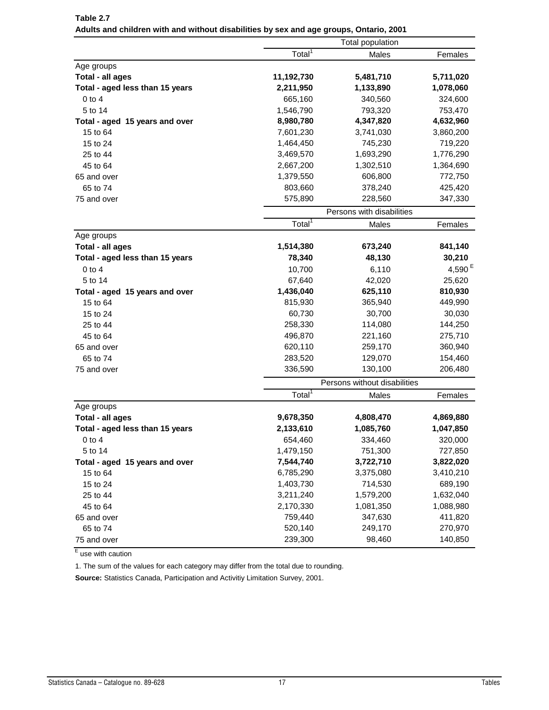|                                 | Total population   |                              |                    |
|---------------------------------|--------------------|------------------------------|--------------------|
|                                 | Total <sup>1</sup> | Males                        | Females            |
| Age groups                      |                    |                              |                    |
| Total - all ages                | 11,192,730         | 5,481,710                    | 5,711,020          |
| Total - aged less than 15 years | 2,211,950          | 1,133,890                    | 1,078,060          |
| $0$ to $4$                      | 665,160            | 340,560                      | 324,600            |
| 5 to 14                         | 1,546,790          | 793,320                      | 753,470            |
| Total - aged 15 years and over  | 8,980,780          | 4,347,820                    | 4,632,960          |
| 15 to 64                        | 7,601,230          | 3,741,030                    | 3,860,200          |
| 15 to 24                        | 1,464,450          | 745,230                      | 719,220            |
| 25 to 44                        | 3,469,570          | 1,693,290                    | 1,776,290          |
| 45 to 64                        | 2,667,200          | 1,302,510                    | 1,364,690          |
| 65 and over                     | 1,379,550          | 606,800                      | 772,750            |
| 65 to 74                        | 803,660            | 378,240                      | 425,420            |
| 75 and over                     | 575,890            | 228,560                      | 347,330            |
|                                 |                    | Persons with disabilities    |                    |
|                                 | Total <sup>1</sup> | Males                        | Females            |
| Age groups                      |                    |                              |                    |
| Total - all ages                | 1,514,380          | 673,240                      | 841,140            |
| Total - aged less than 15 years | 78,340             | 48,130                       | 30,210             |
| $0$ to $4$                      | 10,700             | 6,110                        | 4,590 <sup>E</sup> |
| 5 to 14                         | 67,640             | 42,020                       | 25,620             |
| Total - aged 15 years and over  | 1,436,040          | 625,110                      | 810,930            |
| 15 to 64                        | 815,930            | 365,940                      | 449,990            |
| 15 to 24                        | 60,730             | 30,700                       | 30,030             |
| 25 to 44                        | 258,330            | 114,080                      | 144,250            |
| 45 to 64                        | 496,870            | 221,160                      | 275,710            |
| 65 and over                     | 620,110            | 259,170                      | 360,940            |
| 65 to 74                        | 283,520            | 129,070                      | 154,460            |
| 75 and over                     | 336,590            | 130,100                      | 206,480            |
|                                 |                    | Persons without disabilities |                    |
|                                 | Total <sup>1</sup> | Males                        | Females            |
| Age groups                      |                    |                              |                    |
| Total - all ages                | 9,678,350          | 4,808,470                    | 4,869,880          |
| Total - aged less than 15 years | 2,133,610          | 1,085,760                    | 1,047,850          |
| $0$ to $4$                      | 654,460            | 334,460                      | 320,000            |
| 5 to 14                         | 1,479,150          | 751,300                      | 727,850            |
| Total - aged 15 years and over  | 7,544,740          | 3,722,710                    | 3,822,020          |
| 15 to 64                        | 6,785,290          | 3,375,080                    | 3,410,210          |
| 15 to 24                        | 1,403,730          | 714,530                      | 689,190            |
| 25 to 44                        | 3,211,240          | 1,579,200                    | 1,632,040          |
| 45 to 64                        | 2,170,330          | 1,081,350                    | 1,088,980          |
| 65 and over                     | 759,440            | 347,630                      | 411,820            |
| 65 to 74                        | 520,140            | 249,170                      | 270,970            |
| 75 and over                     | 239,300            | 98,460                       | 140,850            |

**Table 2.7 Adults and children with and without disabilities by sex and age groups, Ontario, 2001**

1. The sum of the values for each category may differ from the total due to rounding.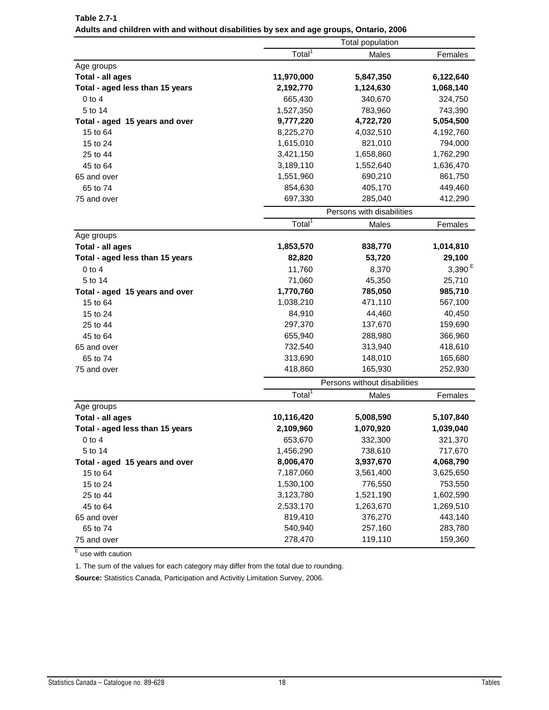|                                 | Total population   |                              |           |
|---------------------------------|--------------------|------------------------------|-----------|
|                                 | Total <sup>1</sup> | Males                        | Females   |
| Age groups                      |                    |                              |           |
| Total - all ages                | 11,970,000         | 5,847,350                    | 6,122,640 |
| Total - aged less than 15 years | 2,192,770          | 1,124,630                    | 1,068,140 |
| $0$ to $4$                      | 665,430            | 340,670                      | 324,750   |
| 5 to 14                         | 1,527,350          | 783,960                      | 743,390   |
| Total - aged 15 years and over  | 9,777,220          | 4,722,720                    | 5,054,500 |
| 15 to 64                        | 8,225,270          | 4,032,510                    | 4,192,760 |
| 15 to 24                        | 1,615,010          | 821,010                      | 794,000   |
| 25 to 44                        | 3,421,150          | 1,658,860                    | 1,762,290 |
| 45 to 64                        | 3,189,110          | 1,552,640                    | 1,636,470 |
| 65 and over                     | 1,551,960          | 690,210                      | 861,750   |
| 65 to 74                        | 854,630            | 405,170                      | 449,460   |
| 75 and over                     | 697,330            | 285,040                      | 412,290   |
|                                 |                    | Persons with disabilities    |           |
|                                 | Total <sup>1</sup> | Males                        | Females   |
| Age groups                      |                    |                              |           |
| Total - all ages                | 1,853,570          | 838,770                      | 1,014,810 |
| Total - aged less than 15 years | 82,820             | 53,720                       | 29,100    |
| $0$ to $4$                      | 11,760             | 8,370                        | 3,390 $E$ |
| 5 to 14                         | 71,060             | 45,350                       | 25,710    |
| Total - aged 15 years and over  | 1,770,760          | 785,050                      | 985,710   |
| 15 to 64                        | 1,038,210          | 471,110                      | 567,100   |
| 15 to 24                        | 84,910             | 44,460                       | 40,450    |
| 25 to 44                        | 297,370            | 137,670                      | 159,690   |
| 45 to 64                        | 655,940            | 288,980                      | 366,960   |
| 65 and over                     | 732,540            | 313,940                      | 418,610   |
| 65 to 74                        | 313,690            | 148,010                      | 165,680   |
| 75 and over                     | 418,860            | 165,930                      | 252,930   |
|                                 |                    | Persons without disabilities |           |
|                                 | Total <sup>1</sup> | Males                        | Females   |
| Age groups                      |                    |                              |           |
| Total - all ages                | 10,116,420         | 5,008,590                    | 5,107,840 |
| Total - aged less than 15 years | 2,109,960          | 1,070,920                    | 1,039,040 |
| $0$ to $4$                      | 653,670            | 332,300                      | 321,370   |
| 5 to 14                         | 1,456,290          | 738,610                      | 717,670   |
| Total - aged 15 years and over  | 8,006,470          | 3,937,670                    | 4,068,790 |
| 15 to 64                        | 7,187,060          | 3,561,400                    | 3,625,650 |
| 15 to 24                        | 1,530,100          | 776,550                      | 753,550   |
| 25 to 44                        | 3,123,780          | 1,521,190                    | 1,602,590 |
| 45 to 64                        | 2,533,170          | 1,263,670                    | 1,269,510 |
| 65 and over                     | 819,410            | 376,270                      | 443,140   |
| 65 to 74                        | 540,940            | 257,160                      | 283,780   |
| 75 and over                     | 278,470            | 119,110                      | 159,360   |

**Table 2.7-1 Adults and children with and without disabilities by sex and age groups, Ontario, 2006**

1. The sum of the values for each category may differ from the total due to rounding.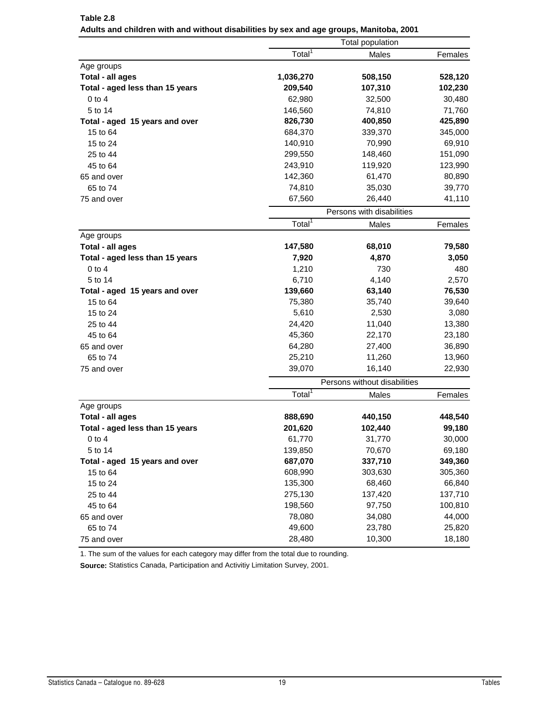|                                 | Total population     |                              |         |
|---------------------------------|----------------------|------------------------------|---------|
|                                 | Total <sup>1</sup>   | Males                        | Females |
| Age groups                      |                      |                              |         |
| Total - all ages                | 1,036,270            | 508,150                      | 528,120 |
| Total - aged less than 15 years | 209,540              | 107,310                      | 102,230 |
| $0$ to $4$                      | 62,980               | 32,500                       | 30,480  |
| 5 to 14                         | 146,560              | 74,810                       | 71,760  |
| Total - aged 15 years and over  | 826,730              | 400,850                      | 425,890 |
| 15 to 64                        | 684,370              | 339,370                      | 345,000 |
| 15 to 24                        | 140,910              | 70,990                       | 69,910  |
| 25 to 44                        | 299,550              | 148,460                      | 151,090 |
| 45 to 64                        | 243,910              | 119,920                      | 123,990 |
| 65 and over                     | 142,360              | 61,470                       | 80,890  |
| 65 to 74                        | 74,810               | 35,030                       | 39,770  |
| 75 and over                     | 67,560               | 26,440                       | 41,110  |
|                                 |                      | Persons with disabilities    |         |
|                                 | Total <sup>1</sup>   | Males                        | Females |
| Age groups                      |                      |                              |         |
| Total - all ages                | 147,580              | 68,010                       | 79,580  |
| Total - aged less than 15 years | 7,920                | 4,870                        | 3,050   |
| $0$ to $4$                      | 1,210                | 730                          | 480     |
| 5 to 14                         | 6,710                | 4,140                        | 2,570   |
| Total - aged 15 years and over  | 139,660              | 63,140                       | 76,530  |
| 15 to 64                        | 75,380               | 35,740                       | 39,640  |
| 15 to 24                        | 5,610                | 2,530                        | 3,080   |
| 25 to 44                        | 24,420               | 11,040                       | 13,380  |
| 45 to 64                        | 45,360               | 22,170                       | 23,180  |
| 65 and over                     | 64,280               | 27,400                       | 36,890  |
| 65 to 74                        | 25,210               | 11,260                       | 13,960  |
| 75 and over                     | 39,070               | 16,140                       | 22,930  |
|                                 |                      | Persons without disabilities |         |
|                                 | Total $\overline{1}$ | Males                        | Females |
| Age groups                      |                      |                              |         |
| Total - all ages                | 888,690              | 440,150                      | 448,540 |
| Total - aged less than 15 years | 201,620              | 102,440                      | 99,180  |
| $0$ to $4$                      | 61,770               | 31,770                       | 30,000  |
| 5 to 14                         | 139,850              | 70,670                       | 69,180  |
| Total - aged 15 years and over  | 687,070              | 337,710                      | 349,360 |
| 15 to 64                        | 608,990              | 303,630                      | 305,360 |
| 15 to 24                        | 135,300              | 68,460                       | 66,840  |
| 25 to 44                        | 275,130              | 137,420                      | 137,710 |
| 45 to 64                        | 198,560              | 97,750                       | 100,810 |
| 65 and over                     | 78,080               | 34,080                       | 44,000  |
| 65 to 74                        | 49,600               | 23,780                       | 25,820  |
| 75 and over                     | 28,480               | 10,300                       | 18,180  |

**Table 2.8 Adults and children with and without disabilities by sex and age groups, Manitoba, 2001**

1. The sum of the values for each category may differ from the total due to rounding.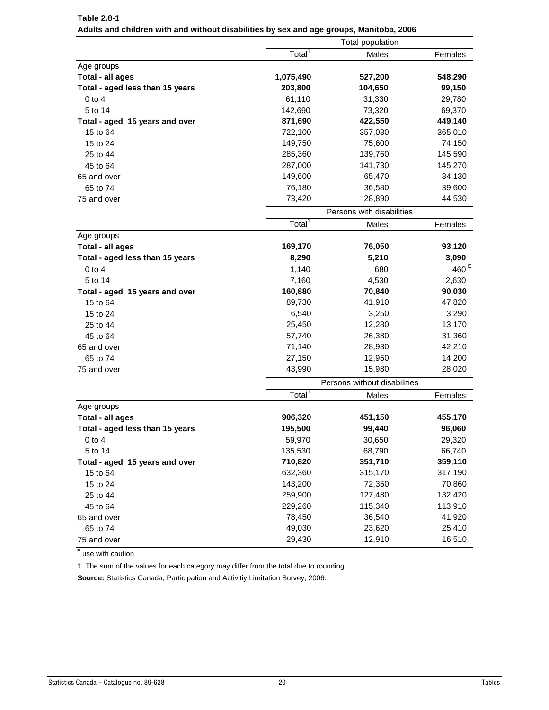|                                 | Total population     |                              |                  |
|---------------------------------|----------------------|------------------------------|------------------|
|                                 | Total $1$            | Males                        | Females          |
| Age groups                      |                      |                              |                  |
| Total - all ages                | 1,075,490            | 527,200                      | 548,290          |
| Total - aged less than 15 years | 203,800              | 104,650                      | 99,150           |
| $0$ to $4$                      | 61,110               | 31,330                       | 29,780           |
| 5 to 14                         | 142,690              | 73,320                       | 69,370           |
| Total - aged 15 years and over  | 871,690              | 422,550                      | 449,140          |
| 15 to 64                        | 722,100              | 357,080                      | 365,010          |
| 15 to 24                        | 149,750              | 75,600                       | 74,150           |
| 25 to 44                        | 285,360              | 139,760                      | 145,590          |
| 45 to 64                        | 287,000              | 141,730                      | 145,270          |
| 65 and over                     | 149,600              | 65,470                       | 84,130           |
| 65 to 74                        | 76,180               | 36,580                       | 39,600           |
| 75 and over                     | 73,420               | 28,890                       | 44,530           |
|                                 |                      | Persons with disabilities    |                  |
|                                 | Total <sup>1</sup>   | Males                        | Females          |
| Age groups                      |                      |                              |                  |
| Total - all ages                | 169,170              | 76,050                       | 93,120           |
| Total - aged less than 15 years | 8,290                | 5,210                        | 3,090            |
| $0$ to $4$                      | 1,140                | 680                          | 460 <sup>E</sup> |
| 5 to 14                         | 7,160                | 4,530                        | 2,630            |
| Total - aged 15 years and over  | 160,880              | 70,840                       | 90,030           |
| 15 to 64                        | 89,730               | 41,910                       | 47,820           |
| 15 to 24                        | 6,540                | 3,250                        | 3,290            |
| 25 to 44                        | 25,450               | 12,280                       | 13,170           |
| 45 to 64                        | 57,740               | 26,380                       | 31,360           |
| 65 and over                     | 71,140               | 28,930                       | 42,210           |
| 65 to 74                        | 27,150               | 12,950                       | 14,200           |
| 75 and over                     | 43,990               | 15,980                       | 28,020           |
|                                 |                      | Persons without disabilities |                  |
|                                 | Total $\overline{1}$ | Males                        | Females          |
| Age groups                      |                      |                              |                  |
| Total - all ages                | 906,320              | 451,150                      | 455,170          |
| Total - aged less than 15 years | 195,500              | 99,440                       | 96,060           |
| $0$ to $4$                      | 59,970               | 30,650                       | 29,320           |
| 5 to 14                         | 135,530              | 68,790                       | 66,740           |
| Total - aged 15 years and over  | 710,820              | 351,710                      | 359,110          |
| 15 to 64                        | 632,360              | 315,170                      | 317,190          |
| 15 to 24                        | 143,200              | 72,350                       | 70,860           |
| 25 to 44                        | 259,900              | 127,480                      | 132,420          |
| 45 to 64                        | 229,260              | 115,340                      | 113,910          |
| 65 and over                     | 78,450               | 36,540                       | 41,920           |
| 65 to 74                        | 49,030               | 23,620                       | 25,410           |
| 75 and over                     | 29,430               | 12,910                       | 16,510           |

**Table 2.8-1 Adults and children with and without disabilities by sex and age groups, Manitoba, 2006**

1. The sum of the values for each category may differ from the total due to rounding.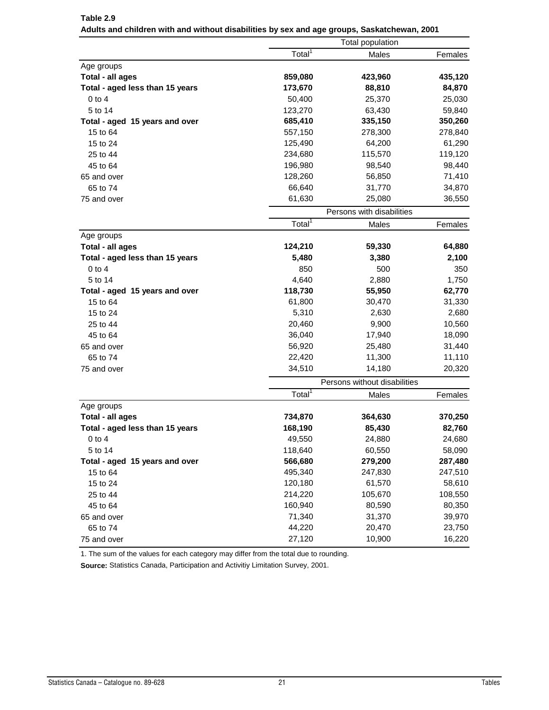|                                 | Total population   |                              |         |
|---------------------------------|--------------------|------------------------------|---------|
|                                 | Total <sup>1</sup> | Males                        | Females |
| Age groups                      |                    |                              |         |
| Total - all ages                | 859,080            | 423,960                      | 435,120 |
| Total - aged less than 15 years | 173,670            | 88,810                       | 84,870  |
| $0$ to 4                        | 50,400             | 25,370                       | 25,030  |
| 5 to 14                         | 123,270            | 63,430                       | 59,840  |
| Total - aged 15 years and over  | 685,410            | 335,150                      | 350,260 |
| 15 to 64                        | 557,150            | 278,300                      | 278,840 |
| 15 to 24                        | 125,490            | 64,200                       | 61,290  |
| 25 to 44                        | 234,680            | 115,570                      | 119,120 |
| 45 to 64                        | 196,980            | 98,540                       | 98,440  |
| 65 and over                     | 128,260            | 56,850                       | 71,410  |
| 65 to 74                        | 66,640             | 31,770                       | 34,870  |
| 75 and over                     | 61,630             | 25,080                       | 36,550  |
|                                 |                    | Persons with disabilities    |         |
|                                 | Total <sup>1</sup> | Males                        | Females |
| Age groups                      |                    |                              |         |
| Total - all ages                | 124,210            | 59,330                       | 64,880  |
| Total - aged less than 15 years | 5,480              | 3,380                        | 2,100   |
| $0$ to $4$                      | 850                | 500                          | 350     |
| 5 to 14                         | 4,640              | 2,880                        | 1,750   |
| Total - aged 15 years and over  | 118,730            | 55,950                       | 62,770  |
| 15 to 64                        | 61,800             | 30,470                       | 31,330  |
| 15 to 24                        | 5,310              | 2,630                        | 2,680   |
| 25 to 44                        | 20,460             | 9,900                        | 10,560  |
| 45 to 64                        | 36,040             | 17,940                       | 18,090  |
| 65 and over                     | 56,920             | 25,480                       | 31,440  |
| 65 to 74                        | 22,420             | 11,300                       | 11,110  |
| 75 and over                     | 34,510             | 14,180                       | 20,320  |
|                                 |                    | Persons without disabilities |         |
|                                 | Total <sup>1</sup> | Males                        | Females |
| Age groups                      |                    |                              |         |
| Total - all ages                | 734,870            | 364,630                      | 370,250 |
| Total - aged less than 15 years | 168,190            | 85,430                       | 82,760  |
| $0$ to $4$                      | 49,550             | 24,880                       | 24,680  |
| 5 to 14                         | 118,640            | 60,550                       | 58,090  |
| Total - aged 15 years and over  | 566,680            | 279,200                      | 287,480 |
| 15 to 64                        | 495,340            | 247,830                      | 247,510 |
| 15 to 24                        | 120,180            | 61,570                       | 58,610  |
| 25 to 44                        | 214,220            | 105,670                      | 108,550 |
| 45 to 64                        | 160,940            | 80,590                       | 80,350  |
| 65 and over                     | 71,340             | 31,370                       | 39,970  |
| 65 to 74                        | 44,220             | 20,470                       | 23,750  |
| 75 and over                     | 27,120             | 10,900                       | 16,220  |

**Table 2.9 Adults and children with and without disabilities by sex and age groups, Saskatchewan, 2001**

1. The sum of the values for each category may differ from the total due to rounding.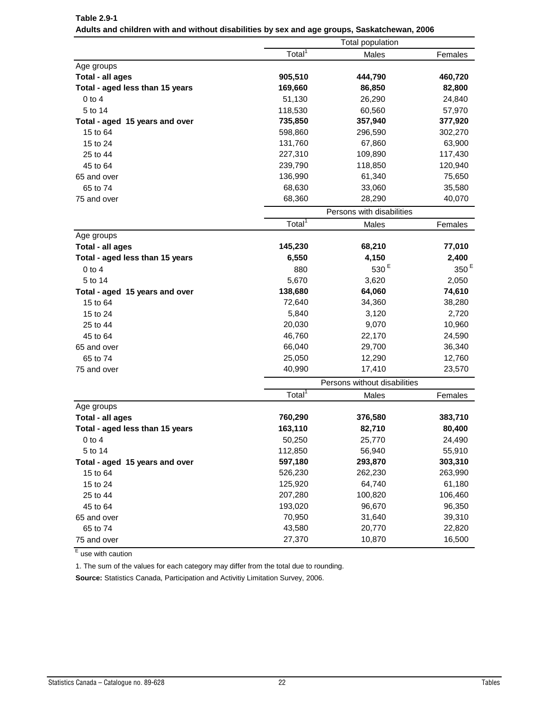|                                 | <b>Total population</b> |                              |                  |
|---------------------------------|-------------------------|------------------------------|------------------|
|                                 | Total <sup>1</sup>      | Males                        | Females          |
| Age groups                      |                         |                              |                  |
| Total - all ages                | 905,510                 | 444,790                      | 460,720          |
| Total - aged less than 15 years | 169,660                 | 86,850                       | 82,800           |
| $0$ to $4$                      | 51,130                  | 26,290                       | 24,840           |
| 5 to 14                         | 118,530                 | 60,560                       | 57,970           |
| Total - aged 15 years and over  | 735,850                 | 357,940                      | 377,920          |
| 15 to 64                        | 598,860                 | 296,590                      | 302,270          |
| 15 to 24                        | 131,760                 | 67,860                       | 63,900           |
| 25 to 44                        | 227,310                 | 109,890                      | 117,430          |
| 45 to 64                        | 239,790                 | 118,850                      | 120,940          |
| 65 and over                     | 136,990                 | 61,340                       | 75,650           |
| 65 to 74                        | 68,630                  | 33,060                       | 35,580           |
| 75 and over                     | 68,360                  | 28,290                       | 40,070           |
|                                 |                         | Persons with disabilities    |                  |
|                                 | Total <sup>1</sup>      | Males                        | Females          |
| Age groups                      |                         |                              |                  |
| Total - all ages                | 145,230                 | 68,210                       | 77,010           |
| Total - aged less than 15 years | 6,550                   | 4,150                        | 2,400            |
| $0$ to 4                        | 880                     | 530 <sup>E</sup>             | 350 <sup>E</sup> |
| 5 to 14                         | 5,670                   | 3,620                        | 2,050            |
| Total - aged 15 years and over  | 138,680                 | 64,060                       | 74,610           |
| 15 to 64                        | 72,640                  | 34,360                       | 38,280           |
| 15 to 24                        | 5,840                   | 3,120                        | 2,720            |
| 25 to 44                        | 20,030                  | 9,070                        | 10,960           |
| 45 to 64                        | 46,760                  | 22,170                       | 24,590           |
| 65 and over                     | 66,040                  | 29,700                       | 36,340           |
| 65 to 74                        | 25,050                  | 12,290                       | 12,760           |
| 75 and over                     | 40,990                  | 17,410                       | 23,570           |
|                                 |                         | Persons without disabilities |                  |
|                                 | Total <sup>1</sup>      | Males                        | Females          |
| Age groups                      |                         |                              |                  |
| Total - all ages                | 760,290                 | 376,580                      | 383,710          |
| Total - aged less than 15 years | 163,110                 | 82,710                       | 80,400           |
| $0$ to $4$                      | 50,250                  | 25,770                       | 24,490           |
| 5 to 14                         | 112,850                 | 56,940                       | 55,910           |
| Total - aged 15 years and over  | 597,180                 | 293,870                      | 303,310          |
| 15 to 64                        | 526,230                 | 262,230                      | 263,990          |
| 15 to 24                        | 125,920                 | 64,740                       | 61,180           |
| 25 to 44                        | 207,280                 | 100,820                      | 106,460          |
| 45 to 64                        | 193,020                 | 96,670                       | 96,350           |
| 65 and over                     | 70,950                  | 31,640                       | 39,310           |
| 65 to 74                        | 43,580                  | 20,770                       | 22,820           |
| 75 and over                     | 27,370                  | 10,870                       | 16,500           |

**Table 2.9-1 Adults and children with and without disabilities by sex and age groups, Saskatchewan, 2006**

1. The sum of the values for each category may differ from the total due to rounding.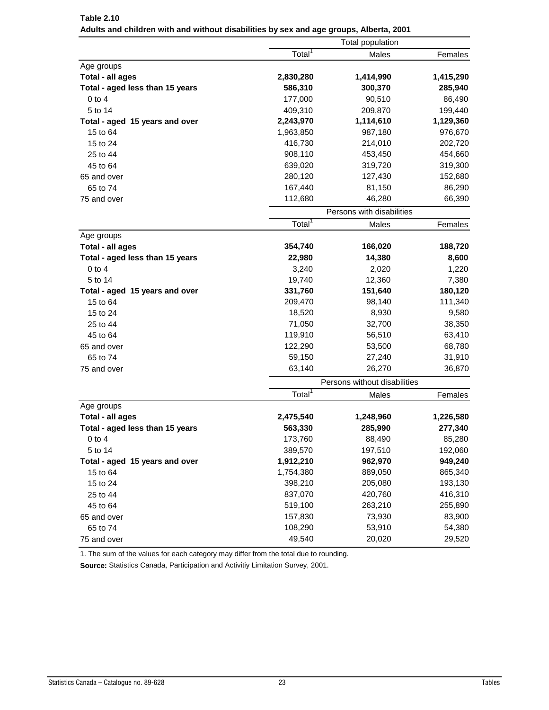|                                 | Total population   |                              |           |  |
|---------------------------------|--------------------|------------------------------|-----------|--|
|                                 | Total <sup>1</sup> | Males                        | Females   |  |
| Age groups                      |                    |                              |           |  |
| Total - all ages                | 2,830,280          | 1,414,990                    | 1,415,290 |  |
| Total - aged less than 15 years | 586,310            | 300,370                      | 285,940   |  |
| $0$ to $4$                      | 177,000            | 90,510                       | 86,490    |  |
| 5 to 14                         | 409,310            | 209,870                      | 199,440   |  |
| Total - aged 15 years and over  | 2,243,970          | 1,114,610                    | 1,129,360 |  |
| 15 to 64                        | 1,963,850          | 987,180                      | 976,670   |  |
| 15 to 24                        | 416,730            | 214,010                      | 202,720   |  |
| 25 to 44                        | 908,110            | 453,450                      | 454,660   |  |
| 45 to 64                        | 639,020            | 319,720                      | 319,300   |  |
| 65 and over                     | 280,120            | 127,430                      | 152,680   |  |
| 65 to 74                        | 167,440            | 81,150                       | 86,290    |  |
| 75 and over                     | 112,680            | 46,280                       | 66,390    |  |
|                                 |                    | Persons with disabilities    |           |  |
|                                 | Total <sup>1</sup> | Males                        | Females   |  |
| Age groups                      |                    |                              |           |  |
| Total - all ages                | 354,740            | 166,020                      | 188,720   |  |
| Total - aged less than 15 years | 22,980             | 14,380                       | 8,600     |  |
| $0$ to $4$                      | 3,240              | 2,020                        | 1,220     |  |
| 5 to 14                         | 19,740             | 12,360                       | 7,380     |  |
| Total - aged 15 years and over  | 331,760            | 151,640                      | 180,120   |  |
| 15 to 64                        | 209,470            | 98,140                       | 111,340   |  |
| 15 to 24                        | 18,520             | 8,930                        | 9,580     |  |
| 25 to 44                        | 71,050             | 32,700                       | 38,350    |  |
| 45 to 64                        | 119,910            | 56,510                       | 63,410    |  |
| 65 and over                     | 122,290            | 53,500                       | 68,780    |  |
| 65 to 74                        | 59,150             | 27,240                       | 31,910    |  |
| 75 and over                     | 63,140             | 26,270                       | 36,870    |  |
|                                 |                    | Persons without disabilities |           |  |
|                                 | Total <sup>1</sup> | Males                        | Females   |  |
| Age groups                      |                    |                              |           |  |
| Total - all ages                | 2,475,540          | 1,248,960                    | 1,226,580 |  |
| Total - aged less than 15 years | 563,330            | 285,990                      | 277,340   |  |
| $0$ to $4$                      | 173,760            | 88,490                       | 85,280    |  |
| 5 to 14                         | 389,570            | 197,510                      | 192,060   |  |
| Total - aged 15 years and over  | 1,912,210          | 962,970                      | 949,240   |  |
| 15 to 64                        | 1,754,380          | 889,050                      | 865,340   |  |
| 15 to 24                        | 398,210            | 205,080                      | 193,130   |  |
| 25 to 44                        | 837,070            | 420,760                      | 416,310   |  |
| 45 to 64                        | 519,100            | 263,210                      | 255,890   |  |
| 65 and over                     | 157,830            | 73,930                       | 83,900    |  |
| 65 to 74                        | 108,290            | 53,910                       | 54,380    |  |
| 75 and over                     | 49,540             | 20,020                       | 29,520    |  |

**Table 2.10 Adults and children with and without disabilities by sex and age groups, Alberta, 2001**

1. The sum of the values for each category may differ from the total due to rounding.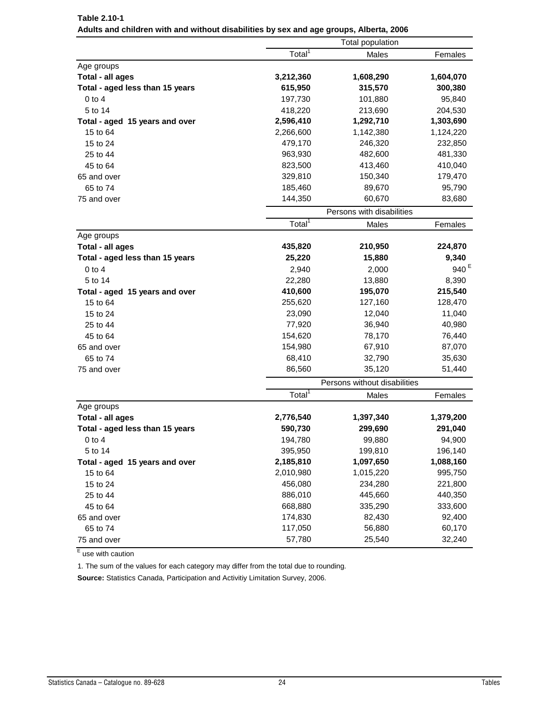|                                 | Total population   |                              |                  |  |
|---------------------------------|--------------------|------------------------------|------------------|--|
|                                 | Total <sup>1</sup> | Males                        | Females          |  |
| Age groups                      |                    |                              |                  |  |
| Total - all ages                | 3,212,360          | 1,608,290                    |                  |  |
| Total - aged less than 15 years | 615,950            | 315,570                      | 300,380          |  |
| $0$ to $4$                      | 197,730            | 101,880                      | 95,840           |  |
| 5 to 14                         | 418,220            | 213,690                      | 204,530          |  |
| Total - aged 15 years and over  | 2,596,410          | 1,292,710                    | 1,303,690        |  |
| 15 to 64                        | 2,266,600          | 1,142,380                    | 1,124,220        |  |
| 15 to 24                        | 479,170            | 246,320                      | 232,850          |  |
| 25 to 44                        | 963,930            | 482,600                      | 481,330          |  |
| 45 to 64                        | 823,500            | 413,460                      | 410,040          |  |
| 65 and over                     | 329,810            | 150,340                      | 179,470          |  |
| 65 to 74                        | 185,460            | 89,670                       | 95,790           |  |
| 75 and over                     | 144,350            | 60,670                       | 83,680           |  |
|                                 |                    | Persons with disabilities    |                  |  |
|                                 | Total <sup>1</sup> | Males                        | Females          |  |
| Age groups                      |                    |                              |                  |  |
| <b>Total - all ages</b>         | 435,820            | 210,950                      | 224,870          |  |
| Total - aged less than 15 years | 25,220             | 15,880                       | 9,340            |  |
| $0$ to $4$                      | 2,940              | 2,000                        | 940 <sup>E</sup> |  |
| 5 to 14                         | 22,280             | 13,880                       | 8,390            |  |
| Total - aged 15 years and over  | 410,600            | 195,070                      | 215,540          |  |
| 15 to 64                        | 255,620            | 127,160                      | 128,470          |  |
| 15 to 24                        | 23,090             | 12,040                       | 11,040           |  |
| 25 to 44                        | 77,920             | 36,940                       | 40,980           |  |
| 45 to 64                        | 154,620            | 78,170                       | 76,440           |  |
| 65 and over                     | 154,980            | 67,910                       | 87,070           |  |
| 65 to 74                        | 68,410             | 32,790                       | 35,630           |  |
| 75 and over                     | 86,560             | 35,120                       | 51,440           |  |
|                                 |                    | Persons without disabilities |                  |  |
|                                 | Total <sup>1</sup> | Males                        | Females          |  |
| Age groups                      |                    |                              |                  |  |
| Total - all ages                | 2,776,540          | 1,397,340                    | 1,379,200        |  |
| Total - aged less than 15 years | 590,730            | 299,690                      | 291,040          |  |
| $0$ to $4$                      | 194,780            | 99,880                       | 94,900           |  |
| 5 to 14                         | 395,950            | 199,810                      | 196,140          |  |
| Total - aged 15 years and over  | 2,185,810          | 1,097,650                    | 1,088,160        |  |
| 15 to 64                        | 2,010,980          | 1,015,220                    | 995,750          |  |
| 15 to 24                        | 456,080            | 234,280                      | 221,800          |  |
| 25 to 44                        | 886,010            | 445,660                      | 440,350          |  |
| 45 to 64                        | 668,880            | 335,290                      | 333,600          |  |
| 65 and over                     | 174,830            | 82,430                       | 92,400           |  |
| 65 to 74                        | 117,050            | 56,880                       | 60,170           |  |
| 75 and over                     | 57,780             | 25,540                       | 32,240           |  |

**Table 2.10-1 Adults and children with and without disabilities by sex and age groups, Alberta, 2006**

1. The sum of the values for each category may differ from the total due to rounding.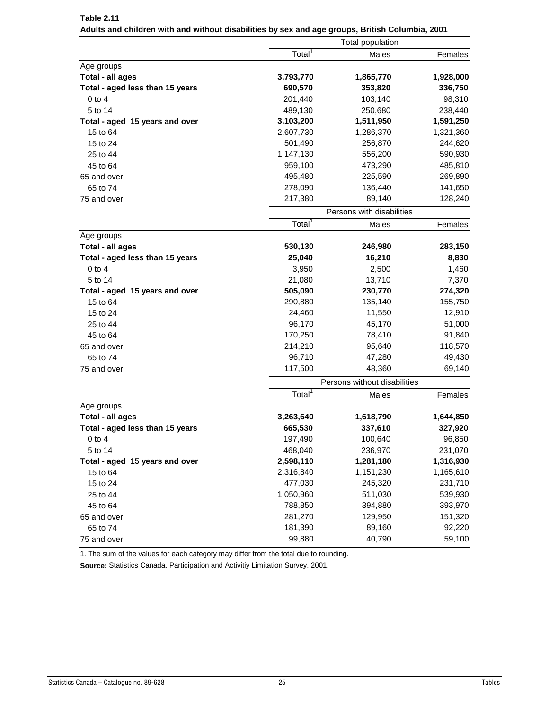|                                 | <b>Total population</b> |                              |           |  |
|---------------------------------|-------------------------|------------------------------|-----------|--|
|                                 | Total <sup>1</sup>      | Males                        | Females   |  |
| Age groups                      |                         |                              |           |  |
| Total - all ages                | 3,793,770               | 1,865,770                    | 1,928,000 |  |
| Total - aged less than 15 years | 690,570                 | 353,820                      | 336,750   |  |
| $0$ to $4$                      | 201,440                 | 103,140                      | 98,310    |  |
| 5 to 14                         | 489,130                 | 250,680                      | 238,440   |  |
| Total - aged 15 years and over  | 3,103,200               | 1,511,950                    | 1,591,250 |  |
| 15 to 64                        | 2,607,730               | 1,286,370                    | 1,321,360 |  |
| 15 to 24                        | 501,490                 | 256,870                      | 244,620   |  |
| 25 to 44                        | 1,147,130               | 556,200                      | 590,930   |  |
| 45 to 64                        | 959,100                 | 473,290                      | 485,810   |  |
| 65 and over                     | 495,480                 | 225,590                      | 269,890   |  |
| 65 to 74                        | 278,090                 | 136,440                      | 141,650   |  |
| 75 and over                     | 217,380                 | 89,140                       | 128,240   |  |
|                                 |                         | Persons with disabilities    |           |  |
|                                 | Total <sup>1</sup>      | Males                        | Females   |  |
| Age groups                      |                         |                              |           |  |
| Total - all ages                | 530,130                 | 246,980                      | 283,150   |  |
| Total - aged less than 15 years | 25,040                  | 16,210                       | 8,830     |  |
| 0 to 4                          | 3,950                   | 2,500                        | 1,460     |  |
| 5 to 14                         | 21,080                  | 13,710                       | 7,370     |  |
| Total - aged 15 years and over  | 505,090                 | 230,770                      | 274,320   |  |
| 15 to 64                        | 290,880                 | 135,140                      | 155,750   |  |
| 15 to 24                        | 24,460                  | 11,550                       | 12,910    |  |
| 25 to 44                        | 96,170                  | 45,170                       | 51,000    |  |
| 45 to 64                        | 170,250                 | 78,410                       | 91,840    |  |
| 65 and over                     | 214,210                 | 95,640                       | 118,570   |  |
| 65 to 74                        | 96,710                  | 47,280                       | 49,430    |  |
| 75 and over                     | 117,500                 | 48,360                       | 69,140    |  |
|                                 |                         | Persons without disabilities |           |  |
|                                 | Total <sup>1</sup>      | Males                        | Females   |  |
| Age groups                      |                         |                              |           |  |
| Total - all ages                | 3,263,640               | 1,618,790                    | 1,644,850 |  |
| Total - aged less than 15 years | 665,530                 | 337,610                      | 327,920   |  |
| $0$ to $4$                      | 197,490                 | 100,640                      | 96,850    |  |
| 5 to 14                         | 468,040                 | 236,970                      | 231,070   |  |
| Total - aged 15 years and over  | 2,598,110               | 1,281,180                    | 1,316,930 |  |
| 15 to 64                        | 2,316,840               | 1,151,230                    | 1,165,610 |  |
| 15 to 24                        | 477,030                 | 245,320                      | 231,710   |  |
| 25 to 44                        | 1,050,960               | 511,030                      | 539,930   |  |
| 45 to 64                        | 788,850                 | 394,880                      | 393,970   |  |
| 65 and over                     | 281,270                 | 129,950                      | 151,320   |  |
| 65 to 74                        | 181,390                 | 89,160                       | 92,220    |  |
| 75 and over                     | 99,880                  | 40,790                       | 59,100    |  |

**Table 2.11 Adults and children with and without disabilities by sex and age groups, British Columbia, 2001**

1. The sum of the values for each category may differ from the total due to rounding.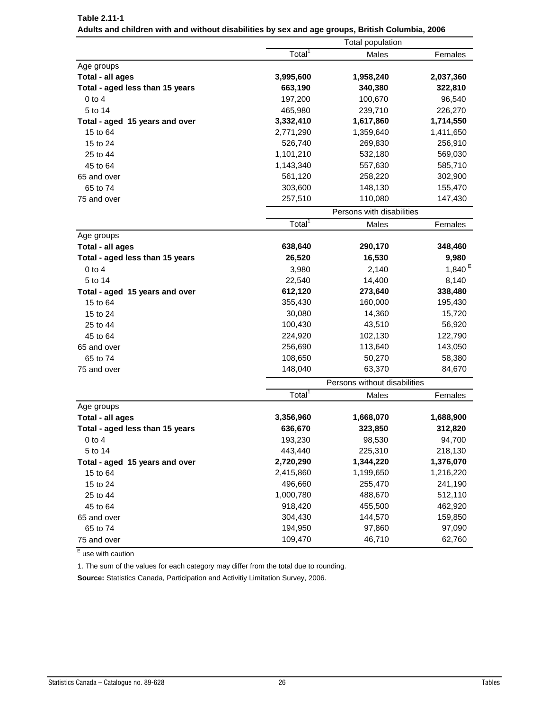|                                 |                    | Total population             |           |  |  |
|---------------------------------|--------------------|------------------------------|-----------|--|--|
|                                 | Total <sup>1</sup> | Males                        | Females   |  |  |
| Age groups                      |                    |                              |           |  |  |
| Total - all ages                | 3,995,600          | 1,958,240                    | 2,037,360 |  |  |
| Total - aged less than 15 years | 663,190            | 340,380                      |           |  |  |
| $0$ to $4$                      | 197,200            | 100,670                      | 96,540    |  |  |
| 5 to 14                         | 465,980            | 239,710                      | 226,270   |  |  |
| Total - aged 15 years and over  | 3,332,410          | 1,617,860                    | 1,714,550 |  |  |
| 15 to 64                        | 2,771,290          | 1,359,640                    | 1,411,650 |  |  |
| 15 to 24                        | 526,740            | 269,830                      | 256,910   |  |  |
| 25 to 44                        | 1,101,210          | 532,180                      | 569,030   |  |  |
| 45 to 64                        | 1,143,340          | 557,630                      | 585,710   |  |  |
| 65 and over                     | 561,120            | 258,220                      | 302,900   |  |  |
| 65 to 74                        | 303,600            | 148,130                      | 155,470   |  |  |
| 75 and over                     | 257,510            | 110,080                      | 147,430   |  |  |
|                                 |                    | Persons with disabilities    |           |  |  |
|                                 | Total <sup>1</sup> | Males                        | Females   |  |  |
| Age groups                      |                    |                              |           |  |  |
| Total - all ages                | 638,640            | 290,170                      | 348,460   |  |  |
| Total - aged less than 15 years | 26,520             | 16,530                       | 9,980     |  |  |
| $0$ to $4$                      | 3,980              | 2,140                        | 1,840 $E$ |  |  |
| 5 to 14                         | 22,540             | 14,400                       | 8,140     |  |  |
| Total - aged 15 years and over  | 612,120            | 273,640                      | 338,480   |  |  |
| 15 to 64                        | 355,430            | 160,000                      | 195,430   |  |  |
| 15 to 24                        | 30,080             | 14,360                       | 15,720    |  |  |
| 25 to 44                        | 100,430            | 43,510                       | 56,920    |  |  |
| 45 to 64                        | 224,920            | 102,130                      | 122,790   |  |  |
| 65 and over                     | 256,690            | 113,640                      | 143,050   |  |  |
| 65 to 74                        | 108,650            | 50,270                       | 58,380    |  |  |
| 75 and over                     | 148,040            | 63,370                       | 84,670    |  |  |
|                                 |                    | Persons without disabilities |           |  |  |
|                                 | Total <sup>1</sup> | <b>Males</b>                 | Females   |  |  |
| Age groups                      |                    |                              |           |  |  |
| Total - all ages                | 3,356,960          | 1,668,070                    | 1,688,900 |  |  |
| Total - aged less than 15 years | 636,670            | 323,850                      | 312,820   |  |  |
| $0$ to $4$                      | 193,230            | 98,530                       | 94,700    |  |  |
| 5 to 14                         | 443,440            | 225,310                      | 218,130   |  |  |
| Total - aged 15 years and over  | 2,720,290          | 1,344,220                    | 1,376,070 |  |  |
| 15 to 64                        | 2,415,860          | 1,199,650                    | 1,216,220 |  |  |
| 15 to 24                        | 496,660            | 255,470                      | 241,190   |  |  |
| 25 to 44                        | 1,000,780          | 488,670                      | 512,110   |  |  |
| 45 to 64                        | 918,420            | 455,500                      | 462,920   |  |  |
| 65 and over                     | 304,430            | 144,570                      | 159,850   |  |  |
| 65 to 74                        | 194,950            | 97,860                       | 97,090    |  |  |
| 75 and over                     | 109,470            | 46,710                       | 62,760    |  |  |

**Table 2.11-1 Adults and children with and without disabilities by sex and age groups, British Columbia, 2006**

1. The sum of the values for each category may differ from the total due to rounding.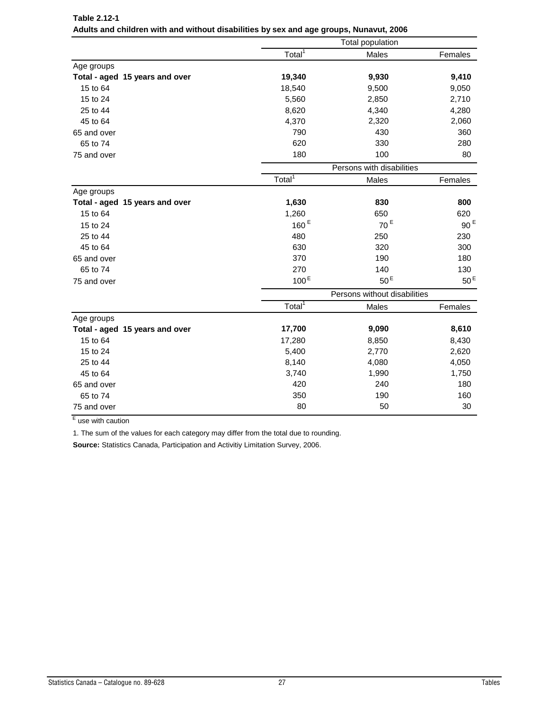|                                | Total population   |                              |                 |
|--------------------------------|--------------------|------------------------------|-----------------|
|                                | Total <sup>1</sup> | Males                        | Females         |
| Age groups                     |                    |                              |                 |
| Total - aged 15 years and over | 19,340             | 9,930                        | 9,410           |
| 15 to 64                       | 18,540             | 9,500                        | 9,050           |
| 15 to 24                       | 5,560              | 2,850                        | 2,710           |
| 25 to 44                       | 8,620              | 4,340                        | 4,280           |
| 45 to 64                       | 4,370              | 2,320                        | 2,060           |
| 65 and over                    | 790                | 430                          | 360             |
| 65 to 74                       | 620                | 330                          | 280             |
| 75 and over                    | 180                | 100                          | 80              |
|                                |                    | Persons with disabilities    |                 |
|                                | Total <sup>1</sup> | Males                        | Females         |
| Age groups                     |                    |                              |                 |
| Total - aged 15 years and over | 1,630              | 830                          | 800             |
| 15 to 64                       | 1,260              | 650                          | 620             |
| 15 to 24                       | 160 <sup>E</sup>   | 70 <sup>E</sup>              | 90 <sup>E</sup> |
| 25 to 44                       | 480                | 250                          | 230             |
| 45 to 64                       | 630                | 320                          | 300             |
| 65 and over                    | 370                | 190                          | 180             |
| 65 to 74                       | 270                | 140                          | 130             |
| 75 and over                    | 100 <sup>E</sup>   | 50 <sup>E</sup>              | 50 <sup>E</sup> |
|                                |                    | Persons without disabilities |                 |
|                                | Total <sup>1</sup> | Males                        | Females         |
| Age groups                     |                    |                              |                 |
| Total - aged 15 years and over | 17,700             | 9,090                        | 8,610           |
| 15 to 64                       | 17,280             | 8,850                        | 8,430           |
| 15 to 24                       | 5,400              | 2,770                        | 2,620           |
| 25 to 44                       | 8,140              | 4,080                        | 4,050           |
| 45 to 64                       | 3,740              | 1,990                        | 1,750           |
| 65 and over                    | 420                | 240                          | 180             |
| 65 to 74                       | 350                | 190                          | 160             |
| 75 and over                    | 80                 | 50                           | 30              |

| Table 2.12-1                                                                           |  |
|----------------------------------------------------------------------------------------|--|
| Adults and children with and without disabilities by sex and age groups, Nunavut, 2006 |  |

1. The sum of the values for each category may differ from the total due to rounding.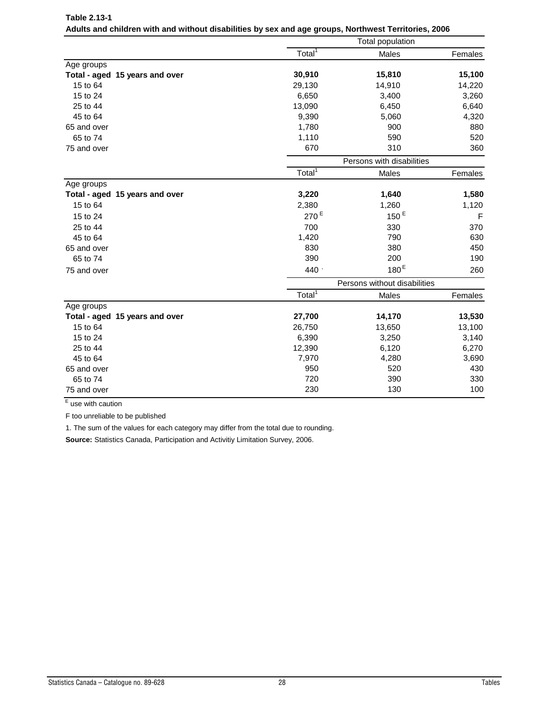|                                | <b>Total population</b> |                              |         |
|--------------------------------|-------------------------|------------------------------|---------|
|                                | Total <sup>1</sup>      | Males                        | Females |
| Age groups                     |                         |                              |         |
| Total - aged 15 years and over | 30,910                  | 15,810                       | 15,100  |
| 15 to 64                       | 29,130                  | 14,910                       | 14,220  |
| 15 to 24                       | 6,650                   | 3,400                        | 3,260   |
| 25 to 44                       | 13,090                  | 6,450                        | 6,640   |
| 45 to 64                       | 9,390                   | 5,060                        | 4,320   |
| 65 and over                    | 1,780                   | 900                          | 880     |
| 65 to 74                       | 1,110                   | 590                          | 520     |
| 75 and over                    | 670                     | 310                          | 360     |
|                                |                         | Persons with disabilities    |         |
|                                | Total <sup>1</sup>      | Males                        | Females |
| Age groups                     |                         |                              |         |
| Total - aged 15 years and over | 3,220                   | 1,640                        | 1,580   |
| 15 to 64                       | 2,380                   | 1,260                        | 1,120   |
| 15 to 24                       | 270 <sup>E</sup>        | 150 <sup>E</sup>             | F       |
| 25 to 44                       | 700                     | 330                          | 370     |
| 45 to 64                       | 1,420                   | 790                          | 630     |
| 65 and over                    | 830                     | 380                          | 450     |
| 65 to 74                       | 390                     | 200                          | 190     |
| 75 and over                    | 440                     | 180 <sup>E</sup>             | 260     |
|                                |                         | Persons without disabilities |         |
|                                | Total <sup>1</sup>      | Males                        | Females |
| Age groups                     |                         |                              |         |
| Total - aged 15 years and over | 27,700                  | 14,170                       | 13,530  |
| 15 to 64                       | 26,750                  | 13,650                       | 13,100  |
| 15 to 24                       | 6,390                   | 3,250                        | 3,140   |
| 25 to 44                       | 12,390                  | 6,120                        | 6,270   |
| 45 to 64                       | 7,970                   | 4,280                        | 3,690   |
| 65 and over                    | 950                     | 520                          | 430     |
| 65 to 74                       | 720                     | 390                          | 330     |
| 75 and over                    | 230                     | 130                          | 100     |

| Table 2.13-1                                                                                         |  |  |
|------------------------------------------------------------------------------------------------------|--|--|
| Adults and children with and without disabilities by sex and age groups, Northwest Territories, 2006 |  |  |

F too unreliable to be published

1. The sum of the values for each category may differ from the total due to rounding.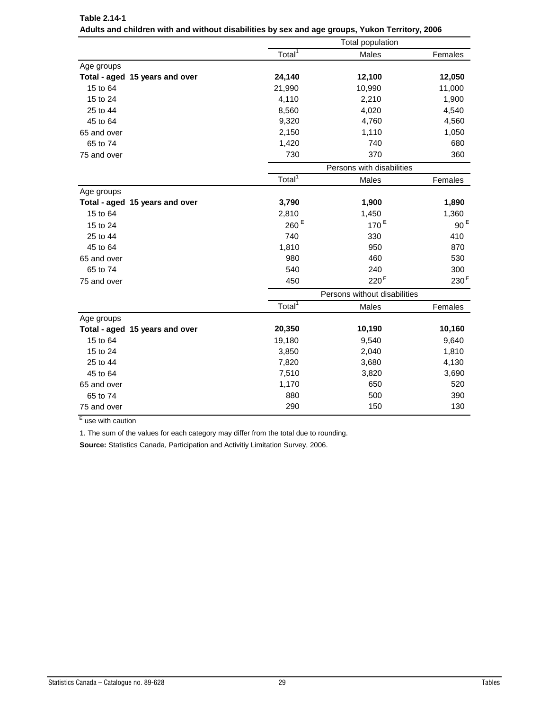|                                | Total population             |                                        |                          |  |
|--------------------------------|------------------------------|----------------------------------------|--------------------------|--|
|                                | Total <sup>1</sup>           | Males                                  | Females                  |  |
| Age groups                     |                              |                                        |                          |  |
| Total - aged 15 years and over | 24,140                       | 12,100                                 | 12,050                   |  |
| 15 to 64                       | 21,990                       | 10,990                                 | 11,000                   |  |
| 15 to 24                       | 4,110                        | 2,210                                  | 1,900                    |  |
| 25 to 44                       | 8,560                        | 4,020                                  | 4,540                    |  |
| 45 to 64                       | 9,320                        | 4,760                                  | 4,560                    |  |
| 65 and over                    | 2,150                        | 1,110                                  | 1,050                    |  |
| 65 to 74                       | 1,420                        | 740                                    | 680                      |  |
| 75 and over                    | 730                          | 370                                    | 360                      |  |
|                                |                              | Persons with disabilities              |                          |  |
|                                | Total <sup>1</sup>           | Males                                  | Females                  |  |
| Age groups                     |                              |                                        |                          |  |
| Total - aged 15 years and over | 3,790                        | 1,900                                  | 1,890                    |  |
| 15 to 64                       | 2,810                        | 1,450                                  | 1,360<br>90 <sup>E</sup> |  |
| 15 to 24                       |                              | $260$ <sup>E</sup><br>170 <sup>E</sup> |                          |  |
| 25 to 44                       | 740                          | 330                                    |                          |  |
| 45 to 64                       | 1,810                        | 950                                    |                          |  |
| 65 and over                    | 980                          | 460                                    | 530                      |  |
| 65 to 74                       | 540                          | 240                                    | 300                      |  |
| 75 and over                    | 450                          | 220 <sup>E</sup>                       | 230 <sup>E</sup>         |  |
|                                | Persons without disabilities |                                        |                          |  |
|                                | Total $\overline{1}$         | Males                                  | Females                  |  |
| Age groups                     |                              |                                        |                          |  |
| Total - aged 15 years and over | 20,350                       | 10,190                                 | 10,160                   |  |
| 15 to 64                       | 19,180                       | 9,540                                  | 9,640                    |  |
| 15 to 24                       | 3,850                        | 2,040                                  | 1,810                    |  |
| 25 to 44                       | 7,820                        | 3,680                                  | 4,130                    |  |
| 45 to 64                       | 7,510                        | 3,820                                  | 3,690                    |  |
| 65 and over                    | 1,170                        | 650                                    | 520                      |  |
| 65 to 74                       | 880                          | 500                                    | 390                      |  |
| 75 and over                    | 290                          | 150                                    | 130                      |  |

| Table 2.14-1                                                                                   |  |
|------------------------------------------------------------------------------------------------|--|
| Adults and children with and without disabilities by sex and age groups, Yukon Territory, 2006 |  |

1. The sum of the values for each category may differ from the total due to rounding.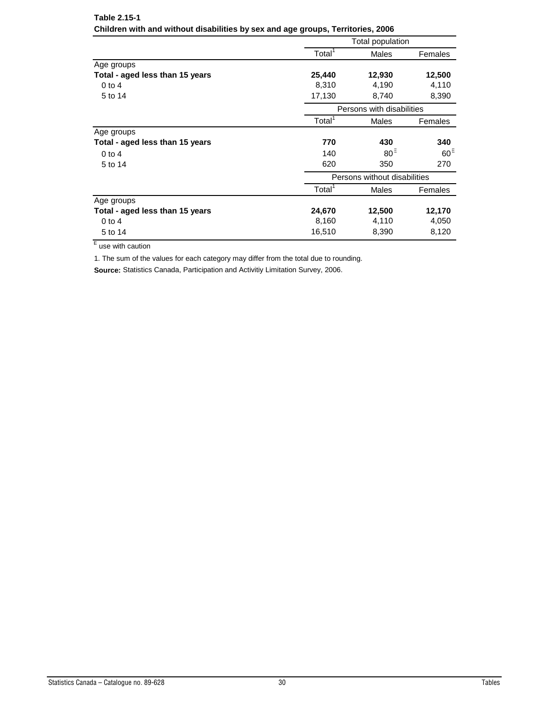|                                 | Total population             |                           |                    |  |
|---------------------------------|------------------------------|---------------------------|--------------------|--|
|                                 | Total <sup>1</sup>           | Males                     | Females            |  |
| Age groups                      |                              |                           |                    |  |
| Total - aged less than 15 years | 25,440                       | 12,930                    | 12,500             |  |
| $0$ to $4$                      | 8,310                        | 4,190                     | 4,110              |  |
| 5 to 14                         | 17,130                       | 8,740                     | 8,390              |  |
|                                 |                              | Persons with disabilities |                    |  |
|                                 | Total <sup>1</sup>           | Males                     | Females            |  |
| Age groups                      |                              |                           |                    |  |
| Total - aged less than 15 years | 770                          | 430                       | 340                |  |
| $0$ to 4                        | 140                          | $80^{\circ}$              | $60^{\frac{1}{5}}$ |  |
| 5 to 14                         | 620                          | 350                       | 270                |  |
|                                 | Persons without disabilities |                           |                    |  |
|                                 | Total <sup>'</sup>           | Males                     | Females            |  |
| Age groups                      |                              |                           |                    |  |
| Total - aged less than 15 years | 24,670                       | 12,500                    | 12,170             |  |
| $0$ to 4                        | 8,160                        | 4,110                     | 4,050              |  |
| 5 to 14                         | 16,510                       | 8,390                     | 8,120              |  |

### **Table 2.15-1 Children with and without disabilities by sex and age groups, Territories, 2006**

E use with caution

1. The sum of the values for each category may differ from the total due to rounding.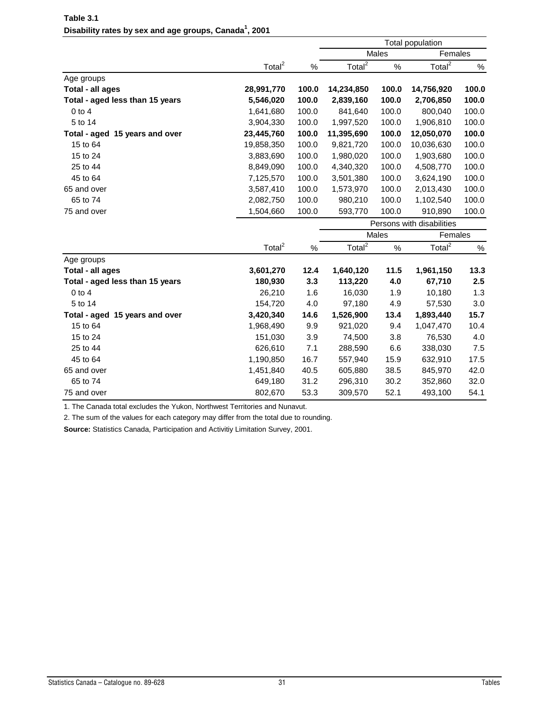|                                 |                    |       | <b>Total population</b> |              |                           |       |
|---------------------------------|--------------------|-------|-------------------------|--------------|---------------------------|-------|
|                                 |                    |       |                         | Males        | Females                   |       |
|                                 | Total <sup>2</sup> | $\%$  | Total <sup>2</sup>      | $\%$         | Total $^2$                | $\%$  |
| Age groups                      |                    |       |                         |              |                           |       |
| Total - all ages                | 28,991,770         | 100.0 | 14,234,850              | 100.0        | 14,756,920                | 100.0 |
| Total - aged less than 15 years | 5,546,020          | 100.0 | 2,839,160               | 100.0        | 2,706,850                 | 100.0 |
| $0$ to $4$                      | 1,641,680          | 100.0 | 841,640                 | 100.0        | 800,040                   | 100.0 |
| 5 to 14                         | 3,904,330          | 100.0 | 1,997,520               | 100.0        | 1,906,810                 | 100.0 |
| Total - aged 15 years and over  | 23,445,760         | 100.0 | 11,395,690              | 100.0        | 12,050,070                | 100.0 |
| 15 to 64                        | 19,858,350         | 100.0 | 9,821,720               | 100.0        | 10,036,630                | 100.0 |
| 15 to 24                        | 3,883,690          | 100.0 | 1,980,020               | 100.0        | 1,903,680                 | 100.0 |
| 25 to 44                        | 8,849,090          | 100.0 | 4,340,320               | 100.0        | 4,508,770                 | 100.0 |
| 45 to 64                        | 7,125,570          | 100.0 | 3,501,380               | 100.0        | 3,624,190                 | 100.0 |
| 65 and over                     | 3,587,410          | 100.0 | 1,573,970               | 100.0        | 2,013,430                 | 100.0 |
| 65 to 74                        | 2,082,750          | 100.0 | 980,210                 | 100.0        | 1,102,540                 | 100.0 |
| 75 and over                     | 1,504,660          | 100.0 | 593,770                 | 100.0        | 910,890                   | 100.0 |
|                                 |                    |       |                         |              | Persons with disabilities |       |
|                                 |                    |       |                         | <b>Males</b> | Females                   |       |
|                                 | Total <sup>2</sup> | $\%$  | Total $\overline{a}$    | $\%$         | Total $\overline{a}$      | $\%$  |
| Age groups                      |                    |       |                         |              |                           |       |
| Total - all ages                | 3,601,270          | 12.4  | 1,640,120               | 11.5         | 1,961,150                 | 13.3  |
| Total - aged less than 15 years | 180,930            | 3.3   | 113,220                 | 4.0          | 67,710                    | 2.5   |
| $0$ to $4$                      | 26,210             | 1.6   | 16,030                  | 1.9          | 10,180                    | 1.3   |
| 5 to 14                         | 154,720            | 4.0   | 97,180                  | 4.9          | 57,530                    | 3.0   |
| Total - aged 15 years and over  | 3,420,340          | 14.6  | 1,526,900               | 13.4         | 1,893,440                 | 15.7  |
| 15 to 64                        | 1,968,490          | 9.9   | 921,020                 | 9.4          | 1,047,470                 | 10.4  |
| 15 to 24                        | 151,030            | 3.9   | 74,500                  | 3.8          | 76,530                    | 4.0   |
| 25 to 44                        | 626,610            | 7.1   | 288,590                 | 6.6          | 338,030                   | 7.5   |
| 45 to 64                        | 1,190,850          | 16.7  | 557,940                 | 15.9         | 632,910                   | 17.5  |
| 65 and over                     | 1,451,840          | 40.5  | 605,880                 | 38.5         | 845,970                   | 42.0  |
| 65 to 74                        | 649,180            | 31.2  | 296,310                 | 30.2         | 352,860                   | 32.0  |
| 75 and over                     | 802,670            | 53.3  | 309,570                 | 52.1         | 493,100                   | 54.1  |

<span id="page-34-0"></span>**Disability rates by sex and age groups, Canada<sup>1</sup> , 2001 Table 3.1**

1. The Canada total excludes the Yukon, Northwest Territories and Nunavut.

2. The sum of the values for each category may differ from the total due to rounding.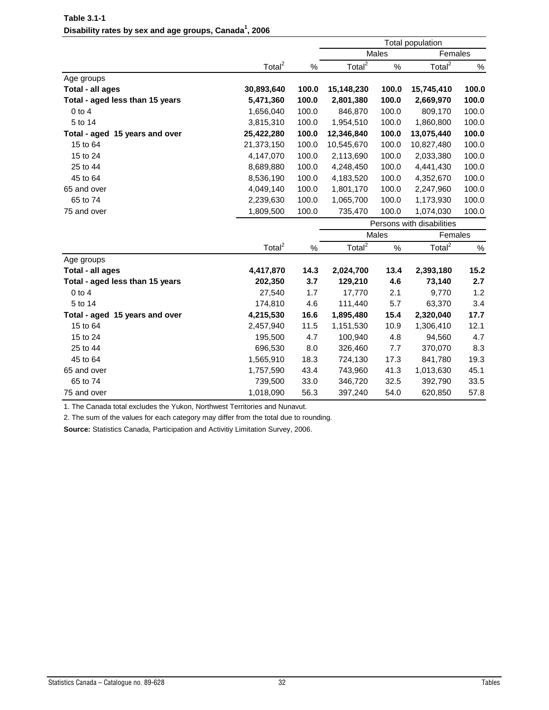|                                 |                    |       | Total population          |       |                    |       |
|---------------------------------|--------------------|-------|---------------------------|-------|--------------------|-------|
|                                 |                    |       | Males                     |       | Females            |       |
|                                 | Total <sup>2</sup> | $\%$  | Total <sup>2</sup>        | $\%$  | Total $^2$         | $\%$  |
| Age groups                      |                    |       |                           |       |                    |       |
| Total - all ages                | 30,893,640         | 100.0 | 15,148,230                | 100.0 | 15,745,410         | 100.0 |
| Total - aged less than 15 years | 5,471,360          | 100.0 | 2,801,380                 | 100.0 | 2,669,970          | 100.0 |
| $0$ to $4$                      | 1,656,040          | 100.0 | 846,870                   | 100.0 | 809,170            | 100.0 |
| 5 to 14                         | 3,815,310          | 100.0 | 1,954,510                 | 100.0 | 1,860,800          | 100.0 |
| Total - aged 15 years and over  | 25,422,280         | 100.0 | 12,346,840                | 100.0 | 13,075,440         | 100.0 |
| 15 to 64                        | 21,373,150         | 100.0 | 10,545,670                | 100.0 | 10,827,480         | 100.0 |
| 15 to 24                        | 4,147,070          | 100.0 | 2,113,690                 | 100.0 | 2,033,380          | 100.0 |
| 25 to 44                        | 8,689,880          | 100.0 | 4,248,450                 | 100.0 | 4,441,430          | 100.0 |
| 45 to 64                        | 8,536,190          | 100.0 | 4,183,520                 | 100.0 | 4,352,670          | 100.0 |
| 65 and over                     | 4,049,140          | 100.0 | 1,801,170                 | 100.0 | 2,247,960          | 100.0 |
| 65 to 74                        | 2,239,630          | 100.0 | 1,065,700                 | 100.0 | 1,173,930          | 100.0 |
| 75 and over                     | 1,809,500          | 100.0 | 735,470                   | 100.0 | 1,074,030          | 100.0 |
|                                 |                    |       | Persons with disabilities |       |                    |       |
|                                 |                    |       | <b>Males</b>              |       | Females            |       |
|                                 | Total <sup>2</sup> | $\%$  | Total <sup>2</sup>        | $\%$  | Total <sup>2</sup> | $\%$  |
| Age groups                      |                    |       |                           |       |                    |       |
| Total - all ages                | 4,417,870          | 14.3  | 2,024,700                 | 13.4  | 2,393,180          | 15.2  |
| Total - aged less than 15 years | 202,350            | 3.7   | 129,210                   | 4.6   | 73,140             | 2.7   |
| $0$ to $4$                      | 27,540             | 1.7   | 17,770                    | 2.1   | 9,770              | 1.2   |
| 5 to 14                         | 174,810            | 4.6   | 111,440                   | 5.7   | 63,370             | 3.4   |
| Total - aged 15 years and over  | 4,215,530          | 16.6  | 1,895,480                 | 15.4  | 2,320,040          | 17.7  |
| 15 to 64                        | 2,457,940          | 11.5  | 1,151,530                 | 10.9  | 1,306,410          | 12.1  |
| 15 to 24                        | 195,500            | 4.7   | 100,940                   | 4.8   | 94,560             | 4.7   |
| 25 to 44                        | 696,530            | 8.0   | 326,460                   | 7.7   | 370,070            | 8.3   |
| 45 to 64                        | 1,565,910          | 18.3  | 724,130                   | 17.3  | 841,780            | 19.3  |
| 65 and over                     | 1,757,590          | 43.4  | 743,960                   | 41.3  | 1,013,630          | 45.1  |
| 65 to 74                        | 739,500            | 33.0  | 346,720                   | 32.5  | 392,790            | 33.5  |
| 75 and over                     | 1,018,090          | 56.3  | 397,240                   | 54.0  | 620,850            | 57.8  |

**Table 3.1-1** Disability rates by sex and age groups, Canada<sup>1</sup>, 2006

1. The Canada total excludes the Yukon, Northwest Territories and Nunavut.

2. The sum of the values for each category may differ from the total due to rounding.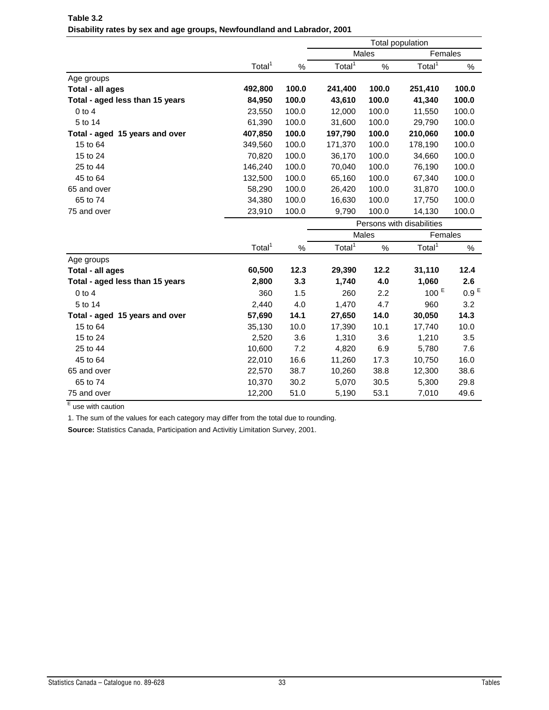|                                 |                    |       |                    |                           | Total population   |                  |
|---------------------------------|--------------------|-------|--------------------|---------------------------|--------------------|------------------|
|                                 |                    |       |                    | Males                     | Females            |                  |
|                                 | Total <sup>1</sup> | $\%$  | Total <sup>1</sup> | $\%$                      | Total <sup>1</sup> | %                |
| Age groups                      |                    |       |                    |                           |                    |                  |
| <b>Total - all ages</b>         | 492,800            | 100.0 | 241,400            | 100.0                     | 251,410            | 100.0            |
| Total - aged less than 15 years | 84,950             | 100.0 | 43,610             | 100.0                     | 41,340             | 100.0            |
| $0$ to $4$                      | 23,550             | 100.0 | 12,000             | 100.0                     | 11,550             | 100.0            |
| 5 to 14                         | 61,390             | 100.0 | 31,600             | 100.0                     | 29,790             | 100.0            |
| Total - aged 15 years and over  | 407,850            | 100.0 | 197,790            | 100.0                     | 210,060            | 100.0            |
| 15 to 64                        | 349,560            | 100.0 | 171,370            | 100.0                     | 178,190            | 100.0            |
| 15 to 24                        | 70,820             | 100.0 | 36,170             | 100.0                     | 34,660             | 100.0            |
| 25 to 44                        | 146,240            | 100.0 | 70,040             | 100.0                     | 76,190             | 100.0            |
| 45 to 64                        | 132,500            | 100.0 | 65,160             | 100.0                     | 67,340             | 100.0            |
| 65 and over                     | 58,290             | 100.0 | 26,420             | 100.0                     | 31,870             | 100.0            |
| 65 to 74                        | 34,380             | 100.0 | 16,630             | 100.0                     | 17,750             | 100.0            |
| 75 and over                     | 23,910             | 100.0 | 9,790              | 100.0                     | 14,130             | 100.0            |
|                                 |                    |       |                    | Persons with disabilities |                    |                  |
|                                 |                    |       | Males              |                           | Females            |                  |
|                                 | Total <sup>1</sup> | $\%$  | Total <sup>1</sup> | $\%$                      | Total <sup>1</sup> | $\%$             |
| Age groups                      |                    |       |                    |                           |                    |                  |
| Total - all ages                | 60,500             | 12.3  | 29,390             | 12.2                      | 31,110             | 12.4             |
| Total - aged less than 15 years | 2,800              | 3.3   | 1,740              | 4.0                       | 1,060              | 2.6              |
| $0$ to $4$                      | 360                | 1.5   | 260                | 2.2                       | 100 <sup>E</sup>   | 0.9 <sup>E</sup> |
| 5 to 14                         | 2,440              | 4.0   | 1,470              | 4.7                       | 960                | 3.2              |
| Total - aged 15 years and over  | 57,690             | 14.1  | 27,650             | 14.0                      | 30,050             | 14.3             |
| 15 to 64                        | 35,130             | 10.0  | 17,390             | 10.1                      | 17,740             | 10.0             |
| 15 to 24                        | 2,520              | 3.6   | 1,310              | 3.6                       | 1,210              | 3.5              |
| 25 to 44                        | 10,600             | 7.2   | 4,820              | 6.9                       | 5,780              | 7.6              |
| 45 to 64                        | 22,010             | 16.6  | 11,260             | 17.3                      | 10,750             | 16.0             |
| 65 and over                     | 22,570             | 38.7  | 10,260             | 38.8                      | 12,300             | 38.6             |
| 65 to 74                        | 10,370             | 30.2  | 5,070              | 30.5                      | 5,300              | 29.8             |
| 75 and over                     | 12,200             | 51.0  | 5,190              | 53.1                      | 7,010              | 49.6             |

**Table 3.2 Disability rates by sex and age groups, Newfoundland and Labrador, 2001**

1. The sum of the values for each category may differ from the total due to rounding.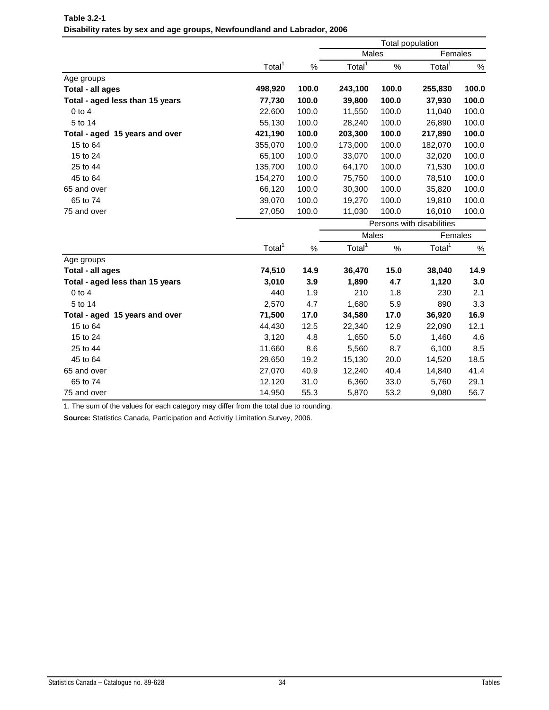|                                 |                    |       |                    | Total population |                           |       |
|---------------------------------|--------------------|-------|--------------------|------------------|---------------------------|-------|
|                                 |                    |       | Males              |                  | Females                   |       |
|                                 | Total <sup>1</sup> | $\%$  | Total <sup>1</sup> | $\%$             | Total <sup>1</sup>        | $\%$  |
| Age groups                      |                    |       |                    |                  |                           |       |
| Total - all ages                | 498,920            | 100.0 | 243,100            | 100.0            | 255,830                   | 100.0 |
| Total - aged less than 15 years | 77,730             | 100.0 | 39,800             | 100.0            | 37,930                    | 100.0 |
| $0$ to $4$                      | 22,600             | 100.0 | 11,550             | 100.0            | 11,040                    | 100.0 |
| 5 to 14                         | 55,130             | 100.0 | 28,240             | 100.0            | 26,890                    | 100.0 |
| Total - aged 15 years and over  | 421,190            | 100.0 | 203,300            | 100.0            | 217,890                   | 100.0 |
| 15 to 64                        | 355,070            | 100.0 | 173,000            | 100.0            | 182,070                   | 100.0 |
| 15 to 24                        | 65,100             | 100.0 | 33,070             | 100.0            | 32,020                    | 100.0 |
| 25 to 44                        | 135,700            | 100.0 | 64,170             | 100.0            | 71,530                    | 100.0 |
| 45 to 64                        | 154,270            | 100.0 | 75,750             | 100.0            | 78,510                    | 100.0 |
| 65 and over                     | 66,120             | 100.0 | 30,300             | 100.0            | 35,820                    | 100.0 |
| 65 to 74                        | 39,070             | 100.0 | 19,270             | 100.0            | 19,810                    | 100.0 |
| 75 and over                     | 27,050             | 100.0 | 11,030             | 100.0            | 16,010                    | 100.0 |
|                                 |                    |       |                    |                  | Persons with disabilities |       |
|                                 |                    |       | Males              |                  | Females                   |       |
|                                 | Total <sup>1</sup> | $\%$  | Total <sup>1</sup> | $\%$             | Total <sup>1</sup>        | $\%$  |
| Age groups                      |                    |       |                    |                  |                           |       |
| Total - all ages                | 74,510             | 14.9  | 36,470             | 15.0             | 38,040                    | 14.9  |
| Total - aged less than 15 years | 3,010              | 3.9   | 1,890              | 4.7              | 1,120                     | 3.0   |
| $0$ to $4$                      | 440                | 1.9   | 210                | 1.8              | 230                       | 2.1   |
| 5 to 14                         | 2,570              | 4.7   | 1,680              | 5.9              | 890                       | 3.3   |
| Total - aged 15 years and over  | 71,500             | 17.0  | 34,580             | 17.0             | 36,920                    | 16.9  |
| 15 to 64                        | 44,430             | 12.5  | 22,340             | 12.9             | 22,090                    | 12.1  |
| 15 to 24                        | 3,120              | 4.8   | 1,650              | 5.0              | 1,460                     | 4.6   |
| 25 to 44                        | 11,660             | 8.6   | 5,560              | 8.7              | 6,100                     | 8.5   |
| 45 to 64                        | 29,650             | 19.2  | 15,130             | 20.0             | 14,520                    | 18.5  |
| 65 and over                     | 27,070             | 40.9  | 12,240             | 40.4             | 14,840                    | 41.4  |
| 65 to 74                        | 12,120             | 31.0  | 6,360              | 33.0             | 5,760                     | 29.1  |
| 75 and over                     | 14,950             | 55.3  | 5,870              | 53.2             | 9,080                     | 56.7  |

| Table 3.2-1                                                             |
|-------------------------------------------------------------------------|
| Disability rates by sex and age groups, Newfoundland and Labrador, 2006 |

1. The sum of the values for each category may differ from the total due to rounding.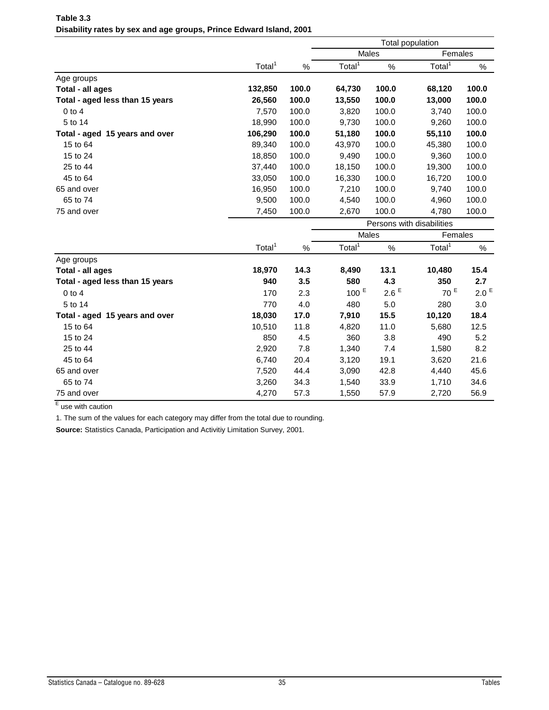|                                 |                    |       |                    |                           | Total population   |                  |
|---------------------------------|--------------------|-------|--------------------|---------------------------|--------------------|------------------|
|                                 |                    |       |                    | Males                     | Females            |                  |
|                                 | Total <sup>1</sup> | $\%$  | Total <sup>1</sup> | $\%$                      | Total <sup>1</sup> | $\%$             |
| Age groups                      |                    |       |                    |                           |                    |                  |
| Total - all ages                | 132,850            | 100.0 | 64,730             | 100.0                     | 68,120             | 100.0            |
| Total - aged less than 15 years | 26,560             | 100.0 | 13,550             | 100.0                     | 13,000             | 100.0            |
| $0$ to $4$                      | 7,570              | 100.0 | 3,820              | 100.0                     | 3,740              | 100.0            |
| 5 to 14                         | 18,990             | 100.0 | 9,730              | 100.0                     | 9,260              | 100.0            |
| Total - aged 15 years and over  | 106,290            | 100.0 | 51,180             | 100.0                     | 55,110             | 100.0            |
| 15 to 64                        | 89,340             | 100.0 | 43,970             | 100.0                     | 45,380             | 100.0            |
| 15 to 24                        | 18,850             | 100.0 | 9,490              | 100.0                     | 9,360              | 100.0            |
| 25 to 44                        | 37,440             | 100.0 | 18,150             | 100.0                     | 19,300             | 100.0            |
| 45 to 64                        | 33,050             | 100.0 | 16,330             | 100.0                     | 16,720             | 100.0            |
| 65 and over                     | 16,950             | 100.0 | 7,210              | 100.0                     | 9,740              | 100.0            |
| 65 to 74                        | 9,500              | 100.0 | 4,540              | 100.0                     | 4,960              | 100.0            |
| 75 and over                     | 7,450              | 100.0 | 2,670              | 100.0                     | 4,780              | 100.0            |
|                                 |                    |       |                    | Persons with disabilities |                    |                  |
|                                 |                    |       |                    | Males                     |                    | Females          |
|                                 | Total <sup>1</sup> | $\%$  | Total <sup>1</sup> | $\%$                      | Total <sup>1</sup> | $\%$             |
| Age groups                      |                    |       |                    |                           |                    |                  |
| Total - all ages                | 18,970             | 14.3  | 8,490              | 13.1                      | 10,480             | 15.4             |
| Total - aged less than 15 years | 940                | 3.5   | 580                | 4.3                       | 350                | 2.7              |
| $0$ to $4$                      | 170                | 2.3   | 100 <sup>E</sup>   | 2.6 $E$                   | 70 $E$             | 2.0 <sup>E</sup> |
| 5 to 14                         | 770                | 4.0   | 480                | 5.0                       | 280                | 3.0              |
| Total - aged 15 years and over  | 18,030             | 17.0  | 7,910              | 15.5                      | 10,120             | 18.4             |
| 15 to 64                        | 10,510             | 11.8  | 4,820              | 11.0                      | 5,680              | 12.5             |
| 15 to 24                        | 850                | 4.5   | 360                | 3.8                       | 490                | 5.2              |
| 25 to 44                        | 2,920              | 7.8   | 1,340              | 7.4                       | 1,580              | 8.2              |
| 45 to 64                        | 6,740              | 20.4  | 3,120              | 19.1                      | 3,620              | 21.6             |
| 65 and over                     | 7,520              | 44.4  | 3,090              | 42.8                      | 4,440              | 45.6             |
| 65 to 74                        | 3,260              | 34.3  | 1,540              | 33.9                      | 1,710              | 34.6             |
| 75 and over                     | 4,270              | 57.3  | 1,550              | 57.9                      | 2,720              | 56.9             |

**Table 3.3 Disability rates by sex and age groups, Prince Edward Island, 2001**

1. The sum of the values for each category may differ from the total due to rounding.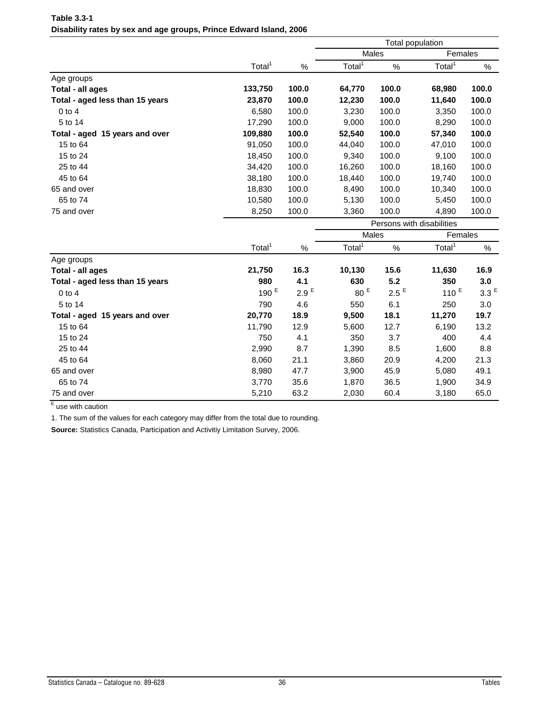|                                 |                    |                  |                    |                           | <b>Total population</b> |                  |
|---------------------------------|--------------------|------------------|--------------------|---------------------------|-------------------------|------------------|
|                                 |                    |                  | Males              |                           | Females                 |                  |
|                                 | Total <sup>1</sup> | $\%$             | Total <sup>1</sup> | $\%$                      | Total <sup>1</sup>      | $\%$             |
| Age groups                      |                    |                  |                    |                           |                         |                  |
| Total - all ages                | 133,750            | 100.0            | 64,770             | 100.0                     | 68,980                  | 100.0            |
| Total - aged less than 15 years | 23,870             | 100.0            | 12,230             | 100.0                     | 11,640                  | 100.0            |
| $0$ to $4$                      | 6,580              | 100.0            | 3,230              | 100.0                     | 3,350                   | 100.0            |
| 5 to 14                         | 17,290             | 100.0            | 9,000              | 100.0                     | 8,290                   | 100.0            |
| Total - aged 15 years and over  | 109,880            | 100.0            | 52,540             | 100.0                     | 57,340                  | 100.0            |
| 15 to 64                        | 91,050             | 100.0            | 44,040             | 100.0                     | 47,010                  | 100.0            |
| 15 to 24                        | 18,450             | 100.0            | 9,340              | 100.0                     | 9,100                   | 100.0            |
| 25 to 44                        | 34,420             | 100.0            | 16,260             | 100.0                     | 18,160                  | 100.0            |
| 45 to 64                        | 38,180             | 100.0            | 18,440             | 100.0                     | 19,740                  | 100.0            |
| 65 and over                     | 18,830             | 100.0            | 8,490              | 100.0                     | 10,340                  | 100.0            |
| 65 to 74                        | 10,580             | 100.0            | 5,130              | 100.0                     | 5,450                   | 100.0            |
| 75 and over                     | 8,250              | 100.0            | 3,360              | 100.0                     | 4,890                   | 100.0            |
|                                 |                    |                  |                    | Persons with disabilities |                         |                  |
|                                 |                    |                  | Males              |                           | Females                 |                  |
|                                 | Total <sup>1</sup> | $\%$             | Total <sup>1</sup> | $\%$                      | Total <sup>1</sup>      | $\%$             |
| Age groups                      |                    |                  |                    |                           |                         |                  |
| Total - all ages                | 21,750             | 16.3             | 10,130             | 15.6                      | 11,630                  | 16.9             |
| Total - aged less than 15 years | 980                | 4.1              | 630                | 5.2                       | 350                     | 3.0              |
| $0$ to $4$                      | 190 $E$            | 2.9 <sup>E</sup> | 80 <sup>E</sup>    | $2.5$ $^{\rm E}$          | 110 $E$                 | 3.3 <sup>E</sup> |
| 5 to 14                         | 790                | 4.6              | 550                | 6.1                       | 250                     | 3.0              |
| Total - aged 15 years and over  | 20,770             | 18.9             | 9,500              | 18.1                      | 11,270                  | 19.7             |
| 15 to 64                        | 11,790             | 12.9             | 5,600              | 12.7                      | 6,190                   | 13.2             |
| 15 to 24                        | 750                | 4.1              | 350                | 3.7                       | 400                     | 4.4              |
| 25 to 44                        | 2,990              | 8.7              | 1,390              | 8.5                       | 1,600                   | 8.8              |
| 45 to 64                        | 8,060              | 21.1             | 3,860              | 20.9                      | 4,200                   | 21.3             |
| 65 and over                     | 8,980              | 47.7             | 3,900              | 45.9                      | 5,080                   | 49.1             |
| 65 to 74                        | 3,770              | 35.6             | 1,870              | 36.5                      | 1,900                   | 34.9             |
| 75 and over                     | 5,210              | 63.2             | 2,030              | 60.4                      | 3,180                   | 65.0             |

**Table 3.3-1 Disability rates by sex and age groups, Prince Edward Island, 2006**

E use with caution

1. The sum of the values for each category may differ from the total due to rounding.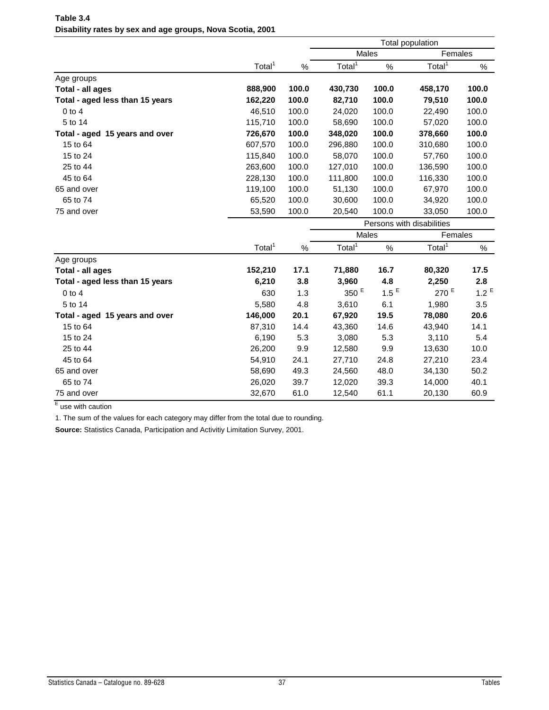|                                 |                    |       |                           |                  | Total population   |                  |
|---------------------------------|--------------------|-------|---------------------------|------------------|--------------------|------------------|
|                                 |                    |       |                           | Males            | Females            |                  |
|                                 | Total <sup>1</sup> | $\%$  | Total <sup>1</sup>        | $\%$             | Total <sup>1</sup> | $\%$             |
| Age groups                      |                    |       |                           |                  |                    |                  |
| Total - all ages                | 888,900            | 100.0 | 430,730                   | 100.0            | 458,170            | 100.0            |
| Total - aged less than 15 years | 162,220            | 100.0 | 82,710                    | 100.0            | 79,510             | 100.0            |
| $0$ to $4$                      | 46,510             | 100.0 | 24,020                    | 100.0            | 22,490             | 100.0            |
| 5 to 14                         | 115,710            | 100.0 | 58,690                    | 100.0            | 57,020             | 100.0            |
| Total - aged 15 years and over  | 726,670            | 100.0 | 348,020                   | 100.0            | 378,660            | 100.0            |
| 15 to 64                        | 607,570            | 100.0 | 296,880                   | 100.0            | 310,680            | 100.0            |
| 15 to 24                        | 115,840            | 100.0 | 58,070                    | 100.0            | 57,760             | 100.0            |
| 25 to 44                        | 263,600            | 100.0 | 127,010                   | 100.0            | 136,590            | 100.0            |
| 45 to 64                        | 228,130            | 100.0 | 111,800                   | 100.0            | 116,330            | 100.0            |
| 65 and over                     | 119,100            | 100.0 | 51,130                    | 100.0            | 67,970             | 100.0            |
| 65 to 74                        | 65,520             | 100.0 | 30,600                    | 100.0            | 34,920             | 100.0            |
| 75 and over                     | 53,590             | 100.0 | 20,540                    | 100.0            | 33,050             | 100.0            |
|                                 |                    |       | Persons with disabilities |                  |                    |                  |
|                                 |                    |       | <b>Males</b>              |                  | Females            |                  |
|                                 | Total <sup>1</sup> | $\%$  | Total <sup>1</sup>        | $\%$             | Total <sup>1</sup> | $\%$             |
| Age groups                      |                    |       |                           |                  |                    |                  |
| Total - all ages                | 152,210            | 17.1  | 71,880                    | 16.7             | 80,320             | 17.5             |
| Total - aged less than 15 years | 6,210              | 3.8   | 3,960                     | 4.8              | 2,250              | 2.8              |
| $0$ to $4$                      | 630                | 1.3   | 350 <sup>E</sup>          | 1.5 <sup>E</sup> | 270 <sup>E</sup>   | 1.2 <sup>E</sup> |
| 5 to 14                         | 5,580              | 4.8   | 3,610                     | 6.1              | 1,980              | 3.5              |
| Total - aged 15 years and over  | 146,000            | 20.1  | 67,920                    | 19.5             | 78,080             | 20.6             |
| 15 to 64                        | 87,310             | 14.4  | 43,360                    | 14.6             | 43,940             | 14.1             |
| 15 to 24                        | 6,190              | 5.3   | 3,080                     | 5.3              | 3,110              | 5.4              |
| 25 to 44                        | 26,200             | 9.9   | 12,580                    | 9.9              | 13,630             | 10.0             |
| 45 to 64                        | 54,910             | 24.1  | 27,710                    | 24.8             | 27,210             | 23.4             |
| 65 and over                     | 58,690             | 49.3  | 24,560                    | 48.0             | 34,130             | 50.2             |
| 65 to 74                        | 26,020             | 39.7  | 12,020                    | 39.3             | 14,000             | 40.1             |
| 75 and over                     | 32,670             | 61.0  | 12,540                    | 61.1             | 20,130             | 60.9             |

**Table 3.4 Disability rates by sex and age groups, Nova Scotia, 2001**

1. The sum of the values for each category may differ from the total due to rounding.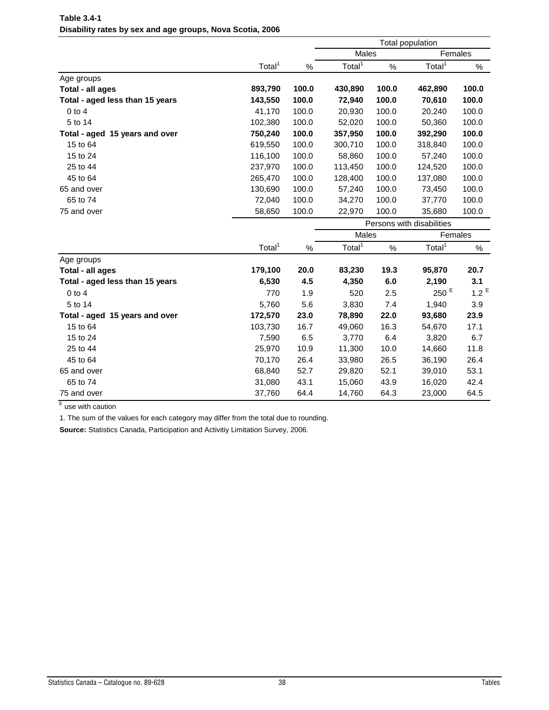|                                 |                    |       |                           |       | <b>Total population</b> |                  |  |
|---------------------------------|--------------------|-------|---------------------------|-------|-------------------------|------------------|--|
|                                 |                    |       | Males                     |       | Females                 |                  |  |
|                                 | Total <sup>1</sup> | $\%$  | Total <sup>1</sup>        | %     | Total <sup>1</sup>      | %                |  |
| Age groups                      |                    |       |                           |       |                         |                  |  |
| <b>Total - all ages</b>         | 893,790            | 100.0 | 430,890                   | 100.0 | 462,890                 | 100.0            |  |
| Total - aged less than 15 years | 143,550            | 100.0 | 72,940                    | 100.0 | 70,610                  | 100.0            |  |
| $0$ to $4$                      | 41,170             | 100.0 | 20,930                    | 100.0 | 20,240                  | 100.0            |  |
| 5 to 14                         | 102,380            | 100.0 | 52,020                    | 100.0 | 50,360                  | 100.0            |  |
| Total - aged 15 years and over  | 750,240            | 100.0 | 357,950                   | 100.0 | 392,290                 | 100.0            |  |
| 15 to 64                        | 619,550            | 100.0 | 300,710                   | 100.0 | 318,840                 | 100.0            |  |
| 15 to 24                        | 116,100            | 100.0 | 58,860                    | 100.0 | 57,240                  | 100.0            |  |
| 25 to 44                        | 237,970            | 100.0 | 113,450                   | 100.0 | 124,520                 | 100.0            |  |
| 45 to 64                        | 265,470            | 100.0 | 128,400                   | 100.0 | 137,080                 | 100.0            |  |
| 65 and over                     | 130,690            | 100.0 | 57,240                    | 100.0 | 73,450                  | 100.0            |  |
| 65 to 74                        | 72,040             | 100.0 | 34,270                    | 100.0 | 37,770                  | 100.0            |  |
| 75 and over                     | 58,650             | 100.0 | 22,970                    | 100.0 | 35,680                  | 100.0            |  |
|                                 |                    |       | Persons with disabilities |       |                         |                  |  |
|                                 |                    |       | Males                     |       | Females                 |                  |  |
|                                 | Total <sup>1</sup> | $\%$  | Total <sup>1</sup>        | $\%$  | Total <sup>1</sup>      | $\%$             |  |
| Age groups                      |                    |       |                           |       |                         |                  |  |
| Total - all ages                | 179,100            | 20.0  | 83,230                    | 19.3  | 95,870                  | 20.7             |  |
| Total - aged less than 15 years | 6,530              | 4.5   | 4,350                     | 6.0   | 2,190                   | 3.1              |  |
| $0$ to $4$                      | 770                | 1.9   | 520                       | 2.5   | 250 $E$                 | 1.2 <sup>E</sup> |  |
| 5 to 14                         | 5,760              | 5.6   | 3,830                     | 7.4   | 1,940                   | 3.9              |  |
| Total - aged 15 years and over  | 172,570            | 23.0  | 78,890                    | 22.0  | 93,680                  | 23.9             |  |
| 15 to 64                        | 103,730            | 16.7  | 49,060                    | 16.3  | 54,670                  | 17.1             |  |
| 15 to 24                        | 7,590              | 6.5   | 3,770                     | 6.4   | 3,820                   | 6.7              |  |
| 25 to 44                        | 25,970             | 10.9  | 11,300                    | 10.0  | 14,660                  | 11.8             |  |
| 45 to 64                        | 70,170             | 26.4  | 33,980                    | 26.5  | 36,190                  | 26.4             |  |
| 65 and over                     | 68,840             | 52.7  | 29,820                    | 52.1  | 39,010                  | 53.1             |  |
| 65 to 74                        | 31,080             | 43.1  | 15,060                    | 43.9  | 16,020                  | 42.4             |  |
| 75 and over                     | 37,760             | 64.4  | 14,760                    | 64.3  | 23,000                  | 64.5             |  |

**Table 3.4-1 Disability rates by sex and age groups, Nova Scotia, 2006**

1. The sum of the values for each category may differ from the total due to rounding.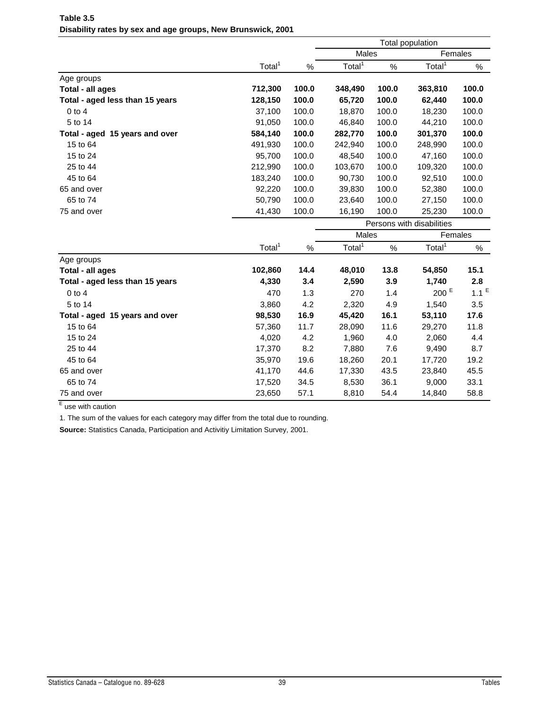|                                 |                    |       |                    | Total population |                           |                    |  |
|---------------------------------|--------------------|-------|--------------------|------------------|---------------------------|--------------------|--|
|                                 |                    |       | Males              |                  | Females                   |                    |  |
|                                 | Total <sup>1</sup> | $\%$  | Total <sup>1</sup> | %                | Total <sup>1</sup>        | $\%$               |  |
| Age groups                      |                    |       |                    |                  |                           |                    |  |
| Total - all ages                | 712,300            | 100.0 | 348,490            | 100.0            | 363,810                   | 100.0              |  |
| Total - aged less than 15 years | 128,150            | 100.0 | 65,720             | 100.0            | 62,440                    | 100.0              |  |
| $0$ to $4$                      | 37,100             | 100.0 | 18,870             | 100.0            | 18,230                    | 100.0              |  |
| 5 to 14                         | 91,050             | 100.0 | 46,840             | 100.0            | 44,210                    | 100.0              |  |
| Total - aged 15 years and over  | 584,140            | 100.0 | 282,770            | 100.0            | 301,370                   | 100.0              |  |
| 15 to 64                        | 491,930            | 100.0 | 242,940            | 100.0            | 248,990                   | 100.0              |  |
| 15 to 24                        | 95,700             | 100.0 | 48,540             | 100.0            | 47,160                    | 100.0              |  |
| 25 to 44                        | 212,990            | 100.0 | 103,670            | 100.0            | 109,320                   | 100.0              |  |
| 45 to 64                        | 183,240            | 100.0 | 90,730             | 100.0            | 92,510                    | 100.0              |  |
| 65 and over                     | 92,220             | 100.0 | 39,830             | 100.0            | 52,380                    | 100.0              |  |
| 65 to 74                        | 50,790             | 100.0 | 23,640             | 100.0            | 27,150                    | 100.0              |  |
| 75 and over                     | 41,430             | 100.0 | 16,190             | 100.0            | 25,230                    | 100.0              |  |
|                                 |                    |       |                    |                  | Persons with disabilities |                    |  |
|                                 |                    |       | <b>Males</b>       |                  | Females                   |                    |  |
|                                 | Total <sup>1</sup> | $\%$  | Total <sup>1</sup> | $\%$             | Total <sup>1</sup>        | $\%$               |  |
| Age groups                      |                    |       |                    |                  |                           |                    |  |
| Total - all ages                | 102,860            | 14.4  | 48,010             | 13.8             | 54,850                    | 15.1               |  |
| Total - aged less than 15 years | 4,330              | 3.4   | 2,590              | 3.9              | 1,740                     | 2.8                |  |
| $0$ to $4$                      | 470                | 1.3   | 270                | 1.4              | 200 $E$                   | $1.1$ <sup>E</sup> |  |
| 5 to 14                         | 3,860              | 4.2   | 2,320              | 4.9              | 1,540                     | 3.5                |  |
| Total - aged 15 years and over  | 98,530             | 16.9  | 45,420             | 16.1             | 53,110                    | 17.6               |  |
| 15 to 64                        | 57,360             | 11.7  | 28,090             | 11.6             | 29,270                    | 11.8               |  |
| 15 to 24                        | 4,020              | 4.2   | 1,960              | 4.0              | 2,060                     | 4.4                |  |
| 25 to 44                        | 17,370             | 8.2   | 7,880              | 7.6              | 9,490                     | 8.7                |  |
| 45 to 64                        | 35,970             | 19.6  | 18,260             | 20.1             | 17,720                    | 19.2               |  |
| 65 and over                     | 41,170             | 44.6  | 17,330             | 43.5             | 23,840                    | 45.5               |  |
| 65 to 74                        | 17,520             | 34.5  | 8,530              | 36.1             | 9,000                     | 33.1               |  |
| 75 and over                     | 23,650             | 57.1  | 8,810              | 54.4             | 14,840                    | 58.8               |  |

**Table 3.5 Disability rates by sex and age groups, New Brunswick, 2001**

1. The sum of the values for each category may differ from the total due to rounding.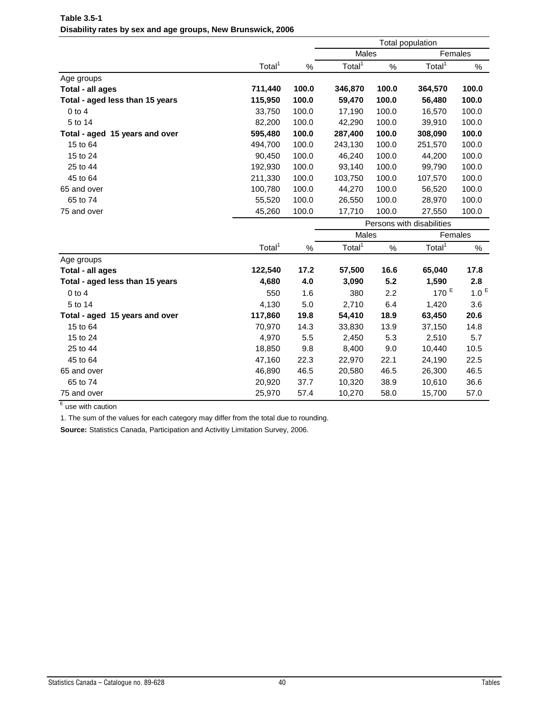|                                 |                    |       |                    |       | Total population          |                  |
|---------------------------------|--------------------|-------|--------------------|-------|---------------------------|------------------|
|                                 |                    |       | Males              |       | Females                   |                  |
|                                 | Total <sup>1</sup> | $\%$  | Total <sup>1</sup> | $\%$  | Total <sup>1</sup>        | %                |
| Age groups                      |                    |       |                    |       |                           |                  |
| Total - all ages                | 711,440            | 100.0 | 346,870            | 100.0 | 364,570                   | 100.0            |
| Total - aged less than 15 years | 115,950            | 100.0 | 59,470             | 100.0 | 56,480                    | 100.0            |
| $0$ to $4$                      | 33,750             | 100.0 | 17,190             | 100.0 | 16,570                    | 100.0            |
| 5 to 14                         | 82,200             | 100.0 | 42,290             | 100.0 | 39,910                    | 100.0            |
| Total - aged 15 years and over  | 595,480            | 100.0 | 287,400            | 100.0 | 308,090                   | 100.0            |
| 15 to 64                        | 494,700            | 100.0 | 243,130            | 100.0 | 251,570                   | 100.0            |
| 15 to 24                        | 90,450             | 100.0 | 46,240             | 100.0 | 44,200                    | 100.0            |
| 25 to 44                        | 192,930            | 100.0 | 93,140             | 100.0 | 99,790                    | 100.0            |
| 45 to 64                        | 211,330            | 100.0 | 103,750            | 100.0 | 107,570                   | 100.0            |
| 65 and over                     | 100,780            | 100.0 | 44,270             | 100.0 | 56,520                    | 100.0            |
| 65 to 74                        | 55,520             | 100.0 | 26,550             | 100.0 | 28,970                    | 100.0            |
| 75 and over                     | 45,260             | 100.0 | 17,710             | 100.0 | 27,550                    | 100.0            |
|                                 |                    |       |                    |       | Persons with disabilities |                  |
|                                 |                    |       | Males              |       | Females                   |                  |
|                                 | Total <sup>1</sup> | $\%$  | Total <sup>1</sup> | $\%$  | Total <sup>1</sup>        | $\%$             |
| Age groups                      |                    |       |                    |       |                           |                  |
| Total - all ages                | 122,540            | 17.2  | 57,500             | 16.6  | 65,040                    | 17.8             |
| Total - aged less than 15 years | 4,680              | 4.0   | 3,090              | 5.2   | 1,590                     | 2.8              |
| $0$ to $4$                      | 550                | 1.6   | 380                | 2.2   | 170 $E$                   | 1.0 <sup>E</sup> |
| 5 to 14                         | 4,130              | 5.0   | 2,710              | 6.4   | 1,420                     | 3.6              |
| Total - aged 15 years and over  | 117,860            | 19.8  | 54,410             | 18.9  | 63,450                    | 20.6             |
| 15 to 64                        | 70,970             | 14.3  | 33,830             | 13.9  | 37,150                    | 14.8             |
| 15 to 24                        | 4,970              | 5.5   | 2,450              | 5.3   | 2,510                     | 5.7              |
| 25 to 44                        | 18,850             | 9.8   | 8,400              | 9.0   | 10,440                    | 10.5             |
| 45 to 64                        | 47,160             | 22.3  | 22,970             | 22.1  | 24,190                    | 22.5             |
| 65 and over                     | 46,890             | 46.5  | 20,580             | 46.5  | 26,300                    | 46.5             |
| 65 to 74                        | 20,920             | 37.7  | 10,320             | 38.9  | 10,610                    | 36.6             |
| 75 and over                     | 25,970             | 57.4  | 10,270             | 58.0  | 15,700                    | 57.0             |

**Table 3.5-1 Disability rates by sex and age groups, New Brunswick, 2006**

1. The sum of the values for each category may differ from the total due to rounding.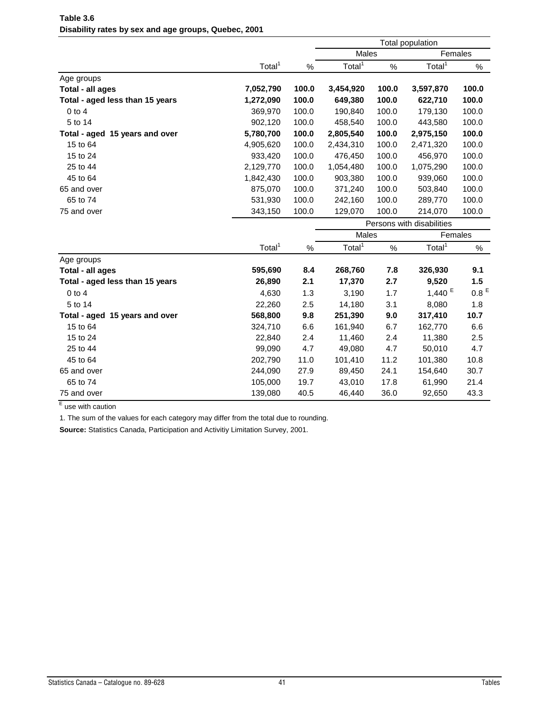|                                 |                    |       |                    | Total population |                           |                  |
|---------------------------------|--------------------|-------|--------------------|------------------|---------------------------|------------------|
|                                 |                    |       | Males              |                  | Females                   |                  |
|                                 | Total <sup>1</sup> | %     | Total <sup>1</sup> | %                | Total <sup>1</sup>        | %                |
| Age groups                      |                    |       |                    |                  |                           |                  |
| Total - all ages                | 7,052,790          | 100.0 | 3,454,920          | 100.0            | 3,597,870                 | 100.0            |
| Total - aged less than 15 years | 1,272,090          | 100.0 | 649,380            | 100.0            | 622,710                   | 100.0            |
| $0$ to $4$                      | 369,970            | 100.0 | 190,840            | 100.0            | 179,130                   | 100.0            |
| 5 to 14                         | 902,120            | 100.0 | 458,540            | 100.0            | 443,580                   | 100.0            |
| Total - aged 15 years and over  | 5,780,700          | 100.0 | 2,805,540          | 100.0            | 2,975,150                 | 100.0            |
| 15 to 64                        | 4,905,620          | 100.0 | 2,434,310          | 100.0            | 2,471,320                 | 100.0            |
| 15 to 24                        | 933,420            | 100.0 | 476,450            | 100.0            | 456,970                   | 100.0            |
| 25 to 44                        | 2,129,770          | 100.0 | 1,054,480          | 100.0            | 1,075,290                 | 100.0            |
| 45 to 64                        | 1,842,430          | 100.0 | 903,380            | 100.0            | 939,060                   | 100.0            |
| 65 and over                     | 875,070            | 100.0 | 371,240            | 100.0            | 503,840                   | 100.0            |
| 65 to 74                        | 531,930            | 100.0 | 242,160            | 100.0            | 289,770                   | 100.0            |
| 75 and over                     | 343,150            | 100.0 | 129,070            | 100.0            | 214,070                   | 100.0            |
|                                 |                    |       |                    |                  | Persons with disabilities |                  |
|                                 |                    |       | Males              |                  | Females                   |                  |
|                                 | Total <sup>1</sup> | %     | Total <sup>1</sup> | %                | Total <sup>1</sup>        | $\%$             |
| Age groups                      |                    |       |                    |                  |                           |                  |
| Total - all ages                | 595,690            | 8.4   | 268,760            | 7.8              | 326,930                   | 9.1              |
| Total - aged less than 15 years | 26,890             | 2.1   | 17,370             | 2.7              | 9,520                     | 1.5              |
| $0$ to $4$                      | 4,630              | 1.3   | 3,190              | 1.7              | 1,440E                    | 0.8 <sup>E</sup> |
| 5 to 14                         | 22,260             | 2.5   | 14,180             | 3.1              | 8,080                     | 1.8              |
| Total - aged 15 years and over  | 568,800            | 9.8   | 251,390            | 9.0              | 317,410                   | 10.7             |
| 15 to 64                        | 324,710            | 6.6   | 161,940            | 6.7              | 162,770                   | 6.6              |
| 15 to 24                        | 22,840             | 2.4   | 11,460             | 2.4              | 11,380                    | 2.5              |
| 25 to 44                        | 99,090             | 4.7   | 49,080             | 4.7              | 50,010                    | 4.7              |
| 45 to 64                        | 202,790            | 11.0  | 101,410            | 11.2             | 101,380                   | 10.8             |
| 65 and over                     | 244,090            | 27.9  | 89,450             | 24.1             | 154,640                   | 30.7             |
| 65 to 74                        | 105,000            | 19.7  | 43,010             | 17.8             | 61,990                    | 21.4             |
| 75 and over                     | 139,080            | 40.5  | 46,440             | 36.0             | 92,650                    | 43.3             |

| Table 3.6 |  |                                                      |
|-----------|--|------------------------------------------------------|
|           |  | Disability rates by sex and age groups, Quebec, 2001 |

1. The sum of the values for each category may differ from the total due to rounding.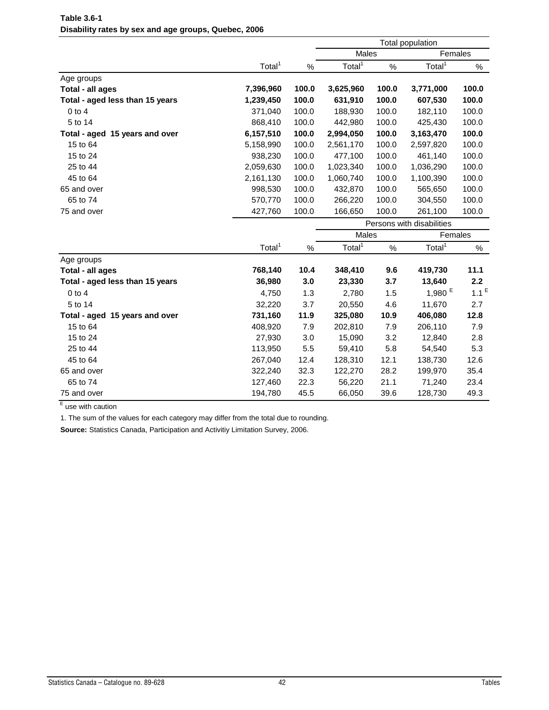|                                 |                    |       |                    |       |                           | Total population |  |  |
|---------------------------------|--------------------|-------|--------------------|-------|---------------------------|------------------|--|--|
|                                 |                    |       | Males              |       | Females                   |                  |  |  |
|                                 | Total <sup>1</sup> | %     | Total <sup>1</sup> | %     | Total <sup>1</sup>        | %                |  |  |
| Age groups                      |                    |       |                    |       |                           |                  |  |  |
| Total - all ages                | 7,396,960          | 100.0 | 3,625,960          | 100.0 | 3,771,000                 | 100.0            |  |  |
| Total - aged less than 15 years | 1,239,450          | 100.0 | 631,910            | 100.0 | 607,530                   | 100.0            |  |  |
| $0$ to $4$                      | 371,040            | 100.0 | 188,930            | 100.0 | 182,110                   | 100.0            |  |  |
| 5 to 14                         | 868,410            | 100.0 | 442,980            | 100.0 | 425,430                   | 100.0            |  |  |
| Total - aged 15 years and over  | 6,157,510          | 100.0 | 2,994,050          | 100.0 | 3,163,470                 | 100.0            |  |  |
| 15 to 64                        | 5,158,990          | 100.0 | 2,561,170          | 100.0 | 2,597,820                 | 100.0            |  |  |
| 15 to 24                        | 938,230            | 100.0 | 477,100            | 100.0 | 461,140                   | 100.0            |  |  |
| 25 to 44                        | 2,059,630          | 100.0 | 1,023,340          | 100.0 | 1,036,290                 | 100.0            |  |  |
| 45 to 64                        | 2,161,130          | 100.0 | 1,060,740          | 100.0 | 1,100,390                 | 100.0            |  |  |
| 65 and over                     | 998,530            | 100.0 | 432,870            | 100.0 | 565,650                   | 100.0            |  |  |
| 65 to 74                        | 570,770            | 100.0 | 266,220            | 100.0 | 304,550                   | 100.0            |  |  |
| 75 and over                     | 427,760            | 100.0 | 166,650            | 100.0 | 261,100                   | 100.0            |  |  |
|                                 |                    |       |                    |       | Persons with disabilities |                  |  |  |
|                                 |                    |       | Males              |       | Females                   |                  |  |  |
|                                 | Total <sup>1</sup> | $\%$  | Total <sup>1</sup> | $\%$  | Total <sup>1</sup>        | %                |  |  |
| Age groups                      |                    |       |                    |       |                           |                  |  |  |
| Total - all ages                | 768,140            | 10.4  | 348,410            | 9.6   | 419,730                   | 11.1             |  |  |
| Total - aged less than 15 years | 36,980             | 3.0   | 23,330             | 3.7   | 13,640                    | 2.2              |  |  |
| $0$ to $4$                      | 4,750              | 1.3   | 2,780              | 1.5   | $1,980$ $^{\rm E}$        | $1.1^E$          |  |  |
| 5 to 14                         | 32,220             | 3.7   | 20,550             | 4.6   | 11,670                    | 2.7              |  |  |
| Total - aged 15 years and over  | 731,160            | 11.9  | 325,080            | 10.9  | 406,080                   | 12.8             |  |  |
| 15 to 64                        | 408,920            | 7.9   | 202,810            | 7.9   | 206,110                   | 7.9              |  |  |
| 15 to 24                        | 27,930             | 3.0   | 15,090             | 3.2   | 12,840                    | 2.8              |  |  |
| 25 to 44                        | 113,950            | 5.5   | 59,410             | 5.8   | 54,540                    | 5.3              |  |  |
| 45 to 64                        | 267,040            | 12.4  | 128,310            | 12.1  | 138,730                   | 12.6             |  |  |
| 65 and over                     | 322,240            | 32.3  | 122,270            | 28.2  | 199,970                   | 35.4             |  |  |
| 65 to 74                        |                    |       | 56,220             | 21.1  | 71,240                    | 23.4             |  |  |
|                                 | 127,460            | 22.3  |                    |       |                           |                  |  |  |

**Table 3.6-1 Disability rates by sex and age groups, Quebec, 2006**

1. The sum of the values for each category may differ from the total due to rounding.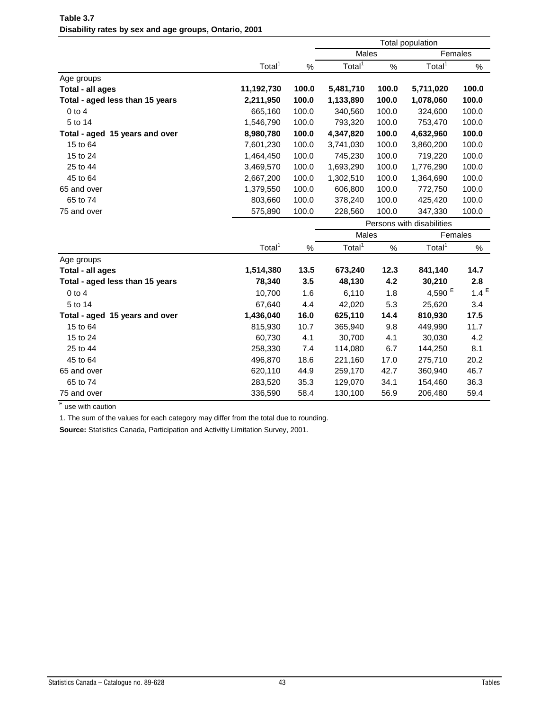|                                 |                    |       | Total population   |       |                           |         |
|---------------------------------|--------------------|-------|--------------------|-------|---------------------------|---------|
|                                 |                    |       | Males              |       | Females                   |         |
|                                 | Total <sup>1</sup> | %     | Total <sup>1</sup> | $\%$  | Total <sup>1</sup>        | %       |
| Age groups                      |                    |       |                    |       |                           |         |
| Total - all ages                | 11,192,730         | 100.0 | 5,481,710          | 100.0 | 5,711,020                 | 100.0   |
| Total - aged less than 15 years | 2,211,950          | 100.0 | 1,133,890          | 100.0 | 1,078,060                 | 100.0   |
| $0$ to $4$                      | 665,160            | 100.0 | 340,560            | 100.0 | 324,600                   | 100.0   |
| 5 to 14                         | 1,546,790          | 100.0 | 793,320            | 100.0 | 753,470                   | 100.0   |
| Total - aged 15 years and over  | 8,980,780          | 100.0 | 4,347,820          | 100.0 | 4,632,960                 | 100.0   |
| 15 to 64                        | 7,601,230          | 100.0 | 3,741,030          | 100.0 | 3,860,200                 | 100.0   |
| 15 to 24                        | 1,464,450          | 100.0 | 745,230            | 100.0 | 719,220                   | 100.0   |
| 25 to 44                        | 3,469,570          | 100.0 | 1,693,290          | 100.0 | 1,776,290                 | 100.0   |
| 45 to 64                        | 2,667,200          | 100.0 | 1,302,510          | 100.0 | 1,364,690                 | 100.0   |
| 65 and over                     | 1,379,550          | 100.0 | 606,800            | 100.0 | 772,750                   | 100.0   |
| 65 to 74                        | 803,660            | 100.0 | 378,240            | 100.0 | 425,420                   | 100.0   |
| 75 and over                     | 575,890            | 100.0 | 228,560            | 100.0 | 347,330                   | 100.0   |
|                                 |                    |       |                    |       | Persons with disabilities |         |
|                                 |                    |       | <b>Males</b>       |       | Females                   |         |
|                                 | Total <sup>1</sup> | $\%$  | Total <sup>1</sup> | %     | Total <sup>1</sup>        | $\%$    |
| Age groups                      |                    |       |                    |       |                           |         |
| Total - all ages                | 1,514,380          | 13.5  | 673,240            | 12.3  | 841,140                   | 14.7    |
| Total - aged less than 15 years | 78,340             | 3.5   | 48,130             | 4.2   | 30,210                    | 2.8     |
| $0$ to $4$                      | 10,700             | 1.6   | 6,110              | 1.8   | $4,590$ $^{\rm E}$        | $1.4^E$ |
| 5 to 14                         | 67,640             | 4.4   | 42,020             | 5.3   | 25,620                    | 3.4     |
| Total - aged 15 years and over  | 1,436,040          | 16.0  | 625,110            | 14.4  | 810,930                   | 17.5    |
| 15 to 64                        | 815,930            | 10.7  | 365,940            | 9.8   | 449,990                   | 11.7    |
| 15 to 24                        | 60,730             | 4.1   | 30,700             | 4.1   | 30,030                    | 4.2     |
| 25 to 44                        | 258,330            | 7.4   | 114,080            | 6.7   | 144,250                   | 8.1     |
| 45 to 64                        | 496,870            | 18.6  | 221,160            | 17.0  | 275,710                   | 20.2    |
| 65 and over                     | 620,110            | 44.9  | 259,170            | 42.7  | 360,940                   | 46.7    |
|                                 |                    |       |                    |       |                           |         |
| 65 to 74                        | 283,520            | 35.3  | 129,070            | 34.1  | 154,460                   | 36.3    |

| Table 3.7                                             |  |  |
|-------------------------------------------------------|--|--|
| Disability rates by sex and age groups, Ontario, 2001 |  |  |

1. The sum of the values for each category may differ from the total due to rounding.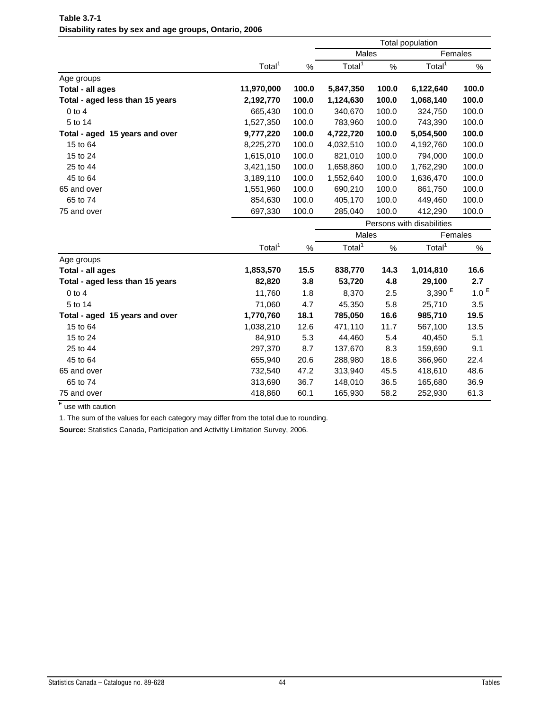|                                 |                    |       |                    | Total population |                           |                  |  |
|---------------------------------|--------------------|-------|--------------------|------------------|---------------------------|------------------|--|
|                                 |                    |       | Males              |                  | Females                   |                  |  |
|                                 | Total <sup>1</sup> | $\%$  | Total <sup>1</sup> | $\%$             | Total <sup>1</sup>        | $\%$             |  |
| Age groups                      |                    |       |                    |                  |                           |                  |  |
| <b>Total - all ages</b>         | 11,970,000         | 100.0 | 5,847,350          | 100.0            | 6,122,640                 | 100.0            |  |
| Total - aged less than 15 years | 2,192,770          | 100.0 | 1,124,630          | 100.0            | 1,068,140                 | 100.0            |  |
| $0$ to 4                        | 665,430            | 100.0 | 340,670            | 100.0            | 324,750                   | 100.0            |  |
| 5 to 14                         | 1,527,350          | 100.0 | 783,960            | 100.0            | 743,390                   | 100.0            |  |
| Total - aged 15 years and over  | 9,777,220          | 100.0 | 4,722,720          | 100.0            | 5,054,500                 | 100.0            |  |
| 15 to 64                        | 8,225,270          | 100.0 | 4,032,510          | 100.0            | 4,192,760                 | 100.0            |  |
| 15 to 24                        | 1,615,010          | 100.0 | 821,010            | 100.0            | 794,000                   | 100.0            |  |
| 25 to 44                        | 3,421,150          | 100.0 | 1,658,860          | 100.0            | 1,762,290                 | 100.0            |  |
| 45 to 64                        | 3,189,110          | 100.0 | 1,552,640          | 100.0            | 1,636,470                 | 100.0            |  |
| 65 and over                     | 1,551,960          | 100.0 | 690,210            | 100.0            | 861,750                   | 100.0            |  |
| 65 to 74                        | 854,630            | 100.0 | 405,170            | 100.0            | 449,460                   | 100.0            |  |
| 75 and over                     | 697,330            | 100.0 | 285,040            | 100.0            | 412,290                   | 100.0            |  |
|                                 |                    |       |                    |                  | Persons with disabilities |                  |  |
|                                 |                    |       | Males              |                  | Females                   |                  |  |
|                                 | Total <sup>1</sup> | $\%$  | Total <sup>1</sup> | $\%$             | Total <sup>1</sup>        | $\%$             |  |
| Age groups                      |                    |       |                    |                  |                           |                  |  |
| Total - all ages                | 1,853,570          | 15.5  | 838,770            | 14.3             | 1,014,810                 | 16.6             |  |
| Total - aged less than 15 years | 82,820             | 3.8   | 53,720             | 4.8              | 29,100                    | 2.7              |  |
| $0$ to $4$                      | 11,760             | 1.8   | 8,370              | 2.5              | $3,390$ $^{\rm E}$        | 1.0 <sup>E</sup> |  |
| 5 to 14                         | 71,060             | 4.7   | 45,350             | 5.8              | 25,710                    | 3.5              |  |
| Total - aged 15 years and over  | 1,770,760          | 18.1  | 785,050            | 16.6             | 985,710                   | 19.5             |  |
| 15 to 64                        | 1,038,210          | 12.6  | 471,110            | 11.7             | 567,100                   | 13.5             |  |
| 15 to 24                        | 84,910             | 5.3   | 44,460             | 5.4              | 40,450                    | 5.1              |  |
| 25 to 44                        | 297,370            | 8.7   | 137,670            | 8.3              | 159,690                   | 9.1              |  |
| 45 to 64                        | 655,940            | 20.6  | 288,980            | 18.6             | 366,960                   | 22.4             |  |
|                                 |                    |       |                    |                  |                           |                  |  |
| 65 and over                     | 732,540            | 47.2  | 313,940            | 45.5             | 418,610                   | 48.6             |  |
| 65 to 74                        | 313,690            | 36.7  | 148,010            | 36.5             | 165,680                   | 36.9             |  |

## **Table 3.7-1 Disability rates by sex and age groups, Ontario, 2006**

E use with caution

1. The sum of the values for each category may differ from the total due to rounding.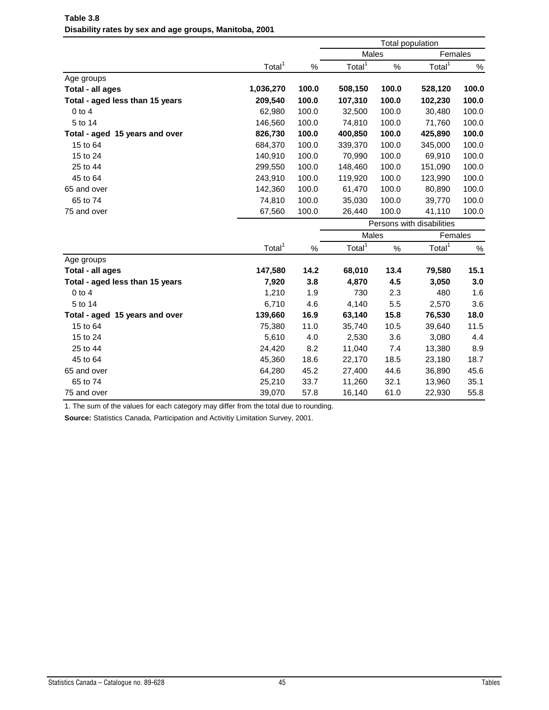|                                 |                    |       |                    |       | <b>Total population</b>   |       |  |  |
|---------------------------------|--------------------|-------|--------------------|-------|---------------------------|-------|--|--|
|                                 |                    |       | Males              |       | Females                   |       |  |  |
|                                 | Total <sup>1</sup> | %     | Total <sup>1</sup> | $\%$  | Total <sup>1</sup>        | $\%$  |  |  |
| Age groups                      |                    |       |                    |       |                           |       |  |  |
| Total - all ages                | 1,036,270          | 100.0 | 508,150            | 100.0 | 528,120                   | 100.0 |  |  |
| Total - aged less than 15 years | 209,540            | 100.0 | 107,310            | 100.0 | 102,230                   | 100.0 |  |  |
| $0$ to $4$                      | 62,980             | 100.0 | 32,500             | 100.0 | 30,480                    | 100.0 |  |  |
| 5 to 14                         | 146,560            | 100.0 | 74,810             | 100.0 | 71,760                    | 100.0 |  |  |
| Total - aged 15 years and over  | 826,730            | 100.0 | 400,850            | 100.0 | 425,890                   | 100.0 |  |  |
| 15 to 64                        | 684,370            | 100.0 | 339,370            | 100.0 | 345,000                   | 100.0 |  |  |
| 15 to 24                        | 140,910            | 100.0 | 70,990             | 100.0 | 69,910                    | 100.0 |  |  |
| 25 to 44                        | 299,550            | 100.0 | 148,460            | 100.0 | 151,090                   | 100.0 |  |  |
| 45 to 64                        | 243,910            | 100.0 | 119,920            | 100.0 | 123,990                   | 100.0 |  |  |
| 65 and over                     | 142,360            | 100.0 | 61,470             | 100.0 | 80,890                    | 100.0 |  |  |
| 65 to 74                        | 74,810             | 100.0 | 35,030             | 100.0 | 39,770                    | 100.0 |  |  |
| 75 and over                     | 67,560             | 100.0 | 26,440             | 100.0 | 41,110                    | 100.0 |  |  |
|                                 |                    |       |                    |       | Persons with disabilities |       |  |  |
|                                 |                    |       | Males              |       | Females                   |       |  |  |
|                                 | Total <sup>1</sup> | $\%$  | Total <sup>1</sup> | $\%$  | Total <sup>1</sup>        | $\%$  |  |  |
| Age groups                      |                    |       |                    |       |                           |       |  |  |
| <b>Total - all ages</b>         | 147,580            | 14.2  | 68,010             | 13.4  | 79,580                    | 15.1  |  |  |
| Total - aged less than 15 years | 7,920              | 3.8   | 4,870              | 4.5   | 3,050                     | 3.0   |  |  |
| $0$ to $4$                      | 1,210              | 1.9   | 730                | 2.3   | 480                       | 1.6   |  |  |
| 5 to 14                         | 6,710              | 4.6   | 4,140              | 5.5   | 2,570                     | 3.6   |  |  |
| Total - aged 15 years and over  | 139,660            | 16.9  | 63,140             | 15.8  | 76,530                    | 18.0  |  |  |
| 15 to 64                        | 75,380             | 11.0  | 35,740             | 10.5  | 39,640                    | 11.5  |  |  |
| 15 to 24                        | 5,610              | 4.0   | 2,530              | 3.6   | 3,080                     | 4.4   |  |  |
| 25 to 44                        | 24,420             | 8.2   | 11,040             | 7.4   | 13,380                    | 8.9   |  |  |
| 45 to 64                        | 45,360             | 18.6  | 22,170             | 18.5  | 23,180                    | 18.7  |  |  |
| 65 and over                     | 64,280             | 45.2  | 27,400             | 44.6  | 36,890                    | 45.6  |  |  |
| 65 to 74                        | 25,210             | 33.7  | 11,260             | 32.1  | 13,960                    | 35.1  |  |  |
| 75 and over                     | 39,070             | 57.8  | 16,140             | 61.0  | 22,930                    | 55.8  |  |  |

**Table 3.8 Disability rates by sex and age groups, Manitoba, 2001**

1. The sum of the values for each category may differ from the total due to rounding.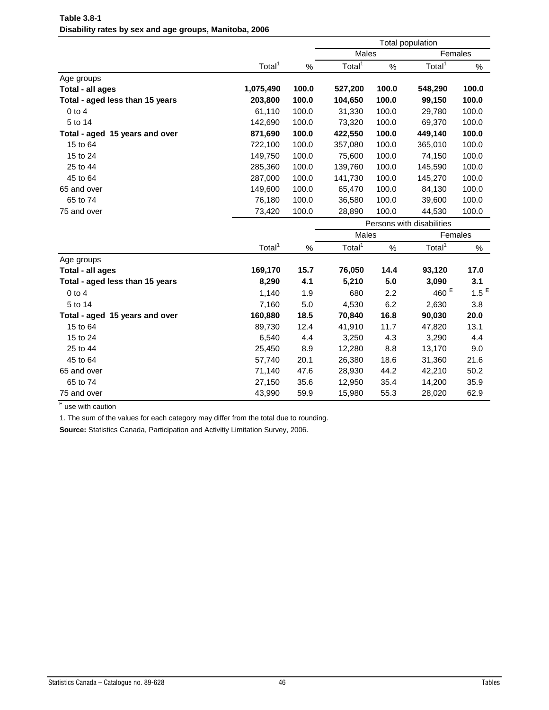|                                 |                    | Total population |                    |       |                           |         |  |
|---------------------------------|--------------------|------------------|--------------------|-------|---------------------------|---------|--|
|                                 |                    |                  |                    | Males |                           | Females |  |
|                                 | Total <sup>1</sup> | %                | Total <sup>1</sup> | $\%$  | Total <sup>1</sup>        | %       |  |
| Age groups                      |                    |                  |                    |       |                           |         |  |
| Total - all ages                | 1,075,490          | 100.0            | 527,200            | 100.0 | 548,290                   | 100.0   |  |
| Total - aged less than 15 years | 203,800            | 100.0            | 104,650            | 100.0 | 99,150                    | 100.0   |  |
| $0$ to $4$                      | 61,110             | 100.0            | 31,330             | 100.0 | 29,780                    | 100.0   |  |
| 5 to 14                         | 142,690            | 100.0            | 73,320             | 100.0 | 69,370                    | 100.0   |  |
| Total - aged 15 years and over  | 871,690            | 100.0            | 422,550            | 100.0 | 449,140                   | 100.0   |  |
| 15 to 64                        | 722,100            | 100.0            | 357,080            | 100.0 | 365,010                   | 100.0   |  |
| 15 to 24                        | 149,750            | 100.0            | 75,600             | 100.0 | 74,150                    | 100.0   |  |
| 25 to 44                        | 285,360            | 100.0            | 139,760            | 100.0 | 145,590                   | 100.0   |  |
| 45 to 64                        | 287,000            | 100.0            | 141,730            | 100.0 | 145,270                   | 100.0   |  |
| 65 and over                     | 149,600            | 100.0            | 65,470             | 100.0 | 84,130                    | 100.0   |  |
| 65 to 74                        | 76,180             | 100.0            | 36,580             | 100.0 | 39,600                    | 100.0   |  |
| 75 and over                     | 73,420             | 100.0            | 28,890             | 100.0 | 44,530                    | 100.0   |  |
|                                 |                    |                  |                    |       | Persons with disabilities |         |  |
|                                 |                    |                  | Males              |       | Females                   |         |  |
|                                 | Total <sup>1</sup> | $\%$             | Total <sup>1</sup> | $\%$  | Total <sup>1</sup>        | $\%$    |  |
| Age groups                      |                    |                  |                    |       |                           |         |  |
| Total - all ages                | 169,170            | 15.7             | 76,050             | 14.4  | 93,120                    | 17.0    |  |
| Total - aged less than 15 years | 8,290              | 4.1              | 5,210              | 5.0   | 3,090                     | 3.1     |  |
| $0$ to $4$                      | 1,140              | 1.9              | 680                | 2.2   | 460 $E$                   | $1.5^E$ |  |
| 5 to 14                         | 7,160              | 5.0              | 4,530              | 6.2   | 2,630                     | 3.8     |  |
| Total - aged 15 years and over  | 160,880            | 18.5             | 70,840             | 16.8  | 90,030                    | 20.0    |  |
| 15 to 64                        | 89,730             | 12.4             | 41,910             | 11.7  | 47,820                    | 13.1    |  |
| 15 to 24                        | 6,540              | 4.4              | 3,250              | 4.3   | 3,290                     | 4.4     |  |
| 25 to 44                        | 25,450             | 8.9              | 12,280             | 8.8   | 13,170                    | 9.0     |  |
| 45 to 64                        | 57,740             | 20.1             | 26,380             | 18.6  | 31,360                    | 21.6    |  |
| 65 and over                     | 71,140             | 47.6             | 28,930             | 44.2  | 42,210                    | 50.2    |  |
| 65 to 74                        | 27,150             | 35.6             | 12,950             | 35.4  | 14,200                    | 35.9    |  |
|                                 |                    |                  |                    |       |                           |         |  |

## **Table 3.8-1 Disability rates by sex and age groups, Manitoba, 2006**

E use with caution

1. The sum of the values for each category may differ from the total due to rounding.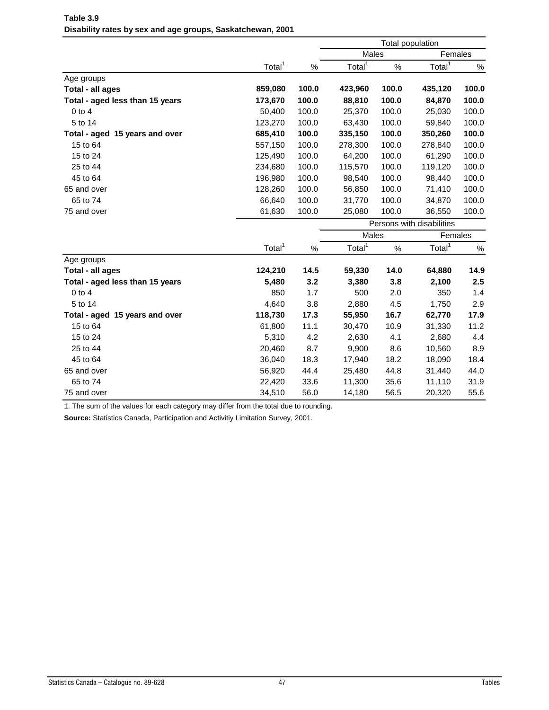|                                 |                    |       |                    | Total population |                           |         |  |
|---------------------------------|--------------------|-------|--------------------|------------------|---------------------------|---------|--|
|                                 |                    |       | Males              |                  |                           | Females |  |
|                                 | Total <sup>1</sup> | $\%$  | Total <sup>1</sup> | %                | Total <sup>1</sup>        | $\%$    |  |
| Age groups                      |                    |       |                    |                  |                           |         |  |
| <b>Total - all ages</b>         | 859,080            | 100.0 | 423,960            | 100.0            | 435,120                   | 100.0   |  |
| Total - aged less than 15 years | 173,670            | 100.0 | 88,810             | 100.0            | 84,870                    | 100.0   |  |
| $0$ to $4$                      | 50,400             | 100.0 | 25,370             | 100.0            | 25,030                    | 100.0   |  |
| 5 to 14                         | 123,270            | 100.0 | 63,430             | 100.0            | 59,840                    | 100.0   |  |
| Total - aged 15 years and over  | 685,410            | 100.0 | 335,150            | 100.0            | 350,260                   | 100.0   |  |
| 15 to 64                        | 557,150            | 100.0 | 278,300            | 100.0            | 278,840                   | 100.0   |  |
| 15 to 24                        | 125,490            | 100.0 | 64,200             | 100.0            | 61,290                    | 100.0   |  |
| 25 to 44                        | 234,680            | 100.0 | 115,570            | 100.0            | 119,120                   | 100.0   |  |
| 45 to 64                        | 196,980            | 100.0 | 98,540             | 100.0            | 98,440                    | 100.0   |  |
| 65 and over                     | 128,260            | 100.0 | 56,850             | 100.0            | 71,410                    | 100.0   |  |
| 65 to 74                        | 66,640             | 100.0 | 31,770             | 100.0            | 34,870                    | 100.0   |  |
| 75 and over                     | 61,630             | 100.0 | 25,080             | 100.0            | 36,550                    | 100.0   |  |
|                                 |                    |       |                    |                  | Persons with disabilities |         |  |
|                                 |                    |       | Males              |                  | Females                   |         |  |
|                                 | Total <sup>1</sup> | $\%$  | Total <sup>1</sup> | $\%$             | Total <sup>1</sup>        | $\%$    |  |
| Age groups                      |                    |       |                    |                  |                           |         |  |
| Total - all ages                | 124,210            | 14.5  | 59,330             | 14.0             | 64,880                    | 14.9    |  |
| Total - aged less than 15 years | 5,480              | 3.2   | 3,380              | 3.8              | 2,100                     | 2.5     |  |
| $0$ to $4$                      | 850                | 1.7   | 500                | 2.0              | 350                       | 1.4     |  |
| 5 to 14                         | 4,640              | 3.8   | 2,880              | 4.5              | 1,750                     | 2.9     |  |
| Total - aged 15 years and over  | 118,730            | 17.3  | 55,950             | 16.7             | 62,770                    | 17.9    |  |
| 15 to 64                        | 61,800             | 11.1  | 30,470             | 10.9             | 31,330                    | 11.2    |  |
| 15 to 24                        | 5,310              | 4.2   | 2,630              | 4.1              | 2,680                     | 4.4     |  |
| 25 to 44                        | 20,460             | 8.7   | 9,900              | 8.6              | 10,560                    | 8.9     |  |
| 45 to 64                        | 36,040             | 18.3  | 17,940             | 18.2             | 18,090                    | 18.4    |  |
| 65 and over                     | 56,920             | 44.4  | 25,480             | 44.8             | 31,440                    | 44.0    |  |
| 65 to 74                        | 22,420             | 33.6  | 11,300             | 35.6             | 11,110                    | 31.9    |  |
| 75 and over                     | 34,510             | 56.0  | 14,180             | 56.5             | 20,320                    | 55.6    |  |

**Table 3.9 Disability rates by sex and age groups, Saskatchewan, 2001**

1. The sum of the values for each category may differ from the total due to rounding.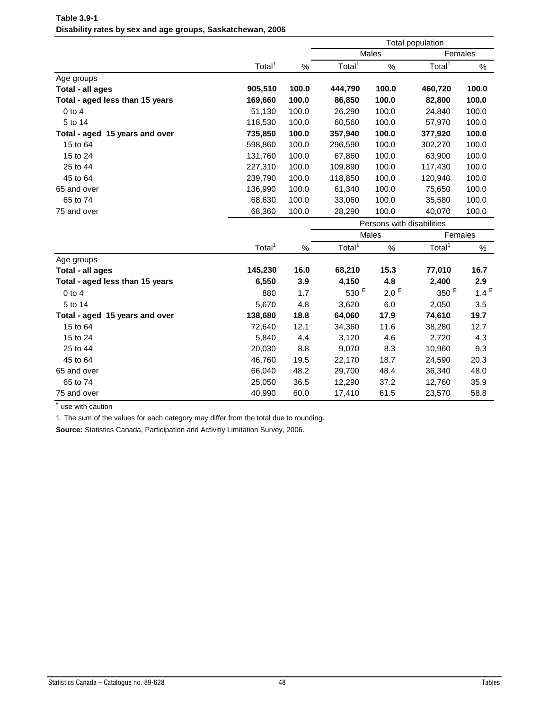|                                 |                    |       |                    |                           | Total population   |         |  |  |  |
|---------------------------------|--------------------|-------|--------------------|---------------------------|--------------------|---------|--|--|--|
|                                 |                    |       |                    | Males                     | Females            |         |  |  |  |
|                                 | Total <sup>1</sup> | $\%$  | Total <sup>1</sup> | $\%$                      | Total <sup>1</sup> | %       |  |  |  |
| Age groups                      |                    |       |                    |                           |                    |         |  |  |  |
| Total - all ages                | 905,510            | 100.0 | 444,790            | 100.0                     | 460,720            | 100.0   |  |  |  |
| Total - aged less than 15 years | 169,660            | 100.0 | 86,850             | 100.0                     | 82,800             | 100.0   |  |  |  |
| $0$ to $4$                      | 51,130             | 100.0 | 26,290             | 100.0                     | 24,840             | 100.0   |  |  |  |
| 5 to 14                         | 118,530            | 100.0 | 60,560             | 100.0                     | 57,970             | 100.0   |  |  |  |
| Total - aged 15 years and over  | 735,850            | 100.0 | 357,940            | 100.0                     | 377,920            | 100.0   |  |  |  |
| 15 to 64                        | 598,860            | 100.0 | 296,590            | 100.0                     | 302,270            | 100.0   |  |  |  |
| 15 to 24                        | 131,760            | 100.0 | 67,860             | 100.0                     | 63,900             | 100.0   |  |  |  |
| 25 to 44                        | 227,310            | 100.0 | 109,890            | 100.0                     | 117,430            | 100.0   |  |  |  |
| 45 to 64                        | 239,790            | 100.0 | 118,850            | 100.0                     | 120,940            | 100.0   |  |  |  |
| 65 and over                     | 136,990            | 100.0 | 61,340             | 100.0                     | 75,650             | 100.0   |  |  |  |
| 65 to 74                        | 68,630             | 100.0 | 33,060             | 100.0                     | 35,580             | 100.0   |  |  |  |
| 75 and over                     | 68,360             | 100.0 | 28,290             | 100.0                     | 40,070             | 100.0   |  |  |  |
|                                 |                    |       |                    | Persons with disabilities |                    |         |  |  |  |
|                                 |                    |       | Males              |                           | Females            |         |  |  |  |
|                                 | Total <sup>1</sup> | $\%$  | Total <sup>1</sup> | $\%$                      | Total <sup>1</sup> | $\%$    |  |  |  |
| Age groups                      |                    |       |                    |                           |                    |         |  |  |  |
| Total - all ages                | 145,230            | 16.0  | 68,210             | 15.3                      | 77,010             | 16.7    |  |  |  |
| Total - aged less than 15 years | 6,550              | 3.9   | 4,150              | 4.8                       | 2,400              | 2.9     |  |  |  |
| $0$ to $4$                      | 880                | 1.7   | 530 <sup>E</sup>   | 2.0 <sup>E</sup>          | 350 $E$            | $1.4^E$ |  |  |  |
| 5 to 14                         | 5,670              | 4.8   | 3,620              | 6.0                       | 2,050              | 3.5     |  |  |  |
| Total - aged 15 years and over  | 138,680            | 18.8  | 64,060             | 17.9                      | 74,610             | 19.7    |  |  |  |
| 15 to 64                        | 72,640             | 12.1  | 34,360             | 11.6                      | 38,280             | 12.7    |  |  |  |
| 15 to 24                        | 5,840              | 4.4   | 3,120              | 4.6                       | 2,720              | 4.3     |  |  |  |
| 25 to 44                        | 20,030             | 8.8   | 9,070              | 8.3                       | 10,960             | 9.3     |  |  |  |
| 45 to 64                        | 46,760             | 19.5  | 22,170             | 18.7                      | 24,590             | 20.3    |  |  |  |
| 65 and over                     | 66,040             | 48.2  | 29,700             | 48.4                      | 36,340             | 48.0    |  |  |  |
| 65 to 74                        | 25,050             | 36.5  | 12,290             | 37.2                      | 12,760             | 35.9    |  |  |  |
| 75 and over                     | 40,990             | 60.0  | 17,410             | 61.5                      | 23,570             | 58.8    |  |  |  |

**Table 3.9-1 Disability rates by sex and age groups, Saskatchewan, 2006**

1. The sum of the values for each category may differ from the total due to rounding.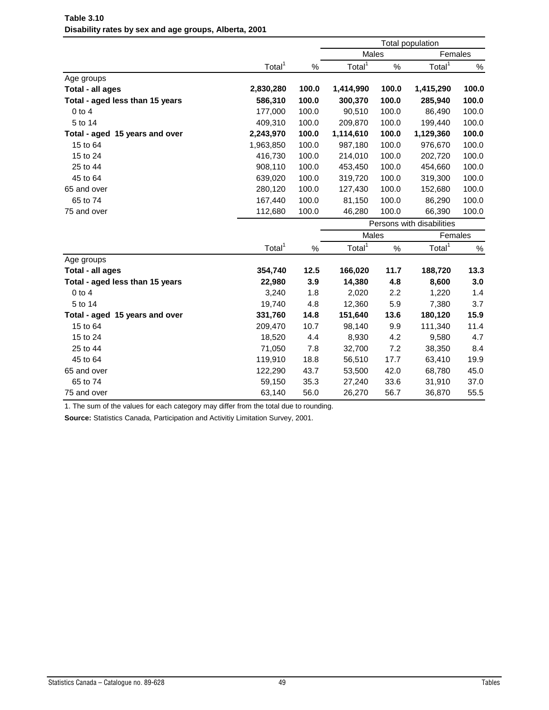|                                 |                    |       |                    |       | <b>Total population</b>   |       |  |  |
|---------------------------------|--------------------|-------|--------------------|-------|---------------------------|-------|--|--|
|                                 |                    |       | Males              |       | Females                   |       |  |  |
|                                 | Total <sup>1</sup> | $\%$  | Total <sup>1</sup> | $\%$  | Total <sup>1</sup>        | $\%$  |  |  |
| Age groups                      |                    |       |                    |       |                           |       |  |  |
| Total - all ages                | 2,830,280          | 100.0 | 1,414,990          | 100.0 | 1,415,290                 | 100.0 |  |  |
| Total - aged less than 15 years | 586,310            | 100.0 | 300,370            | 100.0 | 285,940                   | 100.0 |  |  |
| $0$ to $4$                      | 177,000            | 100.0 | 90,510             | 100.0 | 86,490                    | 100.0 |  |  |
| 5 to 14                         | 409,310            | 100.0 | 209,870            | 100.0 | 199,440                   | 100.0 |  |  |
| Total - aged 15 years and over  | 2,243,970          | 100.0 | 1,114,610          | 100.0 | 1,129,360                 | 100.0 |  |  |
| 15 to 64                        | 1,963,850          | 100.0 | 987,180            | 100.0 | 976,670                   | 100.0 |  |  |
| 15 to 24                        | 416,730            | 100.0 | 214,010            | 100.0 | 202,720                   | 100.0 |  |  |
| 25 to 44                        | 908,110            | 100.0 | 453,450            | 100.0 | 454,660                   | 100.0 |  |  |
| 45 to 64                        | 639,020            | 100.0 | 319,720            | 100.0 | 319,300                   | 100.0 |  |  |
| 65 and over                     | 280,120            | 100.0 | 127,430            | 100.0 | 152,680                   | 100.0 |  |  |
| 65 to 74                        | 167,440            | 100.0 | 81,150             | 100.0 | 86,290                    | 100.0 |  |  |
| 75 and over                     | 112,680            | 100.0 | 46,280             | 100.0 | 66,390                    | 100.0 |  |  |
|                                 |                    |       |                    |       | Persons with disabilities |       |  |  |
|                                 |                    |       | Males              |       | Females                   |       |  |  |
|                                 | Total <sup>1</sup> | $\%$  | Total <sup>1</sup> | %     | Total <sup>1</sup>        | $\%$  |  |  |
| Age groups                      |                    |       |                    |       |                           |       |  |  |
| <b>Total - all ages</b>         | 354,740            | 12.5  | 166,020            | 11.7  | 188,720                   | 13.3  |  |  |
| Total - aged less than 15 years | 22,980             | 3.9   | 14,380             | 4.8   | 8,600                     | 3.0   |  |  |
| $0$ to $4$                      | 3,240              | 1.8   | 2,020              | 2.2   | 1,220                     | 1.4   |  |  |
| 5 to 14                         | 19,740             | 4.8   | 12,360             | 5.9   | 7,380                     | 3.7   |  |  |
| Total - aged 15 years and over  | 331,760            | 14.8  | 151,640            | 13.6  | 180,120                   | 15.9  |  |  |
| 15 to 64                        | 209,470            | 10.7  | 98,140             | 9.9   | 111,340                   | 11.4  |  |  |
| 15 to 24                        | 18,520             | 4.4   | 8,930              | 4.2   | 9,580                     | 4.7   |  |  |
| 25 to 44                        | 71,050             | 7.8   | 32,700             | 7.2   | 38,350                    | 8.4   |  |  |
| 45 to 64                        | 119,910            | 18.8  | 56,510             | 17.7  | 63,410                    | 19.9  |  |  |
| 65 and over                     | 122,290            | 43.7  | 53,500             | 42.0  | 68,780                    | 45.0  |  |  |
| 65 to 74                        | 59,150             | 35.3  | 27,240             | 33.6  | 31,910                    | 37.0  |  |  |
| 75 and over                     | 63,140             | 56.0  | 26,270             | 56.7  | 36,870                    | 55.5  |  |  |

## **Table 3.10 Disability rates by sex and age groups, Alberta, 2001**

1. The sum of the values for each category may differ from the total due to rounding.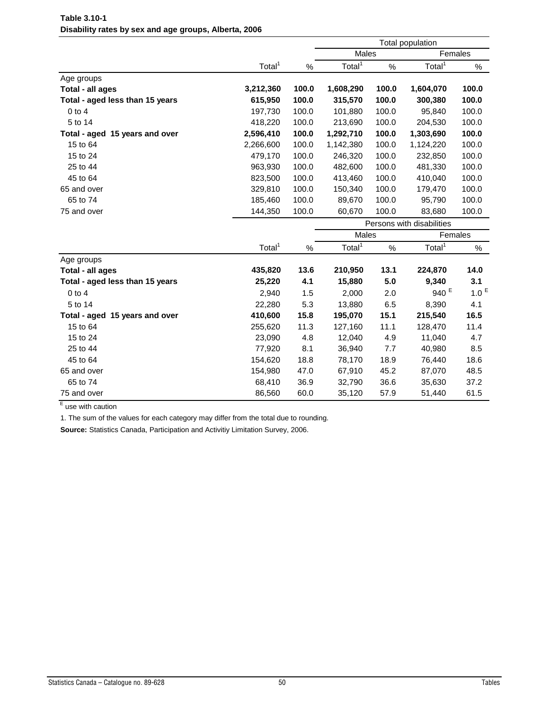|                                 |                    |       | Total population   |       |                           |                  |  |
|---------------------------------|--------------------|-------|--------------------|-------|---------------------------|------------------|--|
|                                 |                    |       | Males              |       |                           | Females          |  |
|                                 | Total <sup>1</sup> | $\%$  | Total <sup>1</sup> | %     | Total <sup>1</sup>        | $\%$             |  |
| Age groups                      |                    |       |                    |       |                           |                  |  |
| Total - all ages                | 3,212,360          | 100.0 | 1,608,290          | 100.0 | 1,604,070                 | 100.0            |  |
| Total - aged less than 15 years | 615,950            | 100.0 | 315,570            | 100.0 | 300,380                   | 100.0            |  |
| $0$ to $4$                      | 197,730            | 100.0 | 101,880            | 100.0 | 95,840                    | 100.0            |  |
| 5 to 14                         | 418,220            | 100.0 | 213,690            | 100.0 | 204,530                   | 100.0            |  |
| Total - aged 15 years and over  | 2,596,410          | 100.0 | 1,292,710          | 100.0 | 1,303,690                 | 100.0            |  |
| 15 to 64                        | 2,266,600          | 100.0 | 1,142,380          | 100.0 | 1,124,220                 | 100.0            |  |
| 15 to 24                        | 479,170            | 100.0 | 246,320            | 100.0 | 232,850                   | 100.0            |  |
| 25 to 44                        | 963,930            | 100.0 | 482,600            | 100.0 | 481,330                   | 100.0            |  |
| 45 to 64                        | 823,500            | 100.0 | 413,460            | 100.0 | 410,040                   | 100.0            |  |
| 65 and over                     | 329,810            | 100.0 | 150,340            | 100.0 | 179,470                   | 100.0            |  |
| 65 to 74                        | 185,460            | 100.0 | 89,670             | 100.0 | 95,790                    | 100.0            |  |
| 75 and over                     | 144,350            | 100.0 | 60,670             | 100.0 | 83,680                    | 100.0            |  |
|                                 |                    |       |                    |       | Persons with disabilities |                  |  |
|                                 |                    |       | Males              |       | Females                   |                  |  |
|                                 | Total <sup>1</sup> | $\%$  | Total <sup>1</sup> | $\%$  | Total <sup>1</sup>        | $\%$             |  |
| Age groups                      |                    |       |                    |       |                           |                  |  |
| Total - all ages                | 435,820            | 13.6  | 210,950            | 13.1  | 224,870                   | 14.0             |  |
| Total - aged less than 15 years | 25,220             | 4.1   | 15,880             | 5.0   | 9,340                     | 3.1              |  |
| $0$ to $4$                      | 2,940              | 1.5   | 2,000              | 2.0   | 940 $E$                   | 1.0 <sup>E</sup> |  |
| 5 to 14                         | 22,280             | 5.3   | 13,880             | 6.5   | 8,390                     | 4.1              |  |
| Total - aged 15 years and over  | 410,600            | 15.8  | 195,070            | 15.1  | 215,540                   | 16.5             |  |
| 15 to 64                        | 255,620            | 11.3  | 127,160            | 11.1  | 128,470                   | 11.4             |  |
| 15 to 24                        | 23,090             | 4.8   | 12,040             | 4.9   | 11,040                    | 4.7              |  |
| 25 to 44                        | 77,920             | 8.1   | 36,940             | 7.7   | 40,980                    | 8.5              |  |
| 45 to 64                        | 154,620            | 18.8  | 78,170             | 18.9  | 76,440                    | 18.6             |  |
| 65 and over                     | 154,980            | 47.0  | 67,910             | 45.2  | 87,070                    | 48.5             |  |
| 65 to 74                        | 68,410             | 36.9  | 32,790             | 36.6  | 35,630                    | 37.2             |  |
| 75 and over                     | 86,560             | 60.0  | 35,120             | 57.9  | 51,440                    | 61.5             |  |

## **Table 3.10-1 Disability rates by sex and age groups, Alberta, 2006**

E use with caution

1. The sum of the values for each category may differ from the total due to rounding.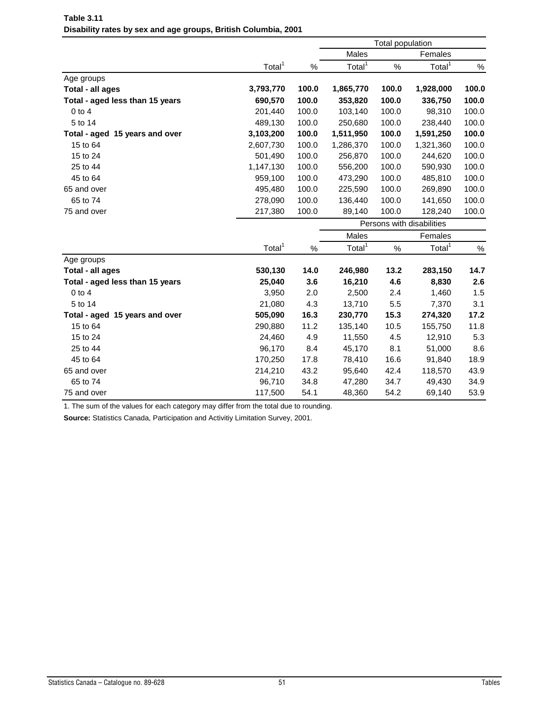|                                 |                    |       |                    | Total population |                           |       |
|---------------------------------|--------------------|-------|--------------------|------------------|---------------------------|-------|
|                                 |                    |       | Males              |                  | Females                   |       |
|                                 | Total <sup>1</sup> | $\%$  | Total <sup>1</sup> | $\%$             | Total <sup>1</sup>        | $\%$  |
| Age groups                      |                    |       |                    |                  |                           |       |
| Total - all ages                | 3,793,770          | 100.0 | 1,865,770          | 100.0            | 1,928,000                 | 100.0 |
| Total - aged less than 15 years | 690,570            | 100.0 | 353,820            | 100.0            | 336,750                   | 100.0 |
| $0$ to $4$                      | 201,440            | 100.0 | 103,140            | 100.0            | 98,310                    | 100.0 |
| 5 to 14                         | 489,130            | 100.0 | 250,680            | 100.0            | 238,440                   | 100.0 |
| Total - aged 15 years and over  | 3,103,200          | 100.0 | 1,511,950          | 100.0            | 1,591,250                 | 100.0 |
| 15 to 64                        | 2,607,730          | 100.0 | 1,286,370          | 100.0            | 1,321,360                 | 100.0 |
| 15 to 24                        | 501,490            | 100.0 | 256,870            | 100.0            | 244,620                   | 100.0 |
| 25 to 44                        | 1,147,130          | 100.0 | 556,200            | 100.0            | 590,930                   | 100.0 |
| 45 to 64                        | 959,100            | 100.0 | 473,290            | 100.0            | 485,810                   | 100.0 |
| 65 and over                     | 495,480            | 100.0 | 225,590            | 100.0            | 269,890                   | 100.0 |
| 65 to 74                        | 278,090            | 100.0 | 136,440            | 100.0            | 141,650                   | 100.0 |
| 75 and over                     | 217,380            | 100.0 | 89,140             | 100.0            | 128,240                   | 100.0 |
|                                 |                    |       |                    |                  | Persons with disabilities |       |
|                                 |                    |       | Males              |                  | Females                   |       |
|                                 | Total <sup>1</sup> | $\%$  | Total <sup>1</sup> | $\%$             | Total <sup>1</sup>        | $\%$  |
| Age groups                      |                    |       |                    |                  |                           |       |
| Total - all ages                | 530,130            | 14.0  | 246,980            | 13.2             | 283,150                   | 14.7  |
| Total - aged less than 15 years | 25,040             | 3.6   | 16,210             | 4.6              | 8,830                     | 2.6   |
| $0$ to $4$                      | 3,950              | 2.0   | 2,500              | 2.4              | 1,460                     | 1.5   |
| 5 to 14                         | 21,080             | 4.3   | 13,710             | 5.5              | 7,370                     | 3.1   |
| Total - aged 15 years and over  | 505,090            | 16.3  | 230,770            | 15.3             | 274,320                   | 17.2  |
| 15 to 64                        | 290,880            | 11.2  | 135,140            | 10.5             | 155,750                   | 11.8  |
| 15 to 24                        | 24,460             | 4.9   | 11,550             | 4.5              | 12,910                    | 5.3   |
| 25 to 44                        | 96,170             | 8.4   | 45,170             | 8.1              | 51,000                    | 8.6   |
| 45 to 64                        | 170,250            | 17.8  | 78,410             | 16.6             | 91,840                    | 18.9  |
| 65 and over                     | 214,210            | 43.2  | 95,640             | 42.4             | 118,570                   | 43.9  |
| 65 to 74                        | 96,710             | 34.8  | 47,280             | 34.7             | 49,430                    | 34.9  |
| 75 and over                     | 117,500            | 54.1  | 48,360             | 54.2             | 69,140                    | 53.9  |

**Table 3.11 Disability rates by sex and age groups, British Columbia, 2001**

1. The sum of the values for each category may differ from the total due to rounding.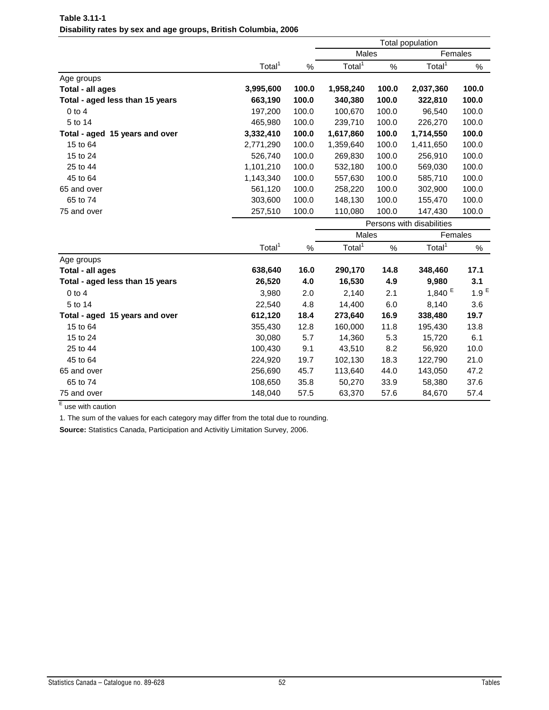|                                 |                    |       |                    | Total population        |                           |                  |  |
|---------------------------------|--------------------|-------|--------------------|-------------------------|---------------------------|------------------|--|
|                                 |                    |       | Males              |                         | Females                   |                  |  |
|                                 | Total <sup>1</sup> | $\%$  | Total <sup>1</sup> | %                       | Total <sup>1</sup>        | $\%$             |  |
| Age groups                      |                    |       |                    |                         |                           |                  |  |
| <b>Total - all ages</b>         | 3,995,600          | 100.0 | 1,958,240          | 100.0                   | 2,037,360                 | 100.0            |  |
| Total - aged less than 15 years | 663,190            | 100.0 | 340,380            | 100.0                   | 322,810                   | 100.0            |  |
| $0$ to $4$                      | 197,200            | 100.0 | 100,670            | 100.0                   | 96,540                    | 100.0            |  |
| 5 to 14                         | 465,980            | 100.0 | 239,710            | 100.0                   | 226,270                   | 100.0            |  |
| Total - aged 15 years and over  | 3,332,410          | 100.0 | 1,617,860          | 100.0                   | 1,714,550                 | 100.0            |  |
| 15 to 64                        | 2,771,290          | 100.0 | 1,359,640          | 100.0                   | 1,411,650                 | 100.0            |  |
| 15 to 24                        | 526,740            | 100.0 | 269,830            | 100.0                   | 256,910                   | 100.0            |  |
| 25 to 44                        | 1,101,210          | 100.0 | 532,180            | 100.0                   | 569,030                   | 100.0            |  |
| 45 to 64                        | 1,143,340          | 100.0 | 557,630            | 100.0                   | 585,710                   | 100.0            |  |
| 65 and over                     | 561,120            | 100.0 | 258,220            | 100.0                   | 302,900                   | 100.0            |  |
| 65 to 74                        | 303,600            | 100.0 | 148,130            | 100.0                   | 155,470                   | 100.0            |  |
| 75 and over                     | 257,510            | 100.0 | 110,080            | 100.0                   | 147,430                   | 100.0            |  |
|                                 |                    |       |                    |                         | Persons with disabilities |                  |  |
|                                 |                    |       |                    | <b>Males</b><br>Females |                           |                  |  |
|                                 | Total <sup>1</sup> | $\%$  | Total <sup>1</sup> | $\%$                    | Total <sup>1</sup>        | $\%$             |  |
| Age groups                      |                    |       |                    |                         |                           |                  |  |
| <b>Total - all ages</b>         | 638,640            | 16.0  | 290,170            | 14.8                    | 348,460                   | 17.1             |  |
| Total - aged less than 15 years | 26,520             | 4.0   | 16,530             | 4.9                     | 9,980                     | 3.1              |  |
| $0$ to $4$                      | 3,980              | 2.0   | 2,140              | 2.1                     | 1,840 $E$                 | 1.9 <sup>E</sup> |  |
| 5 to 14                         | 22,540             | 4.8   | 14,400             | 6.0                     | 8,140                     | 3.6              |  |
| Total - aged 15 years and over  | 612,120            | 18.4  | 273,640            | 16.9                    | 338,480                   | 19.7             |  |
| 15 to 64                        | 355,430            | 12.8  | 160,000            | 11.8                    | 195,430                   | 13.8             |  |
| 15 to 24                        | 30,080             | 5.7   | 14,360             | 5.3                     | 15,720                    | 6.1              |  |
| 25 to 44                        | 100,430            | 9.1   | 43,510             | 8.2                     | 56,920                    | 10.0             |  |
| 45 to 64                        | 224,920            | 19.7  | 102,130            | 18.3                    | 122,790                   | 21.0             |  |
| 65 and over                     | 256,690            | 45.7  | 113,640            | 44.0                    | 143,050                   | 47.2             |  |
| 65 to 74                        | 108,650            | 35.8  | 50,270             | 33.9                    | 58,380                    | 37.6             |  |
| 75 and over                     | 148,040            | 57.5  | 63,370             | 57.6                    | 84,670                    | 57.4             |  |

**Table 3.11-1 Disability rates by sex and age groups, British Columbia, 2006**

1. The sum of the values for each category may differ from the total due to rounding.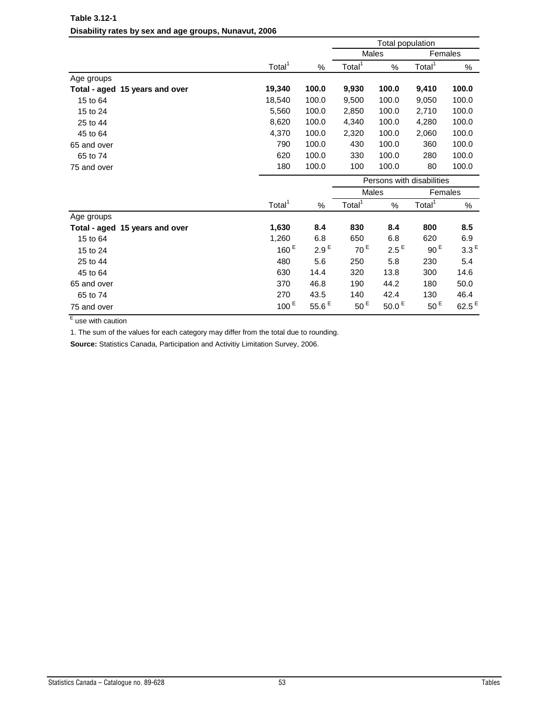|                                |                    |                  | Total population          |                   |                    |                  |
|--------------------------------|--------------------|------------------|---------------------------|-------------------|--------------------|------------------|
|                                |                    |                  | Males                     |                   | Females            |                  |
|                                | Total <sup>1</sup> | $\%$             | Total <sup>1</sup>        | %                 | Total <sup>1</sup> | $\%$             |
| Age groups                     |                    |                  |                           |                   |                    |                  |
| Total - aged 15 years and over | 19,340             | 100.0            | 9,930                     | 100.0             | 9,410              | 100.0            |
| 15 to 64                       | 18,540             | 100.0            | 9,500                     | 100.0             | 9,050              | 100.0            |
| 15 to 24                       | 5,560              | 100.0            | 2,850                     | 100.0             | 2,710              | 100.0            |
| 25 to 44                       | 8,620              | 100.0            | 4,340                     | 100.0             | 4,280              | 100.0            |
| 45 to 64                       | 4,370              | 100.0            | 2,320                     | 100.0             | 2,060              | 100.0            |
| 65 and over                    | 790                | 100.0            | 430                       | 100.0             | 360                | 100.0            |
| 65 to 74                       | 620                | 100.0            | 330                       | 100.0             | 280                | 100.0            |
| 75 and over                    | 180                | 100.0            | 100                       | 100.0             | 80                 | 100.0            |
|                                |                    |                  | Persons with disabilities |                   |                    |                  |
|                                |                    |                  | Males                     |                   | Females            |                  |
|                                | Total <sup>1</sup> | $\%$             | Total <sup>1</sup>        | %                 | Total <sup>1</sup> | %                |
| Age groups                     |                    |                  |                           |                   |                    |                  |
| Total - aged 15 years and over | 1,630              | 8.4              | 830                       | 8.4               | 800                | 8.5              |
| 15 to 64                       | 1,260              | 6.8              | 650                       | 6.8               | 620                | 6.9              |
| 15 to 24                       | 160 $E$            | 2.9 <sup>E</sup> | 70 <sup>E</sup>           | $2.5^E$           | 90 <sup>E</sup>    | 3.3 <sup>E</sup> |
| 25 to 44                       | 480                | 5.6              | 250                       | 5.8               | 230                | 5.4              |
| 45 to 64                       | 630                | 14.4             | 320                       | 13.8              | 300                | 14.6             |
| 65 and over                    | 370                | 46.8             | 190                       | 44.2              | 180                | 50.0             |
| 65 to 74                       | 270                | 43.5             | 140                       | 42.4              | 130                | 46.4             |
| 75 and over                    | 100 <sup>E</sup>   | 55.6 $E$         | 50 <sup>E</sup>           | 50.0 <sup>E</sup> | 50 <sup>E</sup>    | 62.5 $E$         |

**Table 3.12-1 Disability rates by sex and age groups, Nunavut, 2006**

E use with caution

1. The sum of the values for each category may differ from the total due to rounding.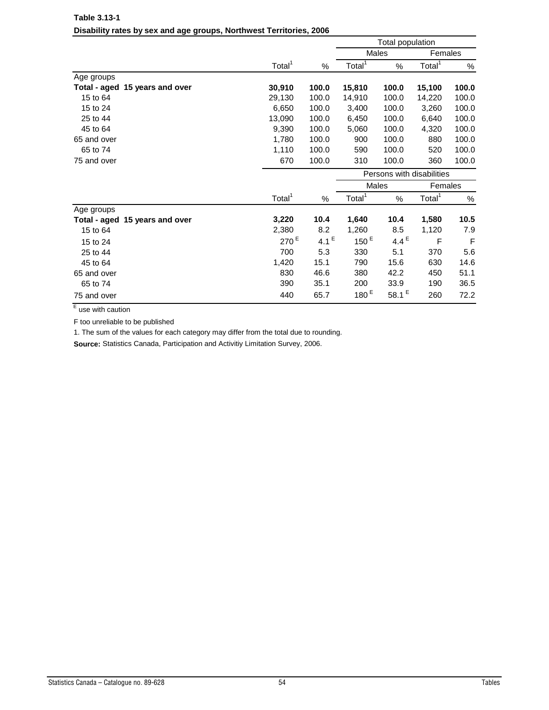|                                |                    |         | Total population          |          |                    |              |  |
|--------------------------------|--------------------|---------|---------------------------|----------|--------------------|--------------|--|
|                                |                    |         | Males                     |          | Females            |              |  |
|                                | Total <sup>1</sup> | $\%$    | Total <sup>1</sup>        | $\%$     | Total <sup>1</sup> | $\%$         |  |
| Age groups                     |                    |         |                           |          |                    |              |  |
| Total - aged 15 years and over | 30,910             | 100.0   | 15,810                    | 100.0    | 15,100             | 100.0        |  |
| 15 to 64                       | 29,130             | 100.0   | 14,910                    | 100.0    | 14,220             | 100.0        |  |
| 15 to 24                       | 6,650              | 100.0   | 3,400                     | 100.0    | 3,260              | 100.0        |  |
| 25 to 44                       | 13,090             | 100.0   | 6,450                     | 100.0    | 6,640              | 100.0        |  |
| 45 to 64                       | 9,390              | 100.0   | 5,060                     | 100.0    | 4,320              | 100.0        |  |
| 65 and over                    | 1,780              | 100.0   | 900                       | 100.0    | 880                | 100.0        |  |
| 65 to 74                       | 1,110              | 100.0   | 590                       | 100.0    | 520                | 100.0        |  |
| 75 and over                    | 670                | 100.0   | 310                       | 100.0    | 360                | 100.0        |  |
|                                |                    |         | Persons with disabilities |          |                    |              |  |
|                                |                    |         | Males                     |          | Females            |              |  |
|                                | Total <sup>1</sup> | $\%$    | Total <sup>1</sup>        | %        | Total <sup>1</sup> | $\%$         |  |
| Age groups                     |                    |         |                           |          |                    |              |  |
| Total - aged 15 years and over | 3,220              | 10.4    | 1,640                     | 10.4     | 1,580              | 10.5         |  |
| 15 to 64                       | 2,380              | 8.2     | 1,260                     | 8.5      | 1,120              | 7.9          |  |
| 15 to 24                       | 270 <sup>E</sup>   | 4.1 $E$ | 150 <sup>E</sup>          | $4.4^E$  | F                  | $\mathsf{F}$ |  |
| 25 to 44                       | 700                | 5.3     | 330                       | 5.1      | 370                | 5.6          |  |
| 45 to 64                       | 1,420              | 15.1    | 790                       | 15.6     | 630                | 14.6         |  |
| 65 and over                    | 830                | 46.6    | 380                       | 42.2     | 450                | 51.1         |  |
| 65 to 74                       | 390                | 35.1    | 200                       | 33.9     | 190                | 36.5         |  |
| 75 and over                    | 440                | 65.7    | 180 <sup>E</sup>          | 58.1 $E$ | 260                | 72.2         |  |

## **Table 3.13-1 Disability rates by sex and age groups, Northwest Territories, 2006**

E use with caution

F too unreliable to be published

1. The sum of the values for each category may differ from the total due to rounding.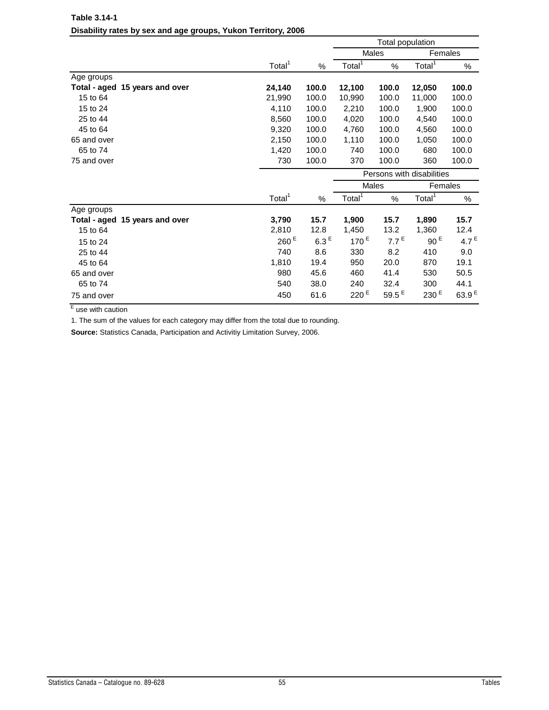|                                |                    |                  |                           | Total population |                    |                  |
|--------------------------------|--------------------|------------------|---------------------------|------------------|--------------------|------------------|
|                                |                    |                  | Males                     |                  | Females            |                  |
|                                | Total <sup>1</sup> | %                | Total <sup>1</sup>        | $\frac{0}{0}$    | Total <sup>1</sup> | %                |
| Age groups                     |                    |                  |                           |                  |                    |                  |
| Total - aged 15 years and over | 24,140             | 100.0            | 12,100                    | 100.0            | 12,050             | 100.0            |
| 15 to 64                       | 21,990             | 100.0            | 10,990                    | 100.0            | 11,000             | 100.0            |
| 15 to 24                       | 4,110              | 100.0            | 2,210                     | 100.0            | 1,900              | 100.0            |
| 25 to 44                       | 8,560              | 100.0            | 4,020                     | 100.0            | 4,540              | 100.0            |
| 45 to 64                       | 9,320              | 100.0            | 4,760                     | 100.0            | 4,560              | 100.0            |
| 65 and over                    | 2,150              | 100.0            | 1,110                     | 100.0            | 1,050              | 100.0            |
| 65 to 74                       | 1,420              | 100.0            | 740                       | 100.0            | 680                | 100.0            |
| 75 and over                    | 730                | 100.0            | 370                       | 100.0            | 360                | 100.0            |
|                                |                    |                  | Persons with disabilities |                  |                    |                  |
|                                |                    |                  | Males                     |                  | Females            |                  |
|                                | Total <sup>1</sup> | %                | Total <sup>1</sup>        | %                | Total <sup>1</sup> | %                |
| Age groups                     |                    |                  |                           |                  |                    |                  |
| Total - aged 15 years and over | 3,790              | 15.7             | 1,900                     | 15.7             | 1,890              | 15.7             |
| 15 to 64                       | 2,810              | 12.8             | 1,450                     | 13.2             | 1,360              | 12.4             |
| 15 to 24                       | $260$ <sup>E</sup> | 6.3 <sup>E</sup> | 170 <sup>E</sup>          | 7.7 <sup>E</sup> | 90 <sup>E</sup>    | 4.7 <sup>E</sup> |
| 25 to 44                       | 740                | 8.6              | 330                       | 8.2              | 410                | 9.0              |
| 45 to 64                       | 1,810              | 19.4             | 950                       | 20.0             | 870                | 19.1             |
| 65 and over                    | 980                | 45.6             | 460                       | 41.4             | 530                | 50.5             |
| 65 to 74                       | 540                | 38.0             | 240                       | 32.4             | 300                | 44.1             |
| 75 and over                    | 450                | 61.6             | 220 <sup>E</sup>          | 59.5 $E$         | 230 <sup>E</sup>   | 63.9 $E$         |

# **Table 3.14-1 Disability rates by sex and age groups, Yukon Territory, 2006**

E use with caution

1. The sum of the values for each category may differ from the total due to rounding.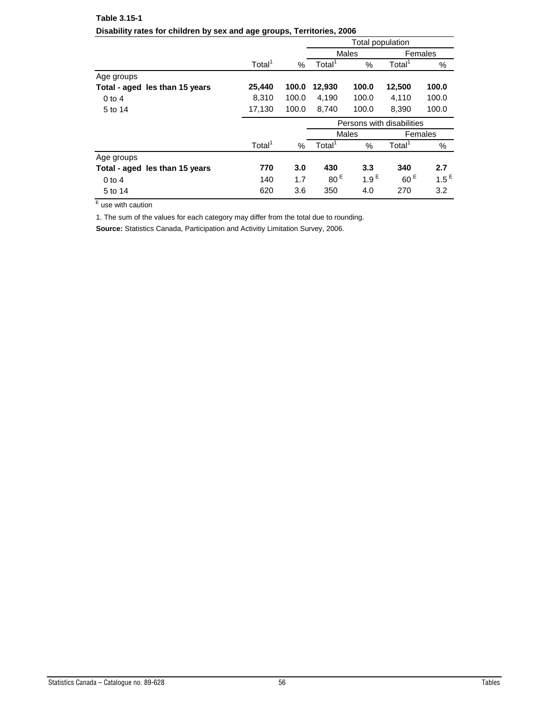|                                |                    |       | Total population          |                  |                    |                  |  |  |
|--------------------------------|--------------------|-------|---------------------------|------------------|--------------------|------------------|--|--|
|                                |                    |       |                           | <b>Males</b>     |                    | Females          |  |  |
|                                | Total <sup>1</sup> | $\%$  | Total <sup>'</sup>        | %                | Total <sup>1</sup> | %                |  |  |
| Age groups                     |                    |       |                           |                  |                    |                  |  |  |
| Total - aged les than 15 years | 25,440             | 100.0 | 12,930                    | 100.0            | 12,500             | 100.0            |  |  |
| $0$ to 4                       | 8.310              | 100.0 | 4,190                     | 100.0            | 4,110              | 100.0            |  |  |
| 5 to 14                        | 17,130             | 100.0 | 8,740                     | 100.0            | 8,390              | 100.0            |  |  |
|                                |                    |       | Persons with disabilities |                  |                    |                  |  |  |
|                                |                    |       |                           | Males            |                    | Females          |  |  |
|                                | Total <sup>1</sup> | $\%$  | Total <sup>'</sup>        | %                | Total <sup>'</sup> | $\%$             |  |  |
| Age groups                     |                    |       |                           |                  |                    |                  |  |  |
| Total - aged les than 15 years | 770                | 3.0   | 430                       | 3.3              | 340                | 2.7              |  |  |
| $0$ to $4$                     | 140                | 1.7   | 80 <sup>E</sup>           | 1.9 <sup>E</sup> | 60 <sup>E</sup>    | 1.5 <sup>E</sup> |  |  |
| 5 to 14                        | 620                | 3.6   | 350                       | 4.0              | 270                | 3.2              |  |  |

# **Table 3.15-1 Disability rates for children by sex and age groups, Territories, 2006**

E use with caution

1. The sum of the values for each category may differ from the total due to rounding.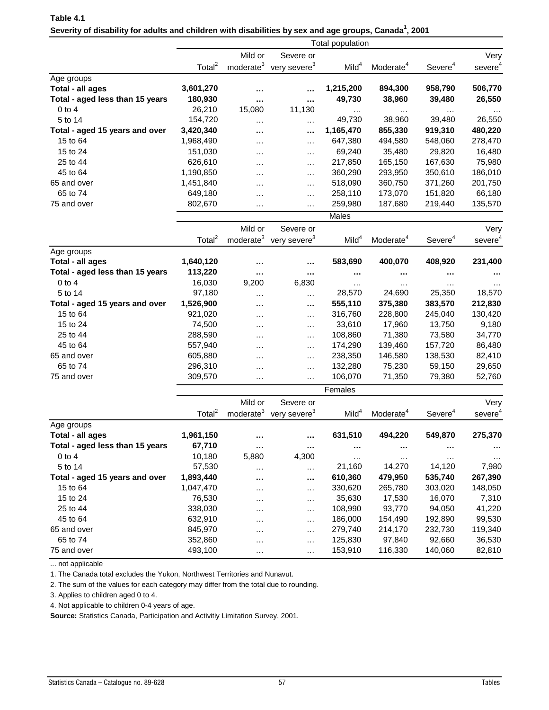| Table 4.1 |  |                                                                                                                    |  |  |
|-----------|--|--------------------------------------------------------------------------------------------------------------------|--|--|
|           |  | Severity of disability for adults and children with disabilities by sex and age groups, Canada <sup>1</sup> , 2001 |  |  |

|                                 |                    |                       |                          | <b>Total population</b> |                       |                     |                     |
|---------------------------------|--------------------|-----------------------|--------------------------|-------------------------|-----------------------|---------------------|---------------------|
|                                 |                    | Mild or               | Severe or                |                         |                       |                     | Very                |
|                                 | Total <sup>2</sup> | moderate <sup>3</sup> | very severe <sup>3</sup> | Mild <sup>4</sup>       | Moderate <sup>4</sup> | Severe <sup>4</sup> | severe <sup>4</sup> |
| Age groups                      |                    |                       |                          |                         |                       |                     |                     |
| Total - all ages                | 3,601,270          |                       |                          | 1,215,200               | 894,300               | 958,790             | 506,770             |
| Total - aged less than 15 years | 180,930            |                       | $\cdots$                 | 49,730                  | 38,960                | 39,480              | 26,550              |
| $0$ to $4$                      | 26,210             | 15,080                | 11,130                   | $\cdots$                | $\cdots$              |                     |                     |
| 5 to 14                         | 154,720            | $\cdots$              | $\cdots$                 | 49,730                  | 38,960                | 39,480              | 26,550              |
| Total - aged 15 years and over  | 3,420,340          |                       | $\cdots$                 | 1,165,470               | 855,330               | 919,310             | 480,220             |
| 15 to 64                        | 1,968,490          | $\cdots$              | $\cdots$                 | 647,380                 | 494,580               | 548,060             | 278,470             |
| 15 to 24                        | 151,030            | $\cdots$              | $\cdots$                 | 69,240                  | 35,480                | 29,820              | 16,480              |
| 25 to 44                        | 626,610            | $\cdots$              | $\cdots$                 | 217,850                 | 165,150               | 167,630             | 75,980              |
| 45 to 64                        | 1,190,850          | $\cdots$              | $\cdots$                 | 360,290                 | 293,950               | 350,610             | 186,010             |
| 65 and over                     | 1,451,840          | .                     |                          | 518,090                 | 360,750               | 371,260             | 201,750             |
| 65 to 74                        | 649,180            |                       | $\cdots$                 | 258,110                 | 173,070               | 151,820             | 66,180              |
| 75 and over                     | 802,670            | $\cdots$              | $\cdots$                 | 259,980                 | 187,680               | 219,440             | 135,570             |
|                                 |                    | $\cdots$              | $\cdots$                 |                         |                       |                     |                     |
|                                 |                    |                       |                          | <b>Males</b>            |                       |                     |                     |
|                                 |                    | Mild or               | Severe or                |                         |                       |                     | Very                |
|                                 | Total $^2$         | moderate <sup>3</sup> | very severe <sup>3</sup> | Mild <sup>4</sup>       | Moderate <sup>4</sup> | Severe <sup>4</sup> | severe <sup>4</sup> |
| Age groups                      |                    |                       |                          |                         |                       |                     |                     |
| Total - all ages                | 1,640,120          |                       |                          | 583,690                 | 400,070               | 408,920             | 231,400             |
| Total - aged less than 15 years | 113,220            |                       | $\cdots$                 |                         | $\cdots$              |                     | $\cdots$            |
| $0$ to $4$                      | 16,030             | 9,200                 | 6,830                    | $\cdots$                |                       | $\cdots$            |                     |
| 5 to 14                         | 97,180             | .                     | $\cdots$                 | 28,570                  | 24,690                | 25,350              | 18,570              |
| Total - aged 15 years and over  | 1,526,900          |                       | $\cdots$                 | 555,110                 | 375,380               | 383,570             | 212,830             |
| 15 to 64                        | 921,020            | $\cdots$              | $\cdots$                 | 316,760                 | 228,800               | 245,040             | 130,420             |
| 15 to 24                        | 74,500             | .                     | $\cdots$                 | 33,610                  | 17,960                | 13,750              | 9,180               |
| 25 to 44                        | 288,590            | $\cdots$              | $\cdots$                 | 108,860                 | 71,380                | 73,580              | 34,770              |
| 45 to 64                        | 557,940            |                       | $\cdots$                 | 174,290                 | 139,460               | 157,720             | 86,480              |
| 65 and over                     | 605,880            | $\cdots$              | $\cdots$                 | 238,350                 | 146,580               | 138,530             | 82,410              |
| 65 to 74                        | 296,310            | $\cdots$              | $\cdots$                 | 132,280                 | 75,230                | 59,150              | 29,650              |
| 75 and over                     | 309,570            | $\cdots$              | $\cdots$                 | 106,070                 | 71,350                | 79,380              | 52,760              |
|                                 |                    |                       |                          | Females                 |                       |                     |                     |
|                                 |                    | Mild or               | Severe or                |                         |                       |                     | Very                |
|                                 | Total <sup>2</sup> |                       |                          | Mild <sup>4</sup>       | Moderate <sup>4</sup> | Severe <sup>4</sup> |                     |
|                                 |                    | moderate <sup>3</sup> | very severe <sup>3</sup> |                         |                       |                     | severe <sup>4</sup> |
| Age groups                      |                    |                       |                          |                         |                       |                     |                     |
| Total - all ages                | 1,961,150          |                       |                          | 631,510                 | 494,220               | 549,870             | 275,370             |
| Total - aged less than 15 years | 67,710             | $\cdots$              | $\cdots$                 |                         |                       |                     |                     |
| $0$ to $4$                      | 10,180             | 5,880                 | 4,300                    | $\cdots$                |                       |                     |                     |
| 5 to 14                         | 57,530             | $\cdots$              | $\cdots$                 | 21,160                  | 14,270                | 14,120              | 7,980               |
| Total - aged 15 years and over  | 1,893,440          |                       | $\cdots$                 | 610,360                 | 479,950               | 535,740             | 267,390             |
| 15 to 64                        | 1,047,470          | $\cdots$              | $\cdots$                 | 330,620                 | 265,780               | 303,020             | 148,050             |
| 15 to 24                        | 76,530             | $\cdots$              | $\cdots$                 | 35,630                  | 17,530                | 16,070              | 7,310               |
| 25 to 44                        | 338,030            | $\cdots$              | $\cdots$                 | 108,990                 | 93,770                | 94,050              | 41,220              |
| 45 to 64                        | 632,910            |                       | $\cdots$                 | 186,000                 | 154,490               | 192,890             | 99,530              |
| 65 and over                     | 845,970            | $\cdots$              | $\cdots$                 | 279,740                 | 214,170               | 232,730             | 119,340             |
| 65 to 74                        | 352,860            | .                     | $\cdots$                 | 125,830                 | 97,840                | 92,660              | 36,530              |
| 75 and over                     | 493,100            |                       |                          | 153,910                 | 116,330               | 140,060             | 82,810              |

... not applicable

1. The Canada total excludes the Yukon, Northwest Territories and Nunavut.

2. The sum of the values for each category may differ from the total due to rounding.

3. Applies to children aged 0 to 4.

4. Not applicable to children 0-4 years of age.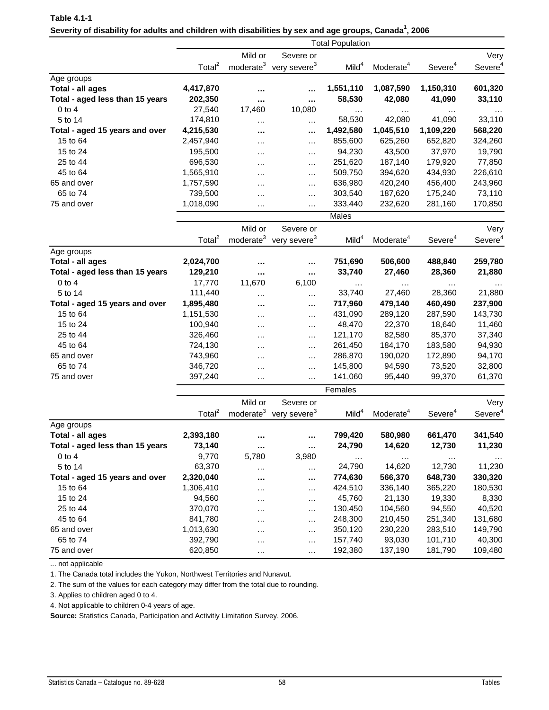| Table 4.1-1 |                                                                                                              |  |  |  |
|-------------|--------------------------------------------------------------------------------------------------------------|--|--|--|
|             | Severity of disability for adults and children with disabilities by sex and age groups, Canada $^1\!$ , 2006 |  |  |  |

|                                 |                    |                       |                          | <b>Total Population</b> |                       |                     |                     |
|---------------------------------|--------------------|-----------------------|--------------------------|-------------------------|-----------------------|---------------------|---------------------|
|                                 |                    | Mild or               | Severe or                |                         |                       |                     | Very                |
|                                 | Total <sup>2</sup> | moderate <sup>3</sup> | very severe <sup>3</sup> | Mild <sup>4</sup>       | Moderate <sup>4</sup> | Severe <sup>4</sup> | Severe <sup>4</sup> |
| Age groups                      |                    |                       |                          |                         |                       |                     |                     |
| Total - all ages                | 4,417,870          |                       |                          | 1,551,110               | 1,087,590             | 1,150,310           | 601,320             |
| Total - aged less than 15 years | 202,350            |                       |                          | 58,530                  | 42,080                | 41,090              | 33,110              |
| $0$ to $4$                      | 27,540             | 17,460                | 10,080                   | $\cdots$                | $\cdots$              |                     |                     |
| 5 to 14                         | 174,810            | $\cdots$              | $\cdots$                 | 58,530                  | 42,080                | 41,090              | 33,110              |
| Total - aged 15 years and over  | 4,215,530          |                       |                          | 1,492,580               | 1,045,510             | 1,109,220           | 568,220             |
| 15 to 64                        | 2,457,940          | .                     | $\cdots$                 | 855,600                 | 625,260               | 652,820             | 324,260             |
| 15 to 24                        | 195,500            | $\cdots$              | $\cdots$                 | 94,230                  | 43,500                | 37,970              | 19,790              |
| 25 to 44                        | 696,530            | $\cdots$              | .                        | 251,620                 | 187,140               | 179,920             | 77,850              |
| 45 to 64                        | 1,565,910          | .                     | $\cdots$                 | 509,750                 | 394,620               | 434,930             | 226,610             |
| 65 and over                     | 1,757,590          | $\cdots$              | $\cdots$                 | 636,980                 | 420,240               | 456,400             | 243,960             |
| 65 to 74                        | 739,500            | .                     | $\cdots$                 | 303,540                 | 187,620               | 175,240             | 73,110              |
| 75 and over                     | 1,018,090          | $\cdots$              | .                        | 333,440                 | 232,620               | 281,160             | 170,850             |
|                                 |                    |                       |                          |                         |                       |                     |                     |
|                                 |                    |                       |                          | Males                   |                       |                     |                     |
|                                 |                    | Mild or               | Severe or                |                         |                       |                     | Very                |
|                                 | Total <sup>2</sup> | moderate <sup>3</sup> | very severe <sup>3</sup> | Mild <sup>4</sup>       | Moderate <sup>4</sup> | Severe <sup>4</sup> | Severe <sup>4</sup> |
| Age groups                      |                    |                       |                          |                         |                       |                     |                     |
| Total - all ages                | 2,024,700          |                       |                          | 751,690                 | 506,600               | 488,840             | 259,780             |
| Total - aged less than 15 years | 129,210            |                       |                          | 33,740                  | 27,460                | 28,360              | 21,880              |
| $0$ to $4$                      | 17,770             | 11,670                | 6,100                    | $\cdots$                | $\cdots$              | $\cdots$            |                     |
| 5 to 14                         | 111,440            | $\cdots$              | $\cdots$                 | 33,740                  | 27,460                | 28,360              | 21,880              |
| Total - aged 15 years and over  | 1,895,480          |                       |                          | 717,960                 | 479,140               | 460,490             | 237,900             |
| 15 to 64                        | 1,151,530          | $\cdots$              | $\cdots$                 | 431,090                 | 289,120               | 287,590             | 143,730             |
| 15 to 24                        | 100,940            | $\cdots$              | $\cdots$                 | 48,470                  | 22,370                | 18,640              | 11,460              |
| 25 to 44                        | 326,460            | .                     | $\cdots$                 | 121,170                 | 82,580                | 85,370              | 37,340              |
| 45 to 64                        | 724,130            | $\cdots$              | $\cdots$                 | 261,450                 | 184,170               | 183,580             | 94,930              |
| 65 and over                     | 743,960            | $\cdots$              | $\cdots$                 | 286,870                 | 190,020               | 172,890             | 94,170              |
| 65 to 74                        | 346,720            | $\cdots$              | .                        | 145,800                 | 94,590                | 73,520              | 32,800              |
| 75 and over                     | 397,240            | $\cdots$              | .                        | 141,060                 | 95,440                | 99,370              | 61,370              |
|                                 |                    |                       |                          |                         |                       |                     |                     |
|                                 |                    |                       |                          | Females                 |                       |                     |                     |
|                                 |                    | Mild or               | Severe or                |                         |                       |                     | Very                |
|                                 | Total <sup>2</sup> | moderate <sup>3</sup> | very severe <sup>3</sup> | Mild <sup>4</sup>       | Moderate <sup>4</sup> | Severe <sup>4</sup> | Severe <sup>4</sup> |
| Age groups                      |                    |                       |                          |                         |                       |                     |                     |
| Total - all ages                | 2,393,180          |                       |                          | 799,420                 | 580,980               | 661,470             | 341,540             |
| Total - aged less than 15 years | 73,140             | $\cdots$              | $\cdots$                 | 24,790                  | 14,620                | 12,730              | 11,230              |
| $0$ to $4$                      | 9,770              | 5,780                 | 3,980                    | $\cdots$                | $\cdots$              |                     |                     |
| 5 to 14                         | 63,370             | $\cdots$              | $\cdots$                 | 24,790                  | 14,620                | 12,730              | 11,230              |
| Total - aged 15 years and over  | 2,320,040          |                       | $\cdots$                 | 774,630                 | 566,370               | 648,730             | 330,320             |
| 15 to 64                        | 1,306,410          | $\cdots$              | $\cdots$                 | 424,510                 | 336,140               | 365,220             | 180,530             |
| 15 to 24                        | 94,560             | $\cdots$              | $\cdots$                 | 45,760                  | 21,130                | 19,330              | 8,330               |
| 25 to 44                        | 370,070            | $\cdots$              | $\cdots$                 | 130,450                 | 104,560               | 94,550              | 40,520              |
| 45 to 64                        | 841,780            | $\cdots$              |                          | 248,300                 | 210,450               | 251,340             | 131,680             |
| 65 and over                     | 1,013,630          | $\cdots$              | $\cdots$                 | 350,120                 | 230,220               | 283,510             | 149,790             |
| 65 to 74                        | 392,790            | $\cdots$              | $\cdots$                 | 157,740                 | 93,030                | 101,710             | 40,300              |
| 75 and over                     | 620,850            | $\cdots$              | $\cdots$                 | 192,380                 | 137,190               | 181,790             | 109,480             |

... not applicable

1. The Canada total includes the Yukon, Northwest Territories and Nunavut.

2. The sum of the values for each category may differ from the total due to rounding.

3. Applies to children aged 0 to 4.

4. Not applicable to children 0-4 years of age.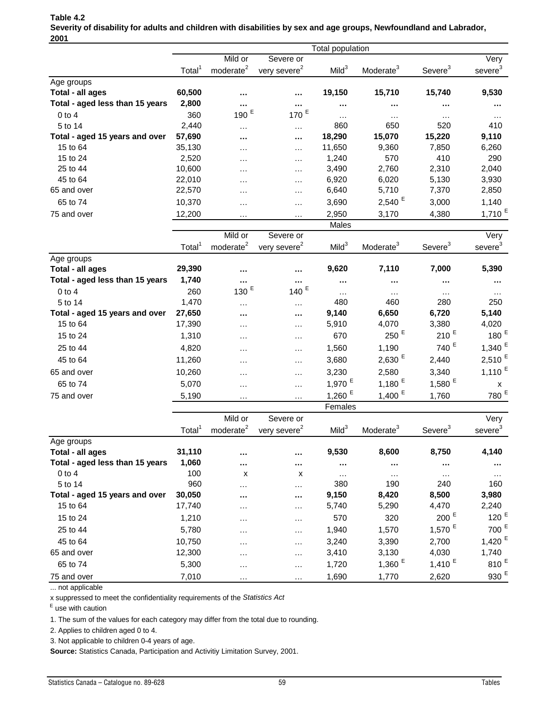| ZUV I                           |                    |                       |                          | <b>Total population</b> |                       |                     |                      |  |  |  |  |  |
|---------------------------------|--------------------|-----------------------|--------------------------|-------------------------|-----------------------|---------------------|----------------------|--|--|--|--|--|
|                                 |                    | Mild or               | Severe or                |                         |                       |                     | Very                 |  |  |  |  |  |
|                                 | Total <sup>1</sup> | moderate $^{2}$       | very severe <sup>2</sup> | Mild <sup>3</sup>       | Moderate <sup>3</sup> | Severe <sup>3</sup> | severe <sup>3</sup>  |  |  |  |  |  |
| Age groups                      |                    |                       |                          |                         |                       |                     |                      |  |  |  |  |  |
| Total - all ages                | 60,500             |                       |                          | 19,150                  | 15,710                | 15,740              | 9,530                |  |  |  |  |  |
| Total - aged less than 15 years | 2,800              | $\cdots$              |                          |                         |                       |                     |                      |  |  |  |  |  |
| $0$ to $4$                      | 360                | 190 $E$               | 170 $E$                  | $\cdots$                | .                     |                     |                      |  |  |  |  |  |
| 5 to 14                         | 2,440              | $\cdots$              | $\cdots$                 | 860                     | 650                   | 520                 | 410                  |  |  |  |  |  |
| Total - aged 15 years and over  | 57,690             |                       |                          | 18,290                  | 15,070                | 15,220              | 9,110                |  |  |  |  |  |
| 15 to 64                        | 35,130             | $\cdots$              | .                        | 11,650                  | 9,360                 | 7,850               | 6,260                |  |  |  |  |  |
| 15 to 24                        | 2,520              | $\cdots$              | $\cdots$                 | 1,240                   | 570                   | 410                 | 290                  |  |  |  |  |  |
| 25 to 44                        | 10,600             | .                     | .                        | 3,490                   | 2,760                 | 2,310               | 2,040                |  |  |  |  |  |
| 45 to 64                        | 22,010             | .                     | .                        | 6,920                   | 6,020                 | 5,130               | 3,930                |  |  |  |  |  |
| 65 and over                     | 22,570             | $\cdots$              | $\cdots$                 | 6,640                   | 5,710                 | 7,370               | 2,850                |  |  |  |  |  |
| 65 to 74                        | 10,370             | $\cdots$              | $\cdots$                 | 3,690                   | $2,540$ <sup>E</sup>  | 3,000               | 1,140                |  |  |  |  |  |
| 75 and over                     | 12,200             | $\cdots$              | .                        | 2,950                   | 3,170                 | 4,380               | $1,710$ <sup>E</sup> |  |  |  |  |  |
|                                 |                    | Males                 |                          |                         |                       |                     |                      |  |  |  |  |  |
|                                 |                    | Mild or               | Severe or                |                         |                       |                     | Very                 |  |  |  |  |  |
|                                 | Total <sup>1</sup> | moderate <sup>2</sup> | very severe <sup>2</sup> | Mild <sup>3</sup>       | Moderate <sup>3</sup> | Severe <sup>3</sup> | severe <sup>3</sup>  |  |  |  |  |  |
| Age groups                      |                    |                       |                          |                         |                       |                     |                      |  |  |  |  |  |
| Total - all ages                | 29,390             |                       |                          | 9,620                   | 7,110                 | 7,000               | 5,390                |  |  |  |  |  |
| Total - aged less than 15 years | 1,740              |                       |                          |                         |                       |                     |                      |  |  |  |  |  |
| $0$ to $4$                      | 260                | 130 $E$               | Е<br>140                 |                         |                       |                     |                      |  |  |  |  |  |
| 5 to 14                         | 1,470              | $\cdots$              | $\cdots$                 | 480                     | 460                   | 280                 | 250                  |  |  |  |  |  |
| Total - aged 15 years and over  | 27,650             |                       | $\cdots$                 | 9,140                   | 6,650                 | 6,720               | 5,140                |  |  |  |  |  |
| 15 to 64                        | 17,390             | $\cdots$              | $\cdots$                 | 5,910                   | 4,070                 | 3,380               | 4,020                |  |  |  |  |  |
| 15 to 24                        | 1,310              | .                     | .                        | 670                     | $250$ <sup>E</sup>    | 210 $E$             | 180 $E$              |  |  |  |  |  |
| 25 to 44                        | 4,820              | .                     | .                        | 1,560                   | 1,190                 | 740 <sup>E</sup>    | 1,340 $E$            |  |  |  |  |  |
| 45 to 64                        | 11,260             | .                     | $\cdots$                 | 3,680                   | 2,630 $E$             | 2,440               | $2,510$ <sup>E</sup> |  |  |  |  |  |
| 65 and over                     | 10,260             | $\cdots$              | $\cdots$                 | 3,230                   | 2,580                 | 3,340               | $1,110$ <sup>E</sup> |  |  |  |  |  |
| 65 to 74                        | 5,070              | $\cdots$              | $\cdots$                 | $1,970$ $^{\rm E}$      | 1,180 $E$             | $1,580$ $^{\rm E}$  | x                    |  |  |  |  |  |
| 75 and over                     | 5,190              | $\cdots$              | $\cdots$                 | $1,260$ <sup>E</sup>    | $1,400$ <sup>E</sup>  | 1,760               | 780 <sup>E</sup>     |  |  |  |  |  |
|                                 |                    |                       |                          | Females                 |                       |                     |                      |  |  |  |  |  |
|                                 |                    | Mild or               | Severe or                |                         |                       |                     | Very                 |  |  |  |  |  |
|                                 | Total <sup>1</sup> | moderate <sup>2</sup> | very severe <sup>2</sup> | Mild <sup>3</sup>       | Moderate <sup>3</sup> | Severe <sup>3</sup> | severe <sup>3</sup>  |  |  |  |  |  |
| Age groups                      |                    |                       |                          |                         |                       |                     |                      |  |  |  |  |  |
| Total - all ages                | 31,110             |                       |                          | 9,530                   | 8,600                 | 8,750               | 4,140                |  |  |  |  |  |
| Total - aged less than 15 years | 1,060              |                       |                          | $\cdots$                | $\cdots$              | $\cdots$            |                      |  |  |  |  |  |
| $0$ to $4$                      | 100                | х                     | х                        | $\cdots$                | $\cdots$              | $\cdots$            | $\cdots$             |  |  |  |  |  |
| 5 to 14                         | 960                | $\cdots$              | $\cdots$                 | 380                     | 190                   | 240                 | 160                  |  |  |  |  |  |
| Total - aged 15 years and over  | 30,050             |                       | $\cdots$                 | 9,150                   | 8,420                 | 8,500               | 3,980                |  |  |  |  |  |
| 15 to 64                        | 17,740             | $\cdots$              | $\cdots$                 | 5,740                   | 5,290                 | 4,470               | 2,240                |  |  |  |  |  |
| 15 to 24                        | 1,210              | $\cdots$              | $\cdots$                 | 570                     | 320                   | $200$ <sup>E</sup>  | 120 $E$              |  |  |  |  |  |
| 25 to 44                        | 5,780              | $\cdots$              |                          | 1,940                   | 1,570                 | 1,570 $E$           | 700 <sup>E</sup>     |  |  |  |  |  |
| 45 to 64                        | 10,750             | $\cdots$              | $\cdots$                 | 3,240                   | 3,390                 | 2,700               | 1,420 $E$            |  |  |  |  |  |
| 65 and over                     | 12,300             | $\cdots$              | $\cdots$                 | 3,410                   | 3,130                 | 4,030               | 1,740                |  |  |  |  |  |
| 65 to 74                        | 5,300              |                       |                          | 1,720                   | 1,360 $E$             | 1,410 $E$           | 810 <sup>E</sup>     |  |  |  |  |  |
| 75 and over                     | 7,010              | $\cdots$              | $\cdots$                 | 1,690                   | 1,770                 | 2,620               | $930$ <sup>E</sup>   |  |  |  |  |  |
|                                 |                    | $\cdots$              | $\cdots$                 |                         |                       |                     |                      |  |  |  |  |  |

#### **Table 4.2 Severity of disability for adults and children with disabilities by sex and age groups, Newfoundland and Labrador, 2001**

... not applicable

x suppressed to meet the confidentiality requirements of the *Statistics Act* 

E use with caution

1. The sum of the values for each category may differ from the total due to rounding.

2. Applies to children aged 0 to 4.

3. Not applicable to children 0-4 years of age.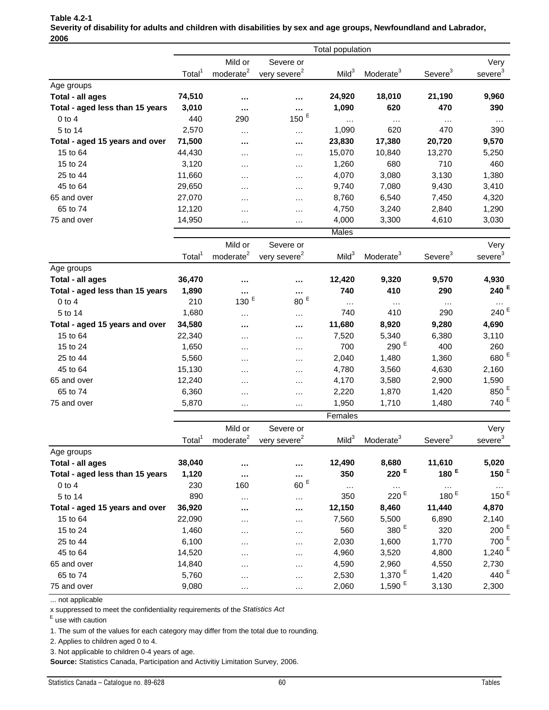|                                 |                    |                       |                          | <b>Total population</b> |                       |                     |                     |
|---------------------------------|--------------------|-----------------------|--------------------------|-------------------------|-----------------------|---------------------|---------------------|
|                                 |                    | Mild or               | Severe or                |                         |                       |                     | Very                |
|                                 | Total <sup>1</sup> | moderate <sup>2</sup> | very severe <sup>2</sup> | Mild <sup>3</sup>       | Moderate <sup>3</sup> | Severe <sup>3</sup> | severe <sup>3</sup> |
| Age groups                      |                    |                       |                          |                         |                       |                     |                     |
| Total - all ages                | 74,510             |                       |                          | 24,920                  | 18,010                | 21,190              | 9,960               |
| Total - aged less than 15 years | 3,010              |                       | $\cdots$                 | 1,090                   | 620                   | 470                 | 390                 |
| $0$ to $4$                      | 440                | 290                   | 150 $E$                  | $\cdots$                | $\cdots$              | $\cdots$            | $\cdots$            |
| 5 to 14                         | 2,570              | $\cdots$              | $\ddotsc$                | 1,090                   | 620                   | 470                 | 390                 |
| Total - aged 15 years and over  | 71,500             | $\cdots$              |                          | 23,830                  | 17,380                | 20,720              | 9,570               |
| 15 to 64                        | 44,430             | $\cdots$              | $\cdots$                 | 15,070                  | 10,840                | 13,270              | 5,250               |
| 15 to 24                        | 3,120              | $\cdots$              | $\cdots$                 | 1,260                   | 680                   | 710                 | 460                 |
| 25 to 44                        | 11,660             | $\cdots$              | $\cdots$                 | 4,070                   | 3,080                 | 3,130               | 1,380               |
| 45 to 64                        | 29,650             | .                     | $\cdots$                 | 9,740                   | 7,080                 | 9,430               | 3,410               |
| 65 and over                     | 27,070             | .                     | $\cdots$                 | 8,760                   | 6,540                 | 7,450               | 4,320               |
| 65 to 74                        | 12,120             | $\cdots$              | $\cdots$                 | 4,750                   | 3,240                 | 2,840               | 1,290               |
| 75 and over                     | 14,950             | $\cdots$              | $\cdots$                 | 4,000                   | 3,300                 | 4,610               | 3,030               |
|                                 |                    |                       |                          | <b>Males</b>            |                       |                     |                     |
|                                 |                    | Mild or               | Severe or                |                         |                       |                     | Very                |
|                                 | Total <sup>1</sup> | moderate <sup>2</sup> | very severe <sup>2</sup> | Mild <sup>3</sup>       | Moderate <sup>3</sup> | Severe <sup>3</sup> | severe <sup>3</sup> |
| Age groups                      |                    |                       |                          |                         |                       |                     |                     |
| Total - all ages                | 36,470             |                       |                          | 12,420                  | 9,320                 | 9,570               | 4,930               |
| Total - aged less than 15 years | 1,890              |                       |                          | 740                     | 410                   | 290                 | 240 <sup>E</sup>    |
| $0$ to $4$                      | 210                | $\cdots$<br>E<br>130  | $\cdots$<br>E<br>80      |                         |                       |                     |                     |
| 5 to 14                         | 1,680              |                       |                          | $\cdots$<br>740         | $\cdots$<br>410       | $\cdots$<br>290     | 240 <sup>E</sup>    |
| Total - aged 15 years and over  | 34,580             | $\cdots$              | $\ddotsc$<br>            | 11,680                  | 8,920                 | 9,280               | 4,690               |
| 15 to 64                        | 22,340             | $\cdots$              |                          | 7,520                   | 5,340                 | 6,380               | 3,110               |
| 15 to 24                        | 1,650              | $\cdots$              | $\cdots$                 | 700                     | 290 <sup>E</sup>      | 400                 | 260                 |
| 25 to 44                        | 5,560              | $\cdots$              | $\cdots$                 | 2,040                   | 1,480                 | 1,360               | 680 <sup>E</sup>    |
| 45 to 64                        | 15,130             | $\cdots$              | $\cdots$                 | 4,780                   | 3,560                 | 4,630               | 2,160               |
| 65 and over                     | 12,240             | .                     | $\cdots$                 | 4,170                   | 3,580                 | 2,900               | 1,590               |
| 65 to 74                        | 6,360              | .                     |                          | 2,220                   | 1,870                 | 1,420               | 850 <sup>E</sup>    |
| 75 and over                     | 5,870              | $\cdots$              | $\cdots$                 | 1,950                   | 1,710                 | 1,480               | 740 <sup>E</sup>    |
|                                 |                    | $\cdots$              | $\ddotsc$                |                         |                       |                     |                     |
|                                 |                    |                       |                          | Females                 |                       |                     |                     |
|                                 |                    | Mild or               | Severe or                |                         |                       |                     | Very                |
|                                 | Total <sup>1</sup> | moderate <sup>2</sup> | very severe <sup>2</sup> | Mild <sup>3</sup>       | Moderate <sup>3</sup> | Severe <sup>3</sup> | severe <sup>3</sup> |
| Age groups                      |                    |                       |                          |                         |                       |                     |                     |
| Total - all ages                | 38,040             |                       |                          | 12,490                  | 8,680                 | 11,610              | 5,020               |
| Total - aged less than 15 years | 1,120              | $\cdots$              | $\cdots$<br>E            | 350                     | $220$ <sup>E</sup>    | 180 $E$             | 150 $E$             |
| $0$ to $4$                      | 230                | 160                   | 60                       | $\cdots$                | $\sim$ $\sim$         | $\cdots$            | $\cdots$            |
| 5 to 14                         | 890                | $\cdots$              | $\cdots$                 | 350                     | 220 <sup>E</sup>      | 180 $E$             | 150 $E$             |
| Total - aged 15 years and over  | 36,920             | $\cdots$              | $\cdots$                 | 12,150                  | 8,460                 | 11,440              | 4,870               |
| 15 to 64                        | 22,090             | $\cdots$              | $\cdots$                 | 7,560                   | 5,500                 | 6,890               | 2,140               |
| 15 to 24                        | 1,460              | $\cdots$              | $\cdots$                 | 560                     | 380 <sup>E</sup>      | 320                 | $200$ <sup>E</sup>  |
| 25 to 44                        | 6,100              | $\cdots$              | $\cdots$                 | 2,030                   | 1,600                 | 1,770               | 700 E               |
| 45 to 64                        | 14,520             | $\cdots$              | .                        | 4,960                   | 3,520                 | 4,800               | 1,240 $E$           |
| 65 and over                     | 14,840             | $\cdots$              | $\cdots$                 | 4,590                   | 2,960                 | 4,550               | 2,730               |
| 65 to 74                        | 5,760              |                       | $\cdots$                 | 2,530                   | 1,370 $E$             | 1,420               | 440 <sup>E</sup>    |
| 75 and over                     | 9,080              | $\cdots$              | $\cdots$                 | 2,060                   | 1,590 $E$             | 3,130               | 2,300               |

#### **Table 4.2-1 Severity of disability for adults and children with disabilities by sex and age groups, Newfoundland and Labrador, 2006**

... not applicable

x suppressed to meet the confidentiality requirements of the *Statistics Act* 

E use with caution

1. The sum of the values for each category may differ from the total due to rounding.

2. Applies to children aged 0 to 4.

3. Not applicable to children 0-4 years of age.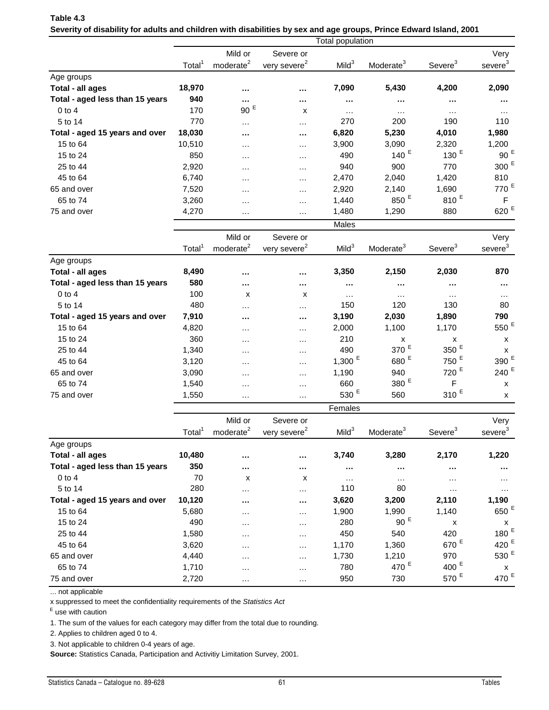| Table 4.3                                                                                                          |
|--------------------------------------------------------------------------------------------------------------------|
| Severity of disability for adults and children with disabilities by sex and age groups, Prince Edward Island, 2001 |

|                                 |                    |                       |                          | Total population  |                       |                     |                     |
|---------------------------------|--------------------|-----------------------|--------------------------|-------------------|-----------------------|---------------------|---------------------|
|                                 |                    | Mild or               | Severe or                |                   |                       |                     | Very                |
|                                 | Total <sup>1</sup> | moderate <sup>2</sup> | very severe <sup>2</sup> | Mild <sup>3</sup> | Moderate <sup>3</sup> | Severe <sup>3</sup> | severe <sup>3</sup> |
| Age groups                      |                    |                       |                          |                   |                       |                     |                     |
| Total - all ages                | 18,970             | $\sim$ $\sim$         | $\sim$ $\sim$            | 7,090             | 5,430                 | 4,200               | 2,090               |
| Total - aged less than 15 years | 940                | $\sim$ $\sim$         | $\cdots$                 | $\cdots$          | $\cdots$              |                     | .                   |
| $0$ to 4                        | 170                | 90 $E$                | x                        | $\cdots$          | $\cdots$              | $\cdots$            | $\cdots$            |
| 5 to 14                         | 770                | $\cdots$              | $\cdots$                 | 270               | 200                   | 190                 | 110                 |
| Total - aged 15 years and over  | 18,030             | $\cdots$              | $\cdots$                 | 6,820             | 5,230                 | 4,010               | 1,980               |
| 15 to 64                        | 10,510             | $\cdots$              | $\cdots$                 | 3,900             | 3,090                 | 2,320               | 1,200               |
| 15 to 24                        | 850                | $\cdots$              | $\cdots$                 | 490               | 140 $E$               | 130 $E$             | 90 $E$              |
| 25 to 44                        | 2,920              | $\cdots$              | $\cdots$                 | 940               | 900                   | 770                 | 300 $E$             |
| 45 to 64                        | 6,740              | $\cdots$              | $\cdots$                 | 2,470             | 2,040                 | 1,420               | 810                 |
| 65 and over                     | 7,520              | $\cdots$              | $\cdots$                 | 2,920             | 2,140                 | 1,690               | 770 <sup>E</sup>    |
| 65 to 74                        | 3,260              | $\cdots$              | $\cdots$                 | 1,440             | 850 <sup>E</sup>      | 810 <sup>E</sup>    | F                   |
| 75 and over                     | 4,270              | $\cdots$              | $\cdots$                 | 1,480             | 1,290                 | 880                 | $620$ <sup>E</sup>  |
|                                 |                    |                       |                          | Males             |                       |                     |                     |

|                                 |                    | Mild or               | Severe or                |                   |                       |                    | Very                |
|---------------------------------|--------------------|-----------------------|--------------------------|-------------------|-----------------------|--------------------|---------------------|
|                                 | Total <sup>1</sup> | moderate <sup>2</sup> | very severe <sup>2</sup> | Mild <sup>3</sup> | Moderate <sup>3</sup> | Severe $3$         | severe <sup>3</sup> |
| Age groups                      |                    |                       |                          |                   |                       |                    |                     |
| Total - all ages                | 8,490              | $\cdots$              | $\sim$ $\sim$            | 3,350             | 2,150                 | 2,030              | 870                 |
| Total - aged less than 15 years | 580                | $\cdots$              | $\cdots$                 | $\sim$ $\sim$     | $\sim$ $\sim$         | $\cdots$           | $\cdots$            |
| $0$ to 4                        | 100                | x                     | x                        | $\cdots$          | $\cdots$              | $\cdots$           | .                   |
| 5 to 14                         | 480                | $\cdots$              | $\cdots$                 | 150               | 120                   | 130                | 80                  |
| Total - aged 15 years and over  | 7,910              | $\sim$ $\sim$         | $\cdots$                 | 3,190             | 2,030                 | 1,890              | 790                 |
| 15 to 64                        | 4,820              | $\cdots$              | $\cdots$                 | 2,000             | 1,100                 | 1,170              | 550 <sup>E</sup>    |
| 15 to 24                        | 360                | $\cdots$              | $\cdots$                 | 210               | x                     | X                  | X                   |
| 25 to 44                        | 1,340              | $\cdots$              | $\cdots$                 | 490               | 370 <sup>E</sup>      | 350 <sup>E</sup>   | X                   |
| 45 to 64                        | 3,120              | $\cdots$              | $\cdots$                 | 1,300 $E$         | 680 <sup>E</sup>      | 750 <sup>E</sup>   | 390 <sup>E</sup>    |
| 65 and over                     | 3,090              | $\cdots$              | $\cdots$                 | 1,190             | 940                   | 720 $E$            | 240 <sup>E</sup>    |
| 65 to 74                        | 1,540              | $\cdots$              | $\cdots$                 | 660               | 380 $E$               | F                  | X                   |
| 75 and over                     | 1,550              | $\cdots$              | $\cdots$                 | 530 $E$           | 560                   | $310$ <sup>E</sup> | X                   |
|                                 |                    |                       |                          | Females           |                       |                    |                     |

|                                 |        |                       |                          | .                 |                       |                     |                           |
|---------------------------------|--------|-----------------------|--------------------------|-------------------|-----------------------|---------------------|---------------------------|
|                                 |        | Mild or               | Severe or                |                   |                       |                     | Very                      |
|                                 | Total  | moderate <sup>2</sup> | very severe <sup>2</sup> | Mild <sup>3</sup> | Moderate <sup>3</sup> | Severe <sup>3</sup> | severe <sup>3</sup>       |
| Age groups                      |        |                       |                          |                   |                       |                     |                           |
| Total - all ages                | 10,480 | $\sim$ $\sim$         | $\sim$ $\sim$            | 3,740             | 3,280                 | 2,170               | 1,220                     |
| Total - aged less than 15 years | 350    | $\cdots$              | $\cdots$                 | $\sim$ $\sim$     | $\cdots$              | $\cdots$            |                           |
| $0$ to 4                        | 70     | x                     | x                        | $\cdots$          | $\cdots$              | $\cdots$            | .                         |
| 5 to 14                         | 280    | $\cdots$              | $\cdots$                 | 110               | 80                    | $\cdots$            | $\cdots$                  |
| Total - aged 15 years and over  | 10,120 | $\cdots$              | $\cdots$                 | 3,620             | 3,200                 | 2,110               | 1,190                     |
| 15 to 64                        | 5,680  | $\cdots$              | $\cdots$                 | 1,900             | 1,990                 | 1,140               | 650 <sup>E</sup>          |
| 15 to 24                        | 490    | $\cdots$              | $\cdots$                 | 280               | 90 $E$                | x                   | $\boldsymbol{\mathsf{x}}$ |
| 25 to 44                        | 1,580  | $\cdots$              | $\cdots$                 | 450               | 540                   | 420                 | 180 <sup>E</sup>          |
| 45 to 64                        | 3,620  | $\cdots$              | $\cdots$                 | 1,170             | 1,360                 | 670 <sup>E</sup>    | 420 $E$                   |
| 65 and over                     | 4,440  | $\cdots$              | $\cdots$                 | 1,730             | 1,210                 | 970                 | 530 $E$                   |
| 65 to 74                        | 1,710  | $\cdots$              | $\cdots$                 | 780               | 470 $E$               | 400 $E$             | $\boldsymbol{\mathsf{x}}$ |
| 75 and over                     | 2,720  | $\cdots$              | $\cdots$                 | 950               | 730                   | 570 $E$             | 470 <sup>E</sup>          |
|                                 |        |                       |                          |                   |                       |                     |                           |

... not applicable

x suppressed to meet the confidentiality requirements of the *Statistics Act* 

E use with caution

1. The sum of the values for each category may differ from the total due to rounding.

2. Applies to children aged 0 to 4.

3. Not applicable to children 0-4 years of age.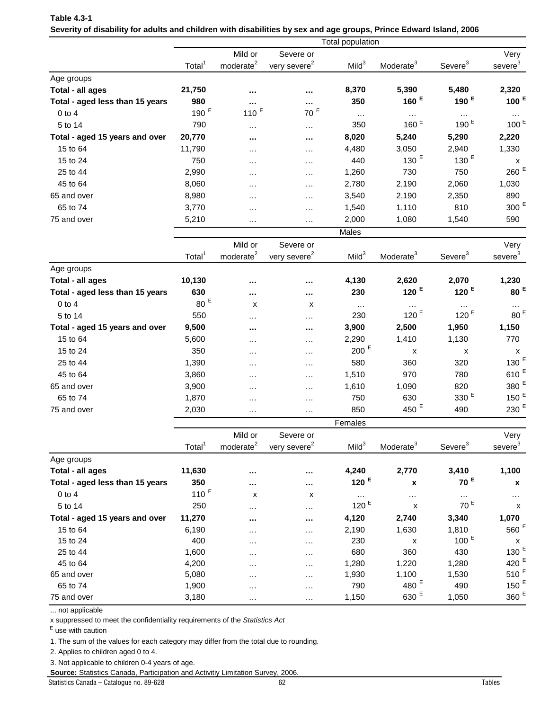| 1 apie 4.3-1                                                                                                       |                    |                       |                          |                   |                       |                     |                     |
|--------------------------------------------------------------------------------------------------------------------|--------------------|-----------------------|--------------------------|-------------------|-----------------------|---------------------|---------------------|
| Severity of disability for adults and children with disabilities by sex and age groups, Prince Edward Island, 2006 |                    |                       |                          |                   |                       |                     |                     |
|                                                                                                                    |                    |                       |                          | Total population  |                       |                     |                     |
|                                                                                                                    |                    | Mild or               | Severe or                |                   |                       |                     | Very                |
|                                                                                                                    | Total <sup>1</sup> | moderate <sup>2</sup> | very severe <sup>2</sup> | Mild <sup>3</sup> | Moderate <sup>3</sup> | Severe <sup>3</sup> | severe <sup>3</sup> |
| Age groups                                                                                                         |                    |                       |                          |                   |                       |                     |                     |
| Total - all ages                                                                                                   | 21,750             | $\cdots$              | $\cdots$                 | 8,370             | 5,390                 | 5.480               | 2,320               |
| Total - aged less than 15 years                                                                                    | 980                | $\cdots$              | $\cdots$                 | 350               | 160 $E$               | 190 $E$             | 100 $E$             |
| $0$ to 4                                                                                                           | 190 $E$            | 110 $E$               | 70 <sup>E</sup>          | $\cdots$          | $\cdots$              | $\cdots$            | $\cdots$            |
| 5 to 14                                                                                                            | 790                | $\cdots$              | $\cdots$                 | 350               | 160 $E$               | 190 $E$             | 100 <sup>E</sup>    |
| Total - aged 15 years and over                                                                                     | 20,770             |                       |                          | 8,020             | 5.240                 | 5.290               | 2,220               |
| 15 to 64                                                                                                           | 11,790             | $\cdots$              | $\cdots$                 | 4,480             | 3,050                 | 2,940               | 1,330               |
| 15 to 24                                                                                                           | 750                | $\cdots$              | $\cdots$                 | 440               | 130 $E$               | 130 $E$             | x                   |
| 25 to 44                                                                                                           | 2,990              | $\cdots$              | $\cdots$                 | 1,260             | 730                   | 750                 | 260 <sup>E</sup>    |

| Table 4.3-1 |                                                                                                                    |  |  |
|-------------|--------------------------------------------------------------------------------------------------------------------|--|--|
|             | Severity of disability for adults and children with disabilities by sex and age groups, Prince Edward Island, 2006 |  |  |

| 45 to 64                        | 8,060              | $\cdots$              | $\cdots$                 | 2,780             | 2,190                 | 2,060               | 1,030                     |
|---------------------------------|--------------------|-----------------------|--------------------------|-------------------|-----------------------|---------------------|---------------------------|
| 65 and over                     | 8,980              | $\cdots$              | $\cdots$                 | 3,540             | 2,190                 | 2,350               | 890                       |
| 65 to 74                        | 3,770              | $\cdots$              | $\cdots$                 | 1,540             | 1,110                 | 810                 | $300$ <sup>E</sup>        |
| 75 and over                     | 5,210              | $\cdots$              | $\cdots$                 | 2,000             | 1,080                 | 1,540               | 590                       |
|                                 |                    |                       |                          | Males             |                       |                     |                           |
|                                 |                    | Mild or               | Severe or                |                   |                       |                     | Very                      |
|                                 | Total <sup>1</sup> | moderate <sup>2</sup> | very severe <sup>2</sup> | Mild <sup>3</sup> | Moderate <sup>3</sup> | Severe <sup>3</sup> | severe <sup>3</sup>       |
| Age groups                      |                    |                       |                          |                   |                       |                     |                           |
| Total - all ages                | 10,130             | $\cdots$              | $\cdots$                 | 4,130             | 2,620                 | 2,070               | 1,230                     |
| Total - aged less than 15 years | 630                | $\cdots$              | $\cdots$                 | 230               | 120 <sup>E</sup>      | 120 $E$             | 80 <sup>E</sup>           |
| $0$ to $4$                      | 80 <sup>E</sup>    | x                     | x                        | $\cdots$          | $\cdots$              | $\cdots$            | $\cdots$                  |
| 5 to 14                         | 550                | $\cdots$              | .                        | 230               | 120 $E$               | 120 $E$             | 80 <sup>E</sup>           |
| Total - aged 15 years and over  | 9,500              | $\cdots$              | $\cdots$                 | 3,900             | 2,500                 | 1,950               | 1,150                     |
| 15 to 64                        | 5,600              | $\cdots$              | $\cdots$                 | 2,290             | 1,410                 | 1,130               | 770                       |
| 15 to 24                        | 350                | $\cdots$              | .                        | 200 $E$           | X                     | x                   | $\boldsymbol{\mathsf{x}}$ |
| 25 to 44                        | 1,390              | $\cdots$              | $\cdots$                 | 580               | 360                   | 320                 | 130 $E$                   |
| 45 to 64                        | 3,860              | $\cdots$              | $\cdots$                 | 1,510             | 970                   | 780                 | 610 $E$                   |
| 65 and over                     | 3,900              | $\cdots$              | $\cdots$                 | 1,610             | 1,090                 | 820                 | 380 <sup>E</sup>          |
| 65 to 74                        | 1,870              | $\cdots$              | $\cdots$                 | 750               | 630                   | 330 $E$             | 150 <sup>E</sup>          |
| 75 and over                     | 2,030              | $\cdots$              | $\cdots$                 | 850               | 450 <sup>E</sup>      | 490                 | $230$ <sup>E</sup>        |
|                                 |                    |                       |                          | Females           |                       |                     |                           |

|                                 | Total <sup>1</sup> | Mild or<br>moderate <sup>2</sup> | Severe or<br>very severe <sup>2</sup> | Mild <sup>3</sup> | Moderate <sup>3</sup> | Severe <sup>3</sup> | Very<br>severe <sup>3</sup> |
|---------------------------------|--------------------|----------------------------------|---------------------------------------|-------------------|-----------------------|---------------------|-----------------------------|
| Age groups                      |                    |                                  |                                       |                   |                       |                     |                             |
| Total - all ages                | 11,630             | $\cdots$                         | $\cdots$                              | 4,240             | 2,770                 | 3,410               | 1,100                       |
| Total - aged less than 15 years | 350                | $\cdots$                         | $\cdots$                              | 120 $E$           | X                     | 70 <sup>E</sup>     | $\boldsymbol{x}$            |
| $0$ to 4                        | 110 $E$            | X                                | x                                     | $\cdots$          | $\cdots$              | $\cdots$            | .                           |
| 5 to 14                         | 250                | $\cdots$                         | $\cdots$                              | 120 <sup>E</sup>  | X                     | 70 <sup>E</sup>     | X                           |
| Total - aged 15 years and over  | 11,270             | $\cdots$                         | $\cdots$                              | 4,120             | 2,740                 | 3,340               | 1,070                       |
| 15 to 64                        | 6,190              | $\cdots$                         | $\cdots$                              | 2,190             | 1,630                 | 1,810               | 560 <sup>E</sup>            |
| 15 to 24                        | 400                | $\cdots$                         | $\cdots$                              | 230               | x                     | 100 $E$             | x                           |
| 25 to 44                        | 1,600              | $\cdots$                         | $\cdots$                              | 680               | 360                   | 430                 | $130$ <sup>E</sup>          |
| 45 to 64                        | 4,200              | $\cdots$                         | $\cdots$                              | 1,280             | 1,220                 | 1,280               | 420 $E$                     |
| 65 and over                     | 5,080              | $\cdots$                         | $\cdots$                              | 1,930             | 1,100                 | 1,530               | 510 $E$                     |
| 65 to 74                        | 1,900              | $\cdots$                         | $\cdots$                              | 790               | 480 $E$               | 490                 | 150 $E$                     |
| 75 and over                     | 3,180              | $\cdots$                         | $\cdots$                              | 1,150             | 630 <sup>E</sup>      | 1,050               | 360 $E$                     |

... not applicable

x suppressed to meet the confidentiality requirements of the *Statistics Act* 

E use with caution

1. The sum of the values for each category may differ from the total due to rounding.

2. Applies to children aged 0 to 4.

3. Not applicable to children 0-4 years of age.

**Source:** Statistics Canada, Participation and Activitiy Limitation Survey, 2006.

Statistics Canada – Catalogue no. 89-628 62 62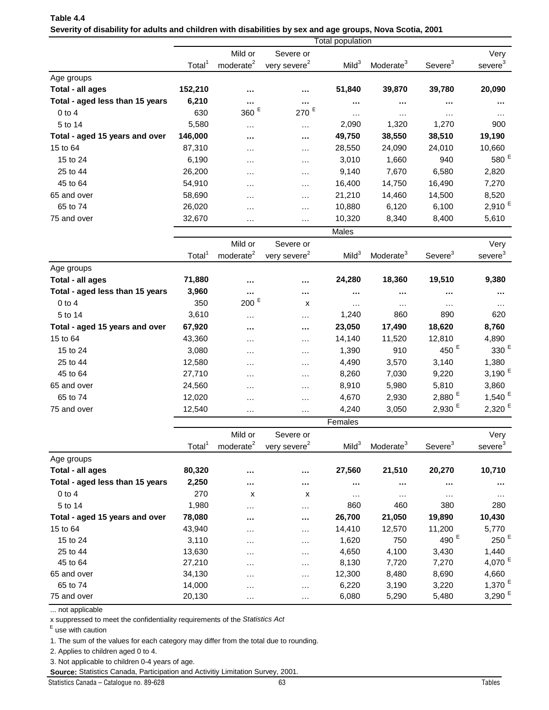|                                 |                    |                       |                          | Total population  |                       |                      |                      |
|---------------------------------|--------------------|-----------------------|--------------------------|-------------------|-----------------------|----------------------|----------------------|
|                                 |                    | Mild or               | Severe or                |                   |                       |                      | Very                 |
|                                 | Total <sup>1</sup> | moderate <sup>2</sup> | very severe <sup>2</sup> | Mild <sup>3</sup> | Moderate <sup>3</sup> | Severe <sup>3</sup>  | severe <sup>3</sup>  |
| Age groups                      |                    |                       |                          |                   |                       |                      |                      |
| Total - all ages                | 152,210            |                       |                          | 51,840            | 39,870                | 39,780               | 20,090               |
| Total - aged less than 15 years | 6,210              |                       |                          |                   |                       | $\cdots$             |                      |
| $0$ to $4$                      | 630                | $360$ $^{\rm E}$      | $270$ <sup>E</sup>       | $\cdots$          | $\cdots$              | $\cdots$             |                      |
| 5 to 14                         | 5,580              | $\cdots$              | $\cdots$                 | 2,090             | 1,320                 | 1,270                | 900                  |
| Total - aged 15 years and over  | 146,000            |                       |                          | 49,750            | 38,550                | 38,510               | 19,190               |
| 15 to 64                        | 87,310             | $\cdots$              | $\cdots$                 | 28,550            | 24,090                | 24,010               | 10,660               |
| 15 to 24                        | 6,190              | $\cdots$              | $\cdots$                 | 3,010             | 1,660                 | 940                  | 580 $E$              |
| 25 to 44                        | 26,200             | $\cdots$              | $\cdots$                 | 9,140             | 7,670                 | 6,580                | 2,820                |
| 45 to 64                        | 54,910             | .                     | $\cdots$                 | 16,400            | 14,750                | 16,490               | 7,270                |
| 65 and over                     | 58,690             | .                     | .                        | 21,210            | 14,460                | 14,500               | 8,520                |
| 65 to 74                        | 26,020             | $\cdots$              | $\cdots$                 | 10,880            | 6,120                 | 6,100                | $2,910$ <sup>E</sup> |
| 75 and over                     | 32,670             | $\cdots$              |                          | 10,320            | 8,340                 | 8,400                | 5,610                |
|                                 |                    |                       |                          | Males             |                       |                      |                      |
|                                 |                    | Mild or               | Severe or                |                   |                       |                      | Very                 |
|                                 | Total <sup>1</sup> | moderate <sup>2</sup> | very severe <sup>2</sup> | Mild <sup>3</sup> | Moderate <sup>3</sup> | Severe <sup>3</sup>  | severe <sup>3</sup>  |
| Age groups                      |                    |                       |                          |                   |                       |                      |                      |
| Total - all ages                | 71,880             |                       |                          | 24,280            | 18,360                | 19,510               | 9,380                |
| Total - aged less than 15 years | 3,960              |                       |                          |                   |                       |                      |                      |
| $0$ to $4$                      | 350                | $200$ <sup>E</sup>    | <br>X                    |                   |                       |                      |                      |
| 5 to 14                         | 3,610              |                       |                          | $\cdots$<br>1,240 | $\cdots$<br>860       | $\cdots$<br>890      | $\cdots$<br>620      |
| Total - aged 15 years and over  | 67,920             | .                     | $\cdots$<br>             | 23,050            | 17,490                | 18,620               | 8,760                |
| 15 to 64                        | 43,360             |                       |                          | 14,140            | 11,520                | 12,810               | 4,890                |
| 15 to 24                        | 3,080              | $\cdots$              | $\cdots$                 | 1,390             | 910                   | 450 <sup>E</sup>     | 330 $E$              |
| 25 to 44                        | 12,580             | $\cdots$              | $\cdots$                 | 4,490             | 3,570                 | 3,140                | 1,380                |
| 45 to 64                        | 27,710             | .                     | $\cdots$                 | 8,260             | 7,030                 | 9,220                | 3,190 $E$            |
| 65 and over                     | 24,560             | $\cdots$              | $\cdots$                 | 8,910             | 5,980                 | 5,810                | 3,860                |
| 65 to 74                        | 12,020             | $\cdots$              | $\cdots$                 | 4,670             | 2,930                 | $2,880$ <sup>E</sup> | 1,540 $^{\circ}$     |
| 75 and over                     | 12,540             | $\cdots$              | $\cdots$                 | 4,240             | 3,050                 | 2,930 <sup>E</sup>   | $2,320$ <sup>E</sup> |
|                                 |                    |                       |                          |                   |                       |                      |                      |
|                                 |                    |                       |                          | Females           |                       |                      |                      |
|                                 |                    | Mild or               | Severe or                |                   |                       |                      | Very                 |
|                                 | Total <sup>1</sup> | moderate <sup>2</sup> | very severe <sup>2</sup> | Mild <sup>3</sup> | Moderate <sup>3</sup> | Severe <sup>3</sup>  | severe <sup>3</sup>  |
| Age groups                      |                    |                       |                          |                   |                       |                      |                      |
| Total - all ages                | 80,320             |                       |                          | 27,560            | 21,510                | 20,270               | 10,710               |
| Total - aged less than 15 years | 2,250              |                       |                          | $\cdots$          |                       | $\cdots$             |                      |
| $0$ to $4$                      | 270                | х                     | х                        | $\cdots$          | $\cdots$              | $\cdots$             | $\cdots$             |
| 5 to 14                         | 1,980              | .                     | $\cdots$                 | 860               | 460                   | 380                  | 280                  |
| Total - aged 15 years and over  | 78,080             |                       | $\cdots$                 | 26,700            | 21,050                | 19,890               | 10,430               |
| 15 to 64                        | 43,940             | $\cdots$              | $\cdots$                 | 14,410            | 12,570                | 11,200               | 5,770                |
| 15 to 24                        | 3,110              | .                     | $\cdots$                 | 1,620             | 750                   | 490 <sup>E</sup>     | $250$ <sup>E</sup>   |
| 25 to 44                        | 13,630             | .                     | $\cdots$                 | 4,650             | 4,100                 | 3,430                | 1,440                |
| 45 to 64                        | 27,210             | .                     | $\cdots$                 | 8,130             | 7,720                 | 7,270                | 4,070 $E$            |
| 65 and over                     | 34,130             | .                     | $\cdots$                 | 12,300            | 8,480                 | 8,690                | 4,660                |

## **Table 4.4 Severity of disability for adults and children with disabilities by sex and age groups, Nova Scotia, 2001**

... not applicable

x suppressed to meet the confidentiality requirements of the *Statistics Act* 

E use with caution

1. The sum of the values for each category may differ from the total due to rounding.

2. Applies to children aged 0 to 4.

3. Not applicable to children 0-4 years of age.

**Source:** Statistics Canada, Participation and Activitiy Limitation Survey, 2001.

Statistics Canada – Catalogue no. 89-628 63 Tables

65 to 74 14,000 … … 6,220 3,190 3,220 1,370 <sup>E</sup>  $75$  and over  $20,130$  …  $3,290$   $5,290$   $5,480$   $3,290$   $5$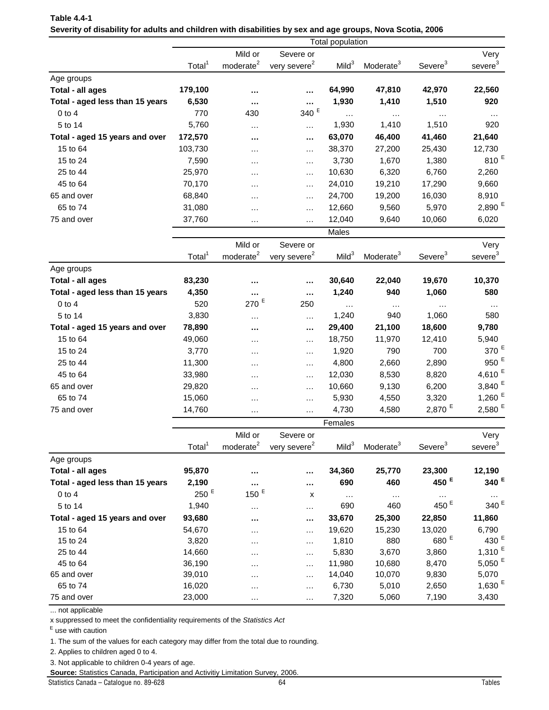| Mild or<br>Very<br>Severe or<br>moderate <sup>2</sup><br>Severe <sup>3</sup><br>severe <sup>3</sup><br>Total <sup>1</sup><br>Mild <sup>3</sup><br>Moderate <sup>3</sup><br>very severe <sup>2</sup><br>179,100<br>64,990<br>47,810<br>42,970<br>22,560<br>Total - all ages<br><br>$\cdots$<br>6,530<br>1,930<br>1,410<br>1,510<br>920<br>Total - aged less than 15 years<br><br><br>$340$ $^{\rm E}$<br>770<br>$0$ to $4$<br>430<br>.<br>$\cdots$<br>$\cdots$<br>5,760<br>1,930<br>1,410<br>1,510<br>920<br>5 to 14<br>$\cdots$<br>$\cdots$<br>172,570<br>63,070<br>46,400<br>41,460<br>21,640<br>Total - aged 15 years and over<br><br><br>15 to 64<br>103,730<br>38,370<br>27,200<br>25,430<br>12,730<br>$\cdots$<br>$\cdots$<br>15 to 24<br>7,590<br>3,730<br>1,670<br>1,380<br>$\cdots$<br>$\cdots$<br>25 to 44<br>6,320<br>2,260<br>25,970<br>10,630<br>6,760<br>$\cdots$<br>$\cdots$<br>45 to 64<br>70,170<br>24,010<br>19,210<br>17,290<br>9,660<br>$\cdots$<br>$\cdots$<br>8,910<br>65 and over<br>68,840<br>24,700<br>19,200<br>16,030<br>$\cdots$<br>$\cdots$<br>$2,890$ <sup>E</sup><br>5,970<br>65 to 74<br>31,080<br>12,660<br>9,560<br>$\cdots$<br>$\cdots$<br>75 and over<br>37,760<br>12,040<br>9,640<br>10,060<br>6,020<br>$\cdots$<br>$\cdots$<br>Males<br>Mild or<br>Very<br>Severe or<br>moderate <sup>2</sup><br>severe <sup>3</sup><br>Mild <sup>3</sup><br>Severe <sup>3</sup><br>Total <sup>1</sup><br>very severe <sup>2</sup><br>Moderate <sup>3</sup><br>Age groups<br>83,230<br>22,040<br>19,670<br>10,370<br>Total - all ages<br>30,640<br><br><br>4,350<br>940<br>1,060<br>580<br>Total - aged less than 15 years<br>1,240<br><br><br>E<br>270<br>520<br>$0$ to $4$<br>250<br>.<br>$\cdots$<br>.<br>3,830<br>1,240<br>940<br>1,060<br>580<br>5 to 14<br>$\cdots$<br>$\cdots$<br>78,890<br>21,100<br>18,600<br>9,780<br>Total - aged 15 years and over<br>29,400<br>$\cdots$<br><br>15 to 64<br>49,060<br>18,750<br>11,970<br>12,410<br>5,940<br>.<br>$\cdots$<br>370 <sup>E</sup><br>790<br>700<br>15 to 24<br>3,770<br>1,920<br>$\cdots$<br>$\cdots$<br>950 <sup>E</sup><br>25 to 44<br>11,300<br>4,800<br>2,660<br>2,890<br>$\cdots$<br>$\cdots$<br>4,610 $E$<br>45 to 64<br>8,530<br>8,820<br>33,980<br>12,030<br>$\cdots$<br>$\cdots$<br>3,840 $E$<br>65 and over<br>10,660<br>9,130<br>6,200<br>29,820<br>$\cdots$<br>$\cdots$<br>1,260 $E$<br>3,320<br>65 to 74<br>5,930<br>4,550<br>15,060<br>$\cdots$<br>$\cdots$<br>2,870 <sup>E</sup><br>2,580 $E$<br>75 and over<br>14,760<br>4,730<br>4,580<br>$\cdots$<br>$\cdots$<br>Females<br>Mild or<br>Severe or<br>Very<br>Severe <sup>3</sup><br>severe <sup>3</sup><br>Total <sup>1</sup><br>moderate <sup>2</sup><br>Mild <sup>3</sup><br>Moderate <sup>3</sup><br>very severe <sup>2</sup><br>Total - all ages<br>95,870<br>25,770<br>23,300<br>12,190<br>34,360<br>$\cdots$<br>450 <sup>E</sup><br>460<br>Total - aged less than 15 years<br>2,190<br>690<br><br>250 <sup>E</sup><br>E<br>150<br>$0$ to $4$<br>x<br>$\cdots$<br>$\cdots$<br>450 <sup>E</sup><br>1,940<br>460<br>5 to 14<br>690<br>$\cdots$<br>$\cdots$<br>93,680<br>33,670<br>25,300<br>22,850<br>11,860<br>Total - aged 15 years and over<br><br><br>13,020<br>6,790<br>15 to 64<br>54,670<br>19,620<br>15,230<br>$\cdots$<br>$\cdots$<br>680 <sup>E</sup><br>880<br>15 to 24<br>3,820<br>1,810<br>$\cdots$<br>$\cdots$<br>25 to 44<br>14,660<br>5,830<br>3,670<br>3,860<br>$\cdots$<br>$\cdots$<br>45 to 64<br>36,190<br>10,680<br>8,470<br>11,980<br>$\cdots$<br>$\cdots$<br>5,070<br>14,040<br>10,070<br>39,010<br>9,830<br>$\cdots$<br>$\cdots$<br>65 to 74<br>16,020<br>6,730<br>2,650<br>5,010<br>$\cdots$<br>$\cdots$ |             |  | Total population |  |                 |
|-------------------------------------------------------------------------------------------------------------------------------------------------------------------------------------------------------------------------------------------------------------------------------------------------------------------------------------------------------------------------------------------------------------------------------------------------------------------------------------------------------------------------------------------------------------------------------------------------------------------------------------------------------------------------------------------------------------------------------------------------------------------------------------------------------------------------------------------------------------------------------------------------------------------------------------------------------------------------------------------------------------------------------------------------------------------------------------------------------------------------------------------------------------------------------------------------------------------------------------------------------------------------------------------------------------------------------------------------------------------------------------------------------------------------------------------------------------------------------------------------------------------------------------------------------------------------------------------------------------------------------------------------------------------------------------------------------------------------------------------------------------------------------------------------------------------------------------------------------------------------------------------------------------------------------------------------------------------------------------------------------------------------------------------------------------------------------------------------------------------------------------------------------------------------------------------------------------------------------------------------------------------------------------------------------------------------------------------------------------------------------------------------------------------------------------------------------------------------------------------------------------------------------------------------------------------------------------------------------------------------------------------------------------------------------------------------------------------------------------------------------------------------------------------------------------------------------------------------------------------------------------------------------------------------------------------------------------------------------------------------------------------------------------------------------------------------------------------------------------------------------------------------------------------------------------------------------------------------------------------------------------------------------------------------------------------------------------------------------------------------------------------------------------------------------------------------------------------------------------------------------------------------------------------------------------------------------------------------------------------------------------------------------------------------------------|-------------|--|------------------|--|-----------------|
|                                                                                                                                                                                                                                                                                                                                                                                                                                                                                                                                                                                                                                                                                                                                                                                                                                                                                                                                                                                                                                                                                                                                                                                                                                                                                                                                                                                                                                                                                                                                                                                                                                                                                                                                                                                                                                                                                                                                                                                                                                                                                                                                                                                                                                                                                                                                                                                                                                                                                                                                                                                                                                                                                                                                                                                                                                                                                                                                                                                                                                                                                                                                                                                                                                                                                                                                                                                                                                                                                                                                                                                                                                                                                     |             |  |                  |  |                 |
|                                                                                                                                                                                                                                                                                                                                                                                                                                                                                                                                                                                                                                                                                                                                                                                                                                                                                                                                                                                                                                                                                                                                                                                                                                                                                                                                                                                                                                                                                                                                                                                                                                                                                                                                                                                                                                                                                                                                                                                                                                                                                                                                                                                                                                                                                                                                                                                                                                                                                                                                                                                                                                                                                                                                                                                                                                                                                                                                                                                                                                                                                                                                                                                                                                                                                                                                                                                                                                                                                                                                                                                                                                                                                     |             |  |                  |  |                 |
|                                                                                                                                                                                                                                                                                                                                                                                                                                                                                                                                                                                                                                                                                                                                                                                                                                                                                                                                                                                                                                                                                                                                                                                                                                                                                                                                                                                                                                                                                                                                                                                                                                                                                                                                                                                                                                                                                                                                                                                                                                                                                                                                                                                                                                                                                                                                                                                                                                                                                                                                                                                                                                                                                                                                                                                                                                                                                                                                                                                                                                                                                                                                                                                                                                                                                                                                                                                                                                                                                                                                                                                                                                                                                     | Age groups  |  |                  |  |                 |
|                                                                                                                                                                                                                                                                                                                                                                                                                                                                                                                                                                                                                                                                                                                                                                                                                                                                                                                                                                                                                                                                                                                                                                                                                                                                                                                                                                                                                                                                                                                                                                                                                                                                                                                                                                                                                                                                                                                                                                                                                                                                                                                                                                                                                                                                                                                                                                                                                                                                                                                                                                                                                                                                                                                                                                                                                                                                                                                                                                                                                                                                                                                                                                                                                                                                                                                                                                                                                                                                                                                                                                                                                                                                                     |             |  |                  |  |                 |
|                                                                                                                                                                                                                                                                                                                                                                                                                                                                                                                                                                                                                                                                                                                                                                                                                                                                                                                                                                                                                                                                                                                                                                                                                                                                                                                                                                                                                                                                                                                                                                                                                                                                                                                                                                                                                                                                                                                                                                                                                                                                                                                                                                                                                                                                                                                                                                                                                                                                                                                                                                                                                                                                                                                                                                                                                                                                                                                                                                                                                                                                                                                                                                                                                                                                                                                                                                                                                                                                                                                                                                                                                                                                                     |             |  |                  |  |                 |
|                                                                                                                                                                                                                                                                                                                                                                                                                                                                                                                                                                                                                                                                                                                                                                                                                                                                                                                                                                                                                                                                                                                                                                                                                                                                                                                                                                                                                                                                                                                                                                                                                                                                                                                                                                                                                                                                                                                                                                                                                                                                                                                                                                                                                                                                                                                                                                                                                                                                                                                                                                                                                                                                                                                                                                                                                                                                                                                                                                                                                                                                                                                                                                                                                                                                                                                                                                                                                                                                                                                                                                                                                                                                                     |             |  |                  |  |                 |
|                                                                                                                                                                                                                                                                                                                                                                                                                                                                                                                                                                                                                                                                                                                                                                                                                                                                                                                                                                                                                                                                                                                                                                                                                                                                                                                                                                                                                                                                                                                                                                                                                                                                                                                                                                                                                                                                                                                                                                                                                                                                                                                                                                                                                                                                                                                                                                                                                                                                                                                                                                                                                                                                                                                                                                                                                                                                                                                                                                                                                                                                                                                                                                                                                                                                                                                                                                                                                                                                                                                                                                                                                                                                                     |             |  |                  |  |                 |
|                                                                                                                                                                                                                                                                                                                                                                                                                                                                                                                                                                                                                                                                                                                                                                                                                                                                                                                                                                                                                                                                                                                                                                                                                                                                                                                                                                                                                                                                                                                                                                                                                                                                                                                                                                                                                                                                                                                                                                                                                                                                                                                                                                                                                                                                                                                                                                                                                                                                                                                                                                                                                                                                                                                                                                                                                                                                                                                                                                                                                                                                                                                                                                                                                                                                                                                                                                                                                                                                                                                                                                                                                                                                                     |             |  |                  |  |                 |
|                                                                                                                                                                                                                                                                                                                                                                                                                                                                                                                                                                                                                                                                                                                                                                                                                                                                                                                                                                                                                                                                                                                                                                                                                                                                                                                                                                                                                                                                                                                                                                                                                                                                                                                                                                                                                                                                                                                                                                                                                                                                                                                                                                                                                                                                                                                                                                                                                                                                                                                                                                                                                                                                                                                                                                                                                                                                                                                                                                                                                                                                                                                                                                                                                                                                                                                                                                                                                                                                                                                                                                                                                                                                                     |             |  |                  |  |                 |
|                                                                                                                                                                                                                                                                                                                                                                                                                                                                                                                                                                                                                                                                                                                                                                                                                                                                                                                                                                                                                                                                                                                                                                                                                                                                                                                                                                                                                                                                                                                                                                                                                                                                                                                                                                                                                                                                                                                                                                                                                                                                                                                                                                                                                                                                                                                                                                                                                                                                                                                                                                                                                                                                                                                                                                                                                                                                                                                                                                                                                                                                                                                                                                                                                                                                                                                                                                                                                                                                                                                                                                                                                                                                                     |             |  |                  |  | 810 $E$         |
|                                                                                                                                                                                                                                                                                                                                                                                                                                                                                                                                                                                                                                                                                                                                                                                                                                                                                                                                                                                                                                                                                                                                                                                                                                                                                                                                                                                                                                                                                                                                                                                                                                                                                                                                                                                                                                                                                                                                                                                                                                                                                                                                                                                                                                                                                                                                                                                                                                                                                                                                                                                                                                                                                                                                                                                                                                                                                                                                                                                                                                                                                                                                                                                                                                                                                                                                                                                                                                                                                                                                                                                                                                                                                     |             |  |                  |  |                 |
|                                                                                                                                                                                                                                                                                                                                                                                                                                                                                                                                                                                                                                                                                                                                                                                                                                                                                                                                                                                                                                                                                                                                                                                                                                                                                                                                                                                                                                                                                                                                                                                                                                                                                                                                                                                                                                                                                                                                                                                                                                                                                                                                                                                                                                                                                                                                                                                                                                                                                                                                                                                                                                                                                                                                                                                                                                                                                                                                                                                                                                                                                                                                                                                                                                                                                                                                                                                                                                                                                                                                                                                                                                                                                     |             |  |                  |  |                 |
|                                                                                                                                                                                                                                                                                                                                                                                                                                                                                                                                                                                                                                                                                                                                                                                                                                                                                                                                                                                                                                                                                                                                                                                                                                                                                                                                                                                                                                                                                                                                                                                                                                                                                                                                                                                                                                                                                                                                                                                                                                                                                                                                                                                                                                                                                                                                                                                                                                                                                                                                                                                                                                                                                                                                                                                                                                                                                                                                                                                                                                                                                                                                                                                                                                                                                                                                                                                                                                                                                                                                                                                                                                                                                     |             |  |                  |  |                 |
|                                                                                                                                                                                                                                                                                                                                                                                                                                                                                                                                                                                                                                                                                                                                                                                                                                                                                                                                                                                                                                                                                                                                                                                                                                                                                                                                                                                                                                                                                                                                                                                                                                                                                                                                                                                                                                                                                                                                                                                                                                                                                                                                                                                                                                                                                                                                                                                                                                                                                                                                                                                                                                                                                                                                                                                                                                                                                                                                                                                                                                                                                                                                                                                                                                                                                                                                                                                                                                                                                                                                                                                                                                                                                     |             |  |                  |  |                 |
|                                                                                                                                                                                                                                                                                                                                                                                                                                                                                                                                                                                                                                                                                                                                                                                                                                                                                                                                                                                                                                                                                                                                                                                                                                                                                                                                                                                                                                                                                                                                                                                                                                                                                                                                                                                                                                                                                                                                                                                                                                                                                                                                                                                                                                                                                                                                                                                                                                                                                                                                                                                                                                                                                                                                                                                                                                                                                                                                                                                                                                                                                                                                                                                                                                                                                                                                                                                                                                                                                                                                                                                                                                                                                     |             |  |                  |  |                 |
|                                                                                                                                                                                                                                                                                                                                                                                                                                                                                                                                                                                                                                                                                                                                                                                                                                                                                                                                                                                                                                                                                                                                                                                                                                                                                                                                                                                                                                                                                                                                                                                                                                                                                                                                                                                                                                                                                                                                                                                                                                                                                                                                                                                                                                                                                                                                                                                                                                                                                                                                                                                                                                                                                                                                                                                                                                                                                                                                                                                                                                                                                                                                                                                                                                                                                                                                                                                                                                                                                                                                                                                                                                                                                     |             |  |                  |  |                 |
|                                                                                                                                                                                                                                                                                                                                                                                                                                                                                                                                                                                                                                                                                                                                                                                                                                                                                                                                                                                                                                                                                                                                                                                                                                                                                                                                                                                                                                                                                                                                                                                                                                                                                                                                                                                                                                                                                                                                                                                                                                                                                                                                                                                                                                                                                                                                                                                                                                                                                                                                                                                                                                                                                                                                                                                                                                                                                                                                                                                                                                                                                                                                                                                                                                                                                                                                                                                                                                                                                                                                                                                                                                                                                     |             |  |                  |  |                 |
|                                                                                                                                                                                                                                                                                                                                                                                                                                                                                                                                                                                                                                                                                                                                                                                                                                                                                                                                                                                                                                                                                                                                                                                                                                                                                                                                                                                                                                                                                                                                                                                                                                                                                                                                                                                                                                                                                                                                                                                                                                                                                                                                                                                                                                                                                                                                                                                                                                                                                                                                                                                                                                                                                                                                                                                                                                                                                                                                                                                                                                                                                                                                                                                                                                                                                                                                                                                                                                                                                                                                                                                                                                                                                     |             |  |                  |  |                 |
|                                                                                                                                                                                                                                                                                                                                                                                                                                                                                                                                                                                                                                                                                                                                                                                                                                                                                                                                                                                                                                                                                                                                                                                                                                                                                                                                                                                                                                                                                                                                                                                                                                                                                                                                                                                                                                                                                                                                                                                                                                                                                                                                                                                                                                                                                                                                                                                                                                                                                                                                                                                                                                                                                                                                                                                                                                                                                                                                                                                                                                                                                                                                                                                                                                                                                                                                                                                                                                                                                                                                                                                                                                                                                     |             |  |                  |  |                 |
|                                                                                                                                                                                                                                                                                                                                                                                                                                                                                                                                                                                                                                                                                                                                                                                                                                                                                                                                                                                                                                                                                                                                                                                                                                                                                                                                                                                                                                                                                                                                                                                                                                                                                                                                                                                                                                                                                                                                                                                                                                                                                                                                                                                                                                                                                                                                                                                                                                                                                                                                                                                                                                                                                                                                                                                                                                                                                                                                                                                                                                                                                                                                                                                                                                                                                                                                                                                                                                                                                                                                                                                                                                                                                     |             |  |                  |  |                 |
|                                                                                                                                                                                                                                                                                                                                                                                                                                                                                                                                                                                                                                                                                                                                                                                                                                                                                                                                                                                                                                                                                                                                                                                                                                                                                                                                                                                                                                                                                                                                                                                                                                                                                                                                                                                                                                                                                                                                                                                                                                                                                                                                                                                                                                                                                                                                                                                                                                                                                                                                                                                                                                                                                                                                                                                                                                                                                                                                                                                                                                                                                                                                                                                                                                                                                                                                                                                                                                                                                                                                                                                                                                                                                     |             |  |                  |  |                 |
|                                                                                                                                                                                                                                                                                                                                                                                                                                                                                                                                                                                                                                                                                                                                                                                                                                                                                                                                                                                                                                                                                                                                                                                                                                                                                                                                                                                                                                                                                                                                                                                                                                                                                                                                                                                                                                                                                                                                                                                                                                                                                                                                                                                                                                                                                                                                                                                                                                                                                                                                                                                                                                                                                                                                                                                                                                                                                                                                                                                                                                                                                                                                                                                                                                                                                                                                                                                                                                                                                                                                                                                                                                                                                     |             |  |                  |  |                 |
|                                                                                                                                                                                                                                                                                                                                                                                                                                                                                                                                                                                                                                                                                                                                                                                                                                                                                                                                                                                                                                                                                                                                                                                                                                                                                                                                                                                                                                                                                                                                                                                                                                                                                                                                                                                                                                                                                                                                                                                                                                                                                                                                                                                                                                                                                                                                                                                                                                                                                                                                                                                                                                                                                                                                                                                                                                                                                                                                                                                                                                                                                                                                                                                                                                                                                                                                                                                                                                                                                                                                                                                                                                                                                     |             |  |                  |  |                 |
|                                                                                                                                                                                                                                                                                                                                                                                                                                                                                                                                                                                                                                                                                                                                                                                                                                                                                                                                                                                                                                                                                                                                                                                                                                                                                                                                                                                                                                                                                                                                                                                                                                                                                                                                                                                                                                                                                                                                                                                                                                                                                                                                                                                                                                                                                                                                                                                                                                                                                                                                                                                                                                                                                                                                                                                                                                                                                                                                                                                                                                                                                                                                                                                                                                                                                                                                                                                                                                                                                                                                                                                                                                                                                     |             |  |                  |  |                 |
|                                                                                                                                                                                                                                                                                                                                                                                                                                                                                                                                                                                                                                                                                                                                                                                                                                                                                                                                                                                                                                                                                                                                                                                                                                                                                                                                                                                                                                                                                                                                                                                                                                                                                                                                                                                                                                                                                                                                                                                                                                                                                                                                                                                                                                                                                                                                                                                                                                                                                                                                                                                                                                                                                                                                                                                                                                                                                                                                                                                                                                                                                                                                                                                                                                                                                                                                                                                                                                                                                                                                                                                                                                                                                     |             |  |                  |  |                 |
|                                                                                                                                                                                                                                                                                                                                                                                                                                                                                                                                                                                                                                                                                                                                                                                                                                                                                                                                                                                                                                                                                                                                                                                                                                                                                                                                                                                                                                                                                                                                                                                                                                                                                                                                                                                                                                                                                                                                                                                                                                                                                                                                                                                                                                                                                                                                                                                                                                                                                                                                                                                                                                                                                                                                                                                                                                                                                                                                                                                                                                                                                                                                                                                                                                                                                                                                                                                                                                                                                                                                                                                                                                                                                     |             |  |                  |  |                 |
|                                                                                                                                                                                                                                                                                                                                                                                                                                                                                                                                                                                                                                                                                                                                                                                                                                                                                                                                                                                                                                                                                                                                                                                                                                                                                                                                                                                                                                                                                                                                                                                                                                                                                                                                                                                                                                                                                                                                                                                                                                                                                                                                                                                                                                                                                                                                                                                                                                                                                                                                                                                                                                                                                                                                                                                                                                                                                                                                                                                                                                                                                                                                                                                                                                                                                                                                                                                                                                                                                                                                                                                                                                                                                     |             |  |                  |  |                 |
|                                                                                                                                                                                                                                                                                                                                                                                                                                                                                                                                                                                                                                                                                                                                                                                                                                                                                                                                                                                                                                                                                                                                                                                                                                                                                                                                                                                                                                                                                                                                                                                                                                                                                                                                                                                                                                                                                                                                                                                                                                                                                                                                                                                                                                                                                                                                                                                                                                                                                                                                                                                                                                                                                                                                                                                                                                                                                                                                                                                                                                                                                                                                                                                                                                                                                                                                                                                                                                                                                                                                                                                                                                                                                     |             |  |                  |  |                 |
|                                                                                                                                                                                                                                                                                                                                                                                                                                                                                                                                                                                                                                                                                                                                                                                                                                                                                                                                                                                                                                                                                                                                                                                                                                                                                                                                                                                                                                                                                                                                                                                                                                                                                                                                                                                                                                                                                                                                                                                                                                                                                                                                                                                                                                                                                                                                                                                                                                                                                                                                                                                                                                                                                                                                                                                                                                                                                                                                                                                                                                                                                                                                                                                                                                                                                                                                                                                                                                                                                                                                                                                                                                                                                     |             |  |                  |  |                 |
|                                                                                                                                                                                                                                                                                                                                                                                                                                                                                                                                                                                                                                                                                                                                                                                                                                                                                                                                                                                                                                                                                                                                                                                                                                                                                                                                                                                                                                                                                                                                                                                                                                                                                                                                                                                                                                                                                                                                                                                                                                                                                                                                                                                                                                                                                                                                                                                                                                                                                                                                                                                                                                                                                                                                                                                                                                                                                                                                                                                                                                                                                                                                                                                                                                                                                                                                                                                                                                                                                                                                                                                                                                                                                     |             |  |                  |  |                 |
|                                                                                                                                                                                                                                                                                                                                                                                                                                                                                                                                                                                                                                                                                                                                                                                                                                                                                                                                                                                                                                                                                                                                                                                                                                                                                                                                                                                                                                                                                                                                                                                                                                                                                                                                                                                                                                                                                                                                                                                                                                                                                                                                                                                                                                                                                                                                                                                                                                                                                                                                                                                                                                                                                                                                                                                                                                                                                                                                                                                                                                                                                                                                                                                                                                                                                                                                                                                                                                                                                                                                                                                                                                                                                     |             |  |                  |  |                 |
|                                                                                                                                                                                                                                                                                                                                                                                                                                                                                                                                                                                                                                                                                                                                                                                                                                                                                                                                                                                                                                                                                                                                                                                                                                                                                                                                                                                                                                                                                                                                                                                                                                                                                                                                                                                                                                                                                                                                                                                                                                                                                                                                                                                                                                                                                                                                                                                                                                                                                                                                                                                                                                                                                                                                                                                                                                                                                                                                                                                                                                                                                                                                                                                                                                                                                                                                                                                                                                                                                                                                                                                                                                                                                     |             |  |                  |  |                 |
|                                                                                                                                                                                                                                                                                                                                                                                                                                                                                                                                                                                                                                                                                                                                                                                                                                                                                                                                                                                                                                                                                                                                                                                                                                                                                                                                                                                                                                                                                                                                                                                                                                                                                                                                                                                                                                                                                                                                                                                                                                                                                                                                                                                                                                                                                                                                                                                                                                                                                                                                                                                                                                                                                                                                                                                                                                                                                                                                                                                                                                                                                                                                                                                                                                                                                                                                                                                                                                                                                                                                                                                                                                                                                     |             |  |                  |  |                 |
|                                                                                                                                                                                                                                                                                                                                                                                                                                                                                                                                                                                                                                                                                                                                                                                                                                                                                                                                                                                                                                                                                                                                                                                                                                                                                                                                                                                                                                                                                                                                                                                                                                                                                                                                                                                                                                                                                                                                                                                                                                                                                                                                                                                                                                                                                                                                                                                                                                                                                                                                                                                                                                                                                                                                                                                                                                                                                                                                                                                                                                                                                                                                                                                                                                                                                                                                                                                                                                                                                                                                                                                                                                                                                     |             |  |                  |  |                 |
|                                                                                                                                                                                                                                                                                                                                                                                                                                                                                                                                                                                                                                                                                                                                                                                                                                                                                                                                                                                                                                                                                                                                                                                                                                                                                                                                                                                                                                                                                                                                                                                                                                                                                                                                                                                                                                                                                                                                                                                                                                                                                                                                                                                                                                                                                                                                                                                                                                                                                                                                                                                                                                                                                                                                                                                                                                                                                                                                                                                                                                                                                                                                                                                                                                                                                                                                                                                                                                                                                                                                                                                                                                                                                     |             |  |                  |  |                 |
|                                                                                                                                                                                                                                                                                                                                                                                                                                                                                                                                                                                                                                                                                                                                                                                                                                                                                                                                                                                                                                                                                                                                                                                                                                                                                                                                                                                                                                                                                                                                                                                                                                                                                                                                                                                                                                                                                                                                                                                                                                                                                                                                                                                                                                                                                                                                                                                                                                                                                                                                                                                                                                                                                                                                                                                                                                                                                                                                                                                                                                                                                                                                                                                                                                                                                                                                                                                                                                                                                                                                                                                                                                                                                     | Age groups  |  |                  |  |                 |
|                                                                                                                                                                                                                                                                                                                                                                                                                                                                                                                                                                                                                                                                                                                                                                                                                                                                                                                                                                                                                                                                                                                                                                                                                                                                                                                                                                                                                                                                                                                                                                                                                                                                                                                                                                                                                                                                                                                                                                                                                                                                                                                                                                                                                                                                                                                                                                                                                                                                                                                                                                                                                                                                                                                                                                                                                                                                                                                                                                                                                                                                                                                                                                                                                                                                                                                                                                                                                                                                                                                                                                                                                                                                                     |             |  |                  |  |                 |
|                                                                                                                                                                                                                                                                                                                                                                                                                                                                                                                                                                                                                                                                                                                                                                                                                                                                                                                                                                                                                                                                                                                                                                                                                                                                                                                                                                                                                                                                                                                                                                                                                                                                                                                                                                                                                                                                                                                                                                                                                                                                                                                                                                                                                                                                                                                                                                                                                                                                                                                                                                                                                                                                                                                                                                                                                                                                                                                                                                                                                                                                                                                                                                                                                                                                                                                                                                                                                                                                                                                                                                                                                                                                                     |             |  |                  |  | 340 $E$         |
|                                                                                                                                                                                                                                                                                                                                                                                                                                                                                                                                                                                                                                                                                                                                                                                                                                                                                                                                                                                                                                                                                                                                                                                                                                                                                                                                                                                                                                                                                                                                                                                                                                                                                                                                                                                                                                                                                                                                                                                                                                                                                                                                                                                                                                                                                                                                                                                                                                                                                                                                                                                                                                                                                                                                                                                                                                                                                                                                                                                                                                                                                                                                                                                                                                                                                                                                                                                                                                                                                                                                                                                                                                                                                     |             |  |                  |  |                 |
|                                                                                                                                                                                                                                                                                                                                                                                                                                                                                                                                                                                                                                                                                                                                                                                                                                                                                                                                                                                                                                                                                                                                                                                                                                                                                                                                                                                                                                                                                                                                                                                                                                                                                                                                                                                                                                                                                                                                                                                                                                                                                                                                                                                                                                                                                                                                                                                                                                                                                                                                                                                                                                                                                                                                                                                                                                                                                                                                                                                                                                                                                                                                                                                                                                                                                                                                                                                                                                                                                                                                                                                                                                                                                     |             |  |                  |  | 340 $E$         |
|                                                                                                                                                                                                                                                                                                                                                                                                                                                                                                                                                                                                                                                                                                                                                                                                                                                                                                                                                                                                                                                                                                                                                                                                                                                                                                                                                                                                                                                                                                                                                                                                                                                                                                                                                                                                                                                                                                                                                                                                                                                                                                                                                                                                                                                                                                                                                                                                                                                                                                                                                                                                                                                                                                                                                                                                                                                                                                                                                                                                                                                                                                                                                                                                                                                                                                                                                                                                                                                                                                                                                                                                                                                                                     |             |  |                  |  |                 |
|                                                                                                                                                                                                                                                                                                                                                                                                                                                                                                                                                                                                                                                                                                                                                                                                                                                                                                                                                                                                                                                                                                                                                                                                                                                                                                                                                                                                                                                                                                                                                                                                                                                                                                                                                                                                                                                                                                                                                                                                                                                                                                                                                                                                                                                                                                                                                                                                                                                                                                                                                                                                                                                                                                                                                                                                                                                                                                                                                                                                                                                                                                                                                                                                                                                                                                                                                                                                                                                                                                                                                                                                                                                                                     |             |  |                  |  |                 |
|                                                                                                                                                                                                                                                                                                                                                                                                                                                                                                                                                                                                                                                                                                                                                                                                                                                                                                                                                                                                                                                                                                                                                                                                                                                                                                                                                                                                                                                                                                                                                                                                                                                                                                                                                                                                                                                                                                                                                                                                                                                                                                                                                                                                                                                                                                                                                                                                                                                                                                                                                                                                                                                                                                                                                                                                                                                                                                                                                                                                                                                                                                                                                                                                                                                                                                                                                                                                                                                                                                                                                                                                                                                                                     |             |  |                  |  | 430 $E$         |
|                                                                                                                                                                                                                                                                                                                                                                                                                                                                                                                                                                                                                                                                                                                                                                                                                                                                                                                                                                                                                                                                                                                                                                                                                                                                                                                                                                                                                                                                                                                                                                                                                                                                                                                                                                                                                                                                                                                                                                                                                                                                                                                                                                                                                                                                                                                                                                                                                                                                                                                                                                                                                                                                                                                                                                                                                                                                                                                                                                                                                                                                                                                                                                                                                                                                                                                                                                                                                                                                                                                                                                                                                                                                                     |             |  |                  |  | 1,310 $E$       |
|                                                                                                                                                                                                                                                                                                                                                                                                                                                                                                                                                                                                                                                                                                                                                                                                                                                                                                                                                                                                                                                                                                                                                                                                                                                                                                                                                                                                                                                                                                                                                                                                                                                                                                                                                                                                                                                                                                                                                                                                                                                                                                                                                                                                                                                                                                                                                                                                                                                                                                                                                                                                                                                                                                                                                                                                                                                                                                                                                                                                                                                                                                                                                                                                                                                                                                                                                                                                                                                                                                                                                                                                                                                                                     |             |  |                  |  | $5,050^{\circ}$ |
|                                                                                                                                                                                                                                                                                                                                                                                                                                                                                                                                                                                                                                                                                                                                                                                                                                                                                                                                                                                                                                                                                                                                                                                                                                                                                                                                                                                                                                                                                                                                                                                                                                                                                                                                                                                                                                                                                                                                                                                                                                                                                                                                                                                                                                                                                                                                                                                                                                                                                                                                                                                                                                                                                                                                                                                                                                                                                                                                                                                                                                                                                                                                                                                                                                                                                                                                                                                                                                                                                                                                                                                                                                                                                     | 65 and over |  |                  |  |                 |
|                                                                                                                                                                                                                                                                                                                                                                                                                                                                                                                                                                                                                                                                                                                                                                                                                                                                                                                                                                                                                                                                                                                                                                                                                                                                                                                                                                                                                                                                                                                                                                                                                                                                                                                                                                                                                                                                                                                                                                                                                                                                                                                                                                                                                                                                                                                                                                                                                                                                                                                                                                                                                                                                                                                                                                                                                                                                                                                                                                                                                                                                                                                                                                                                                                                                                                                                                                                                                                                                                                                                                                                                                                                                                     |             |  |                  |  | 1,630 $E$       |

**Table 4.4-1 Severity of disability for adults and children with disabilities by sex and age groups, Nova Scotia, 2006**

... not applicable

x suppressed to meet the confidentiality requirements of the *Statistics Act* 

E use with caution

1. The sum of the values for each category may differ from the total due to rounding.

2. Applies to children aged 0 to 4.

3. Not applicable to children 0-4 years of age.

**Source:** Statistics Canada, Participation and Activitiy Limitation Survey, 2006.

Statistics Canada – Catalogue no. 89-628 64 Tables

75 and over 23,000 … … 7,320 5,060 7,190 3,430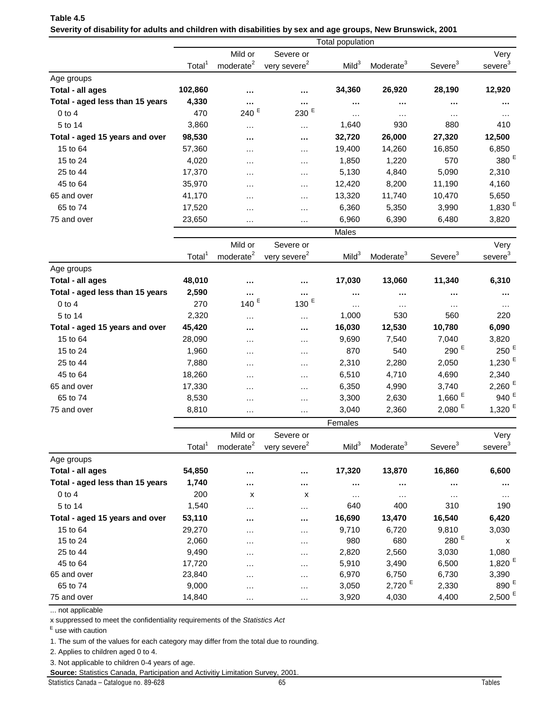|                                                     |                    |                                  |                                       | Total population  |                       |                      |                             |
|-----------------------------------------------------|--------------------|----------------------------------|---------------------------------------|-------------------|-----------------------|----------------------|-----------------------------|
|                                                     |                    | Mild or                          | Severe or                             |                   |                       |                      | Very                        |
|                                                     | Total <sup>1</sup> | moderate <sup>2</sup>            | very severe <sup>2</sup>              | Mild <sup>3</sup> | Moderate <sup>3</sup> | Severe <sup>3</sup>  | severe <sup>3</sup>         |
| Age groups                                          |                    |                                  |                                       |                   |                       |                      |                             |
| Total - all ages                                    | 102,860            |                                  |                                       | 34,360            | 26,920                | 28,190               | 12,920                      |
| Total - aged less than 15 years                     | 4,330              |                                  | $\cdots$                              | $\cdots$          | $\cdots$              | $\cdots$             | $\cdots$                    |
| $0$ to $4$                                          | 470                | 240 <sup>E</sup>                 | 230 $E$                               | $\cdots$          | $\cdots$              | .                    |                             |
| 5 to 14                                             | 3,860              |                                  | $\ldots$                              | 1,640             | 930                   | 880                  | 410                         |
| Total - aged 15 years and over                      | 98,530             |                                  | $\cdots$                              | 32,720            | 26,000                | 27,320               | 12,500                      |
| 15 to 64                                            | 57,360             | $\cdots$                         | $\cdots$                              | 19,400            | 14,260                | 16,850               | 6,850                       |
| 15 to 24                                            | 4,020              | $\cdots$                         | $\cdots$                              | 1,850             | 1,220                 | 570                  | 380 <sup>E</sup>            |
| 25 to 44                                            | 17,370             | .                                | $\cdots$                              | 5,130             | 4,840                 | 5,090                | 2,310                       |
| 45 to 64                                            | 35,970             | .                                | $\cdots$                              | 12,420            | 8,200                 | 11,190               | 4,160                       |
| 65 and over                                         | 41,170             | $\cdots$                         | $\cdots$                              | 13,320            | 11,740                | 10,470               | 5,650                       |
| 65 to 74                                            | 17,520             | $\cdots$                         | $\cdots$                              | 6,360             | 5,350                 | 3,990                | 1,830 $E$                   |
| 75 and over                                         | 23,650             | .                                | $\cdots$                              | 6,960             | 6,390                 | 6,480                | 3,820                       |
|                                                     |                    |                                  |                                       | Males             |                       |                      |                             |
|                                                     |                    | Mild or                          | Severe or                             |                   |                       |                      | Very                        |
|                                                     | Total <sup>1</sup> | moderate <sup>2</sup>            | very severe <sup>2</sup>              | Mild <sup>3</sup> | Moderate <sup>3</sup> | Severe <sup>3</sup>  | severe <sup>3</sup>         |
| Age groups                                          |                    |                                  |                                       |                   |                       |                      |                             |
| Total - all ages                                    | 48,010             |                                  | $\cdots$                              | 17,030            | 13,060                | 11,340               | 6,310                       |
| Total - aged less than 15 years                     | 2,590              |                                  |                                       | $\cdots$          |                       |                      |                             |
| $0$ to $4$                                          | 270                | E<br>140                         | 130 $E$                               | $\cdots$          | $\cdots$              | .                    |                             |
| 5 to 14                                             | 2,320              | $\cdots$                         | $\cdots$                              | 1,000             | 530                   | 560                  | 220                         |
| Total - aged 15 years and over                      | 45,420             |                                  | $\cdots$                              | 16,030            | 12,530                | 10,780               | 6,090                       |
| 15 to 64                                            | 28,090             |                                  | $\cdots$                              | 9,690             | 7,540                 | 7,040                | 3,820                       |
| 15 to 24                                            | 1,960              | $\cdots$                         |                                       | 870               | 540                   | 290 $E$              | $250$ $^{\rm E}$            |
| 25 to 44                                            | 7,880              |                                  | $\cdots$                              | 2,310             | 2,280                 | 2,050                | 1,230 $E$                   |
| 45 to 64                                            | 18,260             |                                  | $\cdots$                              | 6,510             | 4,710                 | 4,690                | 2,340                       |
| 65 and over                                         | 17,330             | $\cdots$                         | $\cdots$                              | 6,350             | 4,990                 | 3,740                | $2,260$ <sup>E</sup>        |
| 65 to 74                                            | 8,530              | .                                | $\cdots$                              | 3,300             | 2,630                 | 1,660 $E$            | 940 <sup>E</sup>            |
| 75 and over                                         | 8,810              |                                  | $\cdots$                              | 3,040             | 2,360                 | $2,080$ <sup>E</sup> | 1,320 $E$                   |
|                                                     |                    | $\cdots$                         | $\cdots$                              |                   |                       |                      |                             |
|                                                     |                    |                                  |                                       | Females           |                       |                      |                             |
|                                                     | Total <sup>1</sup> | Mild or<br>moderate <sup>2</sup> | Severe or<br>very severe <sup>2</sup> | Mild <sup>3</sup> | Moderate <sup>3</sup> | Severe <sup>3</sup>  | Very<br>severe <sup>3</sup> |
|                                                     |                    |                                  |                                       |                   |                       |                      |                             |
| Age groups                                          |                    |                                  |                                       |                   | 13,870                | 16,860               | 6,600                       |
| Total - all ages<br>Total - aged less than 15 years | 54,850             |                                  |                                       | 17,320            |                       |                      |                             |
|                                                     | 1,740<br>200       |                                  |                                       | $\cdots$          | $\cdots$              |                      |                             |
| $0$ to $4$                                          | 1,540              | х                                | х                                     | $\cdots$          | $\cdots$              | $\cdots$             |                             |
| 5 to 14                                             |                    | $\cdots$                         | $\cdots$                              | 640               | 400                   | 310                  | 190                         |
| Total - aged 15 years and over                      | 53,110             |                                  | $\cdots$                              | 16,690            | 13,470                | 16,540               | 6,420                       |
| 15 to 64                                            | 29,270             | .                                | .                                     | 9,710             | 6,720                 | 9,810<br>280 $E$     | 3,030                       |
| 15 to 24                                            | 2,060              | .                                | $\cdots$                              | 980               | 680                   |                      | x                           |
| 25 to 44<br>45 to 64                                | 9,490<br>17,720    | .                                | .                                     | 2,820<br>5,910    | 2,560<br>3,490        | 3,030<br>6,500       | 1,080<br>1,820 $E$          |
| 65 and over                                         | 23,840             | .                                | $\cdots$                              | 6,970             | 6,750                 | 6,730                | 3,390                       |
|                                                     |                    |                                  |                                       |                   |                       |                      |                             |

### **Table 4.5 Severity of disability for adults and children with disabilities by sex and age groups, New Brunswick, 2001**

... not applicable

x suppressed to meet the confidentiality requirements of the *Statistics Act* 

E use with caution

1. The sum of the values for each category may differ from the total due to rounding.

2. Applies to children aged 0 to 4.

3. Not applicable to children 0-4 years of age.

**Source:** Statistics Canada, Participation and Activitiy Limitation Survey, 2001.

Statistics Canada – Catalogue no. 89-628 65 Tables

65 to 74 9,000 … … 3,050 2,720 <sup>E</sup> 2,330 890 <sup>E</sup>  $75$  and over  $14,840$  …  $3,920$   $4,030$   $4,400$   $2,500$   $^5$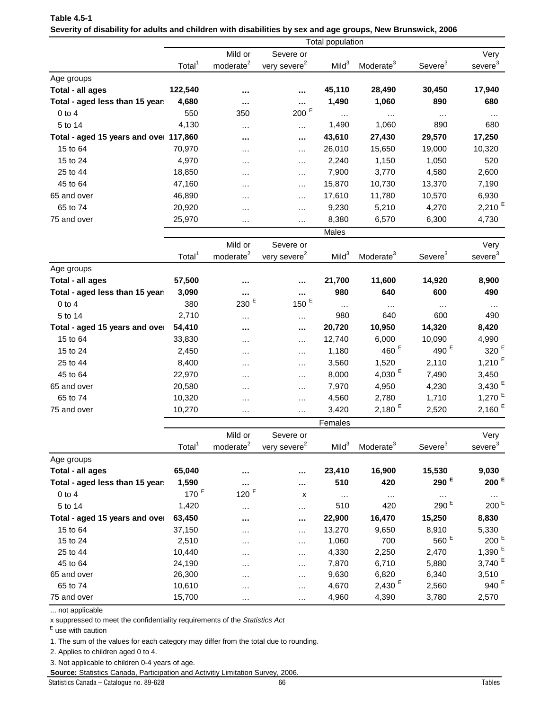|                                       |                    |                       |                          | Total population  |                       |                     |                      |
|---------------------------------------|--------------------|-----------------------|--------------------------|-------------------|-----------------------|---------------------|----------------------|
|                                       |                    | Mild or               | Severe or                |                   |                       |                     | Very                 |
|                                       | Total <sup>1</sup> | moderate <sup>2</sup> | very severe <sup>2</sup> | Mild <sup>3</sup> | Moderate <sup>3</sup> | Severe <sup>3</sup> | severe <sup>3</sup>  |
| Age groups                            |                    |                       |                          |                   |                       |                     |                      |
| Total - all ages                      | 122,540            |                       | $\cdots$                 | 45,110            | 28,490                | 30,450              | 17,940               |
| Total - aged less than 15 years       | 4,680              |                       |                          | 1,490             | 1,060                 | 890                 | 680                  |
| $0$ to $4$                            | 550                | 350                   | $200$ $^{\rm E}$         | .                 |                       | $\cdots$            |                      |
| 5 to 14                               | 4,130              | $\cdots$              | $\cdots$                 | 1,490             | 1,060                 | 890                 | 680                  |
| Total - aged 15 years and ove 117,860 |                    |                       | $\cdots$                 | 43,610            | 27,430                | 29,570              | 17,250               |
| 15 to 64                              | 70,970             | $\cdots$              | $\cdots$                 | 26,010            | 15,650                | 19,000              | 10,320               |
| 15 to 24                              | 4,970              | $\cdots$              | $\cdots$                 | 2,240             | 1,150                 | 1,050               | 520                  |
| 25 to 44                              | 18,850             |                       |                          | 7,900             | 3,770                 | 4,580               | 2,600                |
| 45 to 64                              | 47,160             | $\cdots$              | $\ldots$                 | 15,870            | 10,730                | 13,370              | 7,190                |
| 65 and over                           | 46,890             | $\cdots$              | $\cdots$                 |                   |                       |                     | 6,930                |
|                                       |                    | $\cdots$              | $\cdots$                 | 17,610            | 11,780                | 10,570              | $2,210$ <sup>E</sup> |
| 65 to 74                              | 20,920             | .                     | $\cdots$                 | 9,230             | 5,210                 | 4,270               |                      |
| 75 and over                           | 25,970             | .                     | $\cdots$                 | 8,380             | 6,570                 | 6,300               | 4,730                |
|                                       |                    |                       |                          | Males             |                       |                     |                      |
|                                       |                    | Mild or               | Severe or                |                   |                       |                     | Very                 |
|                                       | Total <sup>1</sup> | moderate <sup>2</sup> | very severe <sup>2</sup> | Mild <sup>3</sup> | Moderate <sup>3</sup> | Severe <sup>3</sup> | severe <sup>3</sup>  |
| Age groups                            |                    |                       |                          |                   |                       |                     |                      |
| Total - all ages                      | 57,500             |                       |                          | 21,700            | 11,600                | 14,920              | 8,900                |
| Total - aged less than 15 years       | 3,090              | $\cdots$              |                          | 980               | 640                   | 600                 | 490                  |
| $0$ to $4$                            | 380                | Е<br>230              | 150 $E$                  | $\cdots$          | $\ldots$              | $\cdots$            |                      |
| 5 to 14                               | 2,710              | $\cdots$              | $\cdots$                 | 980               | 640                   | 600                 | 490                  |
| Total - aged 15 years and over        | 54,410             |                       | $\cdots$                 | 20,720            | 10,950                | 14,320              | 8,420                |
| 15 to 64                              | 33,830             | .                     | $\cdots$                 | 12,740            | 6,000                 | 10,090              | 4,990                |
| 15 to 24                              | 2,450              | $\cdots$              | $\cdots$                 | 1,180             | 460 $E$               | 490 <sup>E</sup>    | 320 <sup>E</sup>     |
| 25 to 44                              | 8,400              | $\cdots$              | $\cdots$                 | 3,560             | 1,520                 | 2,110               | $1,210$ <sup>E</sup> |
| 45 to 64                              | 22,970             |                       | $\cdots$                 | 8,000             | 4,030 $E$             | 7,490               | 3,450                |
| 65 and over                           | 20,580             | .                     |                          | 7,970             | 4,950                 | 4,230               | 3,430 $E$            |
| 65 to 74                              | 10,320             | $\cdots$              | $\ldots$                 | 4,560             | 2,780                 | 1,710               | 1,270 $E$            |
|                                       |                    | $\cdots$              | $\cdots$                 |                   | $2,180$ <sup>E</sup>  |                     | 2,160 $E$            |
| 75 and over                           | 10,270             | $\cdots$              | $\cdots$                 | 3,420             |                       | 2,520               |                      |
|                                       |                    |                       |                          | Females           |                       |                     |                      |
|                                       |                    | Mild or               | Severe or                |                   |                       |                     | Very                 |
|                                       | Total <sup>1</sup> | moderate <sup>2</sup> | very severe <sup>2</sup> | Mild <sup>3</sup> | Moderate <sup>3</sup> | Severe <sup>3</sup> | severe <sup>3</sup>  |
| Age groups                            |                    |                       |                          |                   |                       |                     |                      |
| Total - all ages                      | 65,040             |                       | $\cdots$                 | 23,410            | 16,900                | 15,530              | 9,030                |
| Total - aged less than 15 years       | 1,590              |                       | $\cdots$                 | 510               | 420                   | 290 $E$             | 200 $E$              |
| $0$ to $4$                            | 170 $E$            | 120 $E$               | X                        | $\ldots$          | $\ldots$              |                     |                      |
| 5 to 14                               | 1,420              | $\cdots$              | $\cdots$                 | 510               | 420                   | 290 <sup>E</sup>    | 200 <sup>E</sup>     |
| Total - aged 15 years and over        | 63,450             |                       | $\sim$                   | 22,900            | 16,470                | 15,250              | 8,830                |
| 15 to 64                              | 37,150             | $\cdots$              | $\cdots$                 | 13,270            | 9,650                 | 8,910               | 5,330                |
| 15 to 24                              | 2,510              | .                     | $\cdots$                 | 1,060             | 700                   | $560$ $^{\rm E}$    | 200 <sup>E</sup>     |
| 25 to 44                              | 10,440             | $\cdots$              | $\cdots$                 | 4,330             | 2,250                 | 2,470               | 1,390 $E$            |
| 45 to 64                              | 24,190             | .                     | $\cdots$                 | 7,870             | 6,710                 | 5,880               | 3,740 $E$            |
| 65 and over                           | 26,300             | $\cdots$              | $\cdots$                 | 9,630             | 6,820                 | 6,340               | 3,510                |
| 65 to 74                              | 10,610             | $\cdots$              | $\cdots$                 | 4,670             | 2,430E                | 2,560               | 940 <sup>E</sup>     |
| 75 and over                           | 15,700             | $\cdots$              | $\cdots$                 | 4,960             | 4,390                 | 3,780               | 2,570                |

| Table 4.5-1 |                                                                                                             |  |  |
|-------------|-------------------------------------------------------------------------------------------------------------|--|--|
|             | Severity of disability for adults and children with disabilities by sex and age groups, New Brunswick, 2006 |  |  |

... not applicable

x suppressed to meet the confidentiality requirements of the *Statistics Act* 

E use with caution

1. The sum of the values for each category may differ from the total due to rounding.

2. Applies to children aged 0 to 4.

3. Not applicable to children 0-4 years of age.

**Source:** Statistics Canada, Participation and Activitiy Limitation Survey, 2006.

Statistics Canada – Catalogue no. 89-628 66 Tables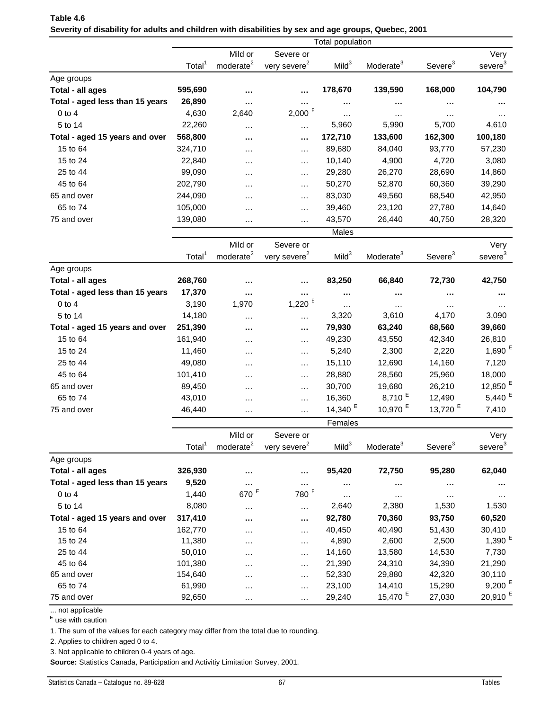| Table 4.6                                                                                            |  |
|------------------------------------------------------------------------------------------------------|--|
| Severity of disability for adults and children with disabilities by sex and age groups, Quebec, 2001 |  |

|                                 |                    |                       |                          | <b>Total population</b> |                       |                     |                      |
|---------------------------------|--------------------|-----------------------|--------------------------|-------------------------|-----------------------|---------------------|----------------------|
|                                 |                    | Mild or               | Severe or                |                         |                       |                     | Very                 |
|                                 | Total <sup>1</sup> | moderate <sup>2</sup> | very severe <sup>2</sup> | Mild <sup>3</sup>       | Moderate <sup>3</sup> | Severe <sup>3</sup> | severe <sup>3</sup>  |
| Age groups                      |                    |                       |                          |                         |                       |                     |                      |
| Total - all ages                | 595,690            |                       |                          | 178,670                 | 139,590               | 168,000             | 104,790              |
| Total - aged less than 15 years | 26,890             |                       |                          |                         |                       |                     |                      |
| $0$ to $4$                      | 4,630              | 2,640                 | $2,000$ $^{\sf E}$       | $\cdots$                | $\cdots$              | $\cdots$            | $\cdots$             |
| 5 to 14                         | 22,260             | $\cdots$              | $\cdots$                 | 5,960                   | 5,990                 | 5,700               | 4,610                |
| Total - aged 15 years and over  | 568,800            |                       |                          | 172,710                 | 133,600               | 162,300             | 100,180              |
| 15 to 64                        | 324,710            | $\cdots$              |                          | 89,680                  | 84,040                | 93,770              | 57,230               |
| 15 to 24                        | 22,840             | .                     | .                        | 10,140                  | 4,900                 | 4,720               | 3,080                |
| 25 to 44                        | 99,090             | .                     | $\cdots$                 | 29,280                  | 26,270                | 28,690              | 14,860               |
| 45 to 64                        | 202,790            | .                     | $\cdots$                 | 50,270                  | 52,870                | 60,360              | 39,290               |
| 65 and over                     | 244,090            | .                     | .                        | 83,030                  | 49,560                | 68,540              | 42,950               |
| 65 to 74                        | 105,000            |                       | $\cdots$                 | 39,460                  | 23,120                | 27,780              | 14,640               |
| 75 and over                     | 139,080            | $\cdots$              | $\cdots$                 | 43,570                  | 26,440                | 40,750              | 28,320               |
|                                 |                    |                       |                          | Males                   |                       |                     |                      |
|                                 |                    | Mild or               | Severe or                |                         |                       |                     | Very                 |
|                                 | Total <sup>1</sup> | moderate <sup>2</sup> | very severe <sup>2</sup> | Mild <sup>3</sup>       | Moderate <sup>3</sup> | Severe <sup>3</sup> | severe <sup>3</sup>  |
| Age groups                      |                    |                       |                          |                         |                       |                     |                      |
| Total - all ages                | 268,760            |                       |                          | 83,250                  | 66,840                | 72,730              | 42,750               |
| Total - aged less than 15 years | 17,370             |                       |                          |                         |                       |                     |                      |
| $0$ to $4$                      | 3,190              | 1,970                 | $1,220$ $^{\rm E}$       | .                       | $\cdots$              | $\cdots$            |                      |
| 5 to 14                         | 14,180             |                       | $\cdots$                 | 3,320                   | 3,610                 | 4,170               | 3,090                |
| Total - aged 15 years and over  | 251,390            |                       |                          | 79,930                  | 63,240                | 68,560              | 39,660               |
| 15 to 64                        | 161,940            | $\cdots$              |                          | 49,230                  | 43,550                | 42,340              | 26,810               |
| 15 to 24                        | 11,460             | $\cdots$              | $\cdots$                 | 5,240                   | 2,300                 | 2,220               | 1,690 $E$            |
| 25 to 44                        | 49,080             | .                     | $\cdots$                 | 15,110                  | 12,690                | 14,160              | 7,120                |
| 45 to 64                        | 101,410            | .                     | $\cdots$                 | 28,880                  | 28,560                | 25,960              | 18,000               |
| 65 and over                     | 89,450             | $\cdots$              | $\cdots$                 | 30,700                  | 19,680                | 26,210              | 12,850 <sup>E</sup>  |
| 65 to 74                        | 43,010             | .                     | $\cdots$                 | 16,360                  | 8,710 <sup>E</sup>    | 12,490              | 5,440 $E$            |
| 75 and over                     | 46,440             | $\cdots$              |                          | 14,340 <sup>E</sup>     | 10,970 <sup>E</sup>   | 13,720 <sup>E</sup> | 7,410                |
|                                 |                    |                       |                          | Females                 |                       |                     |                      |
|                                 |                    | Mild or               | Severe or                |                         |                       |                     | Very                 |
|                                 | Total <sup>1</sup> | moderate <sup>2</sup> | very severe <sup>2</sup> | Mild <sup>3</sup>       | Moderate <sup>3</sup> | Severe <sup>3</sup> | severe <sup>3</sup>  |
| Age groups                      |                    |                       |                          |                         |                       |                     |                      |
| Total - all ages                | 326,930            |                       |                          | 95,420                  | 72,750                | 95,280              | 62,040               |
| Total - aged less than 15 years | 9,520              |                       |                          |                         |                       |                     |                      |
| $0$ to $4$                      | 1,440              | 670 <sup>E</sup>      | 780 $E$                  |                         | $\cdots$              |                     |                      |
| 5 to 14                         | 8,080              |                       | $\cdots$                 | $\cdots$<br>2,640       | $\cdots$<br>2,380     | $\cdots$<br>1,530   | 1,530                |
| Total - aged 15 years and over  | 317,410            | $\cdots$              | $\cdots$                 | 92,780                  | 70,360                | 93,750              | 60,520               |
| 15 to 64                        | 162,770            |                       |                          | 40,450                  | 40,490                | 51,430              | 30,410               |
| 15 to 24                        | 11,380             | .                     | $\cdots$                 | 4,890                   | 2,600                 | 2,500               | 1,390E               |
| 25 to 44                        | 50,010             | .                     | $\cdots$<br>$\cdots$     | 14,160                  | 13,580                | 14,530              | 7,730                |
| 45 to 64                        | 101,380            | .<br>.                | $\cdots$                 | 21,390                  | 24,310                | 34,390              | 21,290               |
| 65 and over                     | 154,640            | .                     | $\cdots$                 | 52,330                  | 29,880                | 42,320              | 30,110               |
| 65 to 74                        | 61,990             |                       | $\cdots$                 | 23,100                  | 14,410                | 15,290              | $9,200$ <sup>E</sup> |
| 75 and over                     | 92,650             | <br>.                 |                          | 29,240                  | 15,470 <sup>E</sup>   | 27,030              | 20,910 <sup>E</sup>  |
|                                 |                    |                       |                          |                         |                       |                     |                      |

... not applicable<br><sup>E</sup> use with caution

1. The sum of the values for each category may differ from the total due to rounding.

2. Applies to children aged 0 to 4.

3. Not applicable to children 0-4 years of age.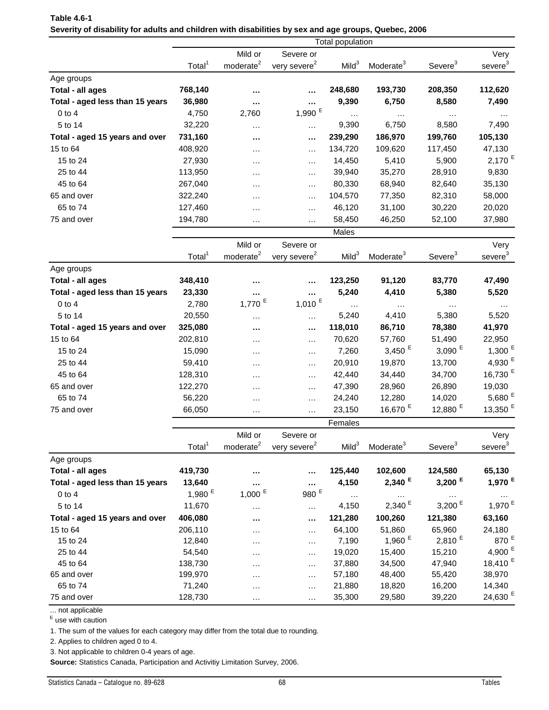|                                 | <b>Total population</b> |                          |                          |                    |                                  |                      |                             |
|---------------------------------|-------------------------|--------------------------|--------------------------|--------------------|----------------------------------|----------------------|-----------------------------|
|                                 |                         | Mild or                  | Severe or                |                    |                                  |                      | Very                        |
|                                 | Total <sup>1</sup>      | moderate <sup>2</sup>    | very severe <sup>2</sup> | Mild <sup>3</sup>  | Moderate <sup>3</sup>            | Severe <sup>3</sup>  | severe <sup>3</sup>         |
| Age groups                      |                         |                          |                          |                    |                                  |                      |                             |
| Total - all ages                | 768,140                 |                          |                          | 248,680            | 193,730                          | 208,350              | 112,620                     |
| Total - aged less than 15 years | 36,980                  | $\cdots$                 |                          | 9,390              | 6,750                            | 8,580                | 7,490                       |
| $0$ to $4$                      | 4,750                   | 2,760                    | 1,990 $E$                | $\cdots$           | $\cdots$                         | $\cdots$             |                             |
| 5 to 14                         | 32,220                  |                          | $\cdots$                 | 9,390              | 6,750                            | 8,580                | 7,490                       |
| Total - aged 15 years and over  | 731,160                 | $\cdots$                 |                          | 239,290            | 186,970                          | 199,760              | 105,130                     |
| 15 to 64                        | 408,920                 | $\cdots$                 | $\cdots$                 | 134,720            | 109,620                          | 117,450              | 47,130                      |
| 15 to 24                        | 27,930                  | $\cdots$                 | $\cdots$                 | 14,450             | 5,410                            | 5,900                | $2,170$ <sup>E</sup>        |
| 25 to 44                        | 113,950                 | $\cdots$                 | $\cdots$                 | 39,940             | 35,270                           | 28,910               | 9,830                       |
| 45 to 64                        | 267,040                 | $\cdots$                 | $\cdots$                 | 80,330             | 68,940                           | 82,640               | 35,130                      |
| 65 and over                     | 322,240                 | $\cdots$                 | $\cdots$                 | 104,570            | 77,350                           | 82,310               | 58,000                      |
| 65 to 74                        | 127,460                 | $\cdots$                 | $\cdots$                 | 46,120             | 31,100                           | 30,220               | 20,020                      |
| 75 and over                     | 194,780                 | $\cdots$                 | $\cdots$                 | 58,450             | 46,250                           | 52,100               | 37,980                      |
|                                 |                         |                          |                          | Males              |                                  |                      |                             |
|                                 |                         | Mild or                  | Severe or                |                    |                                  |                      | Very                        |
|                                 | Total <sup>1</sup>      | moderate <sup>2</sup>    | very severe <sup>2</sup> | Mild <sup>3</sup>  | Moderate <sup>3</sup>            | Severe <sup>3</sup>  | $s$ evere <sup>3</sup>      |
| Age groups                      |                         |                          |                          |                    |                                  |                      |                             |
| Total - all ages                | 348,410                 |                          |                          | 123,250            | 91,120                           | 83,770               | 47,490                      |
| Total - aged less than 15 years | 23,330                  | $\cdots$                 |                          | 5,240              | 4,410                            | 5,380                | 5,520                       |
| $0$ to $4$                      | 2,780                   | E<br>1,770               | $1,010$ $^{\rm E}$       | $\ldots$           | $\cdots$                         | .                    |                             |
| 5 to 14                         | 20,550                  |                          | $\cdots$                 | 5,240              | 4,410                            | 5,380                | 5,520                       |
| Total - aged 15 years and over  | 325,080                 | $\cdots$<br>             |                          | 118,010            | 86,710                           | 78,380               | 41,970                      |
| 15 to 64                        | 202,810                 | $\cdots$                 | $\cdots$                 | 70,620             | 57,760                           | 51,490               | 22,950                      |
| 15 to 24                        | 15,090                  | $\cdots$                 | $\cdots$                 | 7,260              | 3,450 $E$                        | $3,090$ $^{\rm E}$   | 1,300 $E$                   |
| 25 to 44                        | 59,410                  | $\cdots$                 | $\cdots$                 | 20,910             | 19,870                           | 13,700               | 4,930 $E$                   |
| 45 to 64                        | 128,310                 | $\cdots$                 | $\cdots$                 | 42,440             | 34,440                           | 34,700               | 16,730 $E$                  |
| 65 and over                     | 122,270                 | $\cdots$                 | $\cdots$                 | 47,390             | 28,960                           | 26,890               | 19,030                      |
| 65 to 74                        | 56,220                  |                          | $\cdots$                 | 24,240             | 12,280                           | 14,020               | 5,680 $E$                   |
| 75 and over                     | 66,050                  | $\cdots$                 |                          | 23,150             | 16,670 <sup>E</sup>              | 12,880 <sup>E</sup>  | 13,350 $E$                  |
|                                 |                         | $\sim$ $\sim$ $\sim$     |                          | Females            |                                  |                      |                             |
|                                 |                         | Mild or                  | Severe or                |                    |                                  |                      |                             |
|                                 | Total <sup>1</sup>      | moderate <sup>2</sup>    | very severe <sup>2</sup> | Mild <sup>3</sup>  | Moderate <sup>3</sup>            | Severe <sup>3</sup>  | Very<br>severe <sup>3</sup> |
| Age groups                      |                         |                          |                          |                    |                                  |                      |                             |
| Total - all ages                | 419,730                 |                          |                          | 125,440            | 102,600                          | 124,580              | 65,130                      |
| Total - aged less than 15 years | 13,640                  |                          |                          | 4,150              | $2,340$ <sup>E</sup>             | 3,200 $E$            | 1,970 <sup>E</sup>          |
| $0$ to $4$                      | 1,980 $E$               | <br>$1,000$ <sup>E</sup> | <br>$980$ $^{\rm E}$     |                    |                                  |                      |                             |
| 5 to 14                         | 11,670                  |                          |                          | $\ddotsc$<br>4,150 | $\cdots$<br>$2,340$ <sup>E</sup> | 3,200 <sup>E</sup>   | 1,970 E                     |
| Total - aged 15 years and over  | 406,080                 | $\ldots$                 | $\cdots$                 | 121,280            | 100,260                          | 121,380              | 63,160                      |
| 15 to 64                        | 206,110                 |                          |                          | 64,100             | 51,860                           | 65,960               | 24,180                      |
|                                 |                         | $\cdots$                 | .                        | 7,190              | 1,960 $E$                        | $2,810$ <sup>E</sup> | 870 <sup>E</sup>            |
| 15 to 24<br>25 to 44            | 12,840<br>54,540        | $\cdots$                 | $\cdots$                 | 19,020             | 15,400                           | 15,210               | 4,900 $E$                   |
| 45 to 64                        | 138,730                 | $\cdots$                 | $\cdots$                 | 37,880             | 34,500                           | 47,940               | 18,410 $E$                  |
| 65 and over                     | 199,970                 |                          | $\cdots$                 | 57,180             | 48,400                           | 55,420               | 38,970                      |
| 65 to 74                        | 71,240                  | $\cdots$                 | $\cdots$                 | 21,880             | 18,820                           | 16,200               | 14,340                      |
| 75 and over                     | 128,730                 | $\cdots$<br>$\cdots$     | $\cdots$<br>$\cdots$     | 35,300             | 29,580                           | 39,220               | 24,630 <sup>E</sup>         |
|                                 |                         |                          |                          |                    |                                  |                      |                             |

## **Table 4.6-1 Severity of disability for adults and children with disabilities by sex and age groups, Quebec, 2006**

... not applicable<br><sup>E</sup> use with caution

1. The sum of the values for each category may differ from the total due to rounding.

2. Applies to children aged 0 to 4.

3. Not applicable to children 0-4 years of age.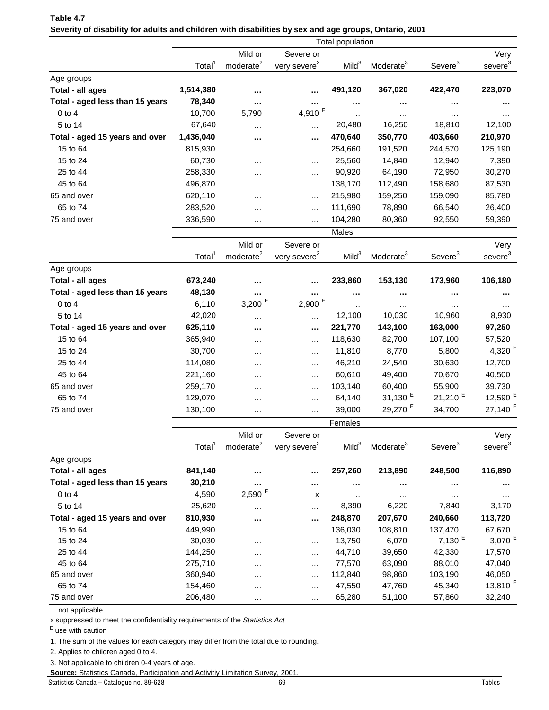| Severity of disability for adults and children with disabilities by sex and age groups, Ontario, 2001 |                    |                                  |                                       | Total population  |                       |                     |                             |
|-------------------------------------------------------------------------------------------------------|--------------------|----------------------------------|---------------------------------------|-------------------|-----------------------|---------------------|-----------------------------|
|                                                                                                       |                    |                                  |                                       |                   |                       |                     |                             |
|                                                                                                       | Total <sup>1</sup> | Mild or<br>moderate <sup>2</sup> | Severe or<br>very severe <sup>2</sup> | Mild <sup>3</sup> | Moderate <sup>3</sup> | Severe <sup>3</sup> | Very<br>severe <sup>3</sup> |
|                                                                                                       |                    |                                  |                                       |                   |                       |                     |                             |
| Age groups                                                                                            | 1,514,380          |                                  |                                       |                   | 367,020               | 422,470             | 223,070                     |
| Total - all ages                                                                                      |                    |                                  |                                       | 491,120           |                       |                     |                             |
| Total - aged less than 15 years                                                                       | 78,340             |                                  |                                       |                   |                       |                     |                             |
| $0$ to $4$<br>5 to 14                                                                                 | 10,700             | 5,790                            | 4,910 $E$                             | .                 |                       | .                   |                             |
|                                                                                                       | 67,640             | $\cdots$                         |                                       | 20,480            | 16,250                | 18,810              | 12,100                      |
| Total - aged 15 years and over                                                                        | 1,436,040          |                                  |                                       | 470,640           | 350,770               | 403,660             | 210,970                     |
| 15 to 64                                                                                              | 815,930            |                                  |                                       | 254,660           | 191,520               | 244,570             | 125,190                     |
| 15 to 24                                                                                              | 60,730             | $\cdots$                         | $\cdots$                              | 25,560            | 14,840                | 12,940              | 7,390                       |
| 25 to 44                                                                                              | 258,330            | $\cdots$                         | $\cdots$                              | 90,920            | 64,190                | 72,950              | 30,270                      |
| 45 to 64                                                                                              | 496,870            | .                                | $\cdots$                              | 138,170           | 112,490               | 158,680             | 87,530                      |
| 65 and over                                                                                           | 620,110            | .                                |                                       | 215,980           | 159,250               | 159,090             | 85,780                      |
| 65 to 74                                                                                              | 283,520            |                                  |                                       | 111,690           | 78,890                | 66,540              | 26,400                      |
| 75 and over                                                                                           | 336,590            | .                                | $\cdots$                              | 104,280           | 80,360                | 92,550              | 59,390                      |
|                                                                                                       |                    |                                  |                                       | Males             |                       |                     |                             |
|                                                                                                       |                    | Mild or                          | Severe or                             |                   |                       |                     | Very                        |
|                                                                                                       | Total <sup>1</sup> | moderate <sup>2</sup>            | very severe <sup>2</sup>              | Mild <sup>3</sup> | Moderate <sup>3</sup> | Severe <sup>3</sup> | severe <sup>3</sup>         |
| Age groups                                                                                            |                    |                                  |                                       |                   |                       |                     |                             |
| Total - all ages                                                                                      | 673,240            |                                  |                                       | 233,860           | 153,130               | 173,960             | 106,180                     |
| Total - aged less than 15 years                                                                       | 48,130             |                                  |                                       |                   |                       |                     |                             |
| $0$ to $4$                                                                                            | 6,110              | 3,200 $E$                        | $2,900$ <sup>E</sup>                  | $\ddotsc$         | $\ldots$              | $\cdots$            |                             |
| 5 to 14                                                                                               | 42,020             | .                                | $\cdots$                              | 12,100            | 10,030                | 10,960              | 8,930                       |
| Total - aged 15 years and over                                                                        | 625,110            |                                  | $\cdots$                              | 221,770           | 143,100               | 163,000             | 97,250                      |
| 15 to 64                                                                                              | 365,940            | $\cdots$                         | $\cdots$                              | 118,630           | 82,700                | 107,100             | 57,520                      |
| 15 to 24                                                                                              | 30,700             | $\cdots$                         |                                       | 11,810            | 8,770                 | 5,800               | 4,320 $E$                   |
| 25 to 44                                                                                              | 114,080            | .                                | $\cdots$                              | 46,210            | 24,540                | 30,630              | 12,700                      |
| 45 to 64                                                                                              | 221,160            | .                                | $\cdots$                              | 60,610            | 49,400                | 70,670              | 40,500                      |
| 65 and over                                                                                           | 259,170            | $\cdots$                         |                                       | 103,140           | 60,400                | 55,900              | 39,730                      |
| 65 to 74                                                                                              | 129,070            | $\cdots$                         | $\cdots$                              | 64,140            | 31,130 <sup>E</sup>   | 21,210 $E$          | 12,590 $E$                  |
| 75 and over                                                                                           | 130,100            | $\cdots$                         | $\cdots$                              | 39,000            | 29,270 <sup>E</sup>   | 34,700              | $27,140$ <sup>E</sup>       |
|                                                                                                       |                    |                                  |                                       | Females           |                       |                     |                             |
|                                                                                                       |                    |                                  |                                       |                   |                       |                     |                             |
|                                                                                                       | Total <sup>1</sup> | Mild or<br>moderate <sup>2</sup> | Severe or<br>very severe <sup>2</sup> | Mild <sup>3</sup> | Moderate <sup>3</sup> | Severe <sup>3</sup> | Very<br>severe <sup>3</sup> |
|                                                                                                       |                    |                                  |                                       |                   |                       |                     |                             |
| Age groups                                                                                            |                    |                                  |                                       |                   |                       |                     |                             |
| Total - all ages                                                                                      | 841,140            |                                  |                                       | 257,260           | 213,890               | 248,500             | 116,890                     |
| Total - aged less than 15 years                                                                       | 30,210             |                                  |                                       |                   | $\cdots$              |                     |                             |
| $0$ to $4$                                                                                            | 4,590              | $2,590$ <sup>E</sup>             | х                                     | .                 | $\cdots$              | $\cdots$            |                             |
| 5 to 14                                                                                               | 25,620             |                                  |                                       | 8,390             | 6,220                 | 7,840               | 3,170                       |
| Total - aged 15 years and over                                                                        | 810,930            |                                  | $\cdots$                              | 248,870           | 207,670               | 240,660             | 113,720                     |
| 15 to 64                                                                                              | 449,990            |                                  | $\cdots$                              | 136,030           | 108,810               | 137,470             | 67,670                      |
| 15 to 24                                                                                              | 30,030             | .                                | $\cdots$                              | 13,750            | 6,070                 | 7,130 $E$           | 3,070 $E$                   |
| 25 to 44                                                                                              | 144,250            | .                                | $\cdots$                              | 44,710            | 39,650                | 42,330              | 17,570                      |
| 45 to 64                                                                                              | 275,710            | .                                | $\cdots$                              | 77,570            | 63,090                | 88,010              | 47,040                      |

# **Table 4.7**

... not applicable

x suppressed to meet the confidentiality requirements of the *Statistics Act* 

E use with caution

1. The sum of the values for each category may differ from the total due to rounding.

2. Applies to children aged 0 to 4.

3. Not applicable to children 0-4 years of age.

**Source:** Statistics Canada, Participation and Activitiy Limitation Survey, 2001.

Statistics Canada – Catalogue no. 89-628 69 Tables

65 and over 360,940 … … 112,840 98,860 103,190 46,050 65 to 74 154,460 ... ... 47,550 47,760 45,340 13,810 <sup>E</sup> 75 and over 206,480 … … 65,280 51,100 57,860 32,240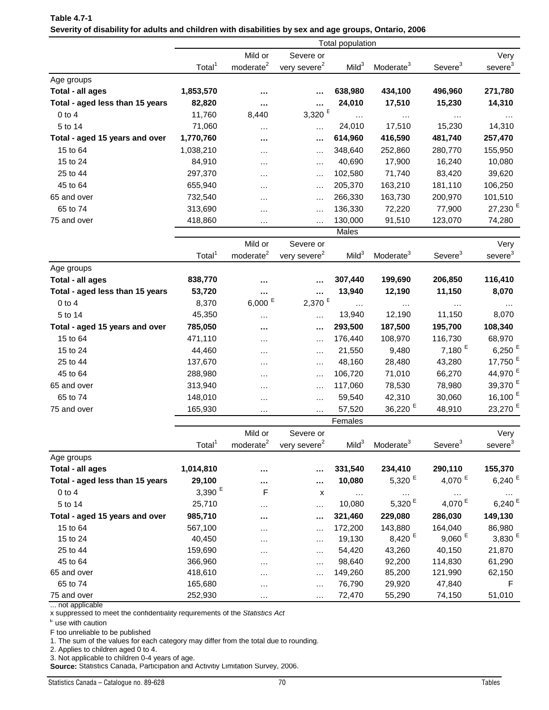|                                 |                     |                       |                                       | <b>Total population</b> |                                |                      |                        |
|---------------------------------|---------------------|-----------------------|---------------------------------------|-------------------------|--------------------------------|----------------------|------------------------|
|                                 |                     | Mild or               | Severe or                             |                         |                                |                      | Very                   |
|                                 | Total <sup>1</sup>  | moderate <sup>2</sup> | very severe <sup>2</sup>              | Mild <sup>3</sup>       | Moderate <sup>3</sup>          | Severe <sup>3</sup>  | severe <sup>3</sup>    |
| Age groups                      |                     |                       |                                       |                         |                                |                      |                        |
| Total - all ages                | 1,853,570           |                       |                                       | 638,980                 | 434,100                        | 496,960              | 271,780                |
| Total - aged less than 15 years | 82,820              |                       |                                       | 24,010                  | 17,510                         | 15,230               | 14,310                 |
| $0$ to $4$                      | 11,760              | 8,440                 | $3,320$ $^{\rm E}$                    | $\cdots$                | $\cdots$                       | $\cdots$             |                        |
| 5 to 14                         | 71,060              |                       | $\cdots$                              | 24,010                  | 17,510                         | 15,230               | 14,310                 |
| Total - aged 15 years and over  | 1,770,760           |                       |                                       | 614,960                 | 416,590                        | 481,740              | 257,470                |
| 15 to 64                        | 1,038,210           | $\cdots$              | $\cdots$                              | 348,640                 | 252,860                        | 280,770              | 155,950                |
| 15 to 24                        | 84,910              |                       | $\cdots$                              | 40,690                  | 17,900                         | 16,240               | 10,080                 |
| 25 to 44                        | 297,370             |                       | $\cdots$                              | 102,580                 | 71,740                         | 83,420               | 39,620                 |
| 45 to 64                        | 655,940             | .                     | $\cdots$                              | 205,370                 | 163,210                        | 181,110              | 106,250                |
| 65 and over                     | 732,540             | $\cdots$              | $\cdots$                              | 266,330                 | 163,730                        | 200,970              | 101,510                |
| 65 to 74                        | 313,690             |                       | $\cdots$                              | 136,330                 | 72,220                         | 77,900               | 27,230 <sup>E</sup>    |
| 75 and over                     | 418,860             | $\cdots$              | $\cdots$                              | 130,000                 | 91,510                         | 123,070              | 74,280                 |
|                                 |                     |                       |                                       | <b>Males</b>            |                                |                      |                        |
|                                 |                     | Mild or               | Severe or                             |                         |                                |                      | Very                   |
|                                 | Total <sup>1</sup>  | moderate <sup>2</sup> | very severe <sup>2</sup>              | Mild <sup>3</sup>       | Moderate <sup>3</sup>          | Severe <sup>3</sup>  | severe <sup>3</sup>    |
| Age groups                      |                     |                       |                                       |                         |                                |                      |                        |
| Total - all ages                | 838,770             |                       |                                       | 307,440                 | 199,690                        | 206,850              | 116,410                |
| Total - aged less than 15 years | 53,720              |                       |                                       | 13,940                  | 12,190                         | 11,150               | 8,070                  |
| $0$ to $4$                      | 8,370               | $6{,}000$ $^{\sf E}$  | 2,370 <sup>E</sup>                    | $\ldots$                | $\cdots$                       | $\cdots$             | $\cdots$               |
| 5 to 14                         | 45,350              | $\cdots$              | $\cdots$                              | 13,940                  | 12,190                         | 11,150               | 8,070                  |
| Total - aged 15 years and over  | 785,050             |                       | $\cdots$                              | 293,500                 | 187,500                        | 195,700              | 108,340                |
| 15 to 64                        | 471,110             |                       | $\cdots$                              | 176,440                 | 108,970                        | 116,730              | 68,970                 |
| 15 to 24                        | 44,460              | $\cdots$              | $\cdots$                              | 21,550                  | 9,480                          | $7,180$ <sup>E</sup> | 6,250 $E$              |
| 25 to 44                        | 137,670             | $\cdots$              | $\cdots$                              | 48,160                  | 28,480                         | 43,280               | 17,750 <sup>E</sup>    |
| 45 to 64                        | 288,980             |                       | $\cdots$                              | 106,720                 | 71,010                         | 66,270               | 44,970 <sup>E</sup>    |
| 65 and over                     | 313,940             |                       |                                       | 117,060                 | 78,530                         | 78,980               | 39,370 <sup>E</sup>    |
| 65 to 74                        | 148,010             | $\cdots$              | $\cdots$                              | 59,540                  | 42,310                         | 30,060               | 16,100 $E$             |
| 75 and over                     | 165,930             | $\cdots$              | $\cdots$                              | 57,520                  | 36,220 <sup>E</sup>            | 48,910               | 23,270 <sup>E</sup>    |
|                                 |                     |                       |                                       | Females                 |                                |                      |                        |
|                                 |                     | Mild or               |                                       |                         |                                |                      | Very                   |
|                                 | Total <sup>1</sup>  | moderate <sup>2</sup> | Severe or<br>very severe <sup>2</sup> | Mild <sup>3</sup>       | Moderate <sup>3</sup>          | Severe <sup>3</sup>  | $s$ evere <sup>3</sup> |
|                                 |                     |                       |                                       |                         |                                |                      |                        |
| Age groups<br>Total - all ages  |                     |                       |                                       | 331,540                 | 234,410                        | 290,110              | 155,370                |
|                                 | 1,014,810<br>29,100 |                       | $\cdots$                              |                         | 5,320 <sup>E</sup>             | 4,070 <sup>E</sup>   | 6,240 $E$              |
| Total - aged less than 15 years | 3,390 $E$           |                       |                                       | 10,080                  |                                |                      |                        |
| $0$ to $4$                      |                     | F                     | X                                     | $\cdots$                | $\cdots$<br>5,320 <sup>E</sup> | 4,070 <sup>E</sup>   | 6,240E                 |
| 5 to 14                         | 25,710              | $\cdots$              |                                       | 10,080                  |                                |                      |                        |
| Total - aged 15 years and over  | 985,710             |                       | $\cdots$                              | 321,460                 | 229,080                        | 286,030              | 149,130                |
| 15 to 64                        | 567,100             | .                     | $\cdots$                              | 172,200                 | 143,880                        | 164,040              | 86,980                 |
| 15 to 24                        | 40,450              | .                     | $\cdots$                              | 19,130                  | 8,420 <sup>E</sup>             | $9,060$ <sup>E</sup> | $3,830$ <sup>E</sup>   |
| 25 to 44                        | 159,690             | .                     | $\cdots$                              | 54,420                  | 43,260                         | 40,150               | 21,870                 |
| 45 to 64                        | 366,960             | .                     | $\cdots$                              | 98,640                  | 92,200                         | 114,830              | 61,290                 |
| 65 and over                     | 418,610             | .                     | $\cdots$                              | 149,260                 | 85,200                         | 121,990              | 62,150<br>F            |
| 65 to 74<br>75 and over         | 165,680<br>252,930  | .                     | $\cdots$                              | 76,790<br>72,470        | 29,920<br>55,290               | 47,840<br>74,150     | 51,010                 |
|                                 |                     |                       |                                       |                         |                                |                      |                        |

## **Table 4.7-1 Severity of disability for adults and children with disabilities by sex and age groups, Ontario, 2006**

... not applicable

x suppressed to meet the confidentiality requirements of the *Statistics Act*

E use with caution

F too unreliable to be published

1. The sum of the values for each category may differ from the total due to rounding.

2. Applies to children aged 0 to 4.

3. Not applicable to children 0-4 years of age.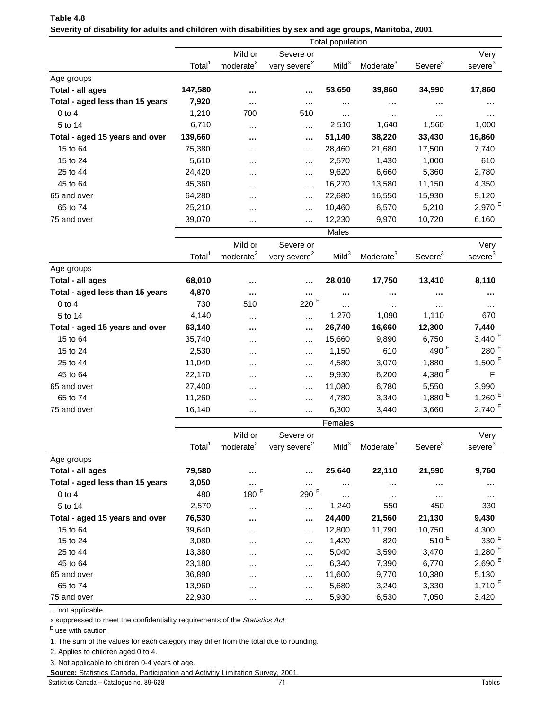| Mild or<br>Very<br>Severe or<br>Severe <sup>3</sup><br>$\frac{severe^3}{se}$<br>Total <sup>1</sup><br>moderate <sup>2</sup><br>Mild <sup>3</sup><br>Moderate <sup>3</sup><br>very severe <sup>2</sup><br>Age groups<br>147,580<br>53,650<br>39,860<br>34,990<br>17,860<br>Total - all ages<br>$\cdots$<br><br>Total - aged less than 15 years<br>7,920<br>$\cdots$<br><br>$0$ to $4$<br>1,210<br>510<br>700<br>.<br>.<br>5 to 14<br>6,710<br>2,510<br>1,640<br>1,560<br>1,000<br>$\cdots$<br>$\cdots$<br>139,660<br>51,140<br>33,430<br>16,860<br>Total - aged 15 years and over<br>38,220<br><br><br>15 to 64<br>75,380<br>21,680<br>28,460<br>17,500<br>7,740<br>$\cdots$<br>$\cdots$<br>15 to 24<br>5,610<br>2,570<br>1,430<br>1,000<br>610<br>$\cdots$<br>$\cdots$<br>25 to 44<br>24,420<br>9,620<br>2,780<br>6,660<br>5,360<br>$\cdots$<br>$\cdots$<br>45 to 64<br>45,360<br>16,270<br>11,150<br>4,350<br>13,580<br>$\cdots$<br>$\cdots$<br>65 and over<br>64,280<br>22,680<br>16,550<br>15,930<br>9,120<br>.<br>$\cdots$<br>$2,970^{\circ}$<br>65 to 74<br>25,210<br>10,460<br>6,570<br>5,210<br>$\cdots$<br>$\cdots$<br>75 and over<br>39,070<br>12,230<br>6,160<br>9,970<br>10,720<br>$\cdots$<br>$\cdots$<br>Males<br>Mild or<br>Very<br>Severe or<br>severe <sup>3</sup><br>moderate <sup>2</sup><br>Total <sup>1</sup><br>very severe <sup>2</sup><br>Mild <sup>3</sup><br>Moderate <sup>3</sup><br>Severe <sup>3</sup><br>Age groups<br>68,010<br>28,010<br>17,750<br>13,410<br>8,110<br>Total - all ages<br><br>Total - aged less than 15 years<br>4,870<br><br><br>E<br>220<br>$0$ to $4$<br>730<br>510<br>$\cdots$<br>$\cdots$<br>.<br>1,090<br>1,110<br>5 to 14<br>4,140<br>1,270<br>670<br>$\cdots$<br>$\cdots$<br>63,140<br>7,440<br>Total - aged 15 years and over<br>26,740<br>16,660<br>12,300<br>$\cdots$<br>$\cdots$<br>3,440 $^{\circ}$<br>6,750<br>15 to 64<br>35,740<br>15,660<br>9,890<br>$\cdots$<br>$\cdots$<br>490 <sup>E</sup><br>280<br>610<br>15 to 24<br>2,530<br>1,150<br>.<br>.<br>1,500<br>25 to 44<br>11,040<br>4,580<br>3,070<br>1,880<br>$\cdots$<br>.<br>4,380 $E$<br>45 to 64<br>22,170<br>9,930<br>6,200<br>F<br>$\cdots$<br>$\cdots$<br>65 and over<br>27,400<br>11,080<br>6,780<br>5,550<br>3,990<br>$\cdots$<br>$\cdots$<br>1,880 $E$<br>1,260 $E$<br>65 to 74<br>11,260<br>4,780<br>3,340<br>$\cdots$<br>$\cdots$<br>$2,740$ <sup>E</sup><br>75 and over<br>16,140<br>6,300<br>3,660<br>3,440<br>$\cdots$<br>$\cdots$<br>Females<br>Mild or<br>Severe or<br>Very<br>Total <sup>1</sup><br>Moderate <sup>3</sup><br>Severe <sup>3</sup><br>$s$ evere <sup>3</sup><br>moderate <sup>2</sup><br>Mild <sup>3</sup><br>very severe <sup>2</sup><br>Age groups<br>Total - all ages<br>79,580<br>25,640<br>22,110<br>21,590<br>9,760<br>Total - aged less than 15 years<br>3,050<br><br><br><br>$\cdots$<br>290 $E$<br>E<br>180<br>$0$ to $4$<br>480<br><br>.<br>$\cdots$<br>2,570<br>5 to 14<br>1,240<br>550<br>450<br>330<br>$\cdots$<br>$\cdots$<br>Total - aged 15 years and over<br>76,530<br>24,400<br>21,130<br>9,430<br>21,560<br><br><br>15 to 64<br>39,640<br>12,800<br>11,790<br>10,750<br>4,300<br>$\cdots$<br>$\cdots$<br>$510$ $\rm ^E$<br>$330$ <sup>E</sup><br>820<br>15 to 24<br>3,080<br>1,420<br>$\cdots$<br>$\cdots$<br>1,280 $^{\circ}$<br>13,380<br>5,040<br>3,590<br>25 to 44<br>3,470<br>$\cdots$<br>$\cdots$<br>$2,690^{\circ}$<br>45 to 64<br>23,180<br>6,340<br>7,390<br>6,770<br>$\cdots$<br>$\cdots$<br>36,890<br>11,600<br>10,380<br>5,130<br>65 and over<br>9,770<br>$\cdots$<br>$\cdots$<br>65 to 74<br>13,960<br>5,680<br>3,330<br>3,240<br>$\cdots$<br>$\cdots$ |             |        |  | <b>Total population</b> |       |       |       |
|-------------------------------------------------------------------------------------------------------------------------------------------------------------------------------------------------------------------------------------------------------------------------------------------------------------------------------------------------------------------------------------------------------------------------------------------------------------------------------------------------------------------------------------------------------------------------------------------------------------------------------------------------------------------------------------------------------------------------------------------------------------------------------------------------------------------------------------------------------------------------------------------------------------------------------------------------------------------------------------------------------------------------------------------------------------------------------------------------------------------------------------------------------------------------------------------------------------------------------------------------------------------------------------------------------------------------------------------------------------------------------------------------------------------------------------------------------------------------------------------------------------------------------------------------------------------------------------------------------------------------------------------------------------------------------------------------------------------------------------------------------------------------------------------------------------------------------------------------------------------------------------------------------------------------------------------------------------------------------------------------------------------------------------------------------------------------------------------------------------------------------------------------------------------------------------------------------------------------------------------------------------------------------------------------------------------------------------------------------------------------------------------------------------------------------------------------------------------------------------------------------------------------------------------------------------------------------------------------------------------------------------------------------------------------------------------------------------------------------------------------------------------------------------------------------------------------------------------------------------------------------------------------------------------------------------------------------------------------------------------------------------------------------------------------------------------------------------------------------------------------------------------------------------------------------------------------------------------------------------------------------------------------------------------------------------------------------------------------------------------------------------------------------------------------------------------------------------------------------------------------------------------------------------------------------------------------------------------------------------------------------------------|-------------|--------|--|-------------------------|-------|-------|-------|
|                                                                                                                                                                                                                                                                                                                                                                                                                                                                                                                                                                                                                                                                                                                                                                                                                                                                                                                                                                                                                                                                                                                                                                                                                                                                                                                                                                                                                                                                                                                                                                                                                                                                                                                                                                                                                                                                                                                                                                                                                                                                                                                                                                                                                                                                                                                                                                                                                                                                                                                                                                                                                                                                                                                                                                                                                                                                                                                                                                                                                                                                                                                                                                                                                                                                                                                                                                                                                                                                                                                                                                                                                                           |             |        |  |                         |       |       |       |
|                                                                                                                                                                                                                                                                                                                                                                                                                                                                                                                                                                                                                                                                                                                                                                                                                                                                                                                                                                                                                                                                                                                                                                                                                                                                                                                                                                                                                                                                                                                                                                                                                                                                                                                                                                                                                                                                                                                                                                                                                                                                                                                                                                                                                                                                                                                                                                                                                                                                                                                                                                                                                                                                                                                                                                                                                                                                                                                                                                                                                                                                                                                                                                                                                                                                                                                                                                                                                                                                                                                                                                                                                                           |             |        |  |                         |       |       |       |
|                                                                                                                                                                                                                                                                                                                                                                                                                                                                                                                                                                                                                                                                                                                                                                                                                                                                                                                                                                                                                                                                                                                                                                                                                                                                                                                                                                                                                                                                                                                                                                                                                                                                                                                                                                                                                                                                                                                                                                                                                                                                                                                                                                                                                                                                                                                                                                                                                                                                                                                                                                                                                                                                                                                                                                                                                                                                                                                                                                                                                                                                                                                                                                                                                                                                                                                                                                                                                                                                                                                                                                                                                                           |             |        |  |                         |       |       |       |
|                                                                                                                                                                                                                                                                                                                                                                                                                                                                                                                                                                                                                                                                                                                                                                                                                                                                                                                                                                                                                                                                                                                                                                                                                                                                                                                                                                                                                                                                                                                                                                                                                                                                                                                                                                                                                                                                                                                                                                                                                                                                                                                                                                                                                                                                                                                                                                                                                                                                                                                                                                                                                                                                                                                                                                                                                                                                                                                                                                                                                                                                                                                                                                                                                                                                                                                                                                                                                                                                                                                                                                                                                                           |             |        |  |                         |       |       |       |
|                                                                                                                                                                                                                                                                                                                                                                                                                                                                                                                                                                                                                                                                                                                                                                                                                                                                                                                                                                                                                                                                                                                                                                                                                                                                                                                                                                                                                                                                                                                                                                                                                                                                                                                                                                                                                                                                                                                                                                                                                                                                                                                                                                                                                                                                                                                                                                                                                                                                                                                                                                                                                                                                                                                                                                                                                                                                                                                                                                                                                                                                                                                                                                                                                                                                                                                                                                                                                                                                                                                                                                                                                                           |             |        |  |                         |       |       |       |
|                                                                                                                                                                                                                                                                                                                                                                                                                                                                                                                                                                                                                                                                                                                                                                                                                                                                                                                                                                                                                                                                                                                                                                                                                                                                                                                                                                                                                                                                                                                                                                                                                                                                                                                                                                                                                                                                                                                                                                                                                                                                                                                                                                                                                                                                                                                                                                                                                                                                                                                                                                                                                                                                                                                                                                                                                                                                                                                                                                                                                                                                                                                                                                                                                                                                                                                                                                                                                                                                                                                                                                                                                                           |             |        |  |                         |       |       |       |
|                                                                                                                                                                                                                                                                                                                                                                                                                                                                                                                                                                                                                                                                                                                                                                                                                                                                                                                                                                                                                                                                                                                                                                                                                                                                                                                                                                                                                                                                                                                                                                                                                                                                                                                                                                                                                                                                                                                                                                                                                                                                                                                                                                                                                                                                                                                                                                                                                                                                                                                                                                                                                                                                                                                                                                                                                                                                                                                                                                                                                                                                                                                                                                                                                                                                                                                                                                                                                                                                                                                                                                                                                                           |             |        |  |                         |       |       |       |
|                                                                                                                                                                                                                                                                                                                                                                                                                                                                                                                                                                                                                                                                                                                                                                                                                                                                                                                                                                                                                                                                                                                                                                                                                                                                                                                                                                                                                                                                                                                                                                                                                                                                                                                                                                                                                                                                                                                                                                                                                                                                                                                                                                                                                                                                                                                                                                                                                                                                                                                                                                                                                                                                                                                                                                                                                                                                                                                                                                                                                                                                                                                                                                                                                                                                                                                                                                                                                                                                                                                                                                                                                                           |             |        |  |                         |       |       |       |
| $1,710$ <sup>E</sup>                                                                                                                                                                                                                                                                                                                                                                                                                                                                                                                                                                                                                                                                                                                                                                                                                                                                                                                                                                                                                                                                                                                                                                                                                                                                                                                                                                                                                                                                                                                                                                                                                                                                                                                                                                                                                                                                                                                                                                                                                                                                                                                                                                                                                                                                                                                                                                                                                                                                                                                                                                                                                                                                                                                                                                                                                                                                                                                                                                                                                                                                                                                                                                                                                                                                                                                                                                                                                                                                                                                                                                                                                      |             |        |  |                         |       |       |       |
|                                                                                                                                                                                                                                                                                                                                                                                                                                                                                                                                                                                                                                                                                                                                                                                                                                                                                                                                                                                                                                                                                                                                                                                                                                                                                                                                                                                                                                                                                                                                                                                                                                                                                                                                                                                                                                                                                                                                                                                                                                                                                                                                                                                                                                                                                                                                                                                                                                                                                                                                                                                                                                                                                                                                                                                                                                                                                                                                                                                                                                                                                                                                                                                                                                                                                                                                                                                                                                                                                                                                                                                                                                           |             |        |  |                         |       |       |       |
|                                                                                                                                                                                                                                                                                                                                                                                                                                                                                                                                                                                                                                                                                                                                                                                                                                                                                                                                                                                                                                                                                                                                                                                                                                                                                                                                                                                                                                                                                                                                                                                                                                                                                                                                                                                                                                                                                                                                                                                                                                                                                                                                                                                                                                                                                                                                                                                                                                                                                                                                                                                                                                                                                                                                                                                                                                                                                                                                                                                                                                                                                                                                                                                                                                                                                                                                                                                                                                                                                                                                                                                                                                           |             |        |  |                         |       |       |       |
|                                                                                                                                                                                                                                                                                                                                                                                                                                                                                                                                                                                                                                                                                                                                                                                                                                                                                                                                                                                                                                                                                                                                                                                                                                                                                                                                                                                                                                                                                                                                                                                                                                                                                                                                                                                                                                                                                                                                                                                                                                                                                                                                                                                                                                                                                                                                                                                                                                                                                                                                                                                                                                                                                                                                                                                                                                                                                                                                                                                                                                                                                                                                                                                                                                                                                                                                                                                                                                                                                                                                                                                                                                           |             |        |  |                         |       |       |       |
|                                                                                                                                                                                                                                                                                                                                                                                                                                                                                                                                                                                                                                                                                                                                                                                                                                                                                                                                                                                                                                                                                                                                                                                                                                                                                                                                                                                                                                                                                                                                                                                                                                                                                                                                                                                                                                                                                                                                                                                                                                                                                                                                                                                                                                                                                                                                                                                                                                                                                                                                                                                                                                                                                                                                                                                                                                                                                                                                                                                                                                                                                                                                                                                                                                                                                                                                                                                                                                                                                                                                                                                                                                           |             |        |  |                         |       |       |       |
|                                                                                                                                                                                                                                                                                                                                                                                                                                                                                                                                                                                                                                                                                                                                                                                                                                                                                                                                                                                                                                                                                                                                                                                                                                                                                                                                                                                                                                                                                                                                                                                                                                                                                                                                                                                                                                                                                                                                                                                                                                                                                                                                                                                                                                                                                                                                                                                                                                                                                                                                                                                                                                                                                                                                                                                                                                                                                                                                                                                                                                                                                                                                                                                                                                                                                                                                                                                                                                                                                                                                                                                                                                           |             |        |  |                         |       |       |       |
|                                                                                                                                                                                                                                                                                                                                                                                                                                                                                                                                                                                                                                                                                                                                                                                                                                                                                                                                                                                                                                                                                                                                                                                                                                                                                                                                                                                                                                                                                                                                                                                                                                                                                                                                                                                                                                                                                                                                                                                                                                                                                                                                                                                                                                                                                                                                                                                                                                                                                                                                                                                                                                                                                                                                                                                                                                                                                                                                                                                                                                                                                                                                                                                                                                                                                                                                                                                                                                                                                                                                                                                                                                           |             |        |  |                         |       |       |       |
|                                                                                                                                                                                                                                                                                                                                                                                                                                                                                                                                                                                                                                                                                                                                                                                                                                                                                                                                                                                                                                                                                                                                                                                                                                                                                                                                                                                                                                                                                                                                                                                                                                                                                                                                                                                                                                                                                                                                                                                                                                                                                                                                                                                                                                                                                                                                                                                                                                                                                                                                                                                                                                                                                                                                                                                                                                                                                                                                                                                                                                                                                                                                                                                                                                                                                                                                                                                                                                                                                                                                                                                                                                           |             |        |  |                         |       |       |       |
|                                                                                                                                                                                                                                                                                                                                                                                                                                                                                                                                                                                                                                                                                                                                                                                                                                                                                                                                                                                                                                                                                                                                                                                                                                                                                                                                                                                                                                                                                                                                                                                                                                                                                                                                                                                                                                                                                                                                                                                                                                                                                                                                                                                                                                                                                                                                                                                                                                                                                                                                                                                                                                                                                                                                                                                                                                                                                                                                                                                                                                                                                                                                                                                                                                                                                                                                                                                                                                                                                                                                                                                                                                           |             |        |  |                         |       |       |       |
|                                                                                                                                                                                                                                                                                                                                                                                                                                                                                                                                                                                                                                                                                                                                                                                                                                                                                                                                                                                                                                                                                                                                                                                                                                                                                                                                                                                                                                                                                                                                                                                                                                                                                                                                                                                                                                                                                                                                                                                                                                                                                                                                                                                                                                                                                                                                                                                                                                                                                                                                                                                                                                                                                                                                                                                                                                                                                                                                                                                                                                                                                                                                                                                                                                                                                                                                                                                                                                                                                                                                                                                                                                           |             |        |  |                         |       |       |       |
|                                                                                                                                                                                                                                                                                                                                                                                                                                                                                                                                                                                                                                                                                                                                                                                                                                                                                                                                                                                                                                                                                                                                                                                                                                                                                                                                                                                                                                                                                                                                                                                                                                                                                                                                                                                                                                                                                                                                                                                                                                                                                                                                                                                                                                                                                                                                                                                                                                                                                                                                                                                                                                                                                                                                                                                                                                                                                                                                                                                                                                                                                                                                                                                                                                                                                                                                                                                                                                                                                                                                                                                                                                           |             |        |  |                         |       |       |       |
|                                                                                                                                                                                                                                                                                                                                                                                                                                                                                                                                                                                                                                                                                                                                                                                                                                                                                                                                                                                                                                                                                                                                                                                                                                                                                                                                                                                                                                                                                                                                                                                                                                                                                                                                                                                                                                                                                                                                                                                                                                                                                                                                                                                                                                                                                                                                                                                                                                                                                                                                                                                                                                                                                                                                                                                                                                                                                                                                                                                                                                                                                                                                                                                                                                                                                                                                                                                                                                                                                                                                                                                                                                           |             |        |  |                         |       |       |       |
|                                                                                                                                                                                                                                                                                                                                                                                                                                                                                                                                                                                                                                                                                                                                                                                                                                                                                                                                                                                                                                                                                                                                                                                                                                                                                                                                                                                                                                                                                                                                                                                                                                                                                                                                                                                                                                                                                                                                                                                                                                                                                                                                                                                                                                                                                                                                                                                                                                                                                                                                                                                                                                                                                                                                                                                                                                                                                                                                                                                                                                                                                                                                                                                                                                                                                                                                                                                                                                                                                                                                                                                                                                           |             |        |  |                         |       |       |       |
|                                                                                                                                                                                                                                                                                                                                                                                                                                                                                                                                                                                                                                                                                                                                                                                                                                                                                                                                                                                                                                                                                                                                                                                                                                                                                                                                                                                                                                                                                                                                                                                                                                                                                                                                                                                                                                                                                                                                                                                                                                                                                                                                                                                                                                                                                                                                                                                                                                                                                                                                                                                                                                                                                                                                                                                                                                                                                                                                                                                                                                                                                                                                                                                                                                                                                                                                                                                                                                                                                                                                                                                                                                           |             |        |  |                         |       |       |       |
|                                                                                                                                                                                                                                                                                                                                                                                                                                                                                                                                                                                                                                                                                                                                                                                                                                                                                                                                                                                                                                                                                                                                                                                                                                                                                                                                                                                                                                                                                                                                                                                                                                                                                                                                                                                                                                                                                                                                                                                                                                                                                                                                                                                                                                                                                                                                                                                                                                                                                                                                                                                                                                                                                                                                                                                                                                                                                                                                                                                                                                                                                                                                                                                                                                                                                                                                                                                                                                                                                                                                                                                                                                           |             |        |  |                         |       |       |       |
|                                                                                                                                                                                                                                                                                                                                                                                                                                                                                                                                                                                                                                                                                                                                                                                                                                                                                                                                                                                                                                                                                                                                                                                                                                                                                                                                                                                                                                                                                                                                                                                                                                                                                                                                                                                                                                                                                                                                                                                                                                                                                                                                                                                                                                                                                                                                                                                                                                                                                                                                                                                                                                                                                                                                                                                                                                                                                                                                                                                                                                                                                                                                                                                                                                                                                                                                                                                                                                                                                                                                                                                                                                           |             |        |  |                         |       |       |       |
|                                                                                                                                                                                                                                                                                                                                                                                                                                                                                                                                                                                                                                                                                                                                                                                                                                                                                                                                                                                                                                                                                                                                                                                                                                                                                                                                                                                                                                                                                                                                                                                                                                                                                                                                                                                                                                                                                                                                                                                                                                                                                                                                                                                                                                                                                                                                                                                                                                                                                                                                                                                                                                                                                                                                                                                                                                                                                                                                                                                                                                                                                                                                                                                                                                                                                                                                                                                                                                                                                                                                                                                                                                           |             |        |  |                         |       |       |       |
|                                                                                                                                                                                                                                                                                                                                                                                                                                                                                                                                                                                                                                                                                                                                                                                                                                                                                                                                                                                                                                                                                                                                                                                                                                                                                                                                                                                                                                                                                                                                                                                                                                                                                                                                                                                                                                                                                                                                                                                                                                                                                                                                                                                                                                                                                                                                                                                                                                                                                                                                                                                                                                                                                                                                                                                                                                                                                                                                                                                                                                                                                                                                                                                                                                                                                                                                                                                                                                                                                                                                                                                                                                           |             |        |  |                         |       |       |       |
|                                                                                                                                                                                                                                                                                                                                                                                                                                                                                                                                                                                                                                                                                                                                                                                                                                                                                                                                                                                                                                                                                                                                                                                                                                                                                                                                                                                                                                                                                                                                                                                                                                                                                                                                                                                                                                                                                                                                                                                                                                                                                                                                                                                                                                                                                                                                                                                                                                                                                                                                                                                                                                                                                                                                                                                                                                                                                                                                                                                                                                                                                                                                                                                                                                                                                                                                                                                                                                                                                                                                                                                                                                           |             |        |  |                         |       |       |       |
|                                                                                                                                                                                                                                                                                                                                                                                                                                                                                                                                                                                                                                                                                                                                                                                                                                                                                                                                                                                                                                                                                                                                                                                                                                                                                                                                                                                                                                                                                                                                                                                                                                                                                                                                                                                                                                                                                                                                                                                                                                                                                                                                                                                                                                                                                                                                                                                                                                                                                                                                                                                                                                                                                                                                                                                                                                                                                                                                                                                                                                                                                                                                                                                                                                                                                                                                                                                                                                                                                                                                                                                                                                           |             |        |  |                         |       |       |       |
|                                                                                                                                                                                                                                                                                                                                                                                                                                                                                                                                                                                                                                                                                                                                                                                                                                                                                                                                                                                                                                                                                                                                                                                                                                                                                                                                                                                                                                                                                                                                                                                                                                                                                                                                                                                                                                                                                                                                                                                                                                                                                                                                                                                                                                                                                                                                                                                                                                                                                                                                                                                                                                                                                                                                                                                                                                                                                                                                                                                                                                                                                                                                                                                                                                                                                                                                                                                                                                                                                                                                                                                                                                           |             |        |  |                         |       |       |       |
|                                                                                                                                                                                                                                                                                                                                                                                                                                                                                                                                                                                                                                                                                                                                                                                                                                                                                                                                                                                                                                                                                                                                                                                                                                                                                                                                                                                                                                                                                                                                                                                                                                                                                                                                                                                                                                                                                                                                                                                                                                                                                                                                                                                                                                                                                                                                                                                                                                                                                                                                                                                                                                                                                                                                                                                                                                                                                                                                                                                                                                                                                                                                                                                                                                                                                                                                                                                                                                                                                                                                                                                                                                           |             |        |  |                         |       |       |       |
|                                                                                                                                                                                                                                                                                                                                                                                                                                                                                                                                                                                                                                                                                                                                                                                                                                                                                                                                                                                                                                                                                                                                                                                                                                                                                                                                                                                                                                                                                                                                                                                                                                                                                                                                                                                                                                                                                                                                                                                                                                                                                                                                                                                                                                                                                                                                                                                                                                                                                                                                                                                                                                                                                                                                                                                                                                                                                                                                                                                                                                                                                                                                                                                                                                                                                                                                                                                                                                                                                                                                                                                                                                           |             |        |  |                         |       |       |       |
|                                                                                                                                                                                                                                                                                                                                                                                                                                                                                                                                                                                                                                                                                                                                                                                                                                                                                                                                                                                                                                                                                                                                                                                                                                                                                                                                                                                                                                                                                                                                                                                                                                                                                                                                                                                                                                                                                                                                                                                                                                                                                                                                                                                                                                                                                                                                                                                                                                                                                                                                                                                                                                                                                                                                                                                                                                                                                                                                                                                                                                                                                                                                                                                                                                                                                                                                                                                                                                                                                                                                                                                                                                           |             |        |  |                         |       |       |       |
|                                                                                                                                                                                                                                                                                                                                                                                                                                                                                                                                                                                                                                                                                                                                                                                                                                                                                                                                                                                                                                                                                                                                                                                                                                                                                                                                                                                                                                                                                                                                                                                                                                                                                                                                                                                                                                                                                                                                                                                                                                                                                                                                                                                                                                                                                                                                                                                                                                                                                                                                                                                                                                                                                                                                                                                                                                                                                                                                                                                                                                                                                                                                                                                                                                                                                                                                                                                                                                                                                                                                                                                                                                           |             |        |  |                         |       |       |       |
|                                                                                                                                                                                                                                                                                                                                                                                                                                                                                                                                                                                                                                                                                                                                                                                                                                                                                                                                                                                                                                                                                                                                                                                                                                                                                                                                                                                                                                                                                                                                                                                                                                                                                                                                                                                                                                                                                                                                                                                                                                                                                                                                                                                                                                                                                                                                                                                                                                                                                                                                                                                                                                                                                                                                                                                                                                                                                                                                                                                                                                                                                                                                                                                                                                                                                                                                                                                                                                                                                                                                                                                                                                           |             |        |  |                         |       |       |       |
|                                                                                                                                                                                                                                                                                                                                                                                                                                                                                                                                                                                                                                                                                                                                                                                                                                                                                                                                                                                                                                                                                                                                                                                                                                                                                                                                                                                                                                                                                                                                                                                                                                                                                                                                                                                                                                                                                                                                                                                                                                                                                                                                                                                                                                                                                                                                                                                                                                                                                                                                                                                                                                                                                                                                                                                                                                                                                                                                                                                                                                                                                                                                                                                                                                                                                                                                                                                                                                                                                                                                                                                                                                           |             |        |  |                         |       |       |       |
|                                                                                                                                                                                                                                                                                                                                                                                                                                                                                                                                                                                                                                                                                                                                                                                                                                                                                                                                                                                                                                                                                                                                                                                                                                                                                                                                                                                                                                                                                                                                                                                                                                                                                                                                                                                                                                                                                                                                                                                                                                                                                                                                                                                                                                                                                                                                                                                                                                                                                                                                                                                                                                                                                                                                                                                                                                                                                                                                                                                                                                                                                                                                                                                                                                                                                                                                                                                                                                                                                                                                                                                                                                           |             |        |  |                         |       |       |       |
|                                                                                                                                                                                                                                                                                                                                                                                                                                                                                                                                                                                                                                                                                                                                                                                                                                                                                                                                                                                                                                                                                                                                                                                                                                                                                                                                                                                                                                                                                                                                                                                                                                                                                                                                                                                                                                                                                                                                                                                                                                                                                                                                                                                                                                                                                                                                                                                                                                                                                                                                                                                                                                                                                                                                                                                                                                                                                                                                                                                                                                                                                                                                                                                                                                                                                                                                                                                                                                                                                                                                                                                                                                           |             |        |  |                         |       |       |       |
|                                                                                                                                                                                                                                                                                                                                                                                                                                                                                                                                                                                                                                                                                                                                                                                                                                                                                                                                                                                                                                                                                                                                                                                                                                                                                                                                                                                                                                                                                                                                                                                                                                                                                                                                                                                                                                                                                                                                                                                                                                                                                                                                                                                                                                                                                                                                                                                                                                                                                                                                                                                                                                                                                                                                                                                                                                                                                                                                                                                                                                                                                                                                                                                                                                                                                                                                                                                                                                                                                                                                                                                                                                           |             |        |  |                         |       |       |       |
|                                                                                                                                                                                                                                                                                                                                                                                                                                                                                                                                                                                                                                                                                                                                                                                                                                                                                                                                                                                                                                                                                                                                                                                                                                                                                                                                                                                                                                                                                                                                                                                                                                                                                                                                                                                                                                                                                                                                                                                                                                                                                                                                                                                                                                                                                                                                                                                                                                                                                                                                                                                                                                                                                                                                                                                                                                                                                                                                                                                                                                                                                                                                                                                                                                                                                                                                                                                                                                                                                                                                                                                                                                           |             |        |  |                         |       |       |       |
|                                                                                                                                                                                                                                                                                                                                                                                                                                                                                                                                                                                                                                                                                                                                                                                                                                                                                                                                                                                                                                                                                                                                                                                                                                                                                                                                                                                                                                                                                                                                                                                                                                                                                                                                                                                                                                                                                                                                                                                                                                                                                                                                                                                                                                                                                                                                                                                                                                                                                                                                                                                                                                                                                                                                                                                                                                                                                                                                                                                                                                                                                                                                                                                                                                                                                                                                                                                                                                                                                                                                                                                                                                           |             |        |  |                         |       |       |       |
|                                                                                                                                                                                                                                                                                                                                                                                                                                                                                                                                                                                                                                                                                                                                                                                                                                                                                                                                                                                                                                                                                                                                                                                                                                                                                                                                                                                                                                                                                                                                                                                                                                                                                                                                                                                                                                                                                                                                                                                                                                                                                                                                                                                                                                                                                                                                                                                                                                                                                                                                                                                                                                                                                                                                                                                                                                                                                                                                                                                                                                                                                                                                                                                                                                                                                                                                                                                                                                                                                                                                                                                                                                           |             |        |  |                         |       |       |       |
|                                                                                                                                                                                                                                                                                                                                                                                                                                                                                                                                                                                                                                                                                                                                                                                                                                                                                                                                                                                                                                                                                                                                                                                                                                                                                                                                                                                                                                                                                                                                                                                                                                                                                                                                                                                                                                                                                                                                                                                                                                                                                                                                                                                                                                                                                                                                                                                                                                                                                                                                                                                                                                                                                                                                                                                                                                                                                                                                                                                                                                                                                                                                                                                                                                                                                                                                                                                                                                                                                                                                                                                                                                           |             |        |  |                         |       |       |       |
|                                                                                                                                                                                                                                                                                                                                                                                                                                                                                                                                                                                                                                                                                                                                                                                                                                                                                                                                                                                                                                                                                                                                                                                                                                                                                                                                                                                                                                                                                                                                                                                                                                                                                                                                                                                                                                                                                                                                                                                                                                                                                                                                                                                                                                                                                                                                                                                                                                                                                                                                                                                                                                                                                                                                                                                                                                                                                                                                                                                                                                                                                                                                                                                                                                                                                                                                                                                                                                                                                                                                                                                                                                           |             |        |  |                         |       |       |       |
|                                                                                                                                                                                                                                                                                                                                                                                                                                                                                                                                                                                                                                                                                                                                                                                                                                                                                                                                                                                                                                                                                                                                                                                                                                                                                                                                                                                                                                                                                                                                                                                                                                                                                                                                                                                                                                                                                                                                                                                                                                                                                                                                                                                                                                                                                                                                                                                                                                                                                                                                                                                                                                                                                                                                                                                                                                                                                                                                                                                                                                                                                                                                                                                                                                                                                                                                                                                                                                                                                                                                                                                                                                           |             |        |  |                         |       |       |       |
|                                                                                                                                                                                                                                                                                                                                                                                                                                                                                                                                                                                                                                                                                                                                                                                                                                                                                                                                                                                                                                                                                                                                                                                                                                                                                                                                                                                                                                                                                                                                                                                                                                                                                                                                                                                                                                                                                                                                                                                                                                                                                                                                                                                                                                                                                                                                                                                                                                                                                                                                                                                                                                                                                                                                                                                                                                                                                                                                                                                                                                                                                                                                                                                                                                                                                                                                                                                                                                                                                                                                                                                                                                           |             |        |  |                         |       |       |       |
|                                                                                                                                                                                                                                                                                                                                                                                                                                                                                                                                                                                                                                                                                                                                                                                                                                                                                                                                                                                                                                                                                                                                                                                                                                                                                                                                                                                                                                                                                                                                                                                                                                                                                                                                                                                                                                                                                                                                                                                                                                                                                                                                                                                                                                                                                                                                                                                                                                                                                                                                                                                                                                                                                                                                                                                                                                                                                                                                                                                                                                                                                                                                                                                                                                                                                                                                                                                                                                                                                                                                                                                                                                           |             |        |  |                         |       |       |       |
|                                                                                                                                                                                                                                                                                                                                                                                                                                                                                                                                                                                                                                                                                                                                                                                                                                                                                                                                                                                                                                                                                                                                                                                                                                                                                                                                                                                                                                                                                                                                                                                                                                                                                                                                                                                                                                                                                                                                                                                                                                                                                                                                                                                                                                                                                                                                                                                                                                                                                                                                                                                                                                                                                                                                                                                                                                                                                                                                                                                                                                                                                                                                                                                                                                                                                                                                                                                                                                                                                                                                                                                                                                           |             |        |  |                         |       |       |       |
|                                                                                                                                                                                                                                                                                                                                                                                                                                                                                                                                                                                                                                                                                                                                                                                                                                                                                                                                                                                                                                                                                                                                                                                                                                                                                                                                                                                                                                                                                                                                                                                                                                                                                                                                                                                                                                                                                                                                                                                                                                                                                                                                                                                                                                                                                                                                                                                                                                                                                                                                                                                                                                                                                                                                                                                                                                                                                                                                                                                                                                                                                                                                                                                                                                                                                                                                                                                                                                                                                                                                                                                                                                           | 75 and over | 22,930 |  | 5,930                   | 6,530 | 7,050 | 3,420 |

# **Table 4.8 Severity of disability for adults and children with disabilities by sex and age groups, Manitoba, 2001**

... not applicable

x suppressed to meet the confidentiality requirements of the *Statistics Act* 

E use with caution

1. The sum of the values for each category may differ from the total due to rounding.

2. Applies to children aged 0 to 4.

3. Not applicable to children 0-4 years of age.

**Source:** Statistics Canada, Participation and Activitiy Limitation Survey, 2001.

Statistics Canada – Catalogue no. 89-628 71 Tables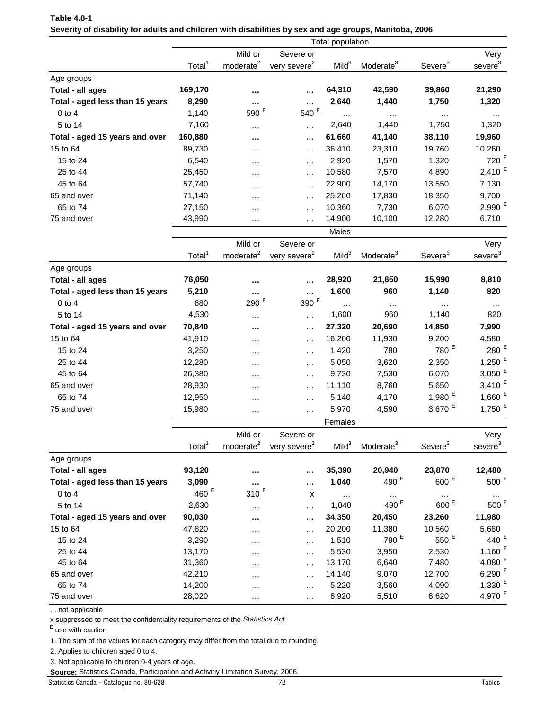|                                            |                    |                       |                          | <b>Total population</b> |                              |                              |                     |
|--------------------------------------------|--------------------|-----------------------|--------------------------|-------------------------|------------------------------|------------------------------|---------------------|
|                                            |                    | Mild or               | Severe or                |                         |                              |                              | Very                |
|                                            | Total <sup>1</sup> | moderate <sup>2</sup> | very severe <sup>2</sup> | Mild <sup>3</sup>       | Moderate <sup>3</sup>        | Severe <sup>3</sup>          | severe <sup>3</sup> |
| Age groups                                 |                    |                       |                          |                         |                              |                              |                     |
| Total - all ages                           | 169,170            |                       |                          | 64,310                  | 42,590                       | 39,860                       | 21,290              |
| Total - aged less than 15 years            | 8,290              |                       | $\cdots$                 | 2,640                   | 1,440                        | 1,750                        | 1,320               |
| $0$ to $4$                                 | 1,140              | 590 <sup>E</sup>      | $540$ $^{\rm E}$         | $\cdots$                |                              | $\ldots$                     |                     |
| 5 to 14                                    | 7,160              | $\cdots$              | $\ddotsc$                | 2,640                   | 1,440                        | 1,750                        | 1,320               |
| Total - aged 15 years and over             | 160,880            |                       | $\cdots$                 | 61,660                  | 41,140                       | 38,110                       | 19,960              |
| 15 to 64                                   | 89,730             | $\cdots$              | $\cdots$                 | 36,410                  | 23,310                       | 19,760                       | 10,260              |
| 15 to 24                                   | 6,540              | $\cdots$              | $\cdots$                 | 2,920                   | 1,570                        | 1,320                        | $720$ <sup>E</sup>  |
| 25 to 44                                   | 25,450             |                       | $\cdots$                 | 10,580                  | 7,570                        | 4,890                        | $2,410^{E}$         |
| 45 to 64                                   | 57,740             | $\cdots$              |                          | 22,900                  | 14,170                       | 13,550                       | 7,130               |
| 65 and over                                | 71,140             | $\cdots$              | $\cdots$                 | 25,260                  | 17,830                       | 18,350                       | 9,700               |
| 65 to 74                                   | 27,150             | $\cdots$              | $\cdots$                 | 10,360                  | 7,730                        | 6,070                        | 2,990 <sup>E</sup>  |
| 75 and over                                | 43,990             | $\cdots$              | .                        | 14,900                  | 10,100                       | 12,280                       | 6,710               |
|                                            |                    | $\cdots$              | $\cdots$                 |                         |                              |                              |                     |
|                                            |                    |                       |                          | Males                   |                              |                              |                     |
|                                            |                    | Mild or               | Severe or                |                         |                              |                              | Very                |
|                                            | Total <sup>1</sup> | moderate <sup>2</sup> | very severe <sup>2</sup> | Mild <sup>3</sup>       | Moderate <sup>3</sup>        | Severe <sup>3</sup>          | severe <sup>3</sup> |
| Age groups                                 |                    |                       |                          |                         |                              |                              |                     |
| Total - all ages                           | 76,050             |                       |                          | 28,920                  | 21,650                       | 15,990                       | 8,810               |
| Total - aged less than 15 years            | 5,210              |                       | $\cdots$                 | 1,600                   | 960                          | 1,140                        | 820                 |
| $0$ to $4$                                 | 680                | 290 <sup>E</sup>      | $390$ $^{\rm E}$         | $\cdots$                | $\cdots$                     | $\cdots$                     | $\ldots$            |
| 5 to 14                                    | 4,530              | $\cdots$              | $\cdots$                 | 1,600                   | 960                          | 1,140                        | 820                 |
| Total - aged 15 years and over             | 70,840             |                       | $\cdots$                 | 27,320                  | 20,690                       | 14,850                       | 7,990               |
| 15 to 64                                   | 41,910             | $\cdots$              | $\cdots$                 | 16,200                  | 11,930                       | 9,200                        | 4,580               |
| 15 to 24                                   | 3,250              | $\cdots$              | $\cdots$                 | 1,420                   | 780                          | 780 $E$                      | $280$ <sup>E</sup>  |
| 25 to 44                                   | 12,280             | $\cdots$              | $\cdots$                 | 5,050                   | 3,620                        | 2,350                        | 1,250 $E$           |
| 45 to 64                                   | 26,380             | $\cdots$              | .                        | 9,730                   | 7,530                        | 6,070                        | 3,050 $E$           |
| 65 and over                                | 28,930             | $\cdots$              | $\cdots$                 | 11,110                  | 8,760                        | 5,650                        | 3,410 $E$           |
| 65 to 74                                   | 12,950             | $\cdots$              | $\cdots$                 | 5,140                   | 4,170                        | 1,980 $E$                    | 1,660 $E$           |
| 75 and over                                | 15,980             | $\cdots$              | $\cdots$                 | 5,970                   | 4,590                        | 3,670 $E$                    | 1,750 $E$           |
|                                            |                    |                       |                          | Females                 |                              |                              |                     |
|                                            |                    | Mild or               | Severe or                |                         |                              |                              | Very                |
|                                            | Total <sup>1</sup> | moderate <sup>2</sup> | very severe <sup>2</sup> | Mild <sup>3</sup>       | Moderate <sup>3</sup>        | Severe <sup>3</sup>          | severe <sup>3</sup> |
| Age groups                                 |                    |                       |                          |                         |                              |                              |                     |
| Total - all ages                           | 93,120             |                       |                          | 35,390                  | 20,940                       | 23,870                       | 12,480              |
| Total - aged less than 15 years            | 3,090              |                       |                          | 1,040                   | 490 <sup>E</sup>             | 600 <sup>E</sup>             | $500$ $^{\rm E}$    |
| $0$ to $4$                                 | 460 <sup>E</sup>   | $310$ $^{\rm E}$      | X                        |                         |                              |                              |                     |
| 5 to 14                                    | 2,630              |                       |                          | $\cdots$<br>1,040       | $\cdots$<br>490 <sup>E</sup> | $\cdots$<br>600 <sup>E</sup> | 500 $E$             |
|                                            |                    | $\cdots$              | $\cdots$                 |                         |                              |                              |                     |
| Total - aged 15 years and over<br>15 to 64 | 90,030<br>47,820   |                       | $\cdots$                 | 34,350<br>20,200        | 20,450<br>11,380             | 23,260<br>10,560             | 11,980<br>5,680     |
|                                            |                    | .                     | $\cdots$                 |                         | 790 <sup>E</sup>             | 550 $E$                      | 440 $E$             |
| 15 to 24                                   | 3,290              |                       | $\cdots$                 | 1,510                   |                              |                              | 1,160 $E$           |
| 25 to 44                                   | 13,170             | .                     | $\cdots$                 | 5,530                   | 3,950<br>6,640               | 2,530<br>7,480               | 4,080 $E$           |
| 45 to 64                                   | 31,360             | .                     | .                        | 13,170                  |                              | 12,700                       | 6,290 $E$           |
| 65 and over<br>65 to 74                    | 42,210<br>14,200   |                       | $\cdots$                 | 14,140<br>5,220         | 9,070<br>3,560               | 4,090                        | 1,330 $E$           |
| 75 and over                                | 28,020             | .                     | $\cdots$                 | 8,920                   | 5,510                        | 8,620                        | 4,970 <sup>E</sup>  |
|                                            |                    |                       | $\cdots$                 |                         |                              |                              |                     |

# **Table 4.8-1 Severity of disability for adults and children with disabilities by sex and age groups, Manitoba, 2006**

... not applicable

x suppressed to meet the confidentiality requirements of the *Statistics Act* 

E use with caution

1. The sum of the values for each category may differ from the total due to rounding.

2. Applies to children aged 0 to 4.

3. Not applicable to children 0-4 years of age.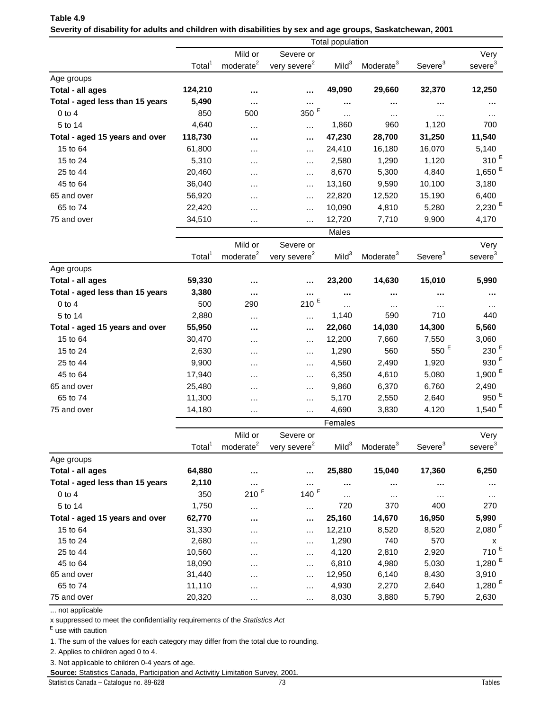|                                 |                    |                       |                          | Total population  |                       |                     |                        |
|---------------------------------|--------------------|-----------------------|--------------------------|-------------------|-----------------------|---------------------|------------------------|
|                                 |                    | Mild or               | Severe or                |                   |                       |                     | Very                   |
|                                 | Total <sup>1</sup> | moderate <sup>2</sup> | very severe <sup>2</sup> | Mild <sup>3</sup> | Moderate <sup>3</sup> | Severe <sup>3</sup> | $\text{severe}^3$      |
| Age groups                      |                    |                       |                          |                   |                       |                     |                        |
| Total - all ages                | 124,210            |                       | $\cdots$                 | 49,090            | 29,660                | 32,370              | 12,250                 |
| Total - aged less than 15 years | 5,490              |                       |                          |                   |                       |                     |                        |
| $0$ to $4$                      | 850                | 500                   | $350$ $^{\rm E}$         | $\cdots$          | $\cdots$              |                     |                        |
| 5 to 14                         | 4,640              | $\cdots$              | $\cdots$                 | 1,860             | 960                   | 1,120               | 700                    |
| Total - aged 15 years and over  | 118,730            |                       |                          | 47,230            | 28,700                | 31,250              | 11,540                 |
| 15 to 64                        | 61,800             | $\cdots$              | $\cdots$                 | 24,410            | 16,180                | 16,070              | 5,140                  |
| 15 to 24                        | 5,310              | $\cdots$              | $\cdots$                 | 2,580             | 1,290                 | 1,120               | 310 <sup>E</sup>       |
| 25 to 44                        | 20,460             | $\cdots$              | $\cdots$                 | 8,670             | 5,300                 | 4,840               | 1,650 $^{\circ}$       |
| 45 to 64                        | 36,040             | $\cdots$              | $\cdots$                 | 13,160            | 9,590                 | 10,100              | 3,180                  |
| 65 and over                     | 56,920             | $\cdots$              | $\cdots$                 | 22,820            | 12,520                | 15,190              | 6,400                  |
| 65 to 74                        | 22,420             |                       |                          | 10,090            | 4,810                 | 5,280               | 2,230                  |
| 75 and over                     | 34,510             | $\cdots$              | $\cdots$                 | 12,720            | 7,710                 | 9,900               | 4,170                  |
|                                 |                    | .                     | $\cdots$                 |                   |                       |                     |                        |
|                                 |                    |                       |                          | Males             |                       |                     |                        |
|                                 |                    | Mild or               | Severe or                |                   |                       |                     | Very                   |
|                                 | Total <sup>1</sup> | moderate <sup>2</sup> | very severe <sup>2</sup> | Mild <sup>3</sup> | Moderate <sup>3</sup> | Severe <sup>3</sup> | severe <sup>3</sup>    |
| Age groups                      |                    |                       |                          |                   |                       |                     |                        |
| Total - all ages                | 59,330             |                       |                          | 23,200            | 14,630                | 15,010              | 5,990                  |
| Total - aged less than 15 years | 3,380              |                       |                          |                   |                       |                     |                        |
| $0$ to $4$                      | 500                | 290                   | E<br>210                 | .                 | $\cdots$              | .                   |                        |
| 5 to 14                         | 2,880              | $\cdots$              | $\cdots$                 | 1,140             | 590                   | 710                 | 440                    |
| Total - aged 15 years and over  | 55,950             |                       | $\cdots$                 | 22,060            | 14,030                | 14,300              | 5,560                  |
| 15 to 64                        | 30,470             | $\cdots$              | $\cdots$                 | 12,200            | 7,660                 | 7,550               | 3,060                  |
| 15 to 24                        | 2,630              | .                     | $\cdots$                 | 1,290             | 560                   | $550$ $^{\rm E}$    | 230 <sup>5</sup>       |
| 25 to 44                        | 9,900              | .                     | $\cdots$                 | 4,560             | 2,490                 | 1,920               | 930                    |
| 45 to 64                        | 17,940             | $\cdots$              | $\cdots$                 | 6,350             | 4,610                 | 5,080               | 1,900 $^{\circ}$       |
| 65 and over                     | 25,480             | $\cdots$              | $\cdots$                 | 9,860             | 6,370                 | 6,760               | 2,490                  |
| 65 to 74                        | 11,300             | $\cdots$              | $\cdots$                 | 5,170             | 2,550                 | 2,640               | 950 <sup>E</sup>       |
| 75 and over                     | 14,180             | $\cdots$              | $\cdots$                 | 4,690             | 3,830                 | 4,120               | 1,540 $E$              |
|                                 |                    |                       |                          | Females           |                       |                     |                        |
|                                 |                    |                       |                          |                   |                       |                     |                        |
|                                 | Total <sup>1</sup> | Mild or               | Severe or                | Mild <sup>3</sup> | Moderate <sup>3</sup> | Severe <sup>3</sup> | Very                   |
|                                 |                    | moderate <sup>2</sup> | very severe <sup>2</sup> |                   |                       |                     | $s$ evere <sup>3</sup> |
| Age groups                      |                    |                       |                          |                   |                       |                     |                        |
| Total - all ages                | 64,880             |                       |                          | 25,880            | 15,040                | 17,360              | 6,250                  |
| Total - aged less than 15 years | 2,110              |                       | E                        |                   |                       |                     | $\cdots$               |
| $0$ to $4$                      | 350                | $210$ <sup>E</sup>    | 140                      | $\cdots$          |                       | $\cdots$            |                        |
| 5 to 14                         | 1,750              | $\cdots$              | $\cdots$                 | 720               | 370                   | 400                 | 270                    |
| Total - aged 15 years and over  | 62,770             |                       | $\cdots$                 | 25,160            | 14,670                | 16,950              | 5,990                  |
| 15 to 64                        | 31,330             | $\cdots$              | $\cdots$                 | 12,210            | 8,520                 | 8,520               | $2,080^{\circ}$        |
| 15 to 24                        | 2,680              | $\cdots$              | $\cdots$                 | 1,290             | 740                   | 570                 | x                      |
| 25 to 44                        | 10,560             | $\cdots$              | $\cdots$                 | 4,120             | 2,810                 | 2,920               | 710 $E$                |
| 45 to 64                        | 18,090             | $\cdots$              | $\ldots$                 | 6,810             | 4,980                 | 5,030               | 1,280 $^{\circ}$       |
| 65 and over                     | 31,440             | $\cdots$              | $\cdots$                 | 12,950            | 6,140                 | 8,430               | 3,910                  |
| 65 to 74                        | 11,110             | $\cdots$              | $\cdots$                 | 4,930             | 2,270                 | 2,640               | 1,280 $E$              |
| 75 and over                     | 20,320             |                       |                          | 8,030             | 3,880                 | 5,790               | 2,630                  |

### **Table 4.9 Severity of disability for adults and children with disabilities by sex and age groups, Saskatchewan, 2001**

... not applicable

x suppressed to meet the confidentiality requirements of the *Statistics Act* 

E use with caution

1. The sum of the values for each category may differ from the total due to rounding.

2. Applies to children aged 0 to 4.

3. Not applicable to children 0-4 years of age.

**Source:** Statistics Canada, Participation and Activitiy Limitation Survey, 2001.

Statistics Canada – Catalogue no. 89-628 73 Tables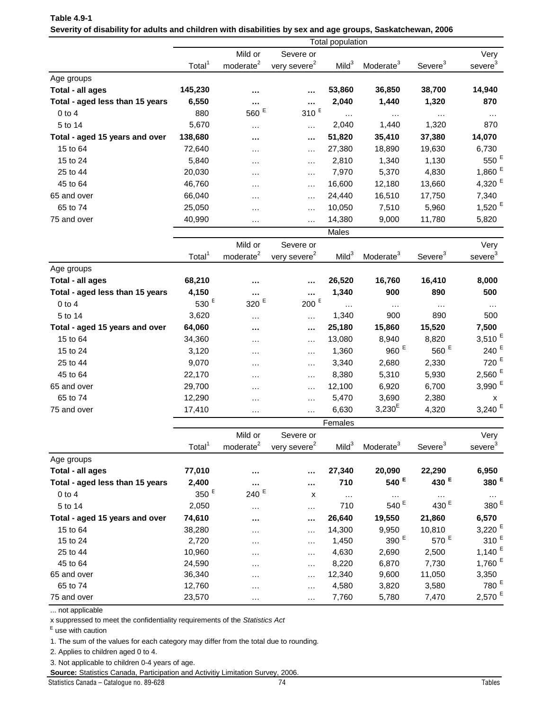| $\sim$ . The contract of the contract of $\sim$ | scx and age groups, oasnatone<br>Total population |                       |                          |                   |                              |                     |                      |  |  |
|-------------------------------------------------|---------------------------------------------------|-----------------------|--------------------------|-------------------|------------------------------|---------------------|----------------------|--|--|
|                                                 |                                                   | Mild or               | Severe or                |                   |                              |                     | Very                 |  |  |
|                                                 | Total <sup>1</sup>                                | moderate <sup>2</sup> | very severe <sup>2</sup> | Mild <sup>3</sup> | Moderate <sup>3</sup>        | Severe <sup>3</sup> | severe <sup>3</sup>  |  |  |
| Age groups                                      |                                                   |                       |                          |                   |                              |                     |                      |  |  |
| Total - all ages                                | 145,230                                           |                       |                          | 53,860            | 36,850                       | 38,700              | 14,940               |  |  |
| Total - aged less than 15 years                 | 6,550                                             |                       |                          | 2,040             | 1,440                        | 1,320               | 870                  |  |  |
| $0$ to $4$                                      | 880                                               | 560 <sup>E</sup>      | $310$ <sup>E</sup>       |                   | $\cdots$                     | $\cdots$            | $\cdots$             |  |  |
| 5 to 14                                         | 5,670                                             | $\cdots$              |                          | 2,040             | 1,440                        | 1,320               | 870                  |  |  |
| Total - aged 15 years and over                  | 138,680                                           |                       |                          | 51,820            | 35,410                       | 37,380              | 14,070               |  |  |
| 15 to 64                                        | 72,640                                            | $\cdots$              | $\cdots$                 | 27,380            | 18,890                       | 19,630              | 6,730                |  |  |
| 15 to 24                                        | 5,840                                             | $\cdots$              | $\cdots$                 | 2,810             | 1,340                        | 1,130               | 550 $E$              |  |  |
| 25 to 44                                        | 20,030                                            | $\cdots$              | $\cdots$                 | 7,970             | 5,370                        | 4,830               | 1,860 $^{\circ}$     |  |  |
| 45 to 64                                        | 46,760                                            | $\cdots$              | $\cdots$                 | 16,600            | 12,180                       | 13,660              | 4,320 $^{\circ}$     |  |  |
| 65 and over                                     | 66,040                                            | .                     | .                        | 24,440            | 16,510                       | 17,750              | 7,340                |  |  |
| 65 to 74                                        | 25,050                                            |                       | $\cdots$                 | 10,050            | 7,510                        | 5,960               | 1,520 $^{\circ}$     |  |  |
| 75 and over                                     | 40,990                                            |                       |                          | 14,380            | 9,000                        | 11,780              | 5,820                |  |  |
|                                                 |                                                   | $\cdots$              | $\cdots$                 | Males             |                              |                     |                      |  |  |
|                                                 |                                                   |                       |                          |                   |                              |                     |                      |  |  |
|                                                 | Total <sup>1</sup>                                | Mild or               | Severe or                | Mild <sup>3</sup> |                              | Severe <sup>3</sup> | Very                 |  |  |
|                                                 |                                                   | moderate <sup>2</sup> | very severe <sup>2</sup> |                   | Moderate <sup>3</sup>        |                     | severe <sup>3</sup>  |  |  |
| Age groups                                      |                                                   |                       |                          |                   |                              |                     |                      |  |  |
| Total - all ages                                | 68,210                                            |                       |                          | 26,520            | 16,760                       | 16,410              | 8,000                |  |  |
| Total - aged less than 15 years                 | 4,150                                             |                       |                          | 1,340             | 900                          | 890                 | 500                  |  |  |
| $0$ to $4$                                      | 530 <sup>E</sup>                                  | E<br>320              | $200$ $^{\rm E}$         |                   | $\ldots$                     | $\cdots$            | $\cdots$             |  |  |
| 5 to 14                                         | 3,620                                             | $\ddotsc$             | $\cdots$                 | 1,340             | 900                          | 890                 | 500                  |  |  |
| Total - aged 15 years and over                  | 64,060                                            |                       |                          | 25,180            | 15,860                       | 15,520              | 7,500                |  |  |
| 15 to 64                                        | 34,360                                            | .                     | $\cdots$                 | 13,080            | 8,940                        | 8,820               | 3,510 $^{\circ}$     |  |  |
| 15 to 24                                        | 3,120                                             | $\cdots$              | $\cdots$                 | 1,360             | 960 $E$                      | $560$ $^{\rm E}$    | 240                  |  |  |
| 25 to 44                                        | 9,070                                             | $\cdots$              | $\cdots$                 | 3,340             | 2,680                        | 2,330               | 720                  |  |  |
| 45 to 64                                        | 22,170                                            | .                     | $\cdots$                 | 8,380             | 5,310                        | 5,930               | $2,560^{\circ}$      |  |  |
| 65 and over                                     | 29,700                                            | $\cdots$              | $\cdots$                 | 12,100            | 6,920                        | 6,700               | $3,990$ <sup>E</sup> |  |  |
| 65 to 74                                        | 12,290                                            | $\cdots$              | $\cdots$                 | 5,470             | 3,690                        | 2,380               | x                    |  |  |
| 75 and over                                     | 17,410                                            | $\cdots$              | .                        | 6,630             | $3,230^E$                    | 4,320               | 3,240 $E$            |  |  |
|                                                 |                                                   |                       |                          | Females           |                              |                     |                      |  |  |
|                                                 |                                                   | Mild or               | Severe or                |                   |                              |                     | Very                 |  |  |
|                                                 | Total <sup>1</sup>                                | moderate <sup>2</sup> | very severe <sup>2</sup> | Mild <sup>3</sup> | Moderate <sup>3</sup>        | Severe <sup>3</sup> | severe <sup>3</sup>  |  |  |
| Age groups                                      |                                                   |                       |                          |                   |                              |                     |                      |  |  |
| Total - all ages                                | 77,010                                            |                       |                          | 27,340            | 20,090                       | 22,290              | 6,950                |  |  |
| Total - aged less than 15 years                 | 2,400                                             |                       |                          | 710               | 540 $E$                      | 430 <sup>E</sup>    | 380 $E$              |  |  |
| $0$ to $4$                                      | 350 <sup>E</sup>                                  | 240 $E$               | X                        | $\cdots$          |                              |                     |                      |  |  |
| 5 to 14                                         | 2,050                                             | $\cdots$              |                          | 710               | $\ldots$<br>540 <sup>E</sup> | 430 <sup>E</sup>    | 380 $E$              |  |  |
| Total - aged 15 years and over                  | 74,610                                            |                       |                          | 26,640            | 19,550                       | 21,860              | 6,570                |  |  |
| 15 to 64                                        | 38,280                                            |                       |                          | 14,300            | 9,950                        | 10,810              | 3,220 $E$            |  |  |
| 15 to 24                                        | 2,720                                             | $\cdots$              | $\cdots$                 | 1,450             | 390 $E$                      | 570 <sup>E</sup>    | 310 $5$              |  |  |
| 25 to 44                                        | 10,960                                            | .                     | $\cdots$                 | 4,630             | 2,690                        | 2,500               | 1,140 $E$            |  |  |
| 45 to 64                                        | 24,590                                            | .                     | $\cdots$                 | 8,220             | 6,870                        | 7,730               | 1,760                |  |  |
| 65 and over                                     | 36,340                                            | $\cdots$              | $\cdots$                 | 12,340            | 9,600                        | 11,050              | 3,350                |  |  |
| 65 to 74                                        | 12,760                                            |                       | $\cdots$                 | 4,580             | 3,820                        | 3,580               | 780 <sup>E</sup>     |  |  |
|                                                 |                                                   |                       |                          |                   |                              |                     |                      |  |  |

### **Table 4.9-1 Severity of disability for adults and children with disabilities by sex and age groups, Saskatchewan, 2006**

... not applicable

x suppressed to meet the confidentiality requirements of the *Statistics Act* 

E use with caution

1. The sum of the values for each category may differ from the total due to rounding.

2. Applies to children aged 0 to 4.

3. Not applicable to children 0-4 years of age.

**Source:** Statistics Canada, Participation and Activitiy Limitation Survey, 2006.

Statistics Canada – Catalogue no. 89-628 74 Tables

75 and over 23,570 … … 7,760 5,780 7,470 2,570 <sup>E</sup>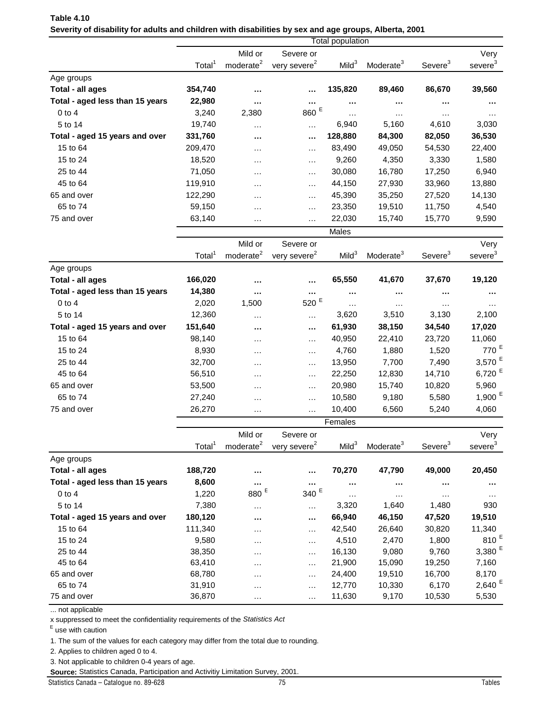| Table 4.10                                                                                            |  |
|-------------------------------------------------------------------------------------------------------|--|
| Severity of disability for adults and children with disabilities by sex and age groups, Alberta, 2001 |  |
| Total nonulation                                                                                      |  |

|                                 |                    |                       |                          | <b>Total population</b> |                       |                     |                      |
|---------------------------------|--------------------|-----------------------|--------------------------|-------------------------|-----------------------|---------------------|----------------------|
|                                 |                    | Mild or               | Severe or                |                         |                       |                     | Very                 |
|                                 | Total <sup>1</sup> | moderate <sup>2</sup> | very severe <sup>2</sup> | Mild <sup>3</sup>       | Moderate <sup>3</sup> | Severe <sup>3</sup> | severe <sup>3</sup>  |
| Age groups                      |                    |                       |                          |                         |                       |                     |                      |
| Total - all ages                | 354,740            | $\cdots$              |                          | 135,820                 | 89,460                | 86,670              | 39,560               |
| Total - aged less than 15 years | 22,980             |                       |                          |                         |                       |                     |                      |
| $0$ to $4$                      | 3,240              | 2,380                 | 860 $E$                  |                         |                       | .                   |                      |
| 5 to 14                         | 19,740             | .                     |                          | 6,940                   | 5,160                 | 4,610               | 3,030                |
| Total - aged 15 years and over  | 331,760            |                       |                          | 128,880                 | 84,300                | 82,050              | 36,530               |
| 15 to 64                        | 209,470            | $\cdots$              | $\cdots$                 | 83,490                  | 49,050                | 54,530              | 22,400               |
| 15 to 24                        | 18,520             | $\cdots$              | $\cdots$                 | 9,260                   | 4,350                 | 3,330               | 1,580                |
| 25 to 44                        | 71,050             | $\cdots$              | $\cdots$                 | 30,080                  | 16,780                | 17,250              | 6,940                |
| 45 to 64                        | 119,910            | $\cdots$              | $\cdots$                 | 44,150                  | 27,930                | 33,960              | 13,880               |
| 65 and over                     | 122,290            | $\cdots$              | $\cdots$                 | 45,390                  | 35,250                | 27,520              | 14,130               |
| 65 to 74                        | 59,150             | $\cdots$              | $\cdots$                 | 23,350                  | 19,510                | 11,750              | 4,540                |
| 75 and over                     | 63,140             | $\cdots$              | $\cdots$                 | 22,030                  | 15,740                | 15,770              | 9,590                |
|                                 |                    |                       |                          | Males                   |                       |                     |                      |
|                                 |                    | Mild or               | Severe or                |                         |                       |                     | Very                 |
|                                 | Total <sup>1</sup> | moderate <sup>2</sup> | very severe <sup>2</sup> | Mild <sup>3</sup>       | Moderate <sup>3</sup> | Severe <sup>3</sup> | severe <sup>3</sup>  |
| Age groups                      |                    |                       |                          |                         |                       |                     |                      |
| <b>Total - all ages</b>         | 166,020            |                       |                          | 65,550                  | 41,670                | 37,670              | 19,120               |
| Total - aged less than 15 years | 14,380             |                       |                          |                         | $\cdots$              |                     |                      |
| $0$ to $4$                      | 2,020              | 1,500                 | $520$ $^{\rm E}$         | .                       | $\cdots$              | .                   |                      |
| 5 to 14                         | 12,360             | $\cdots$              |                          | 3,620                   | 3,510                 | 3,130               | 2,100                |
| Total - aged 15 years and over  | 151,640            |                       |                          | 61,930                  | 38,150                | 34,540              | 17,020               |
| 15 to 64                        | 98,140             | $\cdots$              | $\cdots$                 | 40,950                  | 22,410                | 23,720              | 11,060               |
| 15 to 24                        | 8,930              | $\ddotsc$             | $\cdots$                 | 4,760                   | 1,880                 | 1,520               | 770 <sup>E</sup>     |
| 25 to 44                        | 32,700             | $\cdots$              | $\cdots$                 | 13,950                  | 7,700                 | 7,490               | 3,570 $E$            |
| 45 to 64                        | 56,510             | $\cdots$              | $\cdots$                 | 22,250                  | 12,830                | 14,710              | 6,720 <sup>E</sup>   |
| 65 and over                     | 53,500             | $\cdots$              | $\cdots$                 | 20,980                  | 15,740                | 10,820              | 5,960                |
| 65 to 74                        | 27,240             | $\cdots$              | $\cdots$                 | 10,580                  | 9,180                 | 5,580               | 1,900 $E$            |
| 75 and over                     | 26,270             | $\cdots$              | $\cdots$                 | 10,400                  | 6,560                 | 5,240               | 4,060                |
|                                 |                    |                       |                          | Females                 |                       |                     |                      |
|                                 |                    | Mild or               | Severe or                |                         |                       |                     | Very                 |
|                                 | Total $1$          | moderate <sup>2</sup> | very severe <sup>2</sup> | Mild <sup>3</sup>       | Moderate <sup>3</sup> | Severe <sup>3</sup> | severe <sup>3</sup>  |
| Age groups                      |                    |                       |                          |                         |                       |                     |                      |
| Total - all ages                | 188,720            |                       |                          | 70,270                  | 47,790                | 49,000              | 20,450               |
| Total - aged less than 15 years | 8,600              |                       |                          |                         |                       |                     |                      |
| $0$ to $4$                      | 1,220              | 880 $E$               | $340$ $^{\rm E}$         |                         | $\ldots$              | $\cdots$            | $\cdots$             |
| 5 to 14                         | 7,380              | $\cdots$              | $\ldots$                 | 3,320                   | 1,640                 | 1,480               | 930                  |
| Total - aged 15 years and over  | 180,120            | $\cdots$              | $\cdots$                 | 66,940                  | 46,150                | 47,520              | 19,510               |
| 15 to 64                        | 111,340            | $\cdots$              | $\cdots$                 | 42,540                  | 26,640                | 30,820              | 11,340               |
| 15 to 24                        | 9,580              | $\cdots$              | $\cdots$                 | 4,510                   | 2,470                 | 1,800               | 810 <sup>E</sup>     |
| 25 to 44                        | 38,350             | $\cdots$              | $\cdots$                 | 16,130                  | 9,080                 | 9,760               | 3,380 $E$            |
| 45 to 64                        | 63,410             | $\cdots$              | $\cdots$                 | 21,900                  | 15,090                | 19,250              | 7,160                |
| 65 and over                     | 68,780             | $\cdots$              | $\cdots$                 | 24,400                  | 19,510                | 16,700              | 8,170                |
| 65 to 74                        | 31,910             | $\cdots$              | $\cdots$                 | 12,770                  | 10,330                | 6,170               | $2,640$ <sup>E</sup> |
| 75 and over                     | 36,870             | $\cdots$              | $\cdots$                 | 11,630                  | 9,170                 | 10,530              | 5,530                |
|                                 |                    |                       |                          |                         |                       |                     |                      |

x suppressed to meet the confidentiality requirements of the *Statistics Act* 

E use with caution

1. The sum of the values for each category may differ from the total due to rounding.

2. Applies to children aged 0 to 4.

3. Not applicable to children 0-4 years of age.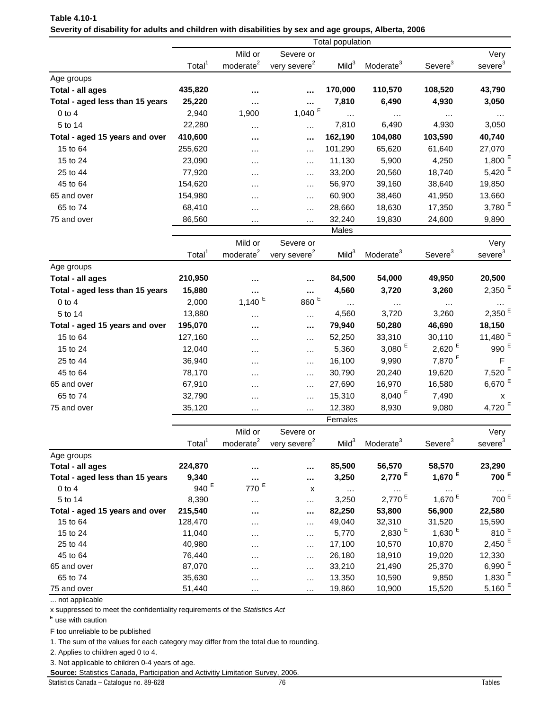|                                 | Total population   |                       |                          |                   |                       |                      |                      |  |  |  |
|---------------------------------|--------------------|-----------------------|--------------------------|-------------------|-----------------------|----------------------|----------------------|--|--|--|
|                                 |                    | Mild or               | Severe or                |                   |                       |                      | Very                 |  |  |  |
|                                 | Total <sup>1</sup> | moderate <sup>2</sup> | very severe <sup>2</sup> | Mild <sup>3</sup> | Moderate <sup>3</sup> | Severe <sup>3</sup>  | severe <sup>3</sup>  |  |  |  |
| Age groups                      |                    |                       |                          |                   |                       |                      |                      |  |  |  |
| Total - all ages                | 435,820            | $\cdots$              | $\cdots$                 | 170,000           | 110,570               | 108,520              | 43,790               |  |  |  |
| Total - aged less than 15 years | 25,220             |                       |                          | 7,810             | 6,490                 | 4,930                | 3,050                |  |  |  |
| $0$ to $4$                      | 2,940              | 1,900                 | $1,040$ $^{\rm E}$       | .                 |                       |                      |                      |  |  |  |
| 5 to 14                         | 22,280             | $\cdots$              | $\ldots$                 | 7,810             | 6,490                 | 4,930                | 3,050                |  |  |  |
| Total - aged 15 years and over  | 410,600            |                       |                          | 162,190           | 104,080               | 103,590              | 40,740               |  |  |  |
| 15 to 64                        | 255,620            | $\cdots$              | $\cdots$                 | 101,290           | 65,620                | 61,640               | 27,070               |  |  |  |
| 15 to 24                        | 23,090             | .                     | $\cdots$                 | 11,130            | 5,900                 | 4,250                | 1,800 $E$            |  |  |  |
| 25 to 44                        | 77,920             | $\cdots$              | $\cdots$                 | 33,200            | 20,560                | 18,740               | 5,420 $E$            |  |  |  |
| 45 to 64                        | 154,620            |                       |                          | 56,970            | 39,160                | 38,640               | 19,850               |  |  |  |
| 65 and over                     | 154,980            | .                     | $\cdots$                 | 60,900            | 38,460                | 41,950               | 13,660               |  |  |  |
| 65 to 74                        | 68,410             | $\cdots$              | $\cdots$                 | 28,660            | 18,630                | 17,350               | 3,780 $E$            |  |  |  |
|                                 | 86,560             | $\cdots$              | $\cdots$                 | 32,240            | 19,830                | 24,600               | 9,890                |  |  |  |
| 75 and over                     |                    | $\cdots$              | $\cdots$                 | Males             |                       |                      |                      |  |  |  |
|                                 |                    | Mild or               | Severe or                |                   |                       |                      | Very                 |  |  |  |
|                                 | Total <sup>1</sup> | moderate <sup>2</sup> | very severe <sup>2</sup> | Mild <sup>3</sup> | Moderate <sup>3</sup> | Severe <sup>3</sup>  | severe <sup>3</sup>  |  |  |  |
|                                 |                    |                       |                          |                   |                       |                      |                      |  |  |  |
| Age groups                      |                    |                       |                          |                   |                       | 49,950               | 20,500               |  |  |  |
| Total - all ages                | 210,950            |                       |                          | 84,500            | 54,000                |                      |                      |  |  |  |
| Total - aged less than 15 years | 15,880             |                       | $\cdots$                 | 4,560             | 3,720                 | 3,260                | $2,350$ <sup>E</sup> |  |  |  |
| $0$ to $4$                      | 2,000              | $1,140$ <sup>E</sup>  | 860 <sup>E</sup>         | $\cdots$          | $\cdots$              | .                    |                      |  |  |  |
| 5 to 14                         | 13,880             | .                     | $\ddotsc$                | 4,560             | 3,720                 | 3,260                | $2,350$ <sup>E</sup> |  |  |  |
| Total - aged 15 years and over  | 195,070            |                       | $\cdots$                 | 79,940            | 50,280                | 46,690               | 18,150               |  |  |  |
| 15 to 64                        | 127,160            | $\cdots$              | $\cdots$                 | 52,250            | 33,310                | 30,110               | 11,480 <sup>E</sup>  |  |  |  |
| 15 to 24                        | 12,040             | $\cdots$              | $\cdots$                 | 5,360             | $3,080$ <sup>E</sup>  | $2,620$ <sup>E</sup> | 990 <sup>E</sup>     |  |  |  |
| 25 to 44                        | 36,940             | .                     | $\cdots$                 | 16,100            | 9,990                 | 7,870 <sup>E</sup>   | F                    |  |  |  |
| 45 to 64                        | 78,170             | .                     | $\cdots$                 | 30,790            | 20,240                | 19,620               | 7,520 <sup>E</sup>   |  |  |  |
| 65 and over                     | 67,910             | $\cdots$              | $\cdots$                 | 27,690            | 16,970                | 16,580               | $6,670$ $^{\rm E}$   |  |  |  |
| 65 to 74                        | 32,790             | $\cdots$              | $\cdots$                 | 15,310            | $8,040$ <sup>E</sup>  | 7,490                | x                    |  |  |  |
| 75 and over                     | 35,120             | $\cdots$              | $\cdots$                 | 12,380            | 8,930                 | 9,080                | $4,720$ $^{\rm E}$   |  |  |  |
|                                 |                    |                       |                          | Females           |                       |                      |                      |  |  |  |
|                                 |                    | Mild or               | Severe or                |                   |                       |                      | Very                 |  |  |  |
|                                 | Total <sup>1</sup> | moderate <sup>2</sup> | very severe <sup>2</sup> | Mild <sup>3</sup> | Moderate <sup>3</sup> | Severe <sup>3</sup>  | severe <sup>3</sup>  |  |  |  |
| Age groups                      |                    |                       |                          |                   |                       |                      |                      |  |  |  |
| Total - all ages                | 224,870            |                       | $\cdots$                 | 85,500            | 56,570                | 58,570               | 23,290               |  |  |  |
| Total - aged less than 15 years | 9,340              |                       |                          | 3,250             | 2,770 <sup>E</sup>    | 1,670 $E$            | $700$ <sup>E</sup>   |  |  |  |
| $0$ to $4$                      | 940 <sup>E</sup>   | 770 $E$               | X                        | $\cdots$          |                       |                      |                      |  |  |  |
| 5 to 14                         | 8,390              |                       | $\ldots$                 | 3,250             | $2,770$ <sup>E</sup>  | 1,670E               | 700 <sup>E</sup>     |  |  |  |
| Total - aged 15 years and over  | 215,540            |                       | $\ddotsc$                | 82,250            | 53,800                | 56,900               | 22,580               |  |  |  |
| 15 to 64                        | 128,470            | .                     | $\cdots$                 | 49,040            | 32,310                | 31,520               | 15,590               |  |  |  |
| 15 to 24                        | 11,040             | .                     | $\ldots$                 | 5,770             | $2,830$ <sup>E</sup>  | 1,630 $E$            | 810 <sup>E</sup>     |  |  |  |
| 25 to 44                        | 40,980             | .                     | $\cdots$                 | 17,100            | 10,570                | 10,870               | $2,450$ <sup>E</sup> |  |  |  |
| 45 to 64                        | 76,440             | .                     | $\cdots$                 | 26,180            | 18,910                | 19,020               | 12,330               |  |  |  |
| 65 and over                     | 87,070             | .                     | $\cdots$                 | 33,210            | 21,490                | 25,370               | 6,990 <sup>E</sup>   |  |  |  |
| 65 to 74                        | 35,630             | .                     | $\cdots$                 | 13,350            | 10,590                | 9,850                | 1,830 $E$            |  |  |  |
| 75 and over                     | 51,440             |                       | $\cdots$                 | 19,860            | 10,900                | 15,520               | 5,160 $E$            |  |  |  |

#### **Table 4.10-1 Severity of disability for adults and children with disabilities by sex and age groups, Alberta, 2006**

... not applicable

x suppressed to meet the confidentiality requirements of the *Statistics Act* 

E use with caution

F too unreliable to be published

1. The sum of the values for each category may differ from the total due to rounding.

2. Applies to children aged 0 to 4.

3. Not applicable to children 0-4 years of age.

**Source:** Statistics Canada, Participation and Activitiy Limitation Survey, 2006.

Statistics Canada – Catalogue no. 89-628 76 76 Tables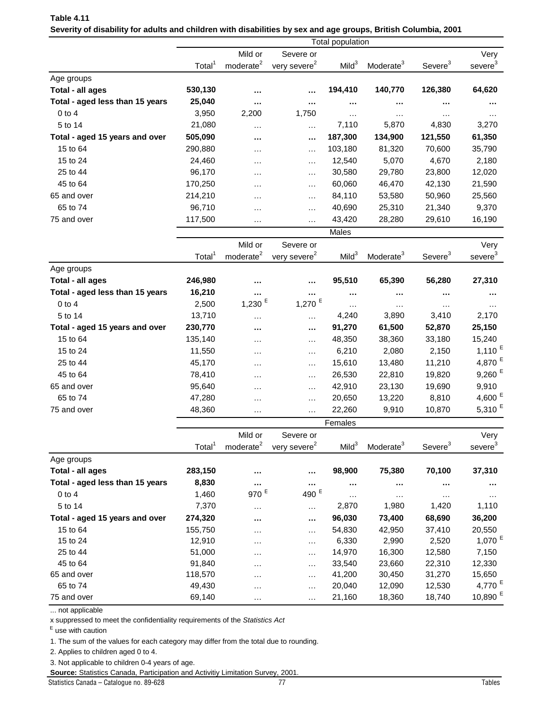| beverity of disability for addits and crimdlen with disabilities by Sex and age groups, Dritish Coldmoia, Z001 |                    |                       |                          | Total population  |                       |                     |                     |
|----------------------------------------------------------------------------------------------------------------|--------------------|-----------------------|--------------------------|-------------------|-----------------------|---------------------|---------------------|
|                                                                                                                |                    | Mild or               | Severe or                |                   |                       |                     | Very                |
|                                                                                                                | Total <sup>1</sup> | moderate <sup>2</sup> | very severe <sup>2</sup> | Mild <sup>3</sup> | Moderate <sup>3</sup> | Severe <sup>3</sup> | severe <sup>3</sup> |
| Age groups                                                                                                     |                    |                       |                          |                   |                       |                     |                     |
| Total - all ages                                                                                               | 530,130            |                       |                          | 194,410           | 140,770               | 126,380             | 64,620              |
| Total - aged less than 15 years                                                                                | 25,040             |                       |                          |                   |                       |                     |                     |
| $0$ to $4$                                                                                                     | 3,950              | 2,200                 | 1,750                    | $\cdots$          | .                     | $\cdots$            |                     |
| 5 to 14                                                                                                        | 21,080             |                       |                          | 7,110             | 5,870                 | 4,830               | 3,270               |
| Total - aged 15 years and over                                                                                 | 505,090            |                       | $\cdots$                 | 187,300           | 134,900               | 121,550             | 61,350              |
| 15 to 64                                                                                                       | 290,880            | $\cdots$              | $\cdots$                 | 103,180           | 81,320                | 70,600              | 35,790              |
| 15 to 24                                                                                                       | 24,460             | $\cdots$              | $\cdots$                 | 12,540            | 5,070                 | 4,670               | 2,180               |
| 25 to 44                                                                                                       | 96,170             |                       | $\cdots$                 | 30,580            | 29,780                | 23,800              | 12,020              |
| 45 to 64                                                                                                       | 170,250            |                       | $\cdots$                 | 60,060            | 46,470                | 42,130              | 21,590              |
| 65 and over                                                                                                    | 214,210            | .                     | $\cdots$                 | 84,110            | 53,580                | 50,960              | 25,560              |
| 65 to 74                                                                                                       | 96,710             | .                     | $\cdots$                 | 40,690            | 25,310                | 21,340              | 9,370               |
| 75 and over                                                                                                    | 117,500            |                       | .                        | 43,420            | 28,280                | 29,610              | 16,190              |
|                                                                                                                |                    |                       |                          | Males             |                       |                     |                     |
|                                                                                                                |                    | Mild or               | Severe or                |                   |                       |                     | Very                |
|                                                                                                                | Total <sup>1</sup> | moderate <sup>2</sup> | very severe <sup>2</sup> | Mild <sup>3</sup> | Moderate <sup>3</sup> | Severe <sup>3</sup> | severe <sup>3</sup> |
| Age groups                                                                                                     |                    |                       |                          |                   |                       |                     |                     |
| Total - all ages                                                                                               | 246,980            |                       |                          | 95,510            | 65,390                | 56,280              | 27,310              |
| Total - aged less than 15 years                                                                                | 16,210             |                       |                          | $\cdots$          |                       | $\cdots$            |                     |
| $0$ to $4$                                                                                                     | 2,500              | $1,230$ <sup>E</sup>  | $1,270$ $^{\rm E}$       |                   |                       |                     |                     |
| 5 to 14                                                                                                        | 13,710             | .                     |                          | 4,240             | 3,890                 | 3,410               | 2,170               |
| Total - aged 15 years and over                                                                                 | 230,770            |                       |                          | 91,270            | 61,500                | 52,870              | 25,150              |
| 15 to 64                                                                                                       | 135,140            | .                     | $\cdots$                 | 48,350            | 38,360                | 33,180              | 15,240              |
| 15 to 24                                                                                                       | 11,550             |                       | $\cdots$                 | 6,210             | 2,080                 | 2,150               | $1,110^{6}$         |
| 25 to 44                                                                                                       | 45,170             | .                     | $\ldots$                 | 15,610            | 13,480                | 11,210              | 4,870 $^{\circ}$    |
| 45 to 64                                                                                                       | 78,410             |                       | $\ldots$                 | 26,530            | 22,810                | 19,820              | 9,260 $E$           |
| 65 and over                                                                                                    | 95,640             | $\cdots$              | $\cdots$                 | 42,910            | 23,130                | 19,690              | 9,910               |
| 65 to 74                                                                                                       | 47,280             | .                     | $\cdots$                 | 20,650            | 13,220                | 8,810               | 4,600 $E$           |
| 75 and over                                                                                                    | 48,360             |                       | $\cdots$                 | 22,260            | 9,910                 | 10,870              | 5,310 $^{\circ}$    |
|                                                                                                                |                    |                       |                          | Females           |                       |                     |                     |
|                                                                                                                |                    | Mild or               | Severe or                |                   |                       |                     | Very                |
|                                                                                                                | Total <sup>1</sup> | moderate $^{2}$       | very severe <sup>2</sup> | Mild <sup>3</sup> | Moderate <sup>3</sup> | Severe <sup>3</sup> | severe <sup>3</sup> |
| Age groups                                                                                                     |                    |                       |                          |                   |                       |                     |                     |
| Total - all ages                                                                                               | 283,150            |                       |                          | 98,900            | 75,380                | 70,100              | 37,310              |
| Total - aged less than 15 years                                                                                | 8,830              |                       |                          |                   |                       |                     |                     |
| $0$ to $4$                                                                                                     | 1,460              | 970 <sup>E</sup>      | 490 $E$                  |                   |                       | $\cdots$            | $\cdots$            |
| 5 to 14                                                                                                        | 7,370              | $\cdots$              | $\ddotsc$                | 2,870             | 1,980                 | 1,420               | 1,110               |
| Total - aged 15 years and over                                                                                 | 274,320            |                       | $\cdots$                 | 96,030            | 73,400                | 68,690              | 36,200              |
| 15 to 64                                                                                                       | 155,750            | .                     | $\ldots$                 | 54,830            | 42,950                | 37,410              | 20,550              |
| 15 to 24                                                                                                       | 12,910             |                       | $\ldots$                 | 6,330             | 2,990                 | 2,520               | 1,070 $E$           |
| 25 to 44                                                                                                       | 51,000             |                       | $\cdots$                 | 14,970            | 16,300                | 12,580              | 7,150               |
| 45 to 64                                                                                                       | 91,840             | $\cdots$              | $\cdots$                 | 33,540            | 23,660                | 22,310              | 12,330              |

# **Table 4.11 Severity of disability for adults and children with disabilities by sex and age groups, British Columbia, 2001**

... not applicable

x suppressed to meet the confidentiality requirements of the *Statistics Act* 

E use with caution

1. The sum of the values for each category may differ from the total due to rounding.

2. Applies to children aged 0 to 4.

3. Not applicable to children 0-4 years of age.

**Source:** Statistics Canada, Participation and Activitiy Limitation Survey, 2001.

Statistics Canada – Catalogue no. 89-628 Tables

65 and over 118,570 … … 41,200 30,450 31,270 15,650 65 to 74 49,430 … … 20,040 12,090 12,530 4,770 <sup>E</sup> 75 and over  $69,140$  …  $18,360$  18,740  $10,890$   $^{\textsf{\tiny{E}}}$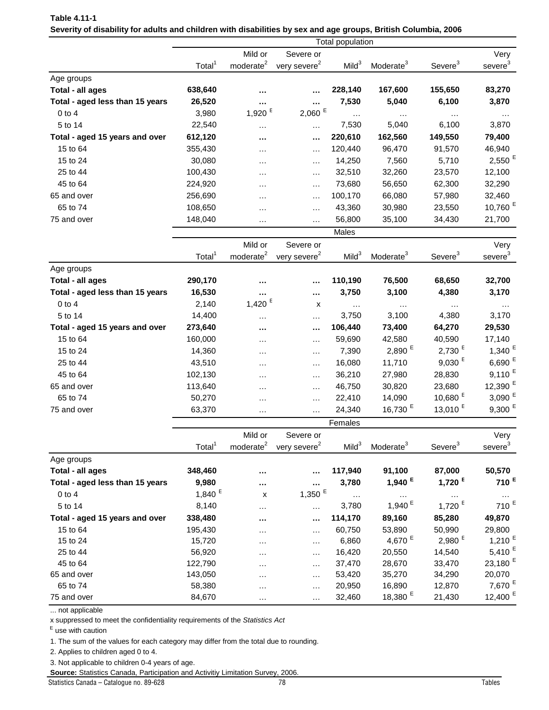|                                 |                    |                       |                          | Total population  |                       |                      |                      |
|---------------------------------|--------------------|-----------------------|--------------------------|-------------------|-----------------------|----------------------|----------------------|
|                                 |                    | Mild or               | Severe or                |                   |                       |                      | Very                 |
|                                 | Total <sup>1</sup> | moderate <sup>2</sup> | very severe <sup>2</sup> | Mild <sup>3</sup> | Moderate <sup>3</sup> | Severe <sup>3</sup>  | severe <sup>3</sup>  |
| Age groups                      |                    |                       |                          |                   |                       |                      |                      |
| Total - all ages                | 638,640            | $\cdots$              |                          | 228,140           | 167,600               | 155,650              | 83,270               |
| Total - aged less than 15 years | 26,520             | $\cdots$              |                          | 7,530             | 5,040                 | 6,100                | 3,870                |
| $0$ to $4$                      | 3,980              | $1,920$ <sup>E</sup>  | $2,060$ $^{\rm E}$       |                   | $\cdots$              | $\cdots$             |                      |
| 5 to 14                         | 22,540             | $\cdots$              | $\cdots$                 | 7,530             | 5,040                 | 6,100                | 3,870                |
| Total - aged 15 years and over  | 612,120            |                       |                          | 220,610           | 162,560               | 149,550              | 79,400               |
| 15 to 64                        | 355,430            | $\cdots$              | $\cdots$                 | 120,440           | 96,470                | 91,570               | 46,940               |
| 15 to 24                        | 30,080             | $\cdots$              | $\cdots$                 | 14,250            | 7,560                 | 5,710                | $2,550$ <sup>E</sup> |
| 25 to 44                        | 100,430            | $\cdots$              | $\ddotsc$                | 32,510            | 32,260                | 23,570               | 12,100               |
| 45 to 64                        | 224,920            | $\cdots$              | $\cdots$                 | 73,680            | 56,650                | 62,300               | 32,290               |
| 65 and over                     | 256,690            | $\cdots$              | $\cdots$                 | 100,170           | 66,080                | 57,980               | 32,460               |
| 65 to 74                        | 108,650            |                       | $\ldots$                 | 43,360            | 30,980                | 23,550               | 10,760 <sup>E</sup>  |
| 75 and over                     | 148,040            | $\cdots$              | $\ddotsc$                | 56,800            | 35,100                | 34,430               | 21,700               |
|                                 |                    | $\cdots$              |                          | Males             |                       |                      |                      |
|                                 |                    |                       |                          |                   |                       |                      |                      |
|                                 |                    | Mild or               | Severe or                |                   |                       |                      | Very                 |
|                                 | Total <sup>1</sup> | moderate <sup>2</sup> | very severe <sup>2</sup> | Mild <sup>3</sup> | Moderate <sup>3</sup> | Severe <sup>3</sup>  | severe <sup>3</sup>  |
| Age groups                      |                    |                       |                          |                   |                       |                      |                      |
| Total - all ages                | 290,170            |                       |                          | 110,190           | 76,500                | 68,650               | 32,700               |
| Total - aged less than 15 years | 16,530             | $\cdots$              | $\cdots$                 | 3,750             | 3,100                 | 4,380                | 3,170                |
| $0$ to $4$                      | 2,140              | E<br>1,420            | X                        | .                 |                       | .                    |                      |
| 5 to 14                         | 14,400             | $\cdots$              | $\cdots$                 | 3,750             | 3,100                 | 4,380                | 3,170                |
| Total - aged 15 years and over  | 273,640            |                       | $\cdots$                 | 106,440           | 73,400                | 64,270               | 29,530               |
| 15 to 64                        | 160,000            | $\cdots$              | $\ldots$                 | 59,690            | 42,580                | 40,590               | 17,140               |
| 15 to 24                        | 14,360             | $\cdots$              | $\cdots$                 | 7,390             | $2,890$ $^{\rm E}$    | 2,730 <sup>E</sup>   | $1,340$ $^{\rm E}$   |
| 25 to 44                        | 43,510             | $\cdots$              |                          | 16,080            | 11,710                | $9,030$ <sup>E</sup> | $6,690$ $^{\rm E}$   |
| 45 to 64                        | 102,130            | $\cdots$              | $\cdots$                 | 36,210            | 27,980                | 28,830               | 9,110 $E$            |
| 65 and over                     | 113,640            | $\cdots$              | $\cdots$                 | 46,750            | 30,820                | 23,680               | 12,390 <sup>E</sup>  |
| 65 to 74                        | 50,270             | $\cdots$              | $\ddotsc$                | 22,410            | 14,090                | 10,680 $E$           | $3,090$ <sup>E</sup> |
| 75 and over                     | 63,370             | $\cdots$              | $\cdots$                 | 24,340            | 16,730 <sup>E</sup>   | 13,010 $E$           | $9,300$ <sup>E</sup> |
|                                 |                    |                       |                          | Females           |                       |                      |                      |
|                                 |                    | Mild or               | Severe or                |                   |                       |                      | Very                 |
|                                 | Total <sup>1</sup> | moderate $^{2}$       | very severe <sup>2</sup> | Mild <sup>3</sup> | Moderate <sup>3</sup> | Severe <sup>3</sup>  | severe <sup>3</sup>  |
| Age groups                      |                    |                       |                          |                   |                       |                      |                      |
| Total - all ages                | 348,460            | $\cdots$              |                          | 117,940           | 91,100                | 87,000               | 50,570               |
| Total - aged less than 15 years | 9,980              | .                     | $\cdots$                 | 3,780             | $1,940$ <sup>E</sup>  | 1,720 $E$            | $710$ <sup>E</sup>   |
| $0$ to $4$                      | 1,840 $E$          | х                     | $1,350$ $^{\rm E}$       |                   | $\cdots$              | $\cdots$             |                      |
| 5 to 14                         | 8,140              | $\cdots$              | $\cdots$                 | 3,780             | 1,940 E               | $1,720$ <sup>E</sup> | 710 $E$              |
| Total - aged 15 years and over  | 338,480            |                       |                          | 114,170           | 89,160                | 85,280               | 49,870               |
| 15 to 64                        | 195,430            |                       |                          | 60,750            | 53,890                | 50,990               | 29,800               |
| 15 to 24                        | 15,720             | $\cdots$<br>.         | $\cdots$                 | 6,860             | 4,670 <sup>E</sup>    | $2,980$ <sup>E</sup> | $1,210$ <sup>E</sup> |
| 25 to 44                        | 56,920             | .                     |                          | 16,420            | 20,550                | 14,540               | 5,410 $E$            |
| 45 to 64                        | 122,790            | .                     |                          | 37,470            | 28,670                | 33,470               | 23,180 <sup>E</sup>  |
| 65 and over                     | 143,050            | $\cdots$              | $\cdots$                 | 53,420            | 35,270                | 34,290               | 20,070               |
| 65 to 74                        | 58,380             | $\cdots$              | $\ldots$                 | 20,950            | 16,890                | 12,870               | 7,670 <sup>E</sup>   |
| 75 and over                     | 84,670             | $\cdots$              | $\cdots$                 | 32,460            | 18,380 <sup>E</sup>   | 21,430               | 12,400 <sup>E</sup>  |

## **Table 4.11-1 Severity of disability for adults and children with disabilities by sex and age groups, British Columbia, 2006**

... not applicable

x suppressed to meet the confidentiality requirements of the *Statistics Act* 

E use with caution

1. The sum of the values for each category may differ from the total due to rounding.

2. Applies to children aged 0 to 4.

3. Not applicable to children 0-4 years of age.

**Source:** Statistics Canada, Participation and Activitiy Limitation Survey, 2006.

Statistics Canada – Catalogue no. 89-628 78 Tables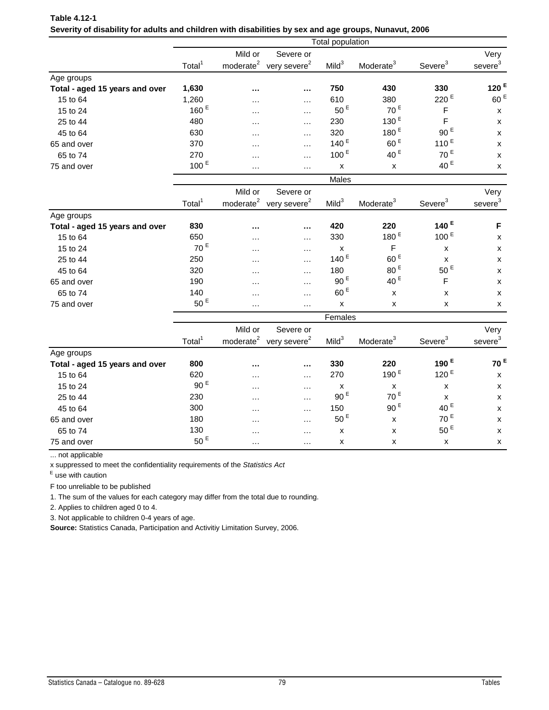| Table 4.12-1 |                                                                                                       |  |  |  |
|--------------|-------------------------------------------------------------------------------------------------------|--|--|--|
|              | Severity of disability for adults and children with disabilities by sex and age groups, Nunavut, 2006 |  |  |  |

|                                |                    | Total population      |                                                |                    |                       |                     |                     |
|--------------------------------|--------------------|-----------------------|------------------------------------------------|--------------------|-----------------------|---------------------|---------------------|
|                                |                    | Mild or               | Severe or                                      |                    |                       |                     | Very                |
|                                | Total <sup>1</sup> |                       | moderate <sup>2</sup> very severe <sup>2</sup> | Mild <sup>3</sup>  | Moderate <sup>3</sup> | Severe <sup>3</sup> | severe <sup>3</sup> |
| Age groups                     |                    |                       |                                                |                    |                       |                     |                     |
| Total - aged 15 years and over | 1,630              |                       |                                                | 750                | 430                   | 330                 | 120 $E$             |
| 15 to 64                       | 1,260              |                       | $\cdots$                                       | 610                | 380                   | 220 <sup>E</sup>    | 60 <sup>E</sup>     |
| 15 to 24                       | 160 <sup>E</sup>   |                       |                                                | $50$ $^{\rm E}$    | 70 <sup>E</sup>       | F                   | $\pmb{\mathsf{x}}$  |
| 25 to 44                       | 480                |                       | $\cdots$                                       | 230                | 130 <sup>E</sup>      | F                   | $\pmb{\mathsf{X}}$  |
| 45 to 64                       | 630                |                       | $\cdots$                                       | 320                | 180 <sup>E</sup>      | 90 <sup>E</sup>     | X                   |
| 65 and over                    | 370                |                       | $\cdots$                                       | 140 $E$            | 60 <sup>E</sup>       | 110 <sup>E</sup>    | $\pmb{\mathsf{x}}$  |
| 65 to 74                       | 270                | $\cdots$              | .                                              | 100 <sup>E</sup>   | 40 <sup>E</sup>       | 70 <sup>E</sup>     | X                   |
| 75 and over                    | 100 <sup>E</sup>   | $\cdots$              | .                                              | $\pmb{\mathsf{x}}$ | X                     | 40 <sup>E</sup>     | X                   |
|                                |                    |                       |                                                | Males              |                       |                     |                     |
|                                |                    | Mild or               | Severe or                                      |                    |                       |                     | Very                |
|                                | Total <sup>1</sup> |                       | moderate <sup>2</sup> very severe <sup>2</sup> | Mild <sup>3</sup>  | Moderate <sup>3</sup> | Severe <sup>3</sup> | severe <sup>3</sup> |
| Age groups                     |                    |                       |                                                |                    |                       |                     |                     |
| Total - aged 15 years and over | 830                |                       |                                                | 420                | 220                   | 140 $E$             | F                   |
| 15 to 64                       | 650                | .                     | $\cdots$                                       | 330                | 180 $E$               | 100 <sup>E</sup>    | X                   |
| 15 to 24                       | 70 <sup>E</sup>    | $\cdots$              | $\cdots$                                       | X                  | F                     | $\pmb{\mathsf{x}}$  | x                   |
| 25 to 44                       | 250                | $\cdots$              | $\cdots$                                       | 140 $E$            | 60 <sup>E</sup>       | X                   | X                   |
| 45 to 64                       | 320                | $\cdots$              | $\cdots$                                       | 180                | 80 <sup>E</sup>       | $50$ $^{\rm E}$     | X                   |
| 65 and over                    | 190                | $\cdots$              | $\cdots$                                       | 90 <sup>E</sup>    | 40 <sup>E</sup>       | F                   | X                   |
| 65 to 74                       | 140                | $\cdots$              | $\cdots$                                       | 60 <sup>E</sup>    | $\pmb{\mathsf{X}}$    | $\pmb{\mathsf{x}}$  | X                   |
| 75 and over                    | $50$ $^{\rm E}$    |                       | .                                              | $\pmb{\mathsf{x}}$ | $\pmb{\mathsf{x}}$    | X                   | X                   |
|                                |                    |                       |                                                | Females            |                       |                     |                     |
|                                |                    | Mild or               | Severe or                                      |                    |                       |                     | Very                |
|                                | Total <sup>1</sup> | moderate <sup>2</sup> | very severe <sup>2</sup>                       | Mild <sup>3</sup>  | Moderate <sup>3</sup> | Severe <sup>3</sup> | severe <sup>3</sup> |
| Age groups                     |                    |                       |                                                |                    |                       |                     |                     |
| Total - aged 15 years and over | 800                | $\cdots$              |                                                | 330                | 220                   | 190 <sup>E</sup>    | 70E                 |
| 15 to 64                       | 620                | .                     | $\cdots$                                       | 270                | 190 <sup>E</sup>      | 120 <sup>E</sup>    | X                   |
| 15 to 24                       | 90 $E$             | $\cdots$              | $\cdots$                                       | X                  | $\pmb{\mathsf{X}}$    | $\pmb{\chi}$        | x                   |
| 25 to 44                       | 230                | $\cdots$              | $\cdots$                                       | $90E$              | $70$ $^{\rm E}$       | X                   | X                   |
| 45 to 64                       | 300                | $\cdots$              | $\cdots$                                       | 150                | $90$ $^{\rm E}$       | 40 <sup>E</sup>     | x                   |
| 65 and over                    | 180                | .                     | $\cdots$                                       | $50E$              | $\pmb{\mathsf{X}}$    | 70 <sup>E</sup>     | $\pmb{\mathsf{x}}$  |
| 65 to 74                       | 130                |                       | .                                              | $\pmb{\mathsf{X}}$ | $\pmb{\mathsf{x}}$    | $50$ $^{\rm E}$     | $\pmb{\mathsf{X}}$  |
| 75 and over                    | 50 <sup>E</sup>    | .                     | .                                              | x                  | $\pmb{\mathsf{x}}$    | $\pmb{\mathsf{x}}$  | x                   |

x suppressed to meet the confidentiality requirements of the *Statistics Act* 

E use with caution

F too unreliable to be published

1. The sum of the values for each category may differ from the total due to rounding.

2. Applies to children aged 0 to 4.

3. Not applicable to children 0-4 years of age.

**Source:** Statistics Canada, Participation and Activitiy Limitation Survey, 2006.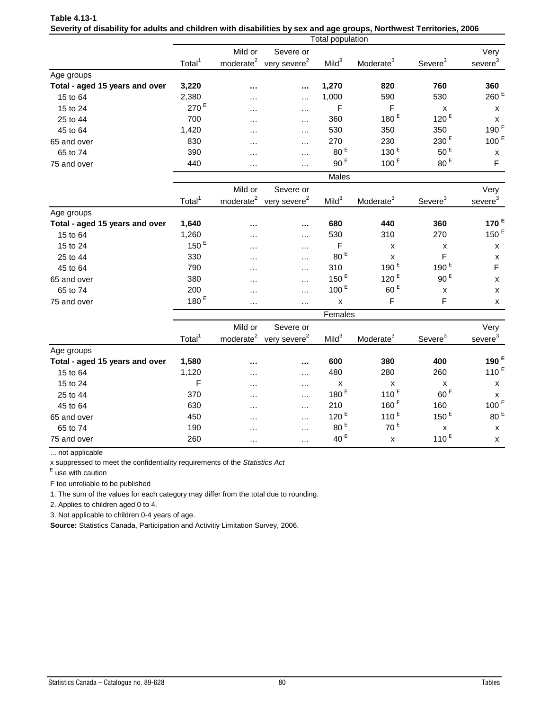| Table 4.13-1                                                                                                        |  |
|---------------------------------------------------------------------------------------------------------------------|--|
| Severity of disability for adults and children with disabilities by sex and age groups, Northwest Territories, 2006 |  |

|                                |                    |                       |                                                | Total population   |                       |                     |                        |
|--------------------------------|--------------------|-----------------------|------------------------------------------------|--------------------|-----------------------|---------------------|------------------------|
|                                |                    | Mild or               | Severe or                                      |                    |                       |                     | Very                   |
|                                | Total <sup>1</sup> |                       | moderate <sup>2</sup> very severe <sup>2</sup> | Mild <sup>3</sup>  | Moderate <sup>3</sup> | Severe <sup>3</sup> | severe <sup>3</sup>    |
| Age groups                     |                    |                       |                                                |                    |                       |                     |                        |
| Total - aged 15 years and over | 3,220              |                       |                                                | 1,270              | 820                   | 760                 | 360                    |
| 15 to 64                       | 2,380              |                       | .                                              | 1,000              | 590                   | 530                 | 260 <sup>E</sup>       |
| 15 to 24                       | 270 <sup>E</sup>   | .                     | .                                              | F                  | F                     | X                   | X                      |
| 25 to 44                       | 700                |                       | .                                              | 360                | 180 <sup>E</sup>      | 120 <sup>E</sup>    | X                      |
| 45 to 64                       | 1,420              |                       | $\cdots$                                       | 530                | 350                   | 350                 | 190 <sup>E</sup>       |
| 65 and over                    | 830                | .                     | $\cdots$                                       | 270                | 230                   | 230 <sup>E</sup>    | 100 <sup>E</sup>       |
| 65 to 74                       | 390                | $\cdots$              | $\cdots$                                       | 80 <sup>E</sup>    | 130 <sup>E</sup>      | 50 <sup>E</sup>     | X                      |
| 75 and over                    | 440                | $\cdots$              | .                                              | 90 <sup>E</sup>    | 100 <sup>E</sup>      | 80 <sup>E</sup>     | F                      |
|                                |                    |                       |                                                | Males              |                       |                     |                        |
|                                |                    | Mild or               | Severe or                                      |                    |                       |                     | Very                   |
|                                | Total <sup>1</sup> | moderate $^{2}$       | very severe <sup>2</sup>                       | Mild <sup>3</sup>  | Moderate <sup>3</sup> | Severe $3$          | $s$ evere <sup>3</sup> |
| Age groups                     |                    |                       |                                                |                    |                       |                     |                        |
| Total - aged 15 years and over | 1,640              |                       |                                                | 680                | 440                   | 360                 | 170 <sup>E</sup>       |
| 15 to 64                       | 1,260              |                       | .                                              | 530                | 310                   | 270                 | 150 $E$                |
| 15 to 24                       | 150 $E$            |                       | $\ldots$                                       | $\mathsf F$        | X                     | x                   | x                      |
| 25 to 44                       | 330                |                       | $\cdots$                                       | $80$ $^{\rm E}$    | X                     | F                   | X                      |
| 45 to 64                       | 790                |                       | $\cdots$                                       | 310                | 190 <sup>E</sup>      | 190 <sup>E</sup>    | F                      |
| 65 and over                    | 380                |                       | .                                              | 150 <sup>E</sup>   | 120 <sup>E</sup>      | $90E$               | x                      |
| 65 to 74                       | 200                | $\cdots$              |                                                | 100 <sup>E</sup>   | 60 <sup>E</sup>       | $\pmb{\mathsf{x}}$  | x                      |
| 75 and over                    | 180 <sup>E</sup>   | $\cdots$              | .                                              | $\pmb{\mathsf{x}}$ | $\mathsf F$           | F                   | x                      |
|                                |                    |                       |                                                | Females            |                       |                     |                        |
|                                |                    | Mild or               | Severe or                                      |                    |                       |                     | Very                   |
|                                | Total <sup>1</sup> | moderate <sup>2</sup> | very severe <sup>2</sup>                       | Mild <sup>3</sup>  | Moderate <sup>3</sup> | Severe <sup>3</sup> | severe <sup>3</sup>    |
| Age groups                     |                    |                       |                                                |                    |                       |                     |                        |
| Total - aged 15 years and over | 1,580              |                       |                                                | 600                | 380                   | 400                 | 190 <sup>E</sup>       |
| 15 to 64                       | 1,120              | $\cdots$              | .                                              | 480                | 280                   | 260                 | 110 $E$                |
| 15 to 24                       | $\mathsf F$        | .                     | $\cdots$                                       | X                  | x                     | X                   | X                      |
| 25 to 44                       | 370                |                       | $\ldots$                                       | 180 $E$            | 110 $E$               | 60 <sup>E</sup>     | x                      |
| 45 to 64                       | 630                |                       | $\cdots$                                       | 210                | 160 $E$               | 160                 | 100 <sup>E</sup>       |
| 65 and over                    | 450                | .                     | .                                              | 120 <sup>E</sup>   | 110 <sup>E</sup>      | 150 $E$             | 80 <sup>E</sup>        |
| 65 to 74                       | 190                | .                     | .                                              | 80 <sup>E</sup>    | 70 <sup>E</sup>       | $\pmb{\mathsf{x}}$  | $\pmb{\mathsf{x}}$     |
| 75 and over                    | 260                | $\cdots$              | .                                              | 40 $E$             | $\pmb{\mathsf{x}}$    | 110 $E$             | $\pmb{\mathsf{x}}$     |

x suppressed to meet the confidentiality requirements of the *Statistics Act* 

E use with caution

F too unreliable to be published

1. The sum of the values for each category may differ from the total due to rounding.

2. Applies to children aged 0 to 4.

3. Not applicable to children 0-4 years of age.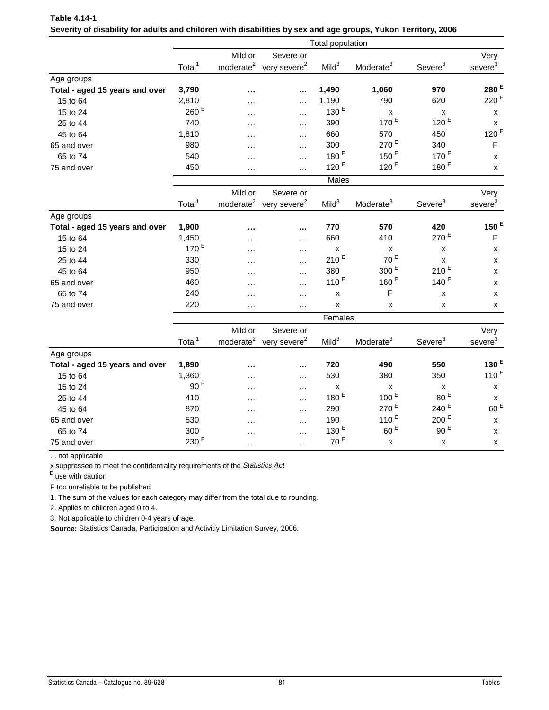|                                |                    |                       |                                                | Total population  |                       |                     |                     |  |
|--------------------------------|--------------------|-----------------------|------------------------------------------------|-------------------|-----------------------|---------------------|---------------------|--|
|                                |                    | Mild or               | Severe or                                      |                   |                       |                     | Very                |  |
|                                | Total <sup>1</sup> |                       | moderate <sup>2</sup> very severe <sup>2</sup> | Mild <sup>3</sup> | Moderate <sup>3</sup> | Severe <sup>3</sup> | severe <sup>3</sup> |  |
| Age groups                     |                    |                       |                                                |                   |                       |                     |                     |  |
| Total - aged 15 years and over | 3,790              |                       | $\cdots$                                       | 1,490             | 1,060                 | 970                 | 280 <sup>E</sup>    |  |
| 15 to 64                       | 2,810              | .                     | $\cdots$                                       | 1,190             | 790                   | 620                 | 220 <sup>E</sup>    |  |
| 15 to 24                       | 260 <sup>E</sup>   | .                     | $\cdots$                                       | 130 <sup>E</sup>  | $\pmb{\mathsf{x}}$    | $\mathsf{x}$        | X                   |  |
| 25 to 44                       | 740                | $\cdots$              | $\cdots$                                       | 390               | 170 $E$               | 120 $E$             | X                   |  |
| 45 to 64                       | 1,810              | .                     | $\cdots$                                       | 660               | 570                   | 450                 | 120 <sup>E</sup>    |  |
| 65 and over                    | 980                | .                     | $\cdots$                                       | 300               | 270 <sup>E</sup>      | 340                 | $\mathsf F$         |  |
| 65 to 74                       | 540                | $\cdots$              | $\cdots$                                       | 180 <sup>E</sup>  | 150 $E$               | 170 <sup>E</sup>    | X                   |  |
| 75 and over                    | 450                | $\cdots$              | $\cdots$                                       | 120 <sup>E</sup>  | 120 $E$               | 180 $E$             | X                   |  |
|                                | <b>Males</b>       |                       |                                                |                   |                       |                     |                     |  |
|                                |                    | Mild or               | Severe or                                      |                   |                       |                     | Very                |  |
|                                | Total <sup>1</sup> | moderate <sup>2</sup> | very severe <sup>2</sup>                       | Mild <sup>3</sup> | Moderate <sup>3</sup> | Severe <sup>3</sup> | severe <sup>3</sup> |  |
| Age groups                     |                    |                       |                                                |                   |                       |                     |                     |  |
| Total - aged 15 years and over | 1,900              | $\ddotsc$             | $\cdots$                                       | 770               | 570                   | 420                 | 150 $E$             |  |
| 15 to 64                       | 1,450              | $\cdots$              | $\cdots$                                       | 660               | 410                   | 270 <sup>E</sup>    | $\mathsf F$         |  |
| 15 to 24                       | 170 $E$            | $\cdots$              | $\cdots$                                       | x                 | X                     | X                   | X                   |  |
| 25 to 44                       | 330                | $\cdots$              | $\cdots$                                       | $210$ $^{\rm E}$  | 70 <sup>E</sup>       | X                   | X                   |  |
| 45 to 64                       | 950                | $\cdots$              | $\cdots$                                       | 380               | 300 <sup>E</sup>      | 210 <sup>E</sup>    | X                   |  |
| 65 and over                    | 460                | $\cdots$              | $\cdots$                                       | 110 $E$           | 160 $E$               | 140 <sup>E</sup>    | X                   |  |
| 65 to 74                       | 240                | $\cdots$              | $\cdots$                                       | x                 | F                     | X                   | X                   |  |
| 75 and over                    | 220                | $\cdots$              | $\cdots$                                       | X                 | X                     | X                   | X                   |  |
|                                |                    |                       |                                                | Females           |                       |                     |                     |  |
|                                |                    | Mild or               | Severe or                                      |                   |                       |                     | Very                |  |
|                                | Total <sup>1</sup> | moderate <sup>2</sup> | very severe <sup>2</sup>                       | Mild <sup>3</sup> | Moderate <sup>3</sup> | Severe <sup>3</sup> | severe <sup>3</sup> |  |

| Table 4.14-1                                                                                                  |  |  |
|---------------------------------------------------------------------------------------------------------------|--|--|
| Severity of disability for adults and children with disabilities by sex and age groups. Yukon Territory, 2006 |  |  |

|                                | , <b>UITUR</b>     |                                  |                                       |                  |                       |                     |                             |
|--------------------------------|--------------------|----------------------------------|---------------------------------------|------------------|-----------------------|---------------------|-----------------------------|
|                                | Total <sup>1</sup> | Mild or<br>moderate <sup>2</sup> | Severe or<br>very severe <sup>2</sup> | $Mild^3$         | Moderate <sup>3</sup> | Severe <sup>3</sup> | Very<br>severe <sup>3</sup> |
| Age groups                     |                    |                                  |                                       |                  |                       |                     |                             |
| Total - aged 15 years and over | 1,890              | $\cdots$                         | $\cdots$                              | 720              | 490                   | 550                 | 130 <sup>E</sup>            |
| 15 to 64                       | 1,360              | $\cdots$                         | $\cdots$                              | 530              | 380                   | 350                 | 110 $E$                     |
| 15 to 24                       | 90 <sup>E</sup>    | $\cdots$                         | $\cdots$                              | x                | x                     | x                   | x                           |
| 25 to 44                       | 410                | $\cdots$                         | $\cdots$                              | 180 $E$          | 100 <sup>E</sup>      | 80 <sup>E</sup>     | X                           |
| 45 to 64                       | 870                | $\cdots$                         | $\cdots$                              | 290              | 270 <sup>E</sup>      | 240 $E$             | 60 <sup>E</sup>             |
| 65 and over                    | 530                | $\cdots$                         | $\cdots$                              | 190              | 110 $E$               | 200 <sup>E</sup>    | x                           |
| 65 to 74                       | 300                | $\cdots$                         | $\cdots$                              | 130 <sup>E</sup> | 60 <sup>E</sup>       | 90 <sup>E</sup>     | x                           |
| 75 and over                    | 230 <sup>E</sup>   | $\cdots$                         | $\cdots$                              | 70 <sup>E</sup>  | x                     | x                   | x                           |
|                                |                    |                                  |                                       |                  |                       |                     |                             |

x suppressed to meet the confidentiality requirements of the *Statistics Act* 

E use with caution

F too unreliable to be published

1. The sum of the values for each category may differ from the total due to rounding.

2. Applies to children aged 0 to 4.

3. Not applicable to children 0-4 years of age.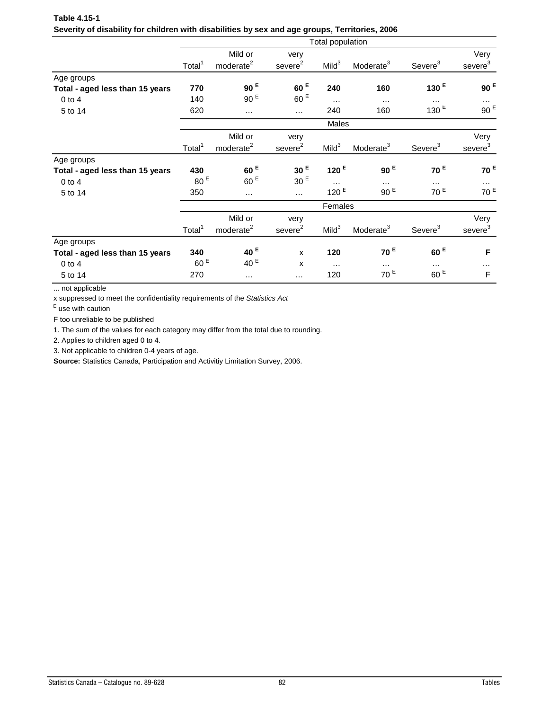| Table 4.15-1                                                                                   |  |
|------------------------------------------------------------------------------------------------|--|
| Severity of disability for children with disabilities by sex and age groups, Territories, 2006 |  |

|                                 |                    |                       |                     | Total population  |                       |                     |                        |
|---------------------------------|--------------------|-----------------------|---------------------|-------------------|-----------------------|---------------------|------------------------|
|                                 |                    | Mild or               | very                |                   |                       |                     | Very                   |
|                                 | Total <sup>1</sup> | moderate <sup>2</sup> | severe <sup>2</sup> | Mild <sup>3</sup> | Moderate <sup>3</sup> | Severe <sup>3</sup> | $s$ evere <sup>3</sup> |
| Age groups                      |                    |                       |                     |                   |                       |                     |                        |
| Total - aged less than 15 years | 770                | 90 <sup>E</sup>       | 60 <sup>E</sup>     | 240               | 160                   | 130 $E$             | 90 <sup>E</sup>        |
| $0$ to $4$                      | 140                | 90 <sup>E</sup>       | 60 <sup>E</sup>     | $\cdots$          | $\cdots$              | $\cdots$            |                        |
| 5 to 14                         | 620                | $\cdots$              | $\cdots$            | 240               | 160                   | 130 $E$             | 90 <sup>E</sup>        |
|                                 |                    |                       |                     | <b>Males</b>      |                       |                     |                        |
|                                 |                    | Mild or               | very                |                   |                       |                     | Very                   |
|                                 | Total <sup>1</sup> | moderate <sup>2</sup> | severe <sup>2</sup> | Mild <sup>3</sup> | Moderate <sup>3</sup> | Severe <sup>3</sup> | severe <sup>3</sup>    |
| Age groups                      |                    |                       |                     |                   |                       |                     |                        |
| Total - aged less than 15 years | 430                | 60 <sup>E</sup>       | 30 <sup>E</sup>     | 120 <sup>E</sup>  | 90 <sup>E</sup>       | 70 <sup>E</sup>     | 70 <sup>E</sup>        |
| $0$ to $4$                      | 80 <sup>E</sup>    | 60 <sup>E</sup>       | 30 <sup>E</sup>     | $\cdots$          | $\cdots$              | $\cdots$            | $\cdots$               |
| 5 to 14                         | 350                | $\cdots$              | $\cdots$            | 120 $E$           | 90E                   | 70 <sup>E</sup>     | 70 <sup>E</sup>        |
|                                 |                    |                       |                     | Females           |                       |                     |                        |
|                                 |                    | Mild or               | very                |                   |                       |                     | Very                   |
|                                 | Total <sup>1</sup> | moderate <sup>2</sup> | severe <sup>2</sup> | Mild <sup>3</sup> | Moderate <sup>3</sup> | Severe <sup>3</sup> | severe <sup>3</sup>    |
| Age groups                      |                    |                       |                     |                   |                       |                     |                        |
| Total - aged less than 15 years | 340                | 40 <sup>E</sup>       | $\mathsf{x}$        | 120               | 70 <sup>E</sup>       | 60 <sup>E</sup>     | F                      |
| $0$ to $4$                      | 60 <sup>E</sup>    | 40 $E$                | X                   | $\cdots$          | .                     | $\cdots$            | .                      |
| 5 to 14                         | 270                | $\cdots$              | $\cdots$            | 120               | 70 <sup>E</sup>       | 60 <sup>E</sup>     | F                      |

x suppressed to meet the confidentiality requirements of the *Statistics Act* 

E use with caution

F too unreliable to be published

1. The sum of the values for each category may differ from the total due to rounding.

2. Applies to children aged 0 to 4.

3. Not applicable to children 0-4 years of age.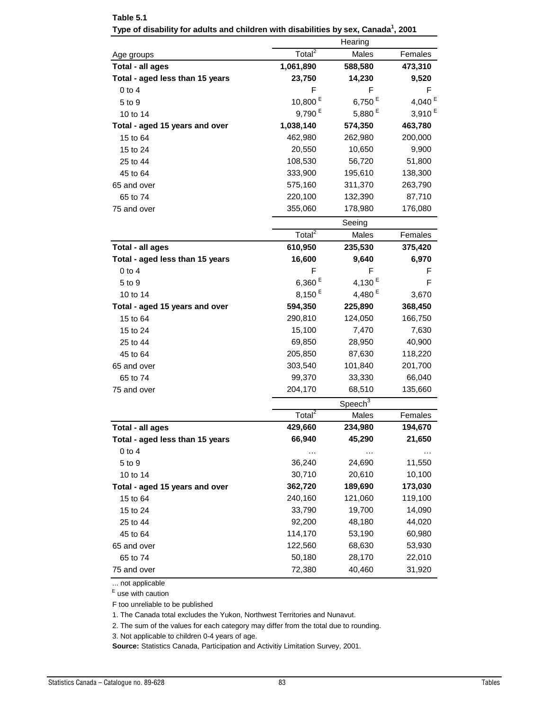| i ype or disability for addits and children with disabilities by sex, Canada , Zuu i | Hearing              |                     |                    |  |  |  |
|--------------------------------------------------------------------------------------|----------------------|---------------------|--------------------|--|--|--|
| Age groups                                                                           | Total $\overline{a}$ | Males               | Females            |  |  |  |
| Total - all ages                                                                     | 1,061,890            | 588,580             | 473,310            |  |  |  |
| Total - aged less than 15 years                                                      | 23,750               | 14,230              | 9,520              |  |  |  |
| $0$ to $4$                                                                           | F                    | F                   | F                  |  |  |  |
| 5 to 9                                                                               | 10,800 <sup>E</sup>  | 6,750 <sup>E</sup>  | 4,040 <sup>E</sup> |  |  |  |
| 10 to 14                                                                             | 9,790 $E$            | 5,880 <sup>E</sup>  | 3,910 $E$          |  |  |  |
| Total - aged 15 years and over                                                       | 1,038,140            | 574,350             | 463,780            |  |  |  |
| 15 to 64                                                                             | 462,980              | 262,980             | 200,000            |  |  |  |
| 15 to 24                                                                             | 20,550               | 10,650              | 9,900              |  |  |  |
| 25 to 44                                                                             | 108,530              | 56,720              | 51,800             |  |  |  |
| 45 to 64                                                                             | 333,900              | 195,610             | 138,300            |  |  |  |
| 65 and over                                                                          | 575,160              | 311,370             | 263,790            |  |  |  |
| 65 to 74                                                                             | 220,100              | 132,390             | 87,710             |  |  |  |
| 75 and over                                                                          | 355,060              | 178,980             | 176,080            |  |  |  |
|                                                                                      |                      | Seeing              |                    |  |  |  |
|                                                                                      | Total <sup>2</sup>   | Males               | Females            |  |  |  |
| Total - all ages                                                                     | 610,950              | 235,530             | 375,420            |  |  |  |
| Total - aged less than 15 years                                                      | 16,600               | 9,640               | 6,970              |  |  |  |
| $0$ to $4$                                                                           | F                    | F                   | F                  |  |  |  |
| 5 to 9                                                                               | 6,360 $E$            | 4,130 $E$           | F                  |  |  |  |
| 10 to 14                                                                             | $8,150^{E}$          | 4,480 $E$           | 3,670              |  |  |  |
| Total - aged 15 years and over                                                       | 594,350              | 225,890             | 368,450            |  |  |  |
| 15 to 64                                                                             | 290,810              | 124,050             | 166,750            |  |  |  |
| 15 to 24                                                                             | 15,100               | 7,470               | 7,630              |  |  |  |
| 25 to 44                                                                             | 69,850               | 28,950              | 40,900             |  |  |  |
| 45 to 64                                                                             | 205,850              | 87,630              | 118,220            |  |  |  |
| 65 and over                                                                          | 303,540              | 101,840             | 201,700            |  |  |  |
| 65 to 74                                                                             | 99,370               | 33,330              | 66,040             |  |  |  |
| 75 and over                                                                          | 204,170              | 68,510              | 135,660            |  |  |  |
|                                                                                      |                      | Speech <sup>3</sup> |                    |  |  |  |
|                                                                                      | Total <sup>2</sup>   | Males               | Females            |  |  |  |
| <b>Total - all ages</b>                                                              | 429,660              | 234,980             | 194,670            |  |  |  |
| Total - aged less than 15 years                                                      | 66,940               | 45,290              | 21,650             |  |  |  |
| $0$ to $4$                                                                           |                      |                     |                    |  |  |  |
| 5 to 9                                                                               | 36,240               | 24,690              | 11,550             |  |  |  |
| 10 to 14                                                                             | 30,710               | 20,610              | 10,100             |  |  |  |
| Total - aged 15 years and over                                                       | 362,720              | 189,690             | 173,030            |  |  |  |
| 15 to 64                                                                             | 240,160              | 121,060             | 119,100            |  |  |  |
| 15 to 24                                                                             | 33,790               | 19,700              | 14,090             |  |  |  |
| 25 to 44                                                                             | 92,200               | 48,180              | 44,020             |  |  |  |
| 45 to 64                                                                             | 114,170              | 53,190              | 60,980             |  |  |  |
| 65 and over                                                                          | 122,560              | 68,630              | 53,930             |  |  |  |
| 65 to 74                                                                             | 50,180               | 28,170              | 22,010             |  |  |  |
| 75 and over                                                                          | 72,380               | 40,460              | 31,920             |  |  |  |

| Table 5.1                                                                                       |  |
|-------------------------------------------------------------------------------------------------|--|
| Type of disability for adults and children with disabilities by sex, Canada <sup>1</sup> , 2001 |  |

 $E$  use with caution

F too unreliable to be published

1. The Canada total excludes the Yukon, Northwest Territories and Nunavut.

2. The sum of the values for each category may differ from the total due to rounding.

3. Not applicable to children 0-4 years of age.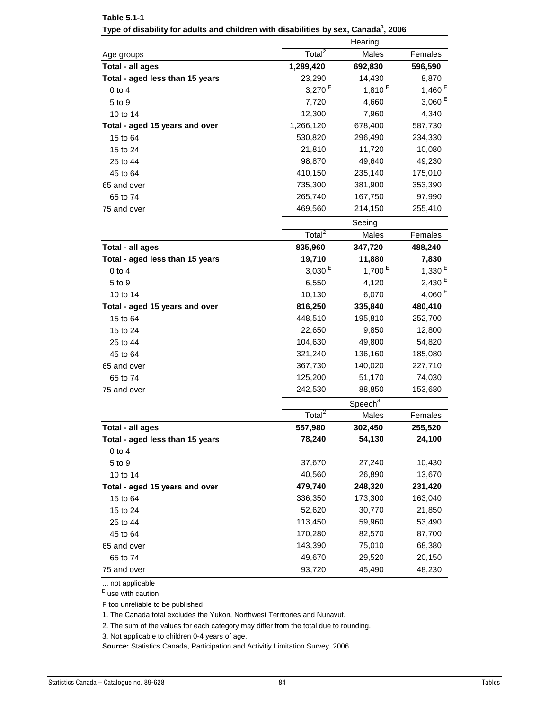|                                 | Hearing              |                     |           |  |  |  |
|---------------------------------|----------------------|---------------------|-----------|--|--|--|
| Age groups                      | Total $^2$           | Males               | Females   |  |  |  |
| Total - all ages                | 1,289,420            | 692,830             | 596,590   |  |  |  |
| Total - aged less than 15 years | 23,290               | 14,430              | 8,870     |  |  |  |
| $0$ to $4$                      | 3,270 $E$            | 1,810 $E$           | 1,460 $E$ |  |  |  |
| 5 to 9                          | 7,720                | 4,660               | 3,060 $E$ |  |  |  |
| 10 to 14                        | 12,300               | 7,960               | 4,340     |  |  |  |
| Total - aged 15 years and over  | 1,266,120            | 678,400             | 587,730   |  |  |  |
| 15 to 64                        | 530,820              | 296,490             | 234,330   |  |  |  |
| 15 to 24                        | 21,810               | 11,720              | 10,080    |  |  |  |
| 25 to 44                        | 98,870               | 49,640              | 49,230    |  |  |  |
| 45 to 64                        | 410,150              | 235,140             | 175,010   |  |  |  |
| 65 and over                     | 735,300              | 381,900             | 353,390   |  |  |  |
| 65 to 74                        | 265,740              | 167,750             | 97,990    |  |  |  |
| 75 and over                     | 469,560              | 214,150             | 255,410   |  |  |  |
|                                 |                      | Seeing              |           |  |  |  |
|                                 | Total $^2$           | Males               | Females   |  |  |  |
| Total - all ages                | 835,960              | 347,720             | 488,240   |  |  |  |
| Total - aged less than 15 years | 19,710               | 11,880              | 7,830     |  |  |  |
| $0$ to $4$                      | 3,030E               | 1,700 $E$           | 1,330 $E$ |  |  |  |
| 5 to 9                          | 6,550                | 4,120               | 2,430E    |  |  |  |
| 10 to 14                        | 10,130               | 6,070               | 4,060 $E$ |  |  |  |
| Total - aged 15 years and over  | 816,250              | 335,840             | 480,410   |  |  |  |
| 15 to 64                        | 448,510              | 195,810             | 252,700   |  |  |  |
| 15 to 24                        | 22,650               | 9,850               | 12,800    |  |  |  |
| 25 to 44                        | 104,630              | 49,800              | 54,820    |  |  |  |
| 45 to 64                        | 321,240              | 136,160             | 185,080   |  |  |  |
| 65 and over                     | 367,730              | 140,020             | 227,710   |  |  |  |
| 65 to 74                        | 125,200              | 51,170              | 74,030    |  |  |  |
| 75 and over                     | 242,530              | 88,850              | 153,680   |  |  |  |
|                                 |                      | Speech <sup>3</sup> |           |  |  |  |
|                                 | Total $\overline{2}$ | Males               | Females   |  |  |  |
| Total - all ages                | 557,980              | 302,450             | 255,520   |  |  |  |
| Total - aged less than 15 years | 78,240               | 54,130              | 24,100    |  |  |  |
| $0$ to $4$                      | $\cdots$             | $\cdots$            |           |  |  |  |
| 5 to 9                          | 37,670               | 27,240              | 10,430    |  |  |  |
| 10 to 14                        | 40,560               | 26,890              | 13,670    |  |  |  |
| Total - aged 15 years and over  | 479,740              | 248,320             | 231,420   |  |  |  |
| 15 to 64                        | 336,350              | 173,300             | 163,040   |  |  |  |
| 15 to 24                        | 52,620               | 30,770              | 21,850    |  |  |  |
| 25 to 44                        | 113,450              | 59,960              | 53,490    |  |  |  |
| 45 to 64                        | 170,280              | 82,570              | 87,700    |  |  |  |
| 65 and over                     | 143,390              | 75,010              | 68,380    |  |  |  |
| 65 to 74                        | 49,670               | 29,520              | 20,150    |  |  |  |
| 75 and over                     | 93,720               | 45,490              | 48,230    |  |  |  |

**Table 5.1-1 Type of disability for adults and children with disabilities by sex, Canada<sup>1</sup> , 2006**

E use with caution

F too unreliable to be published

1. The Canada total excludes the Yukon, Northwest Territories and Nunavut.

2. The sum of the values for each category may differ from the total due to rounding.

3. Not applicable to children 0-4 years of age.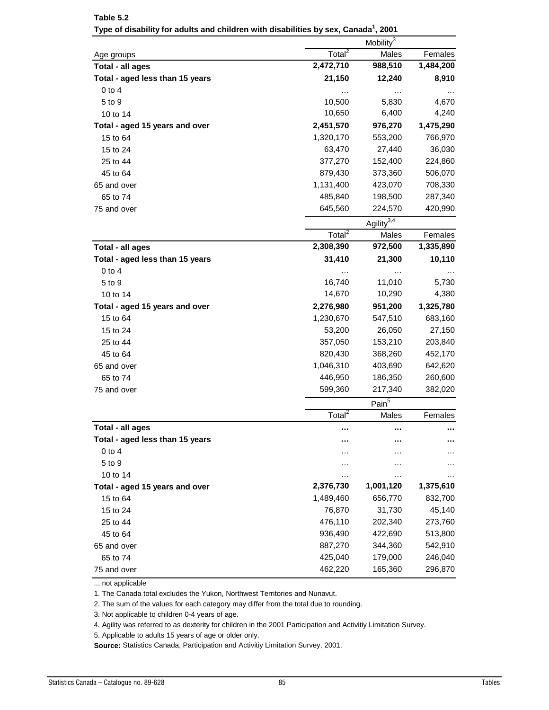|                                 |                      | Mobility <sup>3</sup>  |           |
|---------------------------------|----------------------|------------------------|-----------|
| Age groups                      | Total $\overline{a}$ | Males                  | Females   |
| Total - all ages                | 2,472,710            | 988,510                | 1,484,200 |
| Total - aged less than 15 years | 21,150               | 12,240                 | 8,910     |
| $0$ to $4$                      |                      | .                      |           |
| 5 to 9                          | 10,500               | 5,830                  | 4,670     |
| 10 to 14                        | 10,650               | 6,400                  | 4,240     |
| Total - aged 15 years and over  | 2,451,570            | 976,270                | 1,475,290 |
| 15 to 64                        | 1,320,170            | 553,200                | 766,970   |
| 15 to 24                        | 63,470               | 27,440                 | 36,030    |
| 25 to 44                        | 377,270              | 152,400                | 224,860   |
| 45 to 64                        | 879,430              | 373,360                | 506,070   |
| 65 and over                     | 1,131,400            | 423,070                | 708,330   |
| 65 to 74                        | 485,840              | 198,500                | 287,340   |
| 75 and over                     | 645,560              | 224,570                | 420,990   |
|                                 |                      | Agility <sup>3,4</sup> |           |
|                                 | Total <sup>2</sup>   | Males                  | Females   |
| Total - all ages                | 2,308,390            | 972,500                | 1,335,890 |
| Total - aged less than 15 years | 31,410               | 21,300                 | 10,110    |
| $0$ to $4$                      |                      |                        |           |
| 5 to 9                          | 16,740               | 11,010                 | 5,730     |
| 10 to 14                        | 14,670               | 10,290                 | 4,380     |
| Total - aged 15 years and over  | 2,276,980            | 951,200                | 1,325,780 |
| 15 to 64                        | 1,230,670            | 547,510                | 683,160   |
| 15 to 24                        | 53,200               | 26,050                 | 27,150    |
| 25 to 44                        | 357,050              | 153,210                | 203,840   |
| 45 to 64                        | 820,430              | 368,260                | 452,170   |
| 65 and over                     | 1,046,310            | 403,690                | 642,620   |
| 65 to 74                        | 446,950              | 186,350                | 260,600   |
| 75 and over                     | 599,360              | 217,340                | 382,020   |
|                                 |                      | Pain $\overline{5}$    |           |
|                                 | Total <sup>2</sup>   | Males                  | Females   |
| Total - all ages                |                      |                        |           |
| Total - aged less than 15 years |                      |                        |           |
| $0$ to 4                        |                      |                        |           |
| 5 to 9                          | $\cdots$             | .                      |           |
| 10 to 14                        | .                    | .                      |           |
| Total - aged 15 years and over  | 2,376,730            | 1,001,120              | 1,375,610 |
| 15 to 64                        | 1,489,460            | 656,770                | 832,700   |
| 15 to 24                        | 76,870               | 31,730                 | 45,140    |
| 25 to 44                        | 476,110              | 202,340                | 273,760   |
| 45 to 64                        | 936,490              | 422,690                | 513,800   |
| 65 and over                     | 887,270              | 344,360                | 542,910   |
| 65 to 74                        | 425,040              | 179,000                | 246,040   |
| 75 and over                     | 462,220              | 165,360                | 296,870   |

**Type of disability for adults and children with disabilities by sex, Canada1 , 2001**

**Table 5.2**

1. The Canada total excludes the Yukon, Northwest Territories and Nunavut.

2. The sum of the values for each category may differ from the total due to rounding.

3. Not applicable to children 0-4 years of age.

4. Agility was referred to as dexterity for children in the 2001 Participation and Activitiy Limitation Survey.

5. Applicable to adults 15 years of age or older only.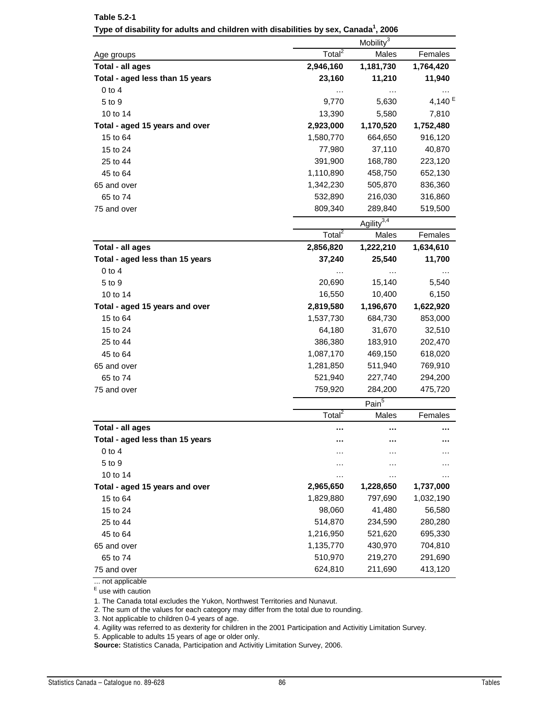| Type of disability for adults and children with disabilities by sex, Canada , 2006 |                      | Mobility <sup>3</sup>  |           |
|------------------------------------------------------------------------------------|----------------------|------------------------|-----------|
| Age groups                                                                         | Total $\overline{2}$ | Males                  | Females   |
| Total - all ages                                                                   | 2,946,160            | 1,181,730              | 1,764,420 |
| Total - aged less than 15 years                                                    | 23,160               | 11,210                 | 11,940    |
| $0$ to $4$                                                                         |                      |                        |           |
| 5 to 9                                                                             | 9,770                | 5,630                  | 4,140 $E$ |
| 10 to 14                                                                           | 13,390               | 5,580                  | 7,810     |
| Total - aged 15 years and over                                                     | 2,923,000            | 1,170,520              | 1,752,480 |
| 15 to 64                                                                           | 1,580,770            | 664,650                | 916,120   |
| 15 to 24                                                                           | 77,980               | 37,110                 | 40,870    |
| 25 to 44                                                                           | 391,900              | 168,780                | 223,120   |
| 45 to 64                                                                           | 1,110,890            | 458,750                | 652,130   |
| 65 and over                                                                        | 1,342,230            | 505,870                | 836,360   |
| 65 to 74                                                                           | 532,890              | 216,030                | 316,860   |
| 75 and over                                                                        | 809,340              | 289,840                | 519,500   |
|                                                                                    |                      | Agility <sup>3,4</sup> |           |
|                                                                                    | Total <sup>2</sup>   | Males                  | Females   |
| Total - all ages                                                                   | 2,856,820            | 1,222,210              | 1,634,610 |
| Total - aged less than 15 years                                                    | 37,240               | 25,540                 | 11,700    |
| $0$ to $4$                                                                         |                      |                        |           |
| 5 to 9                                                                             | 20,690               | 15,140                 | 5,540     |
| 10 to 14                                                                           | 16,550               | 10,400                 | 6,150     |
| Total - aged 15 years and over                                                     | 2,819,580            | 1,196,670              | 1,622,920 |
| 15 to 64                                                                           | 1,537,730            | 684,730                | 853,000   |
| 15 to 24                                                                           | 64,180               | 31,670                 | 32,510    |
| 25 to 44                                                                           | 386,380              | 183,910                | 202,470   |
| 45 to 64                                                                           | 1,087,170            | 469,150                | 618,020   |
| 65 and over                                                                        | 1,281,850            | 511,940                | 769,910   |
| 65 to 74                                                                           | 521,940              | 227,740                | 294,200   |
| 75 and over                                                                        | 759,920              | 284,200                | 475,720   |
|                                                                                    |                      | Pain <sup>5</sup>      |           |
|                                                                                    | Total <sup>2</sup>   | Males                  | Females   |
| Total - all ages                                                                   |                      |                        |           |
| Total - aged less than 15 years                                                    |                      |                        |           |
| $0$ to $4$                                                                         |                      |                        |           |
| 5 to 9                                                                             | .                    | .                      | .         |
| 10 to 14                                                                           | .                    |                        |           |
| Total - aged 15 years and over                                                     | 2,965,650            | 1,228,650              | 1,737,000 |
| 15 to 64                                                                           | 1,829,880            | 797,690                | 1,032,190 |
| 15 to 24                                                                           | 98,060               | 41,480                 | 56,580    |
| 25 to 44                                                                           | 514,870              | 234,590                | 280,280   |
| 45 to 64                                                                           | 1,216,950            | 521,620                | 695,330   |
| 65 and over                                                                        | 1,135,770            | 430,970                | 704,810   |
| 65 to 74                                                                           | 510,970              | 219,270                | 291,690   |
| 75 and over                                                                        | 624,810              | 211,690                | 413,120   |
| not annligabla                                                                     |                      |                        |           |

**Table 5.2-1 Type of disability for adults and children with disabilities by sex, Canada<sup>1</sup> , 2006**

1. The Canada total excludes the Yukon, Northwest Territories and Nunavut.

2. The sum of the values for each category may differ from the total due to rounding.

3. Not applicable to children 0-4 years of age.

4. Agility was referred to as dexterity for children in the 2001 Participation and Activitiy Limitation Survey.

5. Applicable to adults 15 years of age or older only.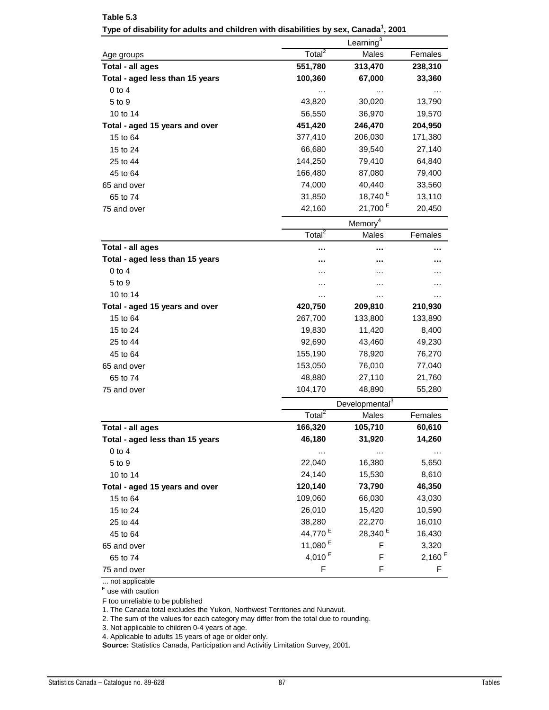| Type of disability for adults and children with disabilities by sex, Canada <sup>1</sup> , 2001 |                        |                            |           |  |
|-------------------------------------------------------------------------------------------------|------------------------|----------------------------|-----------|--|
|                                                                                                 |                        | Learning <sup>3</sup>      |           |  |
| Age groups                                                                                      | Total $\overline{a}$   | Males                      | Females   |  |
| Total - all ages                                                                                | 551,780                | 313,470                    | 238,310   |  |
| Total - aged less than 15 years                                                                 | 100,360                | 67,000                     | 33,360    |  |
| $0$ to $4$                                                                                      | $\cdots$               | .                          |           |  |
| 5 to 9                                                                                          | 43,820                 | 30,020                     | 13,790    |  |
| 10 to 14                                                                                        | 56,550                 | 36,970                     | 19,570    |  |
| Total - aged 15 years and over                                                                  | 451,420                | 246,470                    | 204,950   |  |
| 15 to 64                                                                                        | 377,410                | 206,030                    | 171,380   |  |
| 15 to 24                                                                                        | 66,680                 | 39,540                     | 27,140    |  |
| 25 to 44                                                                                        | 144,250                | 79,410                     | 64,840    |  |
| 45 to 64                                                                                        | 166,480                | 87,080                     | 79,400    |  |
| 65 and over                                                                                     | 74,000                 | 40,440                     | 33,560    |  |
| 65 to 74                                                                                        | 31,850                 | 18,740 <sup>E</sup>        | 13,110    |  |
| 75 and over                                                                                     | 42,160                 | 21,700 <sup>E</sup>        | 20,450    |  |
|                                                                                                 |                        | Memory <sup>4</sup>        |           |  |
|                                                                                                 | Total <sup>2</sup>     | Males                      | Females   |  |
| Total - all ages                                                                                |                        |                            |           |  |
| Total - aged less than 15 years                                                                 |                        |                            |           |  |
| $0$ to $4$                                                                                      |                        |                            |           |  |
| 5 to 9                                                                                          | $\cdots$               | .                          |           |  |
| 10 to 14                                                                                        | $\cdots$               | .                          | .         |  |
| Total - aged 15 years and over                                                                  | 420,750                | 209,810                    | 210,930   |  |
| 15 to 64                                                                                        | 267,700                | 133,800                    | 133,890   |  |
| 15 to 24                                                                                        | 19,830                 | 11,420                     | 8,400     |  |
| 25 to 44                                                                                        | 92,690                 | 43,460                     | 49,230    |  |
| 45 to 64                                                                                        | 155,190                | 78,920                     | 76,270    |  |
| 65 and over                                                                                     | 153,050                | 76,010                     | 77,040    |  |
| 65 to 74                                                                                        | 48,880                 | 27,110                     | 21,760    |  |
| 75 and over                                                                                     | 104,170                | 48,890                     | 55,280    |  |
|                                                                                                 |                        | Developmental <sup>3</sup> |           |  |
|                                                                                                 | Total $\overline{1^2}$ | Males                      | Females   |  |
| <b>Total - all ages</b>                                                                         | 166,320                | 105,710                    | 60,610    |  |
| Total - aged less than 15 years                                                                 | 46,180                 | 31,920                     | 14,260    |  |
| $0$ to $4$                                                                                      | $\cdots$               |                            |           |  |
| 5 to 9                                                                                          | 22,040                 | 16,380                     | 5,650     |  |
| 10 to 14                                                                                        | 24,140                 | 15,530                     | 8,610     |  |
| Total - aged 15 years and over                                                                  | 120,140                | 73,790                     | 46,350    |  |
| 15 to 64                                                                                        | 109,060                | 66,030                     | 43,030    |  |
| 15 to 24                                                                                        | 26,010                 | 15,420                     | 10,590    |  |
| 25 to 44                                                                                        | 38,280                 | 22,270                     | 16,010    |  |
| 45 to 64                                                                                        | 44,770 <sup>E</sup>    | 28,340 <sup>E</sup>        | 16,430    |  |
| 65 and over                                                                                     | 11,080 $E$             | F                          | 3,320     |  |
| 65 to 74                                                                                        | 4,010 $E$              | F                          | 2,160 $E$ |  |
| 75 and over                                                                                     | $\mathsf F$            | F                          | F         |  |

**Table 5.3 Type of disability for adults and children with disabilities by sex, Canada<sup>1</sup>**

F too unreliable to be published

1. The Canada total excludes the Yukon, Northwest Territories and Nunavut.

2. The sum of the values for each category may differ from the total due to rounding.

3. Not applicable to children 0-4 years of age.

4. Applicable to adults 15 years of age or older only.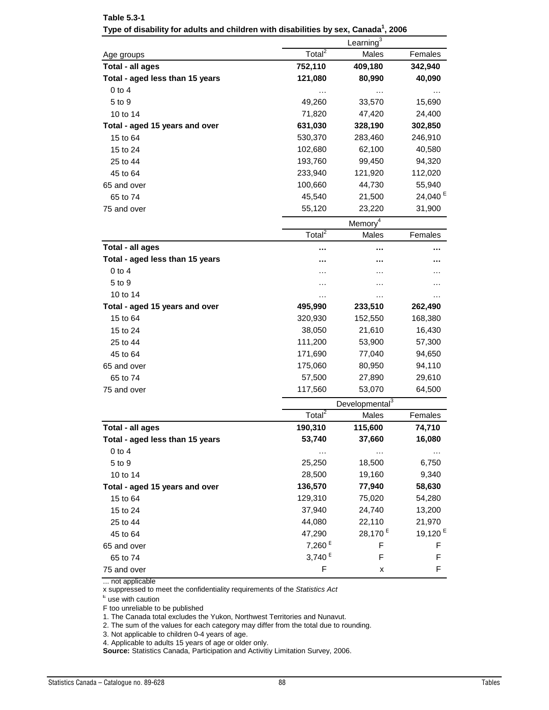| Type of disability for adults and children with disabilities by sex, Canada,2006 |                    |                            |                     |  |
|----------------------------------------------------------------------------------|--------------------|----------------------------|---------------------|--|
|                                                                                  | Total <sup>2</sup> | Learning $3$<br>Males      | Females             |  |
| Age groups<br>Total - all ages                                                   | 752,110            | 409,180                    | 342,940             |  |
| Total - aged less than 15 years                                                  | 121,080            | 80,990                     | 40,090              |  |
| $0$ to $4$                                                                       |                    |                            |                     |  |
| 5 to 9                                                                           | 49,260             | 33,570                     | 15,690              |  |
| 10 to 14                                                                         | 71,820             | 47,420                     | 24,400              |  |
| Total - aged 15 years and over                                                   | 631,030            | 328,190                    | 302,850             |  |
| 15 to 64                                                                         | 530,370            | 283,460                    | 246,910             |  |
| 15 to 24                                                                         | 102,680            | 62,100                     | 40,580              |  |
| 25 to 44                                                                         | 193,760            | 99,450                     | 94,320              |  |
| 45 to 64                                                                         | 233,940            | 121,920                    | 112,020             |  |
| 65 and over                                                                      | 100,660            | 44,730                     | 55,940              |  |
| 65 to 74                                                                         | 45,540             | 21,500                     | 24,040 <sup>E</sup> |  |
| 75 and over                                                                      | 55,120             | 23,220                     | 31,900              |  |
|                                                                                  |                    | Memory <sup>4</sup>        |                     |  |
|                                                                                  | Total <sup>2</sup> | Males                      | Females             |  |
| Total - all ages                                                                 |                    |                            |                     |  |
| Total - aged less than 15 years                                                  |                    |                            |                     |  |
| $0$ to $4$                                                                       |                    |                            |                     |  |
| 5 to 9                                                                           |                    |                            |                     |  |
| 10 to 14                                                                         | .                  | .                          |                     |  |
| Total - aged 15 years and over                                                   | 495,990            | 233,510                    | 262,490             |  |
| 15 to 64                                                                         | 320,930            | 152,550                    | 168,380             |  |
| 15 to 24                                                                         | 38,050             | 21,610                     | 16,430              |  |
| 25 to 44                                                                         | 111,200            | 53,900                     | 57,300              |  |
| 45 to 64                                                                         | 171,690            | 77,040                     | 94,650              |  |
| 65 and over                                                                      | 175,060            | 80,950                     | 94,110              |  |
| 65 to 74                                                                         | 57,500             | 27,890                     | 29,610              |  |
| 75 and over                                                                      | 117,560            | 53,070                     | 64,500              |  |
|                                                                                  |                    | Developmental <sup>3</sup> |                     |  |
|                                                                                  | Total <sup>2</sup> | Males                      | Females             |  |
| Total - all ages                                                                 | 190,310            | 115,600                    | 74,710              |  |
| Total - aged less than 15 years                                                  | 53,740             | 37,660                     | 16,080              |  |
| $0$ to $4$                                                                       |                    |                            |                     |  |
| 5 to 9                                                                           | 25,250             | 18,500                     | 6,750               |  |
| 10 to 14                                                                         | 28,500             | 19,160                     | 9,340               |  |
| Total - aged 15 years and over                                                   | 136,570            | 77,940                     | 58,630              |  |
| 15 to 64                                                                         | 129,310            | 75,020                     | 54,280              |  |
| 15 to 24                                                                         | 37,940             | 24,740                     | 13,200              |  |
| 25 to 44                                                                         | 44,080             | 22,110                     | 21,970              |  |
| 45 to 64                                                                         | 47,290             | 28,170 <sup>E</sup>        | 19,120 $E$          |  |
| 65 and over                                                                      | 7,260 $E$          | F                          | F                   |  |
| 65 to 74                                                                         | 3,740 <sup>E</sup> | F                          | F                   |  |
| 75 and over                                                                      | F                  | х                          | F                   |  |

**Table 5.3-1 Type of disability for adults and children with disabilities by sex, Canada<sup>1</sup> , 2006**

x suppresse d to meet the confidentiality requirements of the *Statistics Act*

E use with caution

F too unreliable to be published

1. The Canada total excludes the Yukon, Northwest Territories and Nunavut.

2. The sum of the values for each category may differ from the total due to rounding.

3. Not applicable to children 0-4 years of age.

4. Applicable to adults 15 years of age or older only.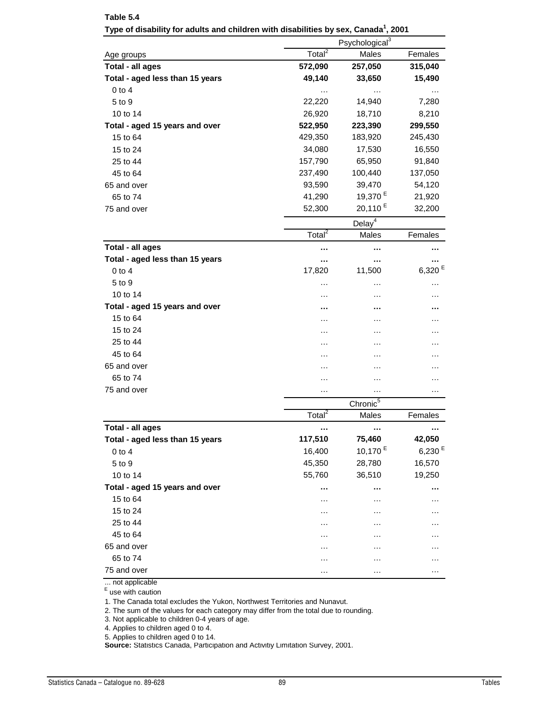| Type of disability for adults and children with disabilities by sex, Canada <sup>1</sup> , 2001 |                        |                                     |           |
|-------------------------------------------------------------------------------------------------|------------------------|-------------------------------------|-----------|
|                                                                                                 | Total $\overline{a}$   | Psychological <sup>3</sup><br>Males | Females   |
| Age groups<br>Total - all ages                                                                  | 572,090                | 257,050                             | 315,040   |
| Total - aged less than 15 years                                                                 | 49,140                 | 33,650                              | 15,490    |
| $0$ to $4$                                                                                      | .                      | .                                   |           |
| 5 to 9                                                                                          | 22,220                 | 14,940                              | 7,280     |
| 10 to 14                                                                                        | 26,920                 | 18,710                              | 8,210     |
| Total - aged 15 years and over                                                                  | 522,950                | 223,390                             | 299,550   |
| 15 to 64                                                                                        | 429,350                | 183,920                             | 245,430   |
| 15 to 24                                                                                        | 34,080                 | 17,530                              | 16,550    |
| 25 to 44                                                                                        | 157,790                | 65,950                              | 91,840    |
| 45 to 64                                                                                        | 237,490                | 100,440                             | 137,050   |
| 65 and over                                                                                     | 93,590                 | 39,470                              | 54,120    |
| 65 to 74                                                                                        | 41,290                 | 19,370 <sup>E</sup>                 | 21,920    |
| 75 and over                                                                                     | 52,300                 | 20,110 <sup>E</sup>                 | 32,200    |
|                                                                                                 |                        | Delay $4$                           |           |
|                                                                                                 | Total $\overline{a}$   | Males                               | Females   |
| Total - all ages                                                                                |                        |                                     |           |
| Total - aged less than 15 years                                                                 |                        |                                     |           |
| $0$ to $4$                                                                                      | 17,820                 | 11,500                              | 6,320E    |
| 5 to 9                                                                                          | .                      | .                                   | .         |
| 10 to 14                                                                                        | .                      | .                                   |           |
| Total - aged 15 years and over                                                                  |                        |                                     |           |
| 15 to 64                                                                                        |                        | .                                   |           |
| 15 to 24                                                                                        | .                      | .                                   |           |
| 25 to 44                                                                                        | .                      | .                                   |           |
| 45 to 64                                                                                        | .                      | .                                   |           |
| 65 and over                                                                                     | .                      | .                                   |           |
| 65 to 74                                                                                        |                        |                                     |           |
| 75 and over                                                                                     | $\cdots$               | .                                   | $\cdots$  |
|                                                                                                 |                        | Chronic <sup>5</sup>                |           |
|                                                                                                 | Total $\overline{1^2}$ | Males                               | Females   |
| Total - all ages                                                                                |                        |                                     |           |
| Total - aged less than 15 years                                                                 | 117,510                | 75,460                              | 42,050    |
| $0$ to $4$                                                                                      | 16,400                 | 10,170 $E$                          | 6,230 $E$ |
| 5 to 9                                                                                          | 45,350                 | 28,780                              | 16,570    |
| 10 to 14                                                                                        | 55,760                 | 36,510                              | 19,250    |
| Total - aged 15 years and over                                                                  |                        |                                     |           |
| 15 to 64                                                                                        |                        |                                     |           |
| 15 to 24                                                                                        |                        |                                     |           |
| 25 to 44                                                                                        |                        |                                     |           |
| 45 to 64                                                                                        |                        |                                     |           |
| 65 and over                                                                                     | .                      | .                                   | .         |
| 65 to 74                                                                                        | .                      | .                                   | .         |
| 75 and over                                                                                     | .                      | $\cdots$                            | $\cdots$  |
| not applicable                                                                                  |                        |                                     |           |

**Type of disability for adults and children with disabilities by sex, Canada<sup>1</sup>**

**Table 5.4**

1. The Canada total excludes the Yukon, Northwest Territories and Nunavut.

2. The sum of the values for each category may differ from the total due to rounding.

3. Not applicable to children 0-4 years of age.

4. Applies to children aged 0 to 4.

5. Applies to children aged 0 to 14.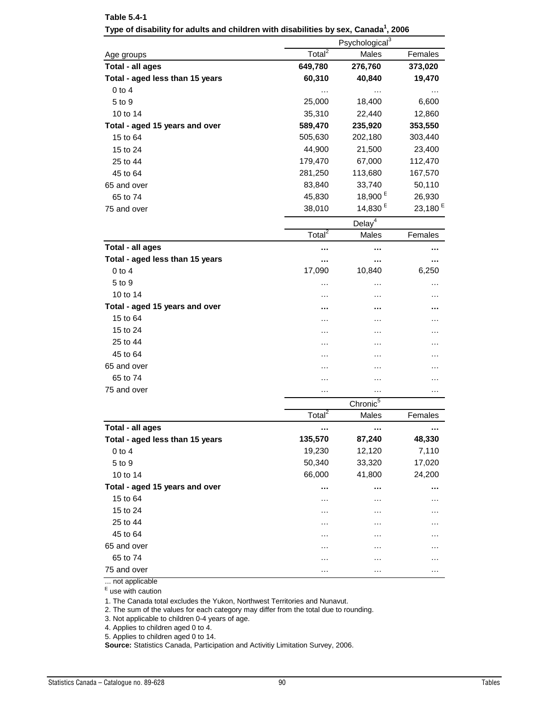| Type of disability for adults and children with disabilities by sex, Canada <sup>1</sup> , 2006 |                        |                                     |                     |
|-------------------------------------------------------------------------------------------------|------------------------|-------------------------------------|---------------------|
| Age groups                                                                                      | Total $\overline{1^2}$ | Psychological <sup>3</sup><br>Males | Females             |
| Total - all ages                                                                                | 649,780                | 276,760                             | 373,020             |
| Total - aged less than 15 years                                                                 | 60,310                 | 40,840                              | 19,470              |
| $0$ to $4$                                                                                      | .                      | $\cdots$                            |                     |
| 5 to 9                                                                                          | 25,000                 | 18,400                              | 6,600               |
| 10 to 14                                                                                        | 35,310                 | 22,440                              | 12,860              |
| Total - aged 15 years and over                                                                  | 589,470                | 235,920                             | 353,550             |
| 15 to 64                                                                                        | 505,630                | 202,180                             | 303,440             |
| 15 to 24                                                                                        | 44,900                 | 21,500                              | 23,400              |
| 25 to 44                                                                                        | 179,470                | 67,000                              | 112,470             |
| 45 to 64                                                                                        | 281,250                | 113,680                             | 167,570             |
| 65 and over                                                                                     | 83,840                 | 33,740                              | 50,110              |
| 65 to 74                                                                                        | 45,830                 | 18,900 <sup>E</sup>                 | 26,930              |
| 75 and over                                                                                     | 38,010                 | 14,830 <sup>E</sup>                 | 23,180 <sup>E</sup> |
|                                                                                                 |                        | Delay $4$                           |                     |
|                                                                                                 | Total $\overline{a}$   | Males                               | Females             |
| Total - all ages                                                                                |                        |                                     |                     |
| Total - aged less than 15 years                                                                 |                        |                                     |                     |
| $0$ to $4$                                                                                      | 17,090                 | 10,840                              | 6,250               |
| 5 to 9                                                                                          | .                      | $\cdots$                            | .                   |
| 10 to 14                                                                                        | .                      | .                                   | .                   |
| Total - aged 15 years and over                                                                  |                        | $\cdots$                            |                     |
| 15 to 64                                                                                        | .                      | $\cdots$                            |                     |
| 15 to 24                                                                                        | .                      | .                                   |                     |
| 25 to 44                                                                                        | .                      | $\cdots$                            |                     |
| 45 to 64                                                                                        | .                      | .                                   |                     |
| 65 and over                                                                                     | .                      | .                                   |                     |
| 65 to 74                                                                                        | .                      | .                                   |                     |
| 75 and over                                                                                     | $\cdots$               | $\cdots$                            | .                   |
|                                                                                                 |                        | Chronic <sup>5</sup>                |                     |
|                                                                                                 | Total <sup>2</sup>     | Males                               | Females             |
| Total - all ages                                                                                |                        |                                     |                     |
| Total - aged less than 15 years                                                                 | 135,570                | 87,240                              | 48,330              |
| $0$ to $4$                                                                                      | 19,230                 | 12,120                              | 7,110               |
| 5 to 9                                                                                          | 50,340                 | 33,320                              | 17,020              |
| 10 to 14                                                                                        | 66,000                 | 41,800                              | 24,200              |
| Total - aged 15 years and over                                                                  |                        |                                     |                     |
| 15 to 64                                                                                        |                        |                                     |                     |
| 15 to 24                                                                                        | .                      | .                                   |                     |
| 25 to 44                                                                                        | .                      | .                                   |                     |
| 45 to 64                                                                                        | .                      | .                                   |                     |
| 65 and over                                                                                     |                        | .                                   |                     |
| 65 to 74                                                                                        | .                      | .                                   |                     |
| 75 and over                                                                                     | .                      |                                     | .                   |
| not applicable                                                                                  |                        |                                     |                     |

**Table 5.4-1 Type of disability for adults and children with disabilities by sex, Canada1**

1. The Canada total excludes the Yukon, Northwest Territories and Nunavut.

2. The sum of the values for each category may differ from the total due to rounding.

3. Not applicable to children 0-4 years of age.

4. Applies to children aged 0 to 4.

5. Applies to children aged 0 to 14.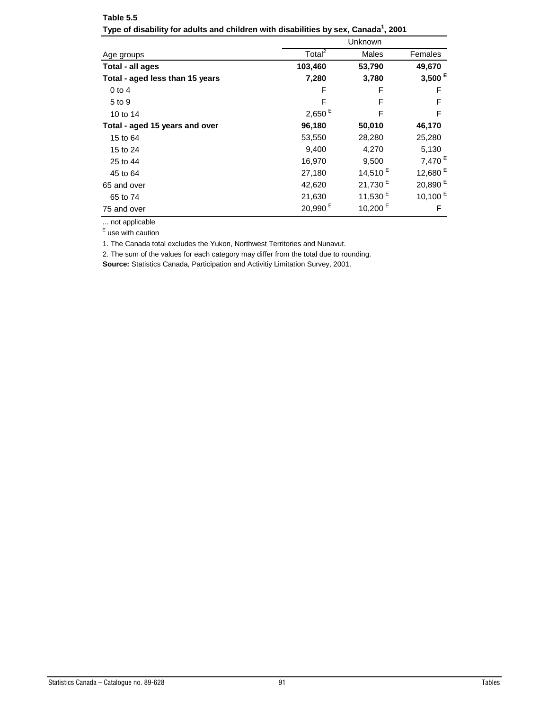|                                 |                       | Unknown             |                     |  |  |
|---------------------------------|-----------------------|---------------------|---------------------|--|--|
| Age groups                      | Total $^2$            | Males               | Females             |  |  |
| Total - all ages                | 103,460               | 53,790              | 49,670              |  |  |
| Total - aged less than 15 years | 7,280                 | 3,780               | 3,500 $E$           |  |  |
| $0$ to 4                        | F                     | F                   | F                   |  |  |
| 5 to 9                          | F                     | F                   | F                   |  |  |
| 10 to 14                        | $2,650$ <sup>E</sup>  | F                   | F                   |  |  |
| Total - aged 15 years and over  | 96,180                | 50,010              | 46,170              |  |  |
| 15 to 64                        | 53,550                | 28,280              | 25,280              |  |  |
| 15 to 24                        | 9,400                 | 4,270               | 5,130               |  |  |
| 25 to 44                        | 16,970                | 9,500               | 7,470 $E$           |  |  |
| 45 to 64                        | 27,180                | 14,510 $E$          | 12,680 <sup>E</sup> |  |  |
| 65 and over                     | 42,620                | 21,730 <sup>E</sup> | 20,890 $E$          |  |  |
| 65 to 74                        | 21,630                | 11,530 $E$          | 10,100 $E$          |  |  |
| 75 and over                     | $20,990$ <sup>E</sup> | 10,200 $E$          | F                   |  |  |

**Table 5.5 Type of disability for adults and children with disabilities by sex, Canada<sup>1</sup> , 2001**

1. The Canada total excludes the Yukon, Northwest Territories and Nunavut.

2. The sum of the values for each category may differ from the total due to rounding.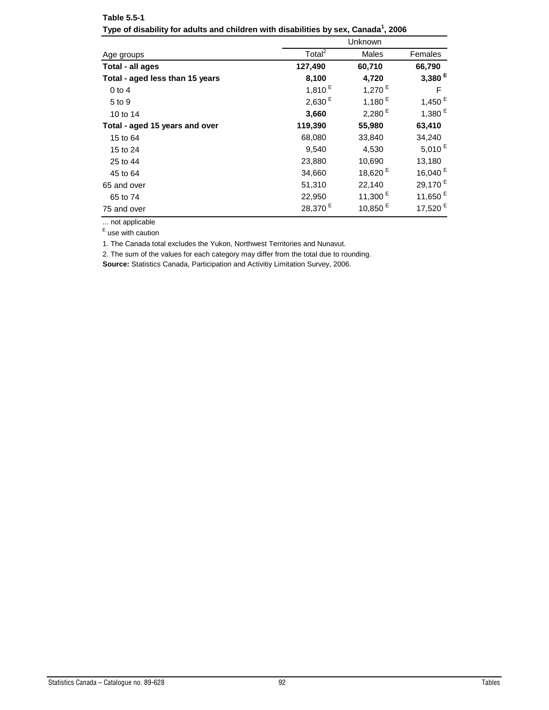|                                 |                      | <b>Unknown</b>       |                     |  |  |
|---------------------------------|----------------------|----------------------|---------------------|--|--|
| Age groups                      | Total $^2$           | Males                | Females             |  |  |
| Total - all ages                | 127,490              | 60,710               | 66,790              |  |  |
| Total - aged less than 15 years | 8,100                | 4,720                | 3,380 $E$           |  |  |
| $0$ to 4                        | 1,810 $E$            | 1,270 $E$            | F                   |  |  |
| 5 to 9                          | $2,630$ <sup>E</sup> | 1,180 $E$            | 1,450 $E$           |  |  |
| 10 to 14                        | 3,660                | $2,280$ <sup>E</sup> | 1,380 $E$           |  |  |
| Total - aged 15 years and over  | 119,390              | 55,980               | 63,410              |  |  |
| 15 to 64                        | 68,080               | 33,840               | 34,240              |  |  |
| 15 to 24                        | 9,540                | 4,530                | 5,010 $E$           |  |  |
| 25 to 44                        | 23,880               | 10,690               | 13,180              |  |  |
| 45 to 64                        | 34,660               | 18,620 <sup>E</sup>  | 16,040 $E$          |  |  |
| 65 and over                     | 51,310               | 22,140               | 29,170 <sup>E</sup> |  |  |
| 65 to 74                        | 22,950               | 11,300 $E$           | 11,650 $E$          |  |  |
| 75 and over                     | 28,370 <sup>E</sup>  | 10,850 $E$           | 17,520 $E$          |  |  |

**Table 5.5-1 Type of disability for adults and children with disabilities by sex, Canada<sup>1</sup> , 2006**

1. The Canada total excludes the Yukon, Northwest Territories and Nunavut.

2. The sum of the values for each category may differ from the total due to rounding.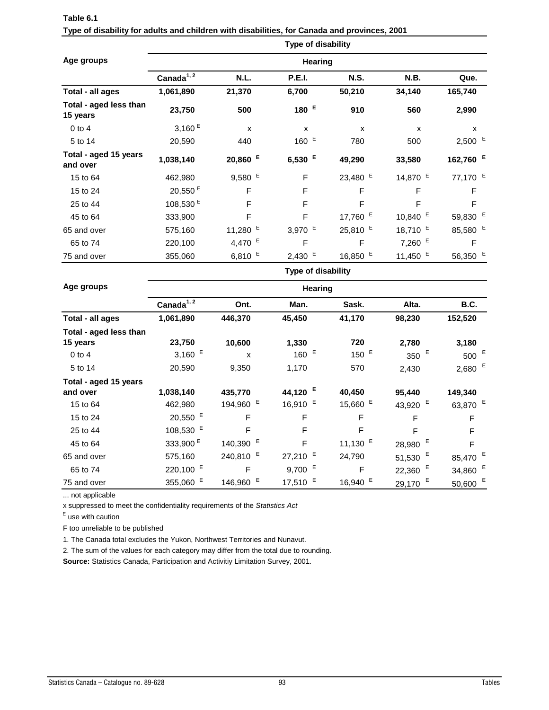|                                    |                      |                      | <b>Type of disability</b> |                     |            |                           |  |
|------------------------------------|----------------------|----------------------|---------------------------|---------------------|------------|---------------------------|--|
| Age groups                         | <b>Hearing</b>       |                      |                           |                     |            |                           |  |
|                                    | Canada $1, 2$        | N.L.                 | <b>P.E.I.</b>             | <b>N.S.</b>         | N.B.       | Que.                      |  |
| Total - all ages                   | 1,061,890            | 21,370               | 6,700                     | 50,210              | 34,140     | 165,740                   |  |
| Total - aged less than<br>15 years | 23,750               | 500                  | 180 $E$                   | 910                 | 560        | 2,990                     |  |
| $0$ to 4                           | 3,160 $E$            | X                    | X                         | X                   | X          | $\boldsymbol{\mathsf{x}}$ |  |
| 5 to 14                            | 20,590               | 440                  | 160 $E$                   | 780                 | 500        | $2,500$ <sup>E</sup>      |  |
| Total - aged 15 years<br>and over  | 1,038,140            | 20,860 E             | 6,530 $E$                 | 49,290              | 33,580     | 162,760 E                 |  |
| 15 to 64                           | 462,980              | $9,580$ <sup>E</sup> | F                         | 23,480 $E$          | 14,870 $E$ | 77,170 <sup>E</sup>       |  |
| 15 to 24                           | 20,550 <sup>E</sup>  | F                    | F                         | F                   | F          | F                         |  |
| 25 to 44                           | 108,530 <sup>E</sup> | F                    | F                         | $\mathsf{F}$        | F          | F                         |  |
| 45 to 64                           | 333,900              | F                    | F                         | 17,760 <sup>E</sup> | 10,840 $E$ | 59,830 E                  |  |
| 65 and over                        | 575,160              | 11,280 $E$           | 3,970 E                   | 25,810 <sup>E</sup> | 18,710 $E$ | 85,580 <sup>E</sup>       |  |
| 65 to 74                           | 220,100              | 4,470 $E$            | F                         | F                   | 7,260 $E$  | $\mathsf F$               |  |
| 75 and over                        | 355,060              | 6,810 $E$            | $2,430$ <sup>E</sup>      | 16,850 E            | 11,450 $E$ | 56,350 <sup>E</sup>       |  |

| Table 6.1                                                                                    |  |
|----------------------------------------------------------------------------------------------|--|
| Type of disability for adults and children with disabilities, for Canada and provinces, 2001 |  |

|                        |                        |                      | <b>Type of disability</b> |                     |                     |                      |  |  |
|------------------------|------------------------|----------------------|---------------------------|---------------------|---------------------|----------------------|--|--|
| Age groups             |                        | <b>Hearing</b>       |                           |                     |                     |                      |  |  |
|                        | Canada $1, 2$          | Ont.                 | Man.                      | Sask.               | Alta.               | B.C.                 |  |  |
| Total - all ages       | 1,061,890              | 446,370              | 45,450                    | 41,170              | 98,230              | 152,520              |  |  |
| Total - aged less than |                        |                      |                           |                     |                     |                      |  |  |
| 15 years               | 23,750                 | 10,600               | 1,330                     | 720                 | 2,780               | 3,180                |  |  |
| $0$ to $4$             | 3,160 $E$              | X                    | 160 $E$                   | 150 $E$             | 350 $E$             | 500 $E$              |  |  |
| 5 to 14                | 20,590                 | 9,350                | 1,170                     | 570                 | 2,430               | $2,680$ <sup>E</sup> |  |  |
| Total - aged 15 years  |                        |                      |                           |                     |                     |                      |  |  |
| and over               | 1,038,140              | 435,770              | 44,120 <sup>E</sup>       | 40,450              | 95,440              | 149,340              |  |  |
| 15 to 64               | 462,980                | 194,960 E            | 16,910 $E$                | 15,660 <sup>E</sup> | 43,920 <sup>E</sup> | 63,870 <sup>E</sup>  |  |  |
| 15 to 24               | $20,550$ <sup>E</sup>  | F                    | F                         | F                   | F                   | F                    |  |  |
| 25 to 44               | 108,530 E              | F                    | F                         | F                   | F                   | F                    |  |  |
| 45 to 64               | 333,900 <sup>E</sup>   | 140,390 $E$          | F                         | 11,130 $E$          | E<br>28,980         | F                    |  |  |
| 65 and over            | 575,160                | 240,810 <sup>E</sup> | 27,210 <sup>E</sup>       | 24,790              | 51,530 $E$          | 85,470 E             |  |  |
| 65 to 74               | $220,100$ <sup>E</sup> | F                    | 9,700 $E$                 | F                   | 22,360 $E$          | 34,860 $E$           |  |  |
| 75 and over            | 355,060 E              | 146,960 E            | 17,510 <sup>E</sup>       | 16,940 E            | Е<br>29,170         | 50,600 $E$           |  |  |

x suppressed to meet the confidentiality requirements of the *Statistics Act* 

E use with caution

F too unreliable to be published

1. The Canada total excludes the Yukon, Northwest Territories and Nunavut.

2. The sum of the values for each category may differ from the total due to rounding.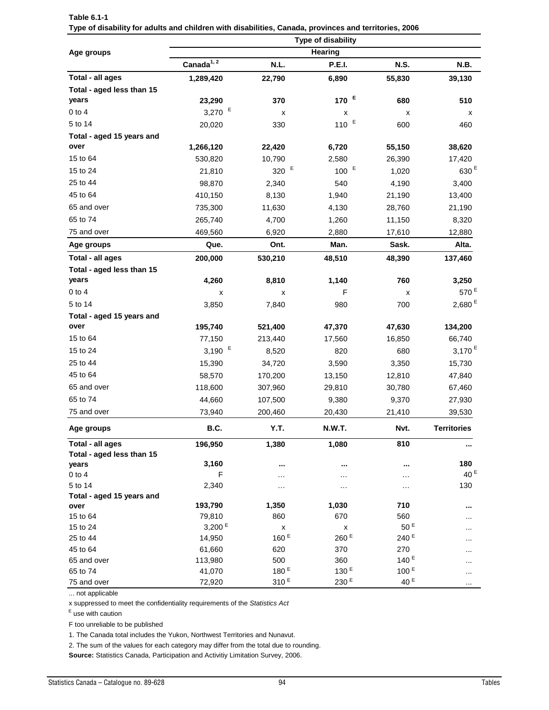|                           |               |                  | Type of disability |                  |                    |
|---------------------------|---------------|------------------|--------------------|------------------|--------------------|
| Age groups                |               |                  | Hearing            |                  |                    |
|                           | Canada $1, 2$ | N.L.             | <b>P.E.I.</b>      | <b>N.S.</b>      | N.B.               |
| Total - all ages          | 1,289,420     | 22,790           | 6,890              | 55,830           | 39,130             |
| Total - aged less than 15 |               |                  |                    |                  |                    |
| years                     | 23,290        | 370              | 170 E              | 680              | 510                |
| $0$ to 4                  | 3,270 $E$     | x                | x                  | x                | х                  |
| 5 to 14                   | 20,020        | 330              | 110 $E$            | 600              | 460                |
| Total - aged 15 years and |               |                  |                    |                  |                    |
| over                      | 1,266,120     | 22,420           | 6,720              | 55,150           | 38,620             |
| 15 to 64                  | 530,820       | 10,790           | 2,580              | 26,390           | 17,420             |
| 15 to 24                  | 21,810        | 320 E            | $100$ <sup>E</sup> | 1,020            | 630 <sup>E</sup>   |
| 25 to 44                  | 98,870        | 2,340            | 540                | 4,190            | 3,400              |
| 45 to 64                  | 410,150       | 8,130            | 1,940              | 21,190           | 13,400             |
| 65 and over               | 735,300       | 11,630           | 4,130              | 28,760           | 21,190             |
| 65 to 74                  | 265,740       | 4,700            | 1,260              | 11,150           | 8,320              |
| 75 and over               | 469,560       | 6,920            | 2,880              | 17,610           | 12,880             |
| Age groups                | Que.          | Ont.             | Man.               | Sask.            | Alta.              |
| Total - all ages          | 200,000       | 530,210          | 48,510             | 48,390           | 137,460            |
| Total - aged less than 15 |               |                  |                    |                  |                    |
| years                     | 4,260         | 8,810            | 1,140              | 760              | 3,250              |
| $0$ to 4                  | х             | x                | F                  | x                | 570 <sup>E</sup>   |
| 5 to 14                   | 3,850         | 7,840            | 980                | 700              | 2,680 <sup>E</sup> |
| Total - aged 15 years and |               |                  |                    |                  |                    |
| over                      | 195,740       | 521,400          | 47,370             | 47,630           | 134,200            |
| 15 to 64                  | 77,150        | 213,440          | 17,560             | 16,850           | 66,740             |
| 15 to 24                  | Е<br>3,190    | 8,520            | 820                | 680              | 3,170 $E$          |
| 25 to 44                  | 15,390        | 34,720           | 3,590              | 3,350            | 15,730             |
| 45 to 64                  | 58,570        | 170,200          | 13,150             | 12,810           | 47,840             |
| 65 and over               | 118,600       | 307,960          | 29,810             | 30,780           | 67,460             |
| 65 to 74                  | 44,660        | 107,500          | 9,380              | 9,370            | 27,930             |
| 75 and over               | 73,940        | 200,460          | 20,430             | 21,410           | 39,530             |
| Age groups                | B.C.          | Y.T.             | <b>N.W.T.</b>      | Nvt.             | <b>Territories</b> |
| Total - all ages          | 196,950       | 1,380            | 1,080              | 810              |                    |
| Total - aged less than 15 |               |                  |                    |                  |                    |
| years                     | 3,160         |                  |                    |                  | 180                |
| $0$ to $4$                | F             |                  | .                  | $\cdots$         | 40 <sup>E</sup>    |
| 5 to 14                   | 2,340         | .                | .                  | $\cdots$         | 130                |
| Total - aged 15 years and |               |                  |                    |                  |                    |
| over                      | 193,790       | 1,350            | 1,030              | 710              |                    |
| 15 to 64                  | 79,810        | 860              | 670                | 560              |                    |
| 15 to 24                  | 3,200E        | x                | x                  | 50 <sup>E</sup>  |                    |
| 25 to 44                  | 14,950        | 160 $E$          | 260 <sup>E</sup>   | 240 <sup>E</sup> |                    |
| 45 to 64                  | 61,660        | 620              | 370                | 270              |                    |
| 65 and over               | 113,980       | 500              | 360                | 140 $E$          |                    |
| 65 to 74                  | 41,070        | 180 $E$          | 130 <sup>E</sup>   | 100 <sup>E</sup> |                    |
| 75 and over               | 72,920        | 310 <sup>E</sup> | 230 <sup>E</sup>   | 40 $E$           |                    |

| Table 6.1-1                                                                                           |  |
|-------------------------------------------------------------------------------------------------------|--|
| Type of disability for adults and children with disabilities, Canada, provinces and territories, 2006 |  |

x suppressed to meet the confidentiality requirements of the *Statistics Act* 

E use with caution

F too unreliable to be published

1. The Canada total includes the Yukon, Northwest Territories and Nunavut.

2. The sum of the values for each category may differ from the total due to rounding.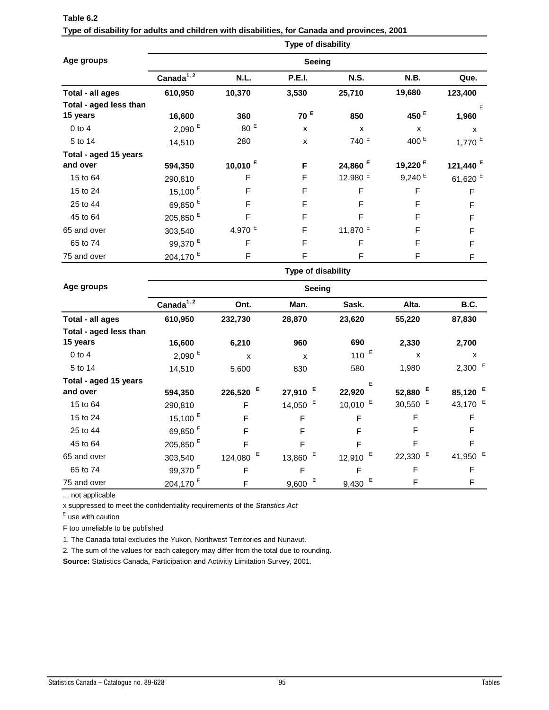|                        |                        |                 | Type of disability |                     |                     |                      |  |  |
|------------------------|------------------------|-----------------|--------------------|---------------------|---------------------|----------------------|--|--|
| Age groups             | <b>Seeing</b>          |                 |                    |                     |                     |                      |  |  |
|                        | Canada <sup>1, 2</sup> | N.L.            | <b>P.E.I.</b>      | <b>N.S.</b>         | N.B.                | Que.                 |  |  |
| Total - all ages       | 610,950                | 10,370          | 3,530              | 25,710              | 19,680              | 123,400              |  |  |
| Total - aged less than |                        |                 |                    |                     |                     | Ε                    |  |  |
| 15 years               | 16,600                 | 360             | 70 <sup>E</sup>    | 850                 | 450 $E$             | 1,960                |  |  |
| $0$ to $4$             | $2,090$ <sup>E</sup>   | 80 <sup>E</sup> | X                  | X                   | X                   | X                    |  |  |
| 5 to 14                | 14,510                 | 280             | X                  | 740 <sup>E</sup>    | 400 <sup>E</sup>    | $1,770$ <sup>E</sup> |  |  |
| Total - aged 15 years  |                        |                 |                    |                     |                     |                      |  |  |
| and over               | 594,350                | 10,010 $E$      | F                  | 24,860 <sup>E</sup> | 19,220 <sup>E</sup> | 121,440 <sup>E</sup> |  |  |
| 15 to 64               | 290,810                | F               | F                  | 12,980 <sup>E</sup> | 9,240E              | 61,620 <sup>E</sup>  |  |  |
| 15 to 24               | 15,100 $E$             | F               | F                  | F                   | F                   | F                    |  |  |
| 25 to 44               | 69,850 <sup>E</sup>    | F               | F                  | F                   | F                   | F                    |  |  |
| 45 to 64               | 205,850 <sup>E</sup>   | F               | F                  | F                   | F                   | F                    |  |  |
| 65 and over            | 303,540                | 4,970 $E$       | F                  | 11,870 <sup>E</sup> | F                   | F                    |  |  |
| 65 to 74               | 99,370 <sup>E</sup>    | F               | F                  | F                   | F                   | F                    |  |  |
| 75 and over            | 204,170 <sup>E</sup>   | F               | F                  | F                   | F                   | F                    |  |  |

# **Table 6.2 Type of disability for adults and children with disabilities, for Canada and provinces, 2001**

**Type of disability Seeing**

| Age groups             | Seeing                 |                      |              |             |             |                      |  |
|------------------------|------------------------|----------------------|--------------|-------------|-------------|----------------------|--|
|                        | Canada <sup>1, 2</sup> | Ont.                 | Man.         | Sask.       | Alta.       | <b>B.C.</b>          |  |
| Total - all ages       | 610,950                | 232,730              | 28,870       | 23,620      | 55,220      | 87,830               |  |
| Total - aged less than |                        |                      |              |             |             |                      |  |
| 15 years               | 16,600                 | 6,210                | 960          | 690         | 2,330       | 2,700                |  |
| $0$ to $4$             | $2,090$ <sup>E</sup>   | X                    | $\mathsf{x}$ | 110 $E$     | x           | X                    |  |
| 5 to 14                | 14,510                 | 5,600                | 830          | 580         | 1,980       | $2,300$ <sup>E</sup> |  |
| Total - aged 15 years  |                        |                      |              | Е           |             |                      |  |
| and over               | 594,350                | 226,520 <sup>E</sup> | Е<br>27,910  | 22,920      | Е<br>52,880 | 85,120 $E$           |  |
| 15 to 64               | 290,810                | F                    | E<br>14,050  | 10,010 $E$  | Е<br>30,550 | 43,170 $E$           |  |
| 15 to 24               | 15,100 $E$             | F                    | F            | F           | F           | F                    |  |
| 25 to 44               | 69,850 <sup>E</sup>    | F                    | F            | F           | F           | F                    |  |
| 45 to 64               | 205,850 <sup>E</sup>   | F                    | F            | F           | F           | F                    |  |
| 65 and over            | 303,540                | Ε<br>124,080         | Е<br>13,860  | Е<br>12,910 | Е<br>22,330 | 41,950 E             |  |
| 65 to 74               | 99,370 <sup>E</sup>    | F                    | F            | F           | F           | F                    |  |
| 75 and over            | $204,170$ <sup>E</sup> | F                    | Ε<br>9,600   | Ε<br>9,430  | F           | F                    |  |

... not applicable

x suppressed to meet the confidentiality requirements of the *Statistics Act* 

E use with caution

F too unreliable to be published

1. The Canada total excludes the Yukon, Northwest Territories and Nunavut.

2. The sum of the values for each category may differ from the total due to rounding.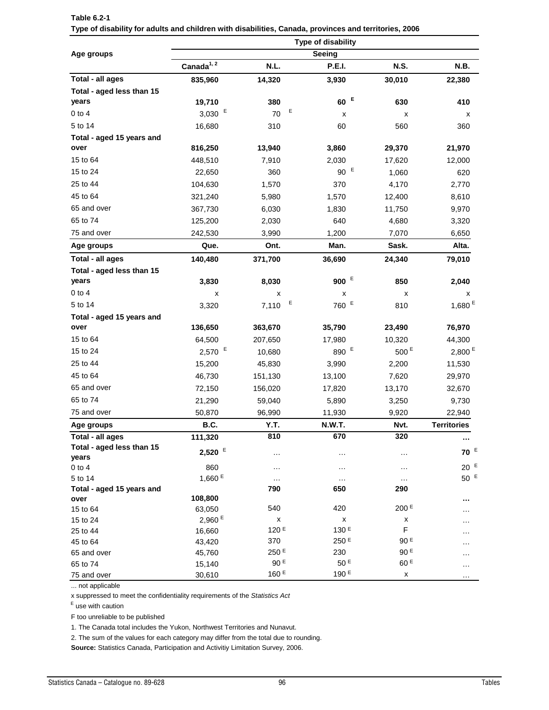|                           |                      |                  | Type of disability |                 |                      |
|---------------------------|----------------------|------------------|--------------------|-----------------|----------------------|
| Age groups                |                      |                  | Seeing             |                 |                      |
|                           | Canada $1, 2$        | N.L.             | <b>P.E.I.</b>      | <b>N.S.</b>     | N.B.                 |
| Total - all ages          | 835,960              | 14,320           | 3,930              | 30,010          | 22,380               |
| Total - aged less than 15 |                      |                  |                    |                 |                      |
| years                     | 19,710               | 380              | Е<br>60            | 630             | 410                  |
| $0$ to $4$                | 3,030 $E$            | Ε<br>70          | х                  | x               | х                    |
| 5 to 14                   | 16,680               | 310              | 60                 | 560             | 360                  |
| Total - aged 15 years and |                      |                  |                    |                 |                      |
| over                      | 816,250              | 13,940           | 3,860              | 29,370          | 21,970               |
| 15 to 64                  | 448,510              | 7,910            | 2,030              | 17,620          | 12,000               |
| 15 to 24                  | 22,650               | 360              | 90 $E$             | 1,060           | 620                  |
| 25 to 44                  | 104,630              | 1,570            | 370                | 4,170           | 2,770                |
| 45 to 64                  | 321,240              | 5,980            | 1,570              | 12,400          | 8,610                |
| 65 and over               | 367,730              | 6,030            | 1,830              | 11,750          | 9,970                |
| 65 to 74                  | 125,200              | 2,030            | 640                | 4,680           | 3,320                |
| 75 and over               | 242,530              | 3,990            | 1,200              | 7,070           | 6,650                |
| Age groups                | Que.                 | Ont.             | Man.               | Sask.           | Alta.                |
| Total - all ages          | 140,480              | 371,700          | 36,690             | 24,340          | 79,010               |
| Total - aged less than 15 |                      |                  |                    |                 |                      |
| years                     | 3,830                | 8,030            | 900 $E$            | 850             | 2,040                |
| $0$ to 4                  | x                    | x                | x                  | x               | х                    |
| 5 to 14                   | 3,320                | E<br>7,110       | 760 E              | 810             | $1,680$ $^{\rm E}$   |
| Total - aged 15 years and |                      |                  |                    |                 |                      |
| over                      | 136,650              | 363,670          | 35,790             | 23,490          | 76,970               |
| 15 to 64                  | 64,500               | 207,650          | 17,980             | 10,320          | 44,300               |
| 15 to 24                  | $2,570$ <sup>E</sup> | 10,680           | 890 E              | 500 $E$         | $2,800$ <sup>E</sup> |
| 25 to 44                  | 15,200               | 45,830           | 3,990              | 2,200           | 11,530               |
| 45 to 64                  | 46,730               | 151,130          | 13,100             | 7,620           | 29,970               |
| 65 and over               | 72,150               | 156,020          | 17,820             | 13,170          | 32,670               |
| 65 to 74                  | 21,290               | 59,040           | 5,890              | 3,250           | 9,730                |
| 75 and over               | 50,870               | 96,990           | 11,930             | 9,920           | 22,940               |
| Age groups                | B.C.                 | Y.T.             | <b>N.W.T.</b>      | Nvt.            | <b>Territories</b>   |
| Total - all ages          | 111,320              | 810              | 670                | 320             |                      |
| Total - aged less than 15 | $2,520$ <sup>E</sup> |                  |                    |                 | 70 $E$               |
| years                     |                      | $\cdots$         |                    | $\cdots$        |                      |
| $0$ to $4$                | 860                  | $\cdots$         |                    |                 | 20E                  |
| 5 to 14                   | 1,660 $E$            | $\cdots$         | $\cdots$           | $\cdots$        | 50E                  |
| Total - aged 15 years and |                      | 790              | 650                | 290             |                      |
| over<br>15 to 64          | 108,800<br>63,050    | 540              | 420                | 200E            | $\cdots$             |
| 15 to 24                  | 2,960 <sup>E</sup>   | x                | x                  | x               |                      |
| 25 to 44                  | 16,660               | 120 E            | 130 E              | F               |                      |
| 45 to 64                  | 43,420               | 370              | 250 E              | 90E             |                      |
| 65 and over               | 45,760               | 250 E            | 230                | 90 E            |                      |
| 65 to 74                  | 15,140               | 90 E             | 50 E               | 60 <sup>E</sup> |                      |
| 75 and over               | 30,610               | 160 <sup>E</sup> | 190 <sup>E</sup>   | x               |                      |

**Type of disability for adults and children with disabilities, Canada, provinces and territories, 2006 Table 6.2-1**

x suppressed to meet the confidentiality requirements of the *Statistics Act* 

E use with caution

F too unreliable to be published

1. The Canada total includes the Yukon, Northwest Territories and Nunavut.

2. The sum of the values for each category may differ from the total due to rounding.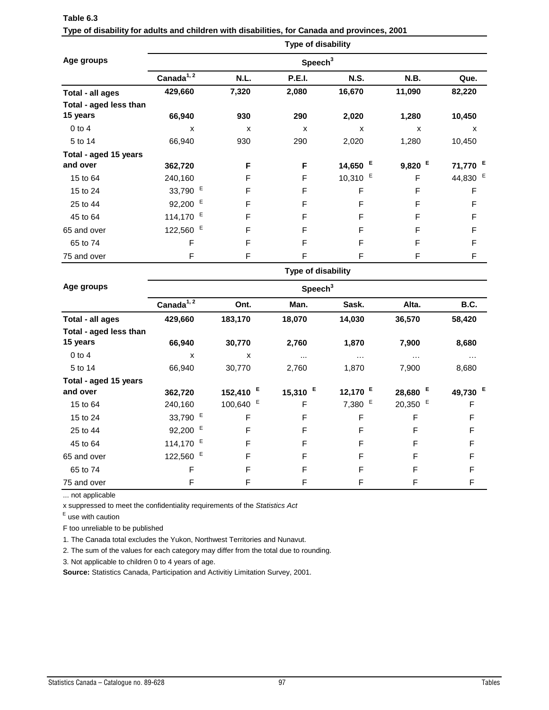|                        |               |                     | Type of disability |             |                      |                     |  |  |  |
|------------------------|---------------|---------------------|--------------------|-------------|----------------------|---------------------|--|--|--|
| Age groups             |               | Speech <sup>3</sup> |                    |             |                      |                     |  |  |  |
|                        | Canada $1, 2$ | N.L.                | <b>P.E.I.</b>      | <b>N.S.</b> | N.B.                 | Que.                |  |  |  |
| Total - all ages       | 429,660       | 7,320               | 2,080              | 16,670      | 11,090               | 82,220              |  |  |  |
| Total - aged less than |               |                     |                    |             |                      |                     |  |  |  |
| 15 years               | 66,940        | 930                 | 290                | 2,020       | 1,280                | 10,450              |  |  |  |
| $0$ to 4               | X             | X                   | X                  | X           | X                    | X                   |  |  |  |
| 5 to 14                | 66,940        | 930                 | 290                | 2,020       | 1,280                | 10,450              |  |  |  |
| Total - aged 15 years  |               |                     |                    |             |                      |                     |  |  |  |
| and over               | 362,720       | F                   | F                  | Е<br>14,650 | $9,820$ <sup>E</sup> | 71,770 <sup>E</sup> |  |  |  |
| 15 to 64               | 240,160       | F                   | F                  | E<br>10,310 | F                    | 44,830 E            |  |  |  |
| 15 to 24               | 33,790 E      | F                   | F                  | F           | F                    | F                   |  |  |  |
| 25 to 44               | 92,200 E      | F                   | F                  | F           | F                    | F                   |  |  |  |
| 45 to 64               | 114,170 $E$   | F                   | F                  | F           | F                    | F                   |  |  |  |
| 65 and over            | 122,560 E     | F                   | F                  | F           | F                    | F                   |  |  |  |
| 65 to 74               | F             | F                   | F                  | F           | F                    | F                   |  |  |  |
| 75 and over            | F             | F                   | F                  | F           | F                    | F                   |  |  |  |

| Table 6.3                                                                                    |  |
|----------------------------------------------------------------------------------------------|--|
| Type of disability for adults and children with disabilities, for Canada and provinces, 2001 |  |

**Ont. Man. Sask. Alta. B.C. Total - all ages 429,660 183,170 18,070 14,030 36,570 58,420 Total - aged less than 15 years 66,940 30,770 2,760 1,870 7,900 8,680** 0 to 4 **x** x … … … … … … … 5 to 14 66,940 30,770 2,760 1,870 7,900 8,680 **Total - aged 15 years and over 362,720 152,410 <sup>E</sup> 15,310 <sup>E</sup> 12,170 <sup>E</sup> 28,680 <sup>E</sup> 49,730 <sup>E</sup>** 15 to 64 240,160 100,640 <sup>E</sup> F 7,380 <sup>E</sup> 20,350 <sup>E</sup> F 15 to 24 33,790 <sup>E</sup> F F F F 25 to 44 92,200 『 F F F F F 45 to 64 114,170 <sup>E</sup> F F F F 65 and over the 122,560  $^{\mathsf{E}}$  fff FFF F 65 to 74 F F F F F F 75 and over F F F F F F **Age groups Canada1, 2 Type of disability** Speech<sup>3</sup>

... not applicable

x suppressed to meet the confidentiality requirements of the *Statistics Act* 

E use with caution

F too unreliable to be published

1. The Canada total excludes the Yukon, Northwest Territories and Nunavut.

2. The sum of the values for each category may differ from the total due to rounding.

3. Not applicable to children 0 to 4 years of age.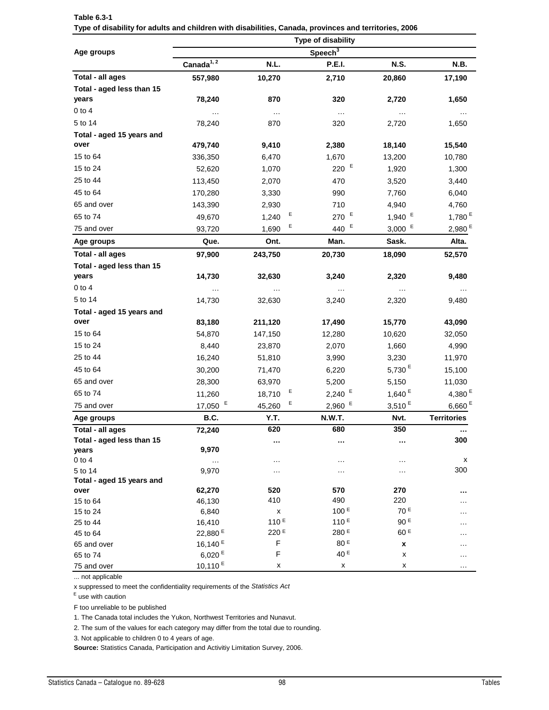|                           |                                  |                  | <b>Type of disability</b> |                      |                      |
|---------------------------|----------------------------------|------------------|---------------------------|----------------------|----------------------|
| Age groups                |                                  |                  | Speech <sup>3</sup>       |                      |                      |
|                           | Canada $1, 2$                    | N.L.             | <b>P.E.I.</b>             | <b>N.S.</b>          | N.B.                 |
| Total - all ages          | 557,980                          | 10,270           | 2,710                     | 20,860               | 17,190               |
| Total - aged less than 15 |                                  |                  |                           |                      |                      |
| years                     | 78,240                           | 870              | 320                       | 2,720                | 1,650                |
| 0 to 4                    | .                                | $\cdots$         | $\cdots$                  | $\cdots$             |                      |
| 5 to 14                   | 78,240                           | 870              | 320                       | 2,720                | 1,650                |
| Total - aged 15 years and |                                  |                  |                           |                      |                      |
| over                      | 479,740                          | 9,410            | 2,380                     | 18,140               | 15,540               |
| 15 to 64                  | 336,350                          | 6,470            | 1,670                     | 13,200               | 10,780               |
| 15 to 24                  | 52,620                           | 1,070            | 220 $E$                   | 1,920                | 1,300                |
| 25 to 44                  | 113,450                          | 2,070            | 470                       | 3,520                | 3,440                |
| 45 to 64                  | 170,280                          | 3,330            | 990                       | 7,760                | 6,040                |
| 65 and over               | 143,390                          | 2,930            | 710                       | 4,940                | 4,760                |
| 65 to 74                  | 49,670                           | Ε<br>1,240       | E<br>270                  | $1,940$ <sup>E</sup> | 1,780 $E$            |
| 75 and over               | 93,720                           | Е<br>1,690       | E,<br>440                 | $3,000$ <sup>E</sup> | $2,980$ <sup>E</sup> |
| Age groups                | Que.                             | Ont.             | Man.                      | Sask.                | Alta.                |
| Total - all ages          | 97,900                           | 243,750          | 20,730                    | 18,090               | 52,570               |
| Total - aged less than 15 |                                  |                  |                           |                      |                      |
| years                     | 14,730                           | 32,630           | 3,240                     | 2,320                | 9,480                |
| $0$ to $4$                |                                  |                  |                           |                      |                      |
| 5 to 14                   | 14,730                           | 32,630           | 3,240                     | 2,320                | 9,480                |
| Total - aged 15 years and |                                  |                  |                           |                      |                      |
| over                      | 83,180                           | 211,120          | 17,490                    | 15,770               | 43,090               |
| 15 to 64                  | 54,870                           | 147,150          | 12,280                    | 10,620               | 32,050               |
| 15 to 24                  | 8,440                            | 23,870           | 2,070                     | 1,660                | 4,990                |
| 25 to 44                  | 16,240                           | 51,810           | 3,990                     | 3,230                | 11,970               |
| 45 to 64                  | 30,200                           | 71,470           | 6,220                     | 5,730 <sup>E</sup>   | 15,100               |
| 65 and over               | 28,300                           | 63,970           | 5,200                     | 5,150                | 11,030               |
| 65 to 74                  | 11,260                           | Ε<br>18,710      | $2,240$ <sup>E</sup>      | 1,640 $E$            | 4,380 $E$            |
| 75 and over               | $17,050$ <sup>E</sup>            | Ε<br>45,260      | $2,960$ <sup>E</sup>      | $3,510$ <sup>E</sup> | 6,660 $E$            |
| Age groups                | B.C.                             | Y.T.             | <b>N.W.T.</b>             | Nvt.                 | <b>Territories</b>   |
| Total - all ages          | 72,240                           | 620              | 680                       | 350                  |                      |
| Total - aged less than 15 |                                  | $\cdots$         | $\cdots$                  | $\cdots$             | 300                  |
| years                     | 9,970                            |                  |                           |                      |                      |
| $0$ to $4$                | $\cdots$                         | $\cdots$         | $\cdots$                  | $\cdots$             | х                    |
| 5 to 14                   | 9,970                            | $\cdots$         | $\cdots$                  | $\cdots$             | 300                  |
| Total - aged 15 years and |                                  |                  |                           |                      |                      |
| over                      | 62,270                           | 520              | 570                       | 270                  | .                    |
| 15 to 64                  | 46,130                           | 410              | 490                       | 220                  |                      |
| 15 to 24                  | 6,840                            | x                | 100 <sup>E</sup>          | 70 <sup>E</sup>      |                      |
| 25 to 44                  | 16,410                           | 110 <sup>E</sup> | 110E                      | 90E                  | .                    |
| 45 to 64                  | 22,880 <sup>E</sup>              | 220 E            | 280 E                     | 60E                  | .                    |
| 65 and over               | 16,140 <sup>E</sup>              | F                | 80 E                      | x                    | .                    |
| 65 to 74<br>75 and over   | 6,020 $E$<br>10,110 <sup>E</sup> | F                | 40 <sup>E</sup><br>x      | x<br>x               | $\cdots$             |
|                           |                                  | х                |                           |                      | $\cdots$             |

| <b>Table 6.3-1</b>                                                                                    |  |
|-------------------------------------------------------------------------------------------------------|--|
| Type of disability for adults and children with disabilities, Canada, provinces and territories, 2006 |  |

x suppressed to meet the confidentiality requirements of the *Statistics Act* 

E use with caution

F too unreliable to be published

1. The Canada total includes the Yukon, Northwest Territories and Nunavut.

2. The sum of the values for each category may differ from the total due to rounding.

3. Not applicable to children 0 to 4 years of age.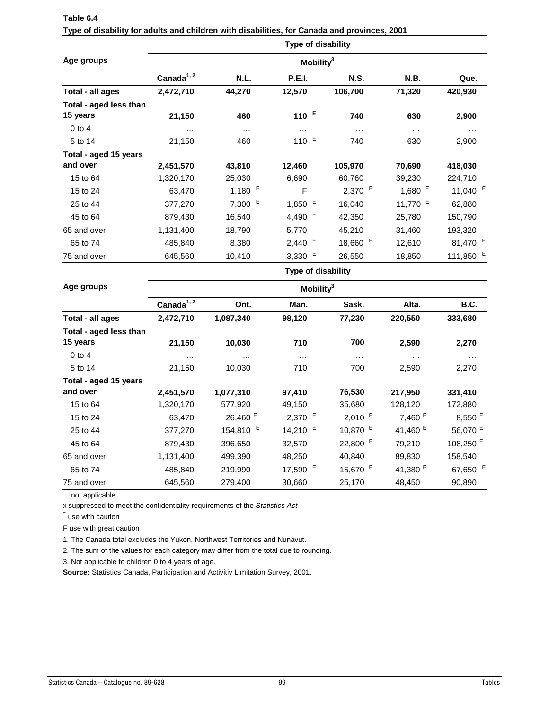| Table 6.4                                                                                    |  |
|----------------------------------------------------------------------------------------------|--|
| Type of disability for adults and children with disabilities, for Canada and provinces, 2001 |  |

|                        |                        | <b>Type of disability</b><br>Mobility <sup>3</sup> |                           |                      |            |             |  |  |  |
|------------------------|------------------------|----------------------------------------------------|---------------------------|----------------------|------------|-------------|--|--|--|
| Age groups             |                        |                                                    |                           |                      |            |             |  |  |  |
|                        | Canada <sup>1, 2</sup> | N.L.                                               | <b>P.E.I.</b>             | <b>N.S.</b>          | N.B.       | Que.        |  |  |  |
| Total - all ages       | 2,472,710              | 44,270                                             | 12,570                    | 106,700              | 71,320     | 420,930     |  |  |  |
| Total - aged less than |                        |                                                    |                           |                      |            |             |  |  |  |
| 15 years               | 21,150                 | 460                                                | 110 $E$                   | 740                  | 630        | 2,900       |  |  |  |
| $0$ to $4$             | $\cdots$               | $\cdots$                                           | $\cdots$                  | $\cdots$             | $\cdots$   | $\cdots$    |  |  |  |
| 5 to 14                | 21,150                 | 460                                                | 110 $E$                   | 740                  | 630        | 2,900       |  |  |  |
| Total - aged 15 years  |                        |                                                    |                           |                      |            |             |  |  |  |
| and over               | 2,451,570              | 43,810                                             | 12,460                    | 105,970              | 70,690     | 418,030     |  |  |  |
| 15 to 64               | 1,320,170              | 25,030                                             | 6,690                     | 60,760               | 39,230     | 224,710     |  |  |  |
| 15 to 24               | 63,470                 | 1,180 $E$                                          | F                         | $2,370$ <sup>E</sup> | 1,680 $E$  | 11,040 $E$  |  |  |  |
| 25 to 44               | 377,270                | $7,300$ <sup>E</sup>                               | 1,850 $E$                 | 16,040               | 11,770 $E$ | 62,880      |  |  |  |
| 45 to 64               | 879,430                | 16,540                                             | 4,490 $E$                 | 42,350               | 25,780     | 150,790     |  |  |  |
| 65 and over            | 1,131,400              | 18,790                                             | 5,770                     | 45,210               | 31,460     | 193,320     |  |  |  |
| 65 to 74               | 485,840                | 8,380                                              | $2,440$ <sup>E</sup>      | 18,660 E             | 12,610     | 81,470 E    |  |  |  |
| 75 and over            | 645,560                | 10,410                                             | $3,330$ <sup>E</sup>      | 26,550               | 18,850     | 111,850 $E$ |  |  |  |
|                        |                        |                                                    | <b>Type of disability</b> |                      |            |             |  |  |  |

| Age groups             | Mobility $3$  |                      |                      |              |            |                     |  |
|------------------------|---------------|----------------------|----------------------|--------------|------------|---------------------|--|
|                        | Canada $1, 2$ | Ont.                 | Man.                 | Sask.        | Alta.      | <b>B.C.</b>         |  |
| Total - all ages       | 2,472,710     | 1,087,340            | 98,120               | 77,230       | 220,550    | 333,680             |  |
| Total - aged less than |               |                      |                      |              |            |                     |  |
| 15 years               | 21,150        | 10,030               | 710                  | 700          | 2,590      | 2,270               |  |
| $0$ to 4               | $\cdots$      | $\cdots$             | $\cdots$             | $\cdots$     | $\cdots$   | $\cdots$            |  |
| 5 to 14                | 21,150        | 10,030               | 710                  | 700          | 2,590      | 2,270               |  |
| Total - aged 15 years  |               |                      |                      |              |            |                     |  |
| and over               | 2,451,570     | 1,077,310            | 97,410               | 76,530       | 217,950    | 331,410             |  |
| 15 to 64               | 1,320,170     | 577,920              | 49,150               | 35,680       | 128,120    | 172,880             |  |
| 15 to 24               | 63,470        | 26,460 <sup>E</sup>  | $2,370$ <sup>E</sup> | $2,010^{-E}$ | 7,460 $E$  | 8,550E              |  |
| 25 to 44               | 377,270       | 154,810 <sup>E</sup> | 14,210 $E$           | 10,870 E     | 41,460 $E$ | 56,070 E            |  |
| 45 to 64               | 879,430       | 396,650              | 32,570               | 22,800 E     | 79,210     | 108,250 $E$         |  |
| 65 and over            | 1,131,400     | 499,390              | 48,250               | 40,840       | 89,830     | 158,540             |  |
| 65 to 74               | 485,840       | 219,990              | 17,590 E             | 15,670 E     | 41,380 $E$ | 67,650 <sup>E</sup> |  |
| 75 and over            | 645,560       | 279,400              | 30,660               | 25,170       | 48,450     | 90,890              |  |

x suppressed to meet the confidentiality requirements of the *Statistics Act* 

E use with caution

F use with great caution

1. The Canada total excludes the Yukon, Northwest Territories and Nunavut.

2. The sum of the values for each category may differ from the total due to rounding.

3. Not applicable to children 0 to 4 years of age.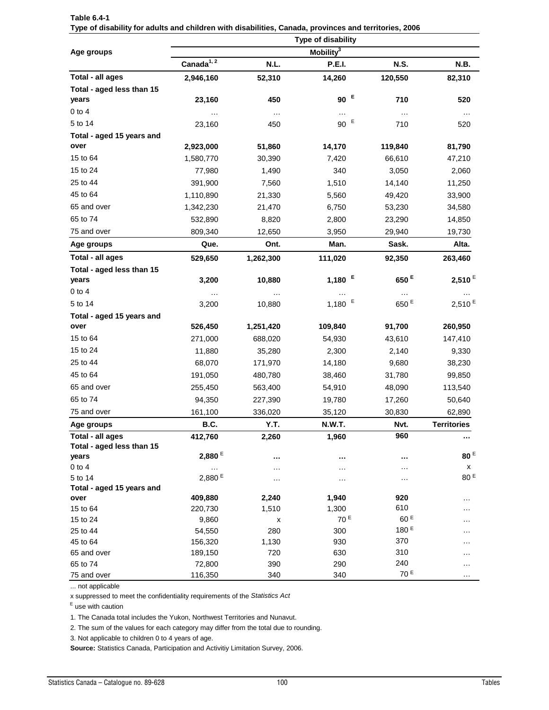|                           |                    |            | <b>Type of disability</b> |                    |                    |
|---------------------------|--------------------|------------|---------------------------|--------------------|--------------------|
| Age groups                |                    |            | Mobility <sup>3</sup>     |                    |                    |
|                           | Canada $1, 2$      | N.L.       | <b>P.E.I.</b>             | <b>N.S.</b>        | N.B.               |
| Total - all ages          | 2,946,160          | 52,310     | 14,260                    | 120,550            | 82,310             |
| Total - aged less than 15 |                    |            |                           |                    |                    |
| years                     | 23,160             | 450        | E<br>90                   | 710                | 520                |
| $0$ to $4$                | .                  | $\ldots$   | .                         | $\cdots$           | $\cdots$           |
| 5 to 14                   | 23,160             | 450        | E<br>90                   | 710                | 520                |
| Total - aged 15 years and |                    |            |                           |                    |                    |
| over                      | 2,923,000          | 51,860     | 14,170                    | 119,840            | 81,790             |
| 15 to 64                  | 1,580,770          | 30,390     | 7,420                     | 66,610             | 47,210             |
| 15 to 24                  | 77,980             | 1,490      | 340                       | 3,050              | 2,060              |
| 25 to 44                  | 391,900            | 7,560      | 1,510                     | 14,140             | 11,250             |
| 45 to 64                  | 1,110,890          | 21,330     | 5,560                     | 49,420             | 33,900             |
| 65 and over               | 1,342,230          | 21,470     | 6,750                     | 53,230             | 34,580             |
| 65 to 74                  | 532,890            | 8,820      | 2,800                     | 23,290             | 14,850             |
| 75 and over               | 809,340            | 12,650     | 3,950                     | 29,940             | 19,730             |
| Age groups                | Que.               | Ont.       | Man.                      | Sask.              | Alta.              |
| Total - all ages          | 529,650            | 1,262,300  | 111,020                   | 92,350             | 263,460            |
| Total - aged less than 15 |                    |            |                           |                    |                    |
| years                     | 3,200              | 10,880     | 1,180 $E$                 | $650$ <sup>E</sup> | $2,510^{E}$        |
| $0$ to $4$                |                    |            |                           | $\ldots$           |                    |
| 5 to 14                   | 3,200              | 10,880     | E<br>1,180                | 650 <sup>E</sup>   | $2,510^{E}$        |
| Total - aged 15 years and |                    |            |                           |                    |                    |
| over                      | 526,450            | 1,251,420  | 109,840                   | 91,700             | 260,950            |
| 15 to 64                  | 271,000            | 688,020    | 54,930                    | 43,610             | 147,410            |
| 15 to 24                  | 11,880             | 35,280     | 2,300                     | 2,140              | 9,330              |
| 25 to 44                  | 68,070             | 171,970    | 14,180                    | 9,680              | 38,230             |
| 45 to 64                  | 191,050            | 480,780    | 38,460                    | 31,780             | 99,850             |
| 65 and over               | 255,450            | 563,400    | 54,910                    | 48,090             | 113,540            |
| 65 to 74                  | 94,350             | 227,390    | 19,780                    | 17,260             | 50,640             |
| 75 and over               | 161,100            | 336,020    | 35,120                    | 30,830             | 62,890             |
| Age groups                | B.C.               | Y.T.       | <b>N.W.T.</b>             | Nvt.               | <b>Territories</b> |
| Total - all ages          | 412,760            | 2,260      | 1,960                     | 960                | $\cdots$           |
| Total - aged less than 15 |                    |            |                           |                    |                    |
| years                     | 2,880 <sup>E</sup> | $\cdots$   |                           | $\cdots$           | 80 $E$             |
| $0$ to $4$                | $\cdots$           | $\cdots$   | $\cdots$                  | $\cdots$           | x                  |
| 5 to 14                   | 2,880 <sup>E</sup> | $\cdots$   | $\cdots$                  | $\cdots$           | 80 E               |
| Total - aged 15 years and |                    |            |                           |                    |                    |
| over                      | 409,880            | 2,240      | 1,940                     | 920<br>610         | $\cdots$           |
| 15 to 64                  | 220,730            | 1,510      | 1,300<br>70 <sup>E</sup>  | 60E                |                    |
| 15 to 24                  | 9,860              | x          |                           |                    |                    |
| 25 to 44                  | 54,550             | 280        | 300                       | 180 <sup>E</sup>   | $\cdots$           |
| 45 to 64                  | 156,320            | 1,130      | 930                       | 370                | $\cdots$           |
| 65 and over               | 189,150            | 720        | 630                       | 310<br>240         | .                  |
| 65 to 74                  | 72,800<br>116,350  | 390<br>340 | 290<br>340                | 70 E               | $\cdots$           |
| 75 and over               |                    |            |                           |                    | $\cdots$           |

**Type of disability for adults and children with disabilities, Canada, provinces and territories, 2006 Table 6.4-1**

x suppressed to meet the confidentiality requirements of the *Statistics Act* 

E use with caution

1. The Canada total includes the Yukon, Northwest Territories and Nunavut.

2. The sum of the values for each category may differ from the total due to rounding.

3. Not applicable to children 0 to 4 years of age.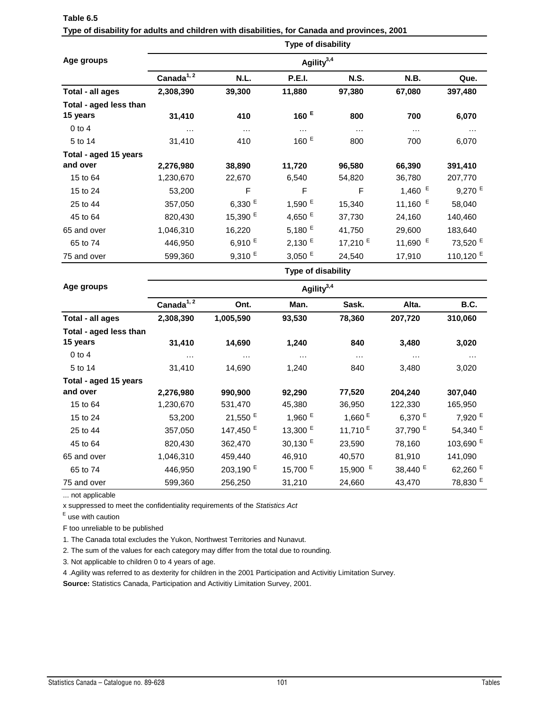| Table 6.5                                                                                    |
|----------------------------------------------------------------------------------------------|
| Type of disability for adults and children with disabilities, for Canada and provinces, 2001 |

|                        |                        | <b>Type of disability</b> |                      |             |            |                      |  |  |  |
|------------------------|------------------------|---------------------------|----------------------|-------------|------------|----------------------|--|--|--|
| Age groups             | Agility <sup>3,4</sup> |                           |                      |             |            |                      |  |  |  |
|                        | Canada <sup>1, 2</sup> | N.L.                      | <b>P.E.I.</b>        | <b>N.S.</b> | N.B.       | Que.                 |  |  |  |
| Total - all ages       | 2,308,390              | 39,300                    | 11,880               | 97,380      | 67,080     | 397,480              |  |  |  |
| Total - aged less than |                        |                           |                      |             |            |                      |  |  |  |
| 15 years               | 31,410                 | 410                       | 160 $E$              | 800         | 700        | 6,070                |  |  |  |
| $0$ to $4$             | $\cdots$               | .                         | $\cdots$             | $\cdots$    | $\cdots$   | $\cdots$             |  |  |  |
| 5 to 14                | 31,410                 | 410                       | 160 $E$              | 800         | 700        | 6,070                |  |  |  |
| Total - aged 15 years  |                        |                           |                      |             |            |                      |  |  |  |
| and over               | 2,276,980              | 38,890                    | 11,720               | 96,580      | 66,390     | 391,410              |  |  |  |
| 15 to 64               | 1,230,670              | 22,670                    | 6,540                | 54,820      | 36,780     | 207,770              |  |  |  |
| 15 to 24               | 53,200                 | F                         | F                    | F           | 1,460 $E$  | $9,270$ <sup>E</sup> |  |  |  |
| 25 to 44               | 357,050                | 6,330 $E$                 | 1,590 $E$            | 15,340      | 11,160 $E$ | 58,040               |  |  |  |
| 45 to 64               | 820,430                | 15,390 <sup>E</sup>       | 4,650 $E$            | 37,730      | 24,160     | 140,460              |  |  |  |
| 65 and over            | 1,046,310              | 16,220                    | 5,180 $E$            | 41,750      | 29,600     | 183,640              |  |  |  |
| 65 to 74               | 446,950                | 6,910 $E$                 | $2,130$ <sup>E</sup> | 17,210 $E$  | 11,690 E   | 73,520 <sup>E</sup>  |  |  |  |
| 75 and over            | 599,360                | $9,310$ <sup>E</sup>      | $3,050$ <sup>E</sup> | 24,540      | 17,910     | 110,120 <sup>E</sup> |  |  |  |
|                        |                        |                           | Type of disability   |             |            |                      |  |  |  |

| Age groups             | Agility <sup>3,4</sup> |                      |                       |            |            |                      |  |
|------------------------|------------------------|----------------------|-----------------------|------------|------------|----------------------|--|
|                        | Canada $1, 2$          | Ont.                 | Man.                  | Sask.      | Alta.      | <b>B.C.</b>          |  |
| Total - all ages       | 2,308,390              | 1,005,590            | 93,530                | 78,360     | 207,720    | 310,060              |  |
| Total - aged less than |                        |                      |                       |            |            |                      |  |
| 15 years               | 31,410                 | 14,690               | 1,240                 | 840        | 3,480      | 3,020                |  |
| $0$ to $4$             | $\cdots$               | $\cdots$             | $\cdots$              | $\cdots$   | $\cdots$   | $\cdots$             |  |
| 5 to 14                | 31,410                 | 14,690               | 1,240                 | 840        | 3,480      | 3,020                |  |
| Total - aged 15 years  |                        |                      |                       |            |            |                      |  |
| and over               | 2,276,980              | 990,900              | 92,290                | 77,520     | 204,240    | 307,040              |  |
| 15 to 64               | 1,230,670              | 531,470              | 45,380                | 36,950     | 122,330    | 165,950              |  |
| 15 to 24               | 53,200                 | 21,550 <sup>E</sup>  | 1,960 $E$             | 1,660 $E$  | 6,370 $E$  | $7,920$ <sup>E</sup> |  |
| 25 to 44               | 357,050                | 147,450 <sup>E</sup> | 13,300 E              | 11,710 $E$ | 37,790 E   | 54,340 <sup>E</sup>  |  |
| 45 to 64               | 820,430                | 362,470              | $30,130$ <sup>E</sup> | 23,590     | 78,160     | 103,690 <sup>E</sup> |  |
| 65 and over            | 1,046,310              | 459,440              | 46,910                | 40,570     | 81,910     | 141,090              |  |
| 65 to 74               | 446,950                | 203,190 <sup>E</sup> | 15,700 <sup>E</sup>   | 15,900 E   | 38,440 $E$ | 62,260 <sup>E</sup>  |  |
| 75 and over            | 599,360                | 256,250              | 31,210                | 24,660     | 43,470     | 78,830 E             |  |

x suppressed to meet the confidentiality requirements of the *Statistics Act* 

E use with caution

F too unreliable to be published

1. The Canada total excludes the Yukon, Northwest Territories and Nunavut.

2. The sum of the values for each category may differ from the total due to rounding.

3. Not applicable to children 0 to 4 years of age.

4 .Agility was referred to as dexterity for children in the 2001 Participation and Activitiy Limitation Survey.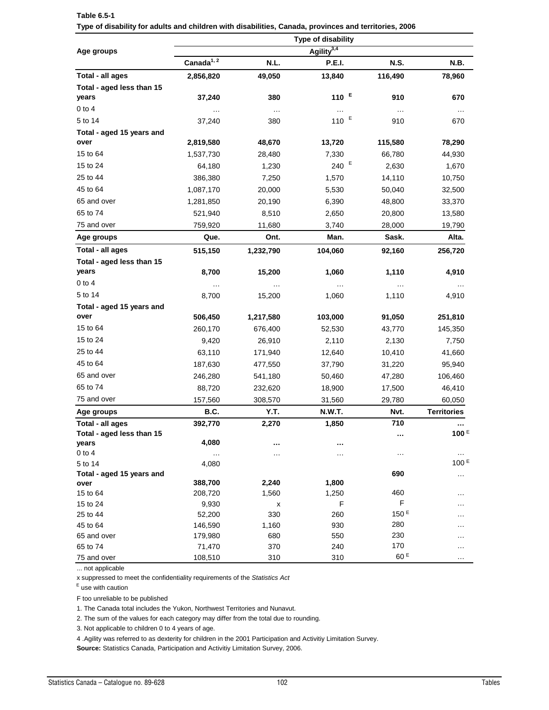|                                    |                      |           | Type of disability                      |                  |                     |
|------------------------------------|----------------------|-----------|-----------------------------------------|------------------|---------------------|
| Age groups                         |                      |           |                                         |                  |                     |
|                                    | Canada $\sqrt{1, 2}$ | N.L.      | Agility <sup>3,4</sup><br><b>P.E.I.</b> | <b>N.S.</b>      | N.B.                |
| Total - all ages                   | 2,856,820            | 49,050    | 13,840                                  | 116,490          | 78,960              |
| Total - aged less than 15          |                      |           |                                         |                  |                     |
| years                              | 37,240               | 380       | 110 $E$                                 | 910              | 670                 |
| $0$ to $4$                         |                      | $\ldots$  |                                         | $\ldots$         | $\cdots$            |
| 5 to 14                            | 37,240               | 380       | 110 $E$                                 | 910              | 670                 |
| Total - aged 15 years and          |                      |           |                                         |                  |                     |
| over                               | 2,819,580            | 48,670    | 13,720                                  | 115,580          | 78,290              |
| 15 to 64                           | 1,537,730            | 28,480    | 7,330                                   | 66,780           | 44,930              |
| 15 to 24                           | 64,180               | 1,230     | 240 $E$                                 | 2,630            | 1,670               |
| 25 to 44                           | 386,380              | 7,250     | 1,570                                   | 14,110           | 10,750              |
| 45 to 64                           | 1,087,170            | 20,000    | 5,530                                   | 50,040           | 32,500              |
| 65 and over                        | 1,281,850            | 20,190    | 6,390                                   | 48,800           | 33,370              |
| 65 to 74                           | 521,940              | 8,510     | 2,650                                   | 20,800           | 13,580              |
| 75 and over                        | 759,920              | 11,680    | 3,740                                   | 28,000           | 19,790              |
| Age groups                         | Que.                 | Ont.      | Man.                                    | Sask.            | Alta.               |
| Total - all ages                   | 515,150              | 1,232,790 | 104,060                                 | 92,160           | 256,720             |
| Total - aged less than 15          |                      |           |                                         |                  |                     |
| years                              | 8,700                | 15,200    | 1,060                                   | 1,110            | 4,910               |
| 0 to 4                             | $\cdots$             |           |                                         | $\cdots$         |                     |
| 5 to 14                            | 8,700                | 15,200    | 1,060                                   | 1,110            | 4,910               |
| Total - aged 15 years and          |                      |           |                                         |                  |                     |
| over                               | 506,450              | 1,217,580 | 103,000                                 | 91,050           | 251,810             |
| 15 to 64                           | 260,170              | 676,400   | 52,530                                  | 43,770           | 145,350             |
| 15 to 24                           | 9,420                | 26,910    | 2,110                                   | 2,130            | 7,750               |
| 25 to 44                           | 63,110               | 171,940   | 12,640                                  | 10,410           | 41,660              |
| 45 to 64                           | 187,630              | 477,550   | 37,790                                  | 31,220           | 95,940              |
| 65 and over                        |                      |           |                                         |                  |                     |
| 65 to 74                           | 246,280              | 541,180   | 50,460                                  | 47,280           | 106,460             |
|                                    | 88,720               | 232,620   | 18,900                                  | 17,500           | 46,410              |
| 75 and over                        | 157,560              | 308,570   | 31,560                                  | 29,780           | 60,050              |
| Age groups                         | <b>B.C.</b>          | Y.T.      | <b>N.W.T.</b>                           | Nvt.             | <b>Territories</b>  |
| Total - all ages                   | 392,770              | 2,270     | 1,850                                   | 710              | $\cdots$<br>100 $E$ |
| Total - aged less than 15<br>years | 4,080                |           |                                         | $\cdots$         |                     |
| $0$ to $4$                         | $\sim$ $\sim$        | .         | .                                       | $\cdots$         | $\cdots$            |
| 5 to 14                            | 4,080                |           |                                         |                  | 100 <sup>E</sup>    |
| Total - aged 15 years and          |                      |           |                                         | 690              | $\ldots$            |
| over                               | 388,700              | 2,240     | 1,800                                   |                  |                     |
| 15 to 64                           | 208,720              | 1,560     | 1,250                                   | 460              | $\cdots$            |
| 15 to 24                           | 9,930                | х         | F                                       | F                | .                   |
| 25 to 44                           | 52,200               | 330       | 260                                     | 150 <sup>E</sup> |                     |
| 45 to 64                           | 146,590              | 1,160     | 930                                     | 280              |                     |
| 65 and over                        | 179,980              | 680       | 550                                     | 230              |                     |
| 65 to 74                           | 71,470               | 370       | 240                                     | 170              |                     |
| 75 and over                        | 108,510              | 310       | 310                                     | 60 E             | .                   |

**Type of disability for adults and children with disabilities, Canada, provinces and territories, 2006 Table 6.5-1**

x suppressed to meet the confidentiality requirements of the *Statistics Act* 

E use with caution

F too unreliable to be published

1. The Canada total includes the Yukon, Northwest Territories and Nunavut.

2. The sum of the values for each category may differ from the total due to rounding.

3. Not applicable to children 0 to 4 years of age.

4 .Agility was referred to as dexterity for children in the 2001 Participation and Activitiy Limitation Survey.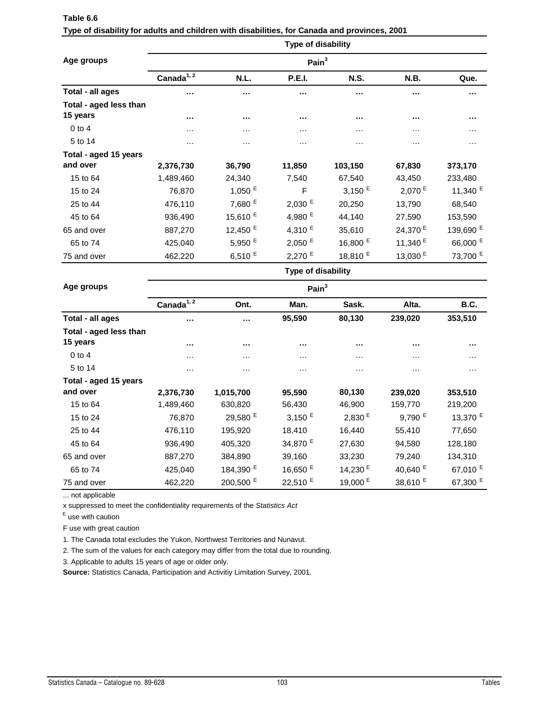| Table 6.6                                                                                    |  |
|----------------------------------------------------------------------------------------------|--|
| Type of disability for adults and children with disabilities, for Canada and provinces, 2001 |  |

|                                    | <b>Type of disability</b> |                      |                      |                      |                     |                      |  |  |  |
|------------------------------------|---------------------------|----------------------|----------------------|----------------------|---------------------|----------------------|--|--|--|
| Age groups                         | Pain $3$                  |                      |                      |                      |                     |                      |  |  |  |
|                                    | Canada <sup>1, 2</sup>    | N.L.                 | <b>P.E.I.</b>        | <b>N.S.</b>          | N.B.                | Que.                 |  |  |  |
| Total - all ages                   | $\cdots$                  | $\cdots$             |                      | $\cdots$             | $\cdots$            | $\cdots$             |  |  |  |
| Total - aged less than<br>15 years |                           |                      |                      |                      |                     |                      |  |  |  |
| $0$ to 4                           | $\cdots$<br>$\cdots$      | $\cdots$<br>$\cdots$ | $\cdots$<br>$\cdots$ | $\cdots$<br>.        | $\cdots$<br>.       | $\cdots$<br>$\cdots$ |  |  |  |
| 5 to 14                            | $\cdots$                  | $\cdots$             | $\cdots$             | $\cdots$             | $\cdots$            | $\cdots$             |  |  |  |
| Total - aged 15 years              |                           |                      |                      |                      |                     |                      |  |  |  |
| and over                           | 2,376,730                 | 36,790               | 11,850               | 103,150              | 67,830              | 373,170              |  |  |  |
| 15 to 64                           | 1,489,460                 | 24,340               | 7,540                | 67,540               | 43,450              | 233,480              |  |  |  |
| 15 to 24                           | 76,870                    | 1,050 $E$            | F                    | $3,150$ <sup>E</sup> | 2,070E              | 11,340 $E$           |  |  |  |
| 25 to 44                           | 476,110                   | 7,680 <sup>E</sup>   | $2,030$ <sup>E</sup> | 20,250               | 13,790              | 68,540               |  |  |  |
| 45 to 64                           | 936,490                   | 15,610 <sup>E</sup>  | 4,980 $E$            | 44,140               | 27,590              | 153,590              |  |  |  |
| 65 and over                        | 887,270                   | 12,450 $E$           | 4,310 $E$            | 35,610               | 24,370 <sup>E</sup> | 139,690 <sup>E</sup> |  |  |  |
| 65 to 74                           | 425,040                   | 5,950 $E$            | 2,050E               | 16,800 <sup>E</sup>  | 11,340 $E$          | 66,000 E             |  |  |  |
| 75 and over                        | 462,220                   | 6,510 $E$            | $2,270$ <sup>E</sup> | 18,810 <sup>E</sup>  | 13,030 $E$          | 73,700 E             |  |  |  |

|                        |                        |                      | <b>Type of disability</b> |                     |                     |                     |  |  |  |
|------------------------|------------------------|----------------------|---------------------------|---------------------|---------------------|---------------------|--|--|--|
| Age groups             | Pain $3$               |                      |                           |                     |                     |                     |  |  |  |
|                        | Canada <sup>1, 2</sup> | Ont.                 | Man.                      | Sask.               | Alta.               | B.C.                |  |  |  |
| Total - all ages       | $\cdots$               | $\cdots$             | 95,590                    | 80,130              | 239,020             | 353,510             |  |  |  |
| Total - aged less than |                        |                      |                           |                     |                     |                     |  |  |  |
| 15 years               | $\cdots$               | $\cdots$             | $\cdots$                  | $\cdots$            |                     | $\cdots$            |  |  |  |
| $0$ to 4               | $\cdots$               | $\cdots$             | $\cdots$                  | $\cdots$            | $\cdots$            | $\cdots$            |  |  |  |
| 5 to 14                | .                      | $\cdots$             | $\cdots$                  | .                   | .                   | $\cdots$            |  |  |  |
| Total - aged 15 years  |                        |                      |                           |                     |                     |                     |  |  |  |
| and over               | 2,376,730              | 1,015,700            | 95,590                    | 80,130              | 239,020             | 353,510             |  |  |  |
| 15 to 64               | 1,489,460              | 630,820              | 56,430                    | 46,900              | 159,770             | 219,200             |  |  |  |
| 15 to 24               | 76,870                 | 29,580 <sup>E</sup>  | 3,150 $E$                 | 2,830E              | 9,790 $E$           | 13,370 <sup>E</sup> |  |  |  |
| 25 to 44               | 476,110                | 195,920              | 18,410                    | 16,440              | 55,410              | 77,650              |  |  |  |
| 45 to 64               | 936,490                | 405,320              | 34,870 <sup>E</sup>       | 27,630              | 94,580              | 128,180             |  |  |  |
| 65 and over            | 887,270                | 384,890              | 39,160                    | 33,230              | 79,240              | 134,310             |  |  |  |
| 65 to 74               | 425,040                | 184,390 <sup>E</sup> | 16,650 <sup>E</sup>       | 14,230 $E$          | 40,640 <sup>E</sup> | 67,010 <sup>E</sup> |  |  |  |
| 75 and over            | 462,220                | 200,500 E            | 22,510 <sup>E</sup>       | 19,000 <sup>E</sup> | 38,610 <sup>E</sup> | 67,300 E            |  |  |  |

x suppressed to meet the confidentiality requirements of the *Statistics Act* 

E use with caution

F use with great caution

1. The Canada total excludes the Yukon, Northwest Territories and Nunavut.

2. The sum of the values for each category may differ from the total due to rounding.

3. Applicable to adults 15 years of age or older only.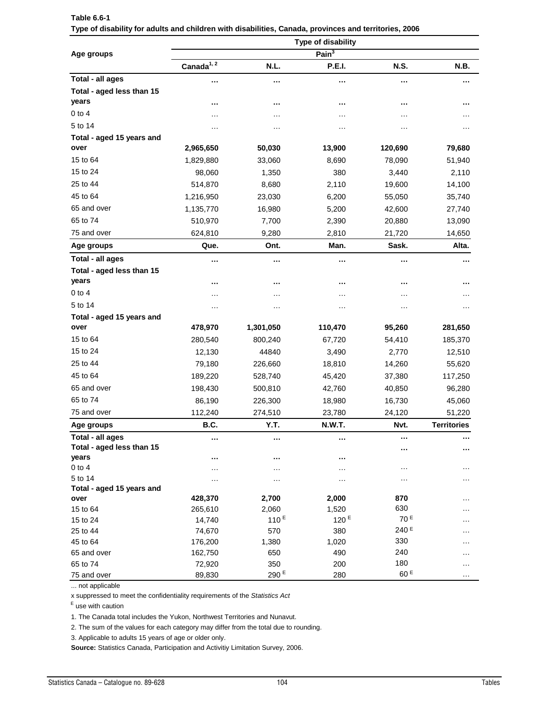|                                    |               |                  | Type of disability |                      |                    |
|------------------------------------|---------------|------------------|--------------------|----------------------|--------------------|
| Age groups                         |               |                  | Pain <sup>3</sup>  |                      |                    |
|                                    | Canada $1, 2$ | N.L.             | <b>P.E.I.</b>      | <b>N.S.</b>          | N.B.               |
| Total - all ages                   |               |                  |                    |                      |                    |
| Total - aged less than 15          |               |                  |                    |                      |                    |
| years                              |               | $\cdots$         |                    | $\cdots$             |                    |
| $0$ to $4$                         | .             | .                | .                  | .                    |                    |
| 5 to 14                            | $\cdots$      | $\cdots$         |                    | .                    | .                  |
| Total - aged 15 years and          |               |                  |                    |                      |                    |
| over                               | 2,965,650     | 50,030           | 13,900             | 120,690              | 79,680             |
| 15 to 64                           | 1,829,880     | 33,060           | 8,690              | 78,090               | 51,940             |
| 15 to 24                           | 98,060        | 1,350            | 380                | 3,440                | 2,110              |
| 25 to 44                           | 514,870       | 8,680            | 2,110              | 19,600               | 14,100             |
| 45 to 64                           | 1,216,950     | 23,030           | 6,200              | 55,050               | 35,740             |
| 65 and over                        | 1,135,770     | 16,980           | 5,200              | 42,600               | 27,740             |
| 65 to 74                           | 510,970       | 7,700            | 2,390              | 20,880               | 13,090             |
| 75 and over                        | 624,810       | 9,280            | 2,810              | 21,720               | 14,650             |
| Age groups                         | Que.          | Ont.             | Man.               | Sask.                | Alta.              |
| Total - all ages                   |               |                  |                    |                      |                    |
|                                    |               | $\cdots$         |                    | $\cdots$             | $\cdots$           |
| Total - aged less than 15<br>years | $\cdots$      | $\cdots$         |                    | $\cdots$             |                    |
| $0$ to $4$                         |               |                  |                    |                      |                    |
| 5 to 14                            |               | $\cdots$         | $\cdots$           | .                    |                    |
| Total - aged 15 years and          | $\cdots$      | $\cdots$         | $\cdots$           | $\cdots$             | .                  |
| over                               | 478,970       | 1,301,050        | 110,470            | 95,260               | 281,650            |
| 15 to 64                           | 280,540       | 800,240          | 67,720             | 54,410               | 185,370            |
| 15 to 24                           | 12,130        | 44840            | 3,490              | 2,770                | 12,510             |
| 25 to 44                           | 79,180        | 226,660          | 18,810             | 14,260               | 55,620             |
| 45 to 64                           |               |                  |                    |                      |                    |
|                                    | 189,220       | 528,740          | 45,420             | 37,380               | 117,250            |
| 65 and over                        | 198,430       | 500,810          | 42,760             | 40,850               | 96,280             |
| 65 to 74                           | 86,190        | 226,300          | 18,980             | 16,730               | 45,060             |
| 75 and over                        | 112,240       | 274,510          | 23,780             | 24,120               | 51,220             |
| Age groups                         | B.C.          | Y.T.             | <b>N.W.T.</b>      | Nvt.                 | <b>Territories</b> |
| Total - all ages                   |               | $\cdots$         |                    | $\cdots$             | $\cdots$           |
| Total - aged less than 15          |               |                  |                    |                      | $\cdots$           |
| years<br>$0$ to $4$                |               | $\cdots$         |                    |                      |                    |
| 5 to 14                            | $\cdots$      | $\cdots$         | $\cdots$           | $\cdots$<br>$\cdots$ | .<br>$\cdots$      |
| Total - aged 15 years and          | $\cdots$      | $\cdots$         | $\cdots$           |                      |                    |
| over                               | 428,370       | 2,700            | 2,000              | 870                  | .                  |
| 15 to 64                           | 265,610       | 2,060            | 1,520              | 630                  | .                  |
| 15 to 24                           | 14,740        | $110^E$          | 120 <sup>E</sup>   | 70 E                 | $\cdots$           |
| 25 to 44                           | 74,670        | 570              | 380                | 240 E                | .                  |
| 45 to 64                           | 176,200       | 1,380            | 1,020              | 330                  | .                  |
| 65 and over                        | 162,750       | 650              | 490                | 240                  | .                  |
| 65 to 74                           | 72,920        | 350              | 200                | 180                  | $\cdots$           |
| 75 and over                        | 89,830        | 290 <sup>E</sup> | 280                | 60 <sup>E</sup>      | $\cdots$           |

| Table 6.6-1 |                                                                                                       |  |  |
|-------------|-------------------------------------------------------------------------------------------------------|--|--|
|             | Type of disability for adults and children with disabilities, Canada, provinces and territories, 2006 |  |  |

x suppressed to meet the confidentiality requirements of the *Statistics Act* 

E use with caution

1. The Canada total includes the Yukon, Northwest Territories and Nunavut.

2. The sum of the values for each category may differ from the total due to rounding.

3. Applicable to adults 15 years of age or older only.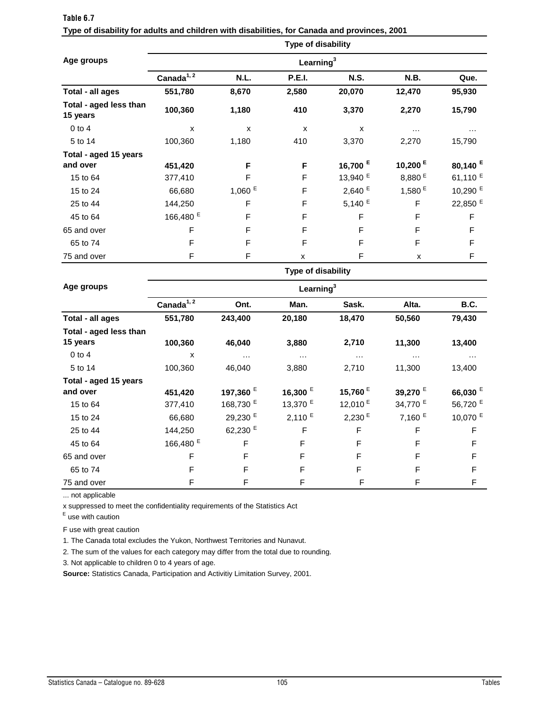|                                    | Type of disability<br>Learning $3$ |        |                    |                     |                    |                     |  |  |
|------------------------------------|------------------------------------|--------|--------------------|---------------------|--------------------|---------------------|--|--|
| Age groups                         |                                    |        |                    |                     |                    |                     |  |  |
|                                    | Canada $1, 2$                      | N.L.   | <b>P.E.I.</b>      | <b>N.S.</b>         | N.B.               | Que.                |  |  |
| Total - all ages                   | 551,780                            | 8,670  | 2,580              | 20,070              | 12,470             | 95,930              |  |  |
| Total - aged less than<br>15 years | 100,360                            | 1,180  | 410                | 3,370               | 2,270              | 15,790              |  |  |
| $0$ to 4                           | X                                  | X      | X                  | X                   | $\cdots$           | $\cdots$            |  |  |
| 5 to 14                            | 100,360                            | 1,180  | 410                | 3,370               | 2,270              | 15,790              |  |  |
| Total - aged 15 years              |                                    |        |                    |                     |                    |                     |  |  |
| and over                           | 451,420                            | F      | F                  | 16,700 <sup>E</sup> | 10,200 $E$         | 80,140 $E$          |  |  |
| 15 to 64                           | 377,410                            | F      | F                  | 13,940 <sup>E</sup> | 8,880 <sup>E</sup> | 61,110 $E$          |  |  |
| 15 to 24                           | 66,680                             | 1,060E | F                  | 2,640E              | 1,580 <sup>E</sup> | 10,290 <sup>E</sup> |  |  |
| 25 to 44                           | 144,250                            | F      | F                  | 5,140 $E$           | F                  | 22,850 <sup>E</sup> |  |  |
| 45 to 64                           | 166,480 <sup>E</sup>               | F      | F                  | F                   | F                  | F                   |  |  |
| 65 and over                        | F                                  | F      | F                  | $\mathsf{F}$        | F                  | F                   |  |  |
| 65 to 74                           | F                                  | F      | F                  | F                   | $\mathsf F$        | F                   |  |  |
| 75 and over                        | F                                  | F      | X                  | $\mathsf{F}$        | X                  | F                   |  |  |
|                                    |                                    |        | Type of disability |                     |                    |                     |  |  |

| Table 6.7                                                                                    |  |  |  |
|----------------------------------------------------------------------------------------------|--|--|--|
| Type of disability for adults and children with disabilities, for Canada and provinces, 2001 |  |  |  |

| Age groups             | Learning $3$           |                      |                      |            |                      |                     |  |  |
|------------------------|------------------------|----------------------|----------------------|------------|----------------------|---------------------|--|--|
|                        | Canada <sup>1, 2</sup> | Ont.                 | Man.                 | Sask.      | Alta.                | <b>B.C.</b>         |  |  |
| Total - all ages       | 551,780                | 243,400              | 20,180               | 18,470     | 50,560               | 79,430              |  |  |
| Total - aged less than |                        |                      |                      |            |                      |                     |  |  |
| 15 years               | 100,360                | 46,040               | 3,880                | 2,710      | 11,300               | 13,400              |  |  |
| $0$ to $4$             | x                      | $\cdots$             | $\cdots$             | $\cdots$   | $\cdots$             | $\cdots$            |  |  |
| 5 to 14                | 100,360                | 46,040               | 3,880                | 2,710      | 11,300               | 13,400              |  |  |
| Total - aged 15 years  |                        |                      |                      |            |                      |                     |  |  |
| and over               | 451,420                | 197,360 $E$          | 16,300 $E$           | 15,760 $E$ | 39,270 $E$           | 66,030 $E$          |  |  |
| 15 to 64               | 377,410                | 168,730 <sup>E</sup> | 13,370 <sup>E</sup>  | 12,010 $E$ | 34,770 <sup>E</sup>  | 56,720 <sup>E</sup> |  |  |
| 15 to 24               | 66,680                 | 29,230 <sup>E</sup>  | $2,110$ <sup>E</sup> | 2,230E     | $7,160$ <sup>E</sup> | 10,070 E            |  |  |
| 25 to 44               | 144,250                | 62,230 <sup>E</sup>  | F                    | F          | F                    | F                   |  |  |
| 45 to 64               | 166,480 <sup>E</sup>   | F                    | F                    | F          | F                    | F                   |  |  |
| 65 and over            | F                      | F                    | F                    | F          | F                    | F                   |  |  |
| 65 to 74               | F                      | F                    | F                    | F          | F                    | F                   |  |  |
| 75 and over            | F                      | F                    | F                    | F          | F                    | F                   |  |  |

x suppressed to meet the confidentiality requirements of the Statistics Act<br><sup>E</sup> use with caution

F use with great caution

1. The Canada total excludes the Yukon, Northwest Territories and Nunavut.

2. The sum of the values for each category may differ from the total due to rounding.

3. Not applicable to children 0 to 4 years of age.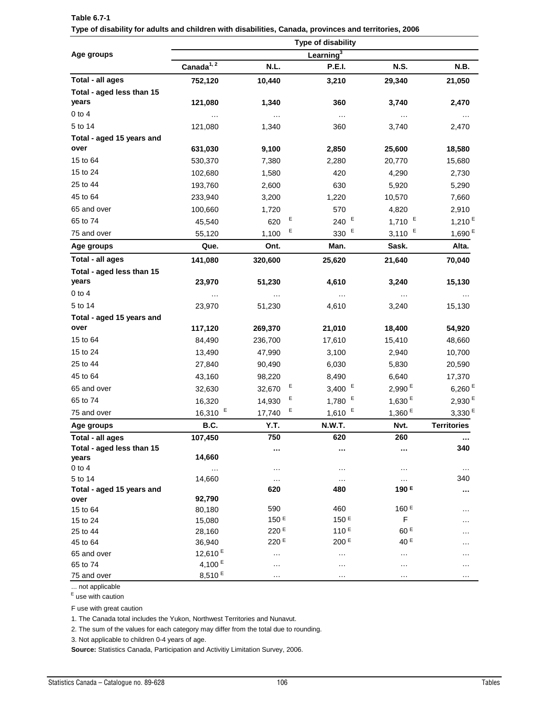|                           | Type of disability  |             |                  |                      |                      |  |  |
|---------------------------|---------------------|-------------|------------------|----------------------|----------------------|--|--|
| Age groups                |                     |             | Learning $3$     |                      |                      |  |  |
|                           | Canada $1, 2$       | N.L.        | <b>P.E.I.</b>    | N.S.                 | N.B.                 |  |  |
| Total - all ages          | 752,120             | 10,440      | 3,210            | 29,340               | 21,050               |  |  |
| Total - aged less than 15 |                     |             |                  |                      |                      |  |  |
| years                     | 121,080             | 1,340       | 360              | 3,740                | 2,470                |  |  |
| $0$ to $4$                |                     | $\cdots$    | $\ddotsc$        |                      |                      |  |  |
| 5 to 14                   | 121,080             | 1,340       | 360              | 3,740                | 2,470                |  |  |
| Total - aged 15 years and |                     |             |                  |                      |                      |  |  |
| over                      | 631,030             | 9,100       | 2,850            | 25,600               | 18,580               |  |  |
| 15 to 64                  | 530,370             | 7,380       | 2,280            | 20,770               | 15,680               |  |  |
| 15 to 24                  | 102,680             | 1,580       | 420              | 4,290                | 2,730                |  |  |
| 25 to 44                  | 193,760             | 2,600       | 630              | 5,920                | 5,290                |  |  |
| 45 to 64                  | 233,940             | 3,200       | 1,220            | 10,570               | 7,660                |  |  |
| 65 and over               | 100,660             | 1,720       | 570              | 4,820                | 2,910                |  |  |
| 65 to 74                  | 45,540              | Ε           | E<br>240         | E<br>1,710           | $1,210$ <sup>E</sup> |  |  |
|                           |                     | 620<br>Ε    | Ε                | E                    |                      |  |  |
| 75 and over               | 55,120              | 1,100       | 330              | 3,110                | 1,690 $E$            |  |  |
| Age groups                | Que.                | Ont.        | Man.             | Sask.                | Alta.                |  |  |
| Total - all ages          | 141,080             | 320,600     | 25,620           | 21,640               | 70,040               |  |  |
| Total - aged less than 15 |                     |             |                  |                      |                      |  |  |
| years                     | 23,970              | 51,230      | 4,610            | 3,240                | 15,130               |  |  |
| $0$ to $4$                | $\cdots$            | $\cdots$    | $\cdots$         |                      |                      |  |  |
| 5 to 14                   | 23,970              | 51,230      | 4,610            | 3,240                | 15,130               |  |  |
| Total - aged 15 years and |                     |             |                  |                      |                      |  |  |
| over                      | 117,120             | 269,370     | 21,010           | 18,400               | 54,920               |  |  |
| 15 to 64                  | 84,490              | 236,700     | 17,610           | 15,410               | 48,660               |  |  |
| 15 to 24                  | 13,490              | 47,990      | 3,100            | 2,940                | 10,700               |  |  |
| 25 to 44                  | 27,840              | 90,490      | 6,030            | 5,830                | 20,590               |  |  |
| 45 to 64                  | 43,160              | 98,220      | 8,490            | 6,640                | 17,370               |  |  |
| 65 and over               | 32,630              | E<br>32,670 | E<br>3,400       | $2,990$ <sup>E</sup> | 6,260 $E$            |  |  |
| 65 to 74                  | 16,320              | E<br>14,930 | E<br>1,780       | 1,630 $E$            | 2,930 <sup>E</sup>   |  |  |
| 75 and over               | 16,310 <sup>E</sup> | Ε<br>17,740 | E<br>1,610       | 1,360 E              | $3,330$ $^{\rm E}$   |  |  |
| Age groups                | B.C.                | Y.T.        | <b>N.W.T.</b>    | Nvt.                 | <b>Territories</b>   |  |  |
| Total - all ages          | 107,450             | 750         | 620              | 260                  | $\cdots$             |  |  |
| Total - aged less than 15 |                     |             |                  |                      | 340                  |  |  |
| years                     | 14,660              |             |                  |                      |                      |  |  |
| $0$ to $4$                | $\cdots$            | $\cdots$    |                  |                      | $\cdots$             |  |  |
| 5 to 14                   | 14,660              | $\cdots$    | $\cdots$         | $\cdots$             | 340                  |  |  |
| Total - aged 15 years and |                     | 620         | 480              | 190 E                |                      |  |  |
| over                      | 92,790              |             |                  |                      |                      |  |  |
| 15 to 64                  | 80,180              | 590         | 460              | 160 <sup>E</sup>     | .                    |  |  |
| 15 to 24                  | 15,080              | 150 E       | 150 E            | F                    | .                    |  |  |
| 25 to 44                  | 28,160              | 220 E       | 110 <sup>E</sup> | 60 E                 |                      |  |  |
| 45 to 64                  | 36,940              | 220 E       | 200E             | 40 <sup>E</sup>      |                      |  |  |
| 65 and over               | 12,610 <sup>E</sup> | $\cdots$    | .                |                      |                      |  |  |
| 65 to 74                  | 4,100 $E$           |             | .                |                      | .                    |  |  |
| 75 and over               | 8,510 <sup>E</sup>  | .           | .                | .                    | $\cdots$             |  |  |

**Type of disability for adults and children with disabilities, Canada, provinces and territories, 2006 Table 6.7-1**

E use with caution

F use with great caution

1. The Canada total includes the Yukon, Northwest Territories and Nunavut.

2. The sum of the values for each category may differ from the total due to rounding.

3. Not applicable to children 0-4 years of age.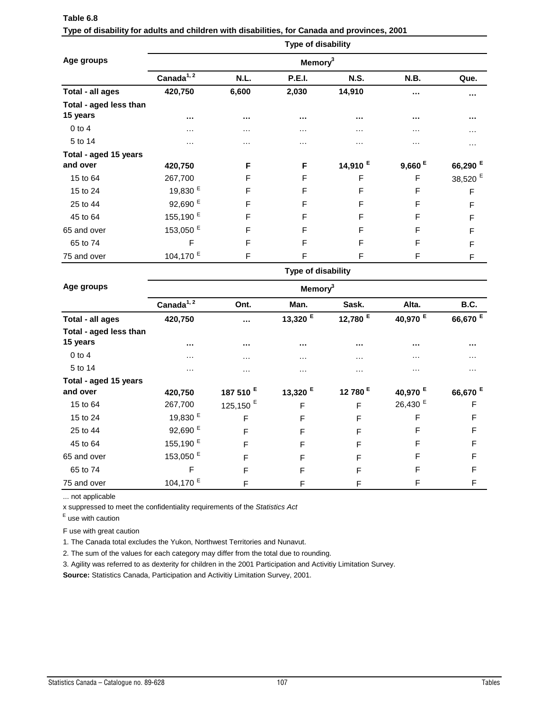| Table 6.8                                                                                    |
|----------------------------------------------------------------------------------------------|
| Type of disability for adults and children with disabilities, for Canada and provinces, 2001 |

|                        |                      | Type of disability  |               |                     |          |                     |  |  |  |
|------------------------|----------------------|---------------------|---------------|---------------------|----------|---------------------|--|--|--|
| Age groups             |                      | Memory <sup>3</sup> |               |                     |          |                     |  |  |  |
|                        | Canada $1, 2$        | N.L.                | <b>P.E.I.</b> | <b>N.S.</b>         | N.B.     | Que.                |  |  |  |
| Total - all ages       | 420,750              | 6,600               | 2,030         | 14,910              | $\cdots$ | $\cdots$            |  |  |  |
| Total - aged less than |                      |                     |               |                     |          |                     |  |  |  |
| 15 years               | $\cdots$             | $\cdots$            | $\cdots$      | $\cdots$            | $\cdots$ | $\cdots$            |  |  |  |
| $0$ to $4$             | $\cdots$             | $\cdots$            | $\cdots$      | $\cdots$            | $\cdots$ | $\cdots$            |  |  |  |
| 5 to 14                | $\cdots$             | $\cdots$            | $\cdots$      | $\cdots$            | $\cdots$ | $\cdots$            |  |  |  |
| Total - aged 15 years  |                      |                     |               |                     |          |                     |  |  |  |
| and over               | 420,750              | F                   | F             | 14,910 <sup>E</sup> | 9,660 E  | 66,290 <sup>E</sup> |  |  |  |
| 15 to 64               | 267,700              | F                   | F             | F                   | F        | 38,520 <sup>E</sup> |  |  |  |
| 15 to 24               | 19,830 <sup>E</sup>  | F                   | F             | F                   | F        | F                   |  |  |  |
| 25 to 44               | 92,690 <sup>E</sup>  | F                   | F             | F                   | F        | F                   |  |  |  |
| 45 to 64               | 155,190 <sup>E</sup> | F                   | F             | F                   | F        | F                   |  |  |  |
| 65 and over            | 153,050 <sup>E</sup> | F                   | F             | F                   | F        | F                   |  |  |  |
| 65 to 74               | F                    | F                   | F             | F                   | F        | F                   |  |  |  |
| 75 and over            | 104,170 <sup>E</sup> | F                   | F             | F                   | F        | F                   |  |  |  |

|                        | Type of disability<br>Memory <sup>3</sup> |                      |            |                     |                     |                     |  |  |
|------------------------|-------------------------------------------|----------------------|------------|---------------------|---------------------|---------------------|--|--|
| Age groups             |                                           |                      |            |                     |                     |                     |  |  |
|                        | Canada $1, 2$                             | Ont.                 | Man.       | Sask.               | Alta.               | B.C.                |  |  |
| Total - all ages       | 420,750                                   | $\cdots$             | 13,320 $E$ | 12,780 <sup>E</sup> | 40,970 <sup>E</sup> | 66,670 $E$          |  |  |
| Total - aged less than |                                           |                      |            |                     |                     |                     |  |  |
| 15 years               | $\cdots$                                  | $\cdots$             | $\cdots$   |                     | $\cdots$            | $\cdots$            |  |  |
| $0$ to $4$             | $\cdots$                                  | $\cdots$             | $\cdots$   | $\cdots$            | $\cdots$            | $\cdots$            |  |  |
| 5 to 14                | $\cdots$                                  | $\cdots$             | $\cdots$   | $\cdots$            | .                   | $\cdots$            |  |  |
| Total - aged 15 years  |                                           |                      |            |                     |                     |                     |  |  |
| and over               | 420,750                                   | 187 510 <sup>E</sup> | 13,320 $E$ | 12 780 <sup>E</sup> | 40,970 <sup>E</sup> | 66,670 <sup>E</sup> |  |  |
| 15 to 64               | 267,700                                   | 125,150 $E$          | F          | F                   | 26,430 <sup>E</sup> | F                   |  |  |
| 15 to 24               | 19,830 <sup>E</sup>                       | F                    | F          | F                   | F                   | F                   |  |  |
| 25 to 44               | 92,690 <sup>E</sup>                       | F                    | F          | F                   | F                   | $\mathsf F$         |  |  |
| 45 to 64               | 155,190 <sup>E</sup>                      | F                    | F          | F                   | F                   | $\mathsf F$         |  |  |
| 65 and over            | 153,050 <sup>E</sup>                      | F                    | F          | F                   | F                   | $\mathsf F$         |  |  |
| 65 to 74               | F                                         | F                    | F          | F                   | F                   | F                   |  |  |
| 75 and over            | 104,170 <sup>E</sup>                      | F                    | F          | F                   | F                   | F                   |  |  |

x suppressed to meet the confidentiality requirements of the *Statistics Act* 

E use with caution

F use with great caution

1. The Canada total excludes the Yukon, Northwest Territories and Nunavut.

2. The sum of the values for each category may differ from the total due to rounding.

3. Agility was referred to as dexterity for children in the 2001 Participation and Activitiy Limitation Survey.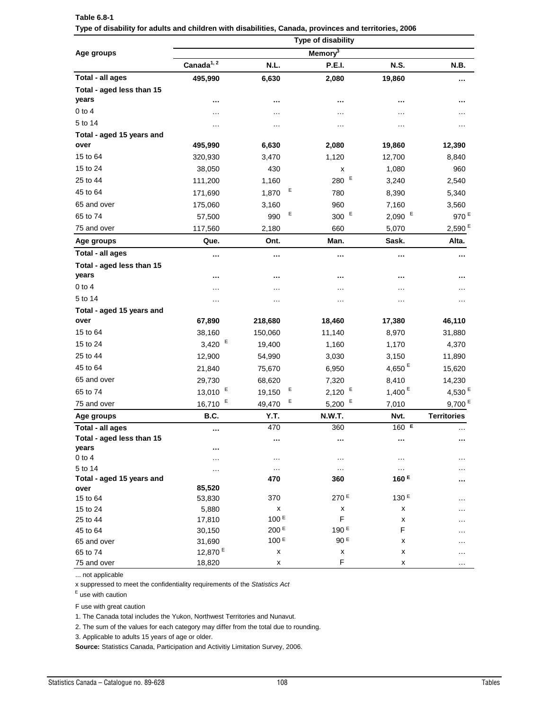|                                    | Type of disability  |                    |                     |                      |                    |  |  |  |
|------------------------------------|---------------------|--------------------|---------------------|----------------------|--------------------|--|--|--|
| Age groups                         |                     |                    | Memory <sup>3</sup> |                      |                    |  |  |  |
|                                    | Canada $1, 2$       | N.L.               | <b>P.E.I.</b>       | <b>N.S.</b>          | N.B.               |  |  |  |
| Total - all ages                   | 495,990             | 6,630              | 2,080               | 19,860               |                    |  |  |  |
| Total - aged less than 15          |                     |                    |                     |                      |                    |  |  |  |
| years                              | $\cdots$            |                    |                     | $\cdots$             |                    |  |  |  |
| $0$ to 4                           | $\cdots$            | $\cdots$           | $\cdots$            | $\cdots$             | .                  |  |  |  |
| 5 to 14                            | .                   | $\cdots$           | $\cdots$            | $\cdots$             | .                  |  |  |  |
| Total - aged 15 years and          |                     |                    |                     |                      |                    |  |  |  |
| over                               | 495,990             | 6,630              | 2,080               | 19,860               | 12,390             |  |  |  |
| 15 to 64                           | 320,930             | 3,470              | 1,120               | 12,700               | 8,840              |  |  |  |
| 15 to 24                           | 38,050              | 430                | x                   | 1,080                | 960                |  |  |  |
| 25 to 44                           | 111,200             | 1,160              | Е<br>280            | 3,240                | 2,540              |  |  |  |
| 45 to 64                           | 171,690             | Ε<br>1,870         | 780                 | 8,390                | 5,340              |  |  |  |
| 65 and over                        | 175,060             | 3,160              | 960                 | 7,160                | 3,560              |  |  |  |
| 65 to 74                           | 57,500              | Е<br>990           | E<br>300            | $2,090$ <sup>E</sup> | 970 <sup>E</sup>   |  |  |  |
| 75 and over                        | 117,560             |                    |                     |                      | 2,590 <sup>E</sup> |  |  |  |
|                                    | Que.                | 2,180<br>Ont.      | 660<br>Man.         | 5,070<br>Sask.       | Alta.              |  |  |  |
| Age groups                         |                     |                    |                     |                      |                    |  |  |  |
| Total - all ages                   |                     |                    |                     | $\cdots$             |                    |  |  |  |
| Total - aged less than 15<br>years |                     |                    |                     |                      |                    |  |  |  |
|                                    | $\cdots$            |                    |                     | $\cdots$             |                    |  |  |  |
| $0$ to 4                           | .                   | .                  | .                   | .                    | .                  |  |  |  |
| 5 to 14                            |                     |                    | .                   | $\cdots$             | .                  |  |  |  |
| Total - aged 15 years and          |                     |                    |                     |                      |                    |  |  |  |
| over                               | 67,890              | 218,680            | 18,460              | 17,380               | 46,110             |  |  |  |
| 15 to 64                           | 38,160              | 150,060            | 11,140              | 8,970                | 31,880             |  |  |  |
| 15 to 24                           | 3,420 $E$           | 19,400             | 1,160               | 1,170                | 4,370              |  |  |  |
| 25 to 44                           | 12,900              | 54,990             | 3,030               | 3,150                | 11,890             |  |  |  |
| 45 to 64                           | 21,840              | 75,670             | 6,950               | 4,650 $E$            | 15,620             |  |  |  |
| 65 and over                        | 29,730              | 68,620             | 7,320               | 8,410                | 14,230             |  |  |  |
| 65 to 74                           | 13,010 $E$          | Ε<br>19,150        | Ε<br>2,120          | 1,400 $E$            | 4,530 <sup>E</sup> |  |  |  |
| 75 and over                        | 16,710 <sup>E</sup> | Е<br>49,470        | 5,200 $E$           | 7,010                | 9,700 $E$          |  |  |  |
| Age groups                         | B.C.                | Y.T.               | <b>N.W.T.</b>       | Nvt.                 | <b>Territories</b> |  |  |  |
| Total - all ages                   |                     | 470                | 360                 | $160$ E              | .                  |  |  |  |
| Total - aged less than 15          |                     | $\cdots$           | $\cdots$            | $\cdots$             | $\cdots$           |  |  |  |
| years                              |                     |                    |                     |                      |                    |  |  |  |
| $0$ to $4$                         | .                   | $\cdots$           | $\cdots$            | $\cdots$             | .                  |  |  |  |
| 5 to 14                            | $\ddotsc$           | $\cdots$           | $\cdots$            | $\ldots$             |                    |  |  |  |
| Total - aged 15 years and          | 85,520              | 470                | 360                 | 160 <sup>E</sup>     | .                  |  |  |  |
| over<br>15 to 64                   | 53,830              | 370                | 270 E               | 130 E                | .                  |  |  |  |
| 15 to 24                           | 5,880               | $\pmb{\mathsf{x}}$ | X                   | x                    | .                  |  |  |  |
| 25 to 44                           | 17,810              | 100 E              | F                   | x                    | .                  |  |  |  |
| 45 to 64                           | 30,150              | 200 E              | 190 E               | F                    |                    |  |  |  |
| 65 and over                        | 31,690              | 100 E              | 90 E                | x                    | .                  |  |  |  |
| 65 to 74                           | 12,870 <sup>E</sup> | x                  | X                   | x                    | .                  |  |  |  |
| 75 and over                        | 18,820              | х                  | F                   | x                    | .                  |  |  |  |

**Type of disability for adults and children with disabilities, Canada, provinces and territories, 2006 Table 6.8-1**

x suppressed to meet the confidentiality requirements of the *Statistics Act* 

E use with caution

F use with great caution

1. The Canada total includes the Yukon, Northwest Territories and Nunavut.

2. The sum of the values for each category may differ from the total due to rounding.

3. Applicable to adults 15 years of age or older.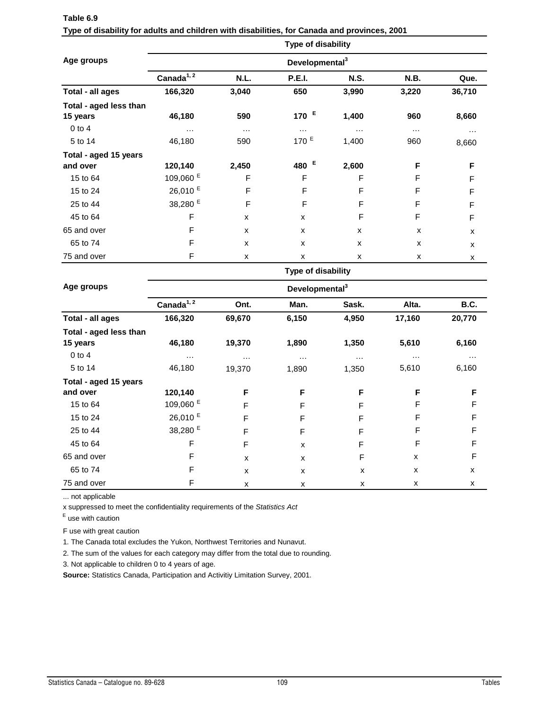|                                    |                            |                    | Type of disability |             |          |          |  |  |
|------------------------------------|----------------------------|--------------------|--------------------|-------------|----------|----------|--|--|
| Age groups                         | Developmental <sup>3</sup> |                    |                    |             |          |          |  |  |
|                                    | Canada $1, 2$              | N.L.               | <b>P.E.I.</b>      | <b>N.S.</b> | N.B.     | Que.     |  |  |
| Total - all ages                   | 166,320                    | 3,040              | 650                | 3,990       | 3,220    | 36,710   |  |  |
| Total - aged less than<br>15 years | 46,180                     | 590                | 170 $E$            | 1,400       | 960      | 8,660    |  |  |
| $0$ to $4$                         | $\cdots$                   | $\cdots$           | $\cdots$           | $\cdots$    | $\cdots$ | $\cdots$ |  |  |
| 5 to 14                            | 46,180                     | 590                | $170$ <sup>E</sup> | 1,400       | 960      | 8,660    |  |  |
| Total - aged 15 years              |                            |                    |                    |             |          |          |  |  |
| and over                           | 120,140                    | 2,450              | 480 $E$            | 2,600       | F        | F        |  |  |
| 15 to 64                           | 109,060 <sup>E</sup>       | F                  | $\mathsf F$        | F           | F        | F        |  |  |
| 15 to 24                           | 26,010 <sup>E</sup>        | F                  | F                  | F           | F        | F        |  |  |
| 25 to 44                           | 38,280 <sup>E</sup>        | F                  | F                  | F           | F        | F        |  |  |
| 45 to 64                           | F                          | X                  | X                  | F           | F        | F        |  |  |
| 65 and over                        | F                          | X                  | x                  | X           | X        | x        |  |  |
| 65 to 74                           | F                          | X                  | x                  | X           | X        | x        |  |  |
| 75 and over                        | F                          | $\pmb{\mathsf{x}}$ | x                  | x           | X        | X        |  |  |

| Table 6.9                                                                                    |  |
|----------------------------------------------------------------------------------------------|--|
| Type of disability for adults and children with disabilities, for Canada and provinces, 2001 |  |

**Ont. Man. Sask. Alta. B.C. Total - all ages 166,320 69,670 6,150 4,950 17,160 20,770 Total - aged less than 15 years 46,180 19,370 1,890 1,350 5,610 6,160** 0 to 4 … ……… … … 5 to 14 46,180 19,370 1,890 1,350 5,610 6,160 **Total - aged 15 years and over 120,140 F F F F F** 15 to 64 109,060 <sup>E</sup> F F F F F 15 to 24 26,010 <sup>E</sup> F F F F F 25 to 44 38,280 <sup>E</sup> F F F F 45 to 64 F F F X F F F F 65 and over Free and  $\begin{array}{ccc} 5 \ 2 \ 1 \end{array}$  Free Assembly Section Free Assembly Section Free Assembly Section F 65 to 74 F x x x x x x x 75 and over  $\begin{array}{ccc} \n\mathsf{F} & \mathsf{x} & \mathsf{x} & \mathsf{x} & \mathsf{x} & \mathsf{x} & \mathsf{x} \\
\mathsf{x} & \mathsf{x} & \mathsf{x} & \mathsf{x} & \mathsf{x} & \mathsf{x} \\
\mathsf{x} & \mathsf{x} & \mathsf{x} & \mathsf{x} & \mathsf{x} & \mathsf{x} \\
\mathsf{x} & \mathsf{x} & \mathsf{x} & \mathsf{x} & \mathsf{x} & \mathsf{x} \\
\mathsf{x} & \mathsf{x} & \mathsf{x} & \mathsf{x} & \mathsf{x} & \mathsf{x} \\
\mathsf{x} & \mathsf{x} &$ **Age groups Canada1, 2 Type of disability Developmental<sup>3</sup>**

... not applicable

x suppressed to meet the confidentiality requirements of the *Statistics Act* 

E use with caution

F use with great caution

1. The Canada total excludes the Yukon, Northwest Territories and Nunavut.

2. The sum of the values for each category may differ from the total due to rounding.

3. Not applicable to children 0 to 4 years of age.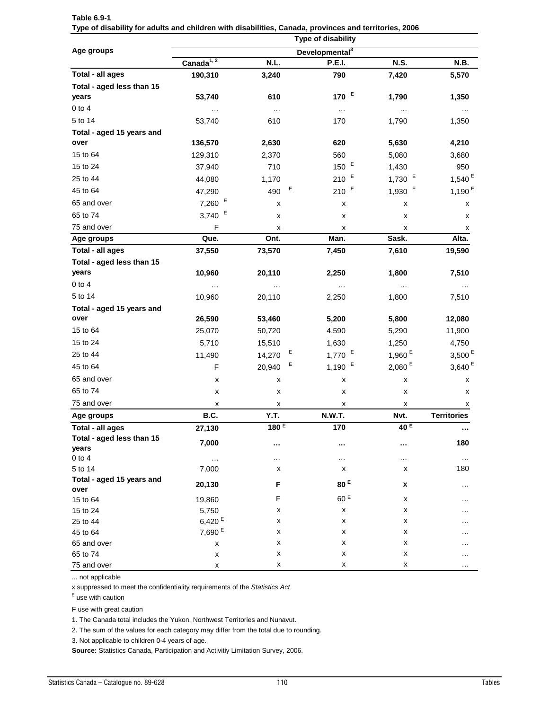|                                   | Type of disability     |             |                            |                      |                      |  |  |  |
|-----------------------------------|------------------------|-------------|----------------------------|----------------------|----------------------|--|--|--|
| Age groups                        |                        |             | Developmental <sup>3</sup> |                      |                      |  |  |  |
|                                   | Canada <sup>1, 2</sup> | N.L.        | <b>P.E.I.</b>              | <b>N.S.</b>          | N.B.                 |  |  |  |
| Total - all ages                  | 190,310                | 3,240       | 790                        | 7,420                | 5,570                |  |  |  |
| Total - aged less than 15         |                        |             |                            |                      |                      |  |  |  |
| years                             | 53,740                 | 610         | E<br>170                   | 1,790                | 1,350                |  |  |  |
| $0$ to $4$                        | $\cdots$               | $\ldots$    | $\ldots$                   | $\ldots$             | $\cdots$             |  |  |  |
| 5 to 14                           | 53,740                 | 610         | 170                        | 1,790                | 1,350                |  |  |  |
| Total - aged 15 years and         |                        |             |                            |                      |                      |  |  |  |
| over                              | 136,570                | 2,630       | 620                        | 5,630                | 4,210                |  |  |  |
| 15 to 64                          | 129,310                | 2,370       | 560                        | 5,080                | 3,680                |  |  |  |
| 15 to 24                          | 37,940                 | 710         | 150 $E$                    | 1,430                | 950                  |  |  |  |
| 25 to 44                          | 44,080                 | 1,170       | $210^{-E}$                 | 1,730 $E$            | $1,540$ <sup>E</sup> |  |  |  |
| 45 to 64                          | 47,290                 | Ε<br>490    | 210 $E$                    | 1,930 $E$            | 1,190 $E$            |  |  |  |
| 65 and over                       | $7,260$ <sup>E</sup>   | x           | х                          | x                    | х                    |  |  |  |
| 65 to 74                          | E<br>3,740             | x           | х                          | x                    | x                    |  |  |  |
| 75 and over                       | $\mathsf F$            | x           | х                          | x                    | х                    |  |  |  |
| Age groups                        | Que.                   | Ont.        | Man.                       | Sask.                | Alta.                |  |  |  |
| Total - all ages                  | 37,550                 | 73,570      | 7,450                      | 7,610                | 19,590               |  |  |  |
| Total - aged less than 15         |                        |             |                            |                      |                      |  |  |  |
| years                             | 10,960                 | 20,110      | 2,250                      | 1,800                | 7,510                |  |  |  |
| $0$ to $4$                        | $\cdots$               | $\cdots$    | $\cdots$                   | $\cdots$             |                      |  |  |  |
| 5 to 14                           | 10,960                 | 20,110      | 2,250                      | 1,800                | $\cdots$<br>7,510    |  |  |  |
| Total - aged 15 years and         |                        |             |                            |                      |                      |  |  |  |
| over                              | 26,590                 | 53,460      | 5,200                      | 5,800                | 12,080               |  |  |  |
| 15 to 64                          | 25,070                 | 50,720      | 4,590                      | 5,290                | 11,900               |  |  |  |
| 15 to 24                          | 5,710                  | 15,510      | 1,630                      | 1,250                | 4,750                |  |  |  |
| 25 to 44                          | 11,490                 | Ε<br>14,270 | 1,770 $E$                  | 1,960 $E$            | 3,500 $E$            |  |  |  |
| 45 to 64                          | F                      | E<br>20,940 | 1,190 $E$                  | $2,080$ <sup>E</sup> | 3,640 <sup>E</sup>   |  |  |  |
| 65 and over                       |                        |             |                            |                      |                      |  |  |  |
|                                   | х                      | x           | х                          | x                    | х                    |  |  |  |
| 65 to 74                          | X                      | x           | х                          | х                    | х                    |  |  |  |
| 75 and over                       | x                      | x           | х                          | х                    | х                    |  |  |  |
| Age groups                        | <b>B.C.</b>            | Y.T.        | <b>N.W.T.</b>              | Nvt.                 | <b>Territories</b>   |  |  |  |
| Total - all ages                  | 27,130                 | 180E        | 170                        | 40 <sup>E</sup>      |                      |  |  |  |
| Total - aged less than 15         | 7,000                  |             | $\cdots$                   |                      | 180                  |  |  |  |
| years                             |                        |             |                            |                      |                      |  |  |  |
| $0$ to $4$                        | $\cdots$               | $\cdots$    | $\cdots$                   |                      | $\cdots$             |  |  |  |
| 5 to 14                           | 7,000                  | x           | х                          | х                    | 180                  |  |  |  |
| Total - aged 15 years and<br>over | 20,130                 | F           | 80 <sup>E</sup>            | X                    | $\cdots$             |  |  |  |
| 15 to 64                          | 19,860                 | F           | 60 E                       | x                    | .                    |  |  |  |
| 15 to 24                          | 5,750                  | x           | x                          | x                    | .                    |  |  |  |
| 25 to 44                          | 6,420 <sup>E</sup>     | x           | х                          | x                    | .                    |  |  |  |
| 45 to 64                          | 7,690 <sup>E</sup>     | x           | x                          | x                    | .                    |  |  |  |
| 65 and over                       | x                      | x           | x                          | x                    | .                    |  |  |  |
| 65 to 74                          | x                      | X           | x                          | x                    | .                    |  |  |  |
| 75 and over                       | x                      | X           | x                          | x                    | .                    |  |  |  |

| Table 6.9-1                                                                                           |  |
|-------------------------------------------------------------------------------------------------------|--|
| Type of disability for adults and children with disabilities, Canada, provinces and territories, 2006 |  |

x suppressed to meet the confidentiality requirements of the *Statistics Act* 

E use with caution

F use with great caution

1. The Canada total includes the Yukon, Northwest Territories and Nunavut.

2. The sum of the values for each category may differ from the total due to rounding.

3. Not applicable to children 0-4 years of age.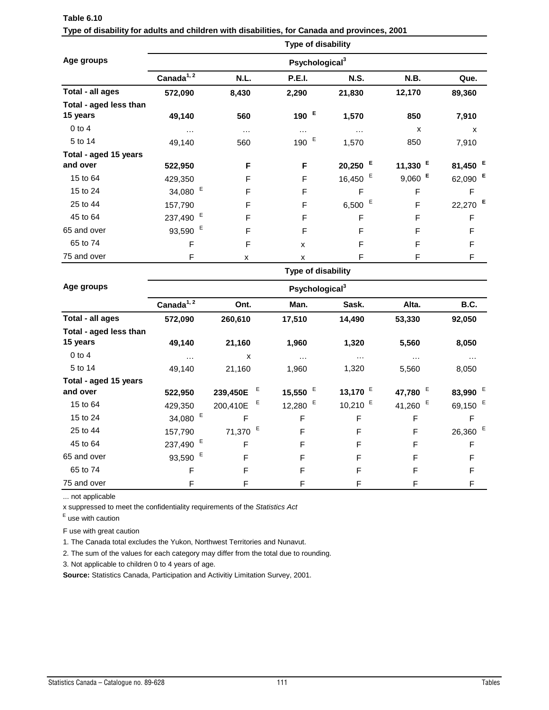|                                    | Type of disability<br>Psychological <sup>3</sup> |          |                    |             |                      |            |  |  |
|------------------------------------|--------------------------------------------------|----------|--------------------|-------------|----------------------|------------|--|--|
| Age groups                         |                                                  |          |                    |             |                      |            |  |  |
|                                    | Canada <sup>1, 2</sup>                           | N.L.     | <b>P.E.I.</b>      | <b>N.S.</b> | N.B.                 | Que.       |  |  |
| Total - all ages                   | 572,090                                          | 8,430    | 2,290              | 21,830      | 12,170               | 89,360     |  |  |
| Total - aged less than<br>15 years | 49,140                                           | 560      | 190 $E$            | 1,570       | 850                  | 7,910      |  |  |
| $0$ to $4$                         | $\cdots$                                         | $\cdots$ | $\cdots$           | $\cdots$    | X                    | X          |  |  |
| 5 to 14                            | 49,140                                           | 560      | Е<br>190           | 1,570       | 850                  | 7,910      |  |  |
| Total - aged 15 years<br>and over  | 522,950                                          | F        | F                  | Е<br>20,250 | 11,330 $E$           | 81,450 $E$ |  |  |
| 15 to 64                           | 429,350                                          | F        | F                  | Е<br>16,450 | $9,060$ <sup>E</sup> | 62,090 E   |  |  |
| 15 to 24                           | 34,080 $E$                                       | F        | F                  | F           | F                    | F          |  |  |
| 25 to 44                           | 157,790                                          | F        | F                  | Е<br>6,500  | F                    | 22,270 E   |  |  |
| 45 to 64                           | 237,490 <sup>E</sup>                             | F        | F                  | F           | F                    | F          |  |  |
| 65 and over                        | 93,590 <sup>E</sup>                              | F        | F                  | F           | F                    | F          |  |  |
| 65 to 74                           | F                                                | F        | X                  | F           | F                    | F          |  |  |
| 75 and over                        | F                                                | X        | x                  | F           | F                    | F          |  |  |
|                                    |                                                  |          | Type of disability |             |                      |            |  |  |

| <b>Table 6.10</b>                                                                            |  |
|----------------------------------------------------------------------------------------------|--|
| Type of disability for adults and children with disabilities, for Canada and provinces, 2001 |  |

**Ont. Man. Sask. Alta. B.C. Total - all ages 572,090 260,610 17,510 14,490 53,330 92,050 Total - aged less than 15 years 49,140 21,160 1,960 1,320 5,560 8,050** 0 to 4 … x … … … … 5 to 14 49,140 21,160 1,960 1,320 5,560 8,050 **Total - aged 15 years and over 522,950 239,450E** <sup>E</sup> **15,550** <sup>E</sup> **13,170** <sup>E</sup> **47,780** <sup>E</sup> **83,990** <sup>E</sup> 15 to 64 429,350 200,410E <sup>E</sup> 12,280 <sup>E</sup> 10,210 <sup>E</sup> 41,260 <sup>E</sup> 69,150 <sup>E</sup> 15 to 24 34,080 <sup>E</sup> F F F F 25 to 44 157,790 71,370 <sup>E</sup> F F F 26,360 <sup>E</sup> 45 to 64 237,490 <sup>E</sup> F F F F 65 and over  $93,590$ <sup>E</sup> F F F F F 65 to 74 F F F F F F 75 and over F F F F F F **Age groups Psychological<sup>3</sup> Canada1, 2**

... not applicable

x suppressed to meet the confidentiality requirements of the *Statistics Act* 

E use with caution

F use with great caution

1. The Canada total excludes the Yukon, Northwest Territories and Nunavut.

2. The sum of the values for each category may differ from the total due to rounding.

3. Not applicable to children 0 to 4 years of age.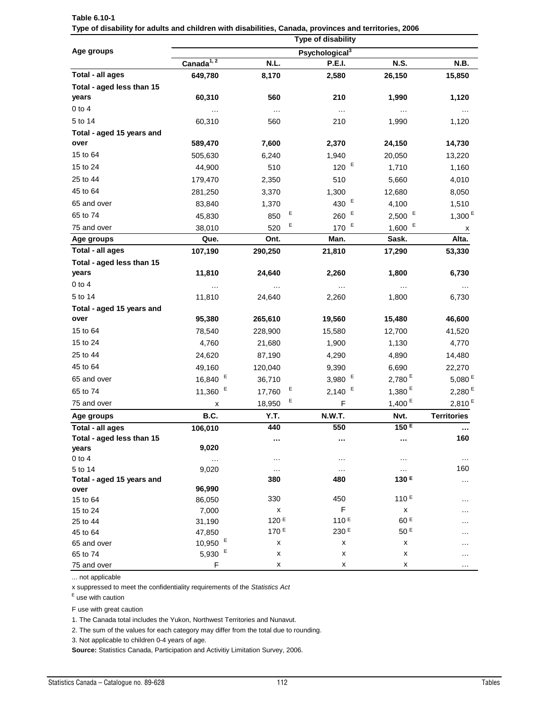|                           | Type of disability<br>Psychological <sup>3</sup> |                  |                      |                    |                    |  |  |  |
|---------------------------|--------------------------------------------------|------------------|----------------------|--------------------|--------------------|--|--|--|
| Age groups                |                                                  |                  |                      |                    |                    |  |  |  |
|                           | Canada $\sqrt{1, 2}$                             | N.L.             | <b>P.E.I.</b>        | <b>N.S.</b>        | N.B.               |  |  |  |
| Total - all ages          | 649,780                                          | 8,170            | 2,580                | 26,150             | 15,850             |  |  |  |
| Total - aged less than 15 |                                                  |                  |                      |                    |                    |  |  |  |
| years                     | 60,310                                           | 560              | 210                  | 1,990              | 1,120              |  |  |  |
| $0$ to $4$                | $\ldots$                                         | $\ldots$         | $\ldots$             | $\cdots$           | $\cdots$           |  |  |  |
| 5 to 14                   | 60,310                                           | 560              | 210                  | 1,990              | 1,120              |  |  |  |
| Total - aged 15 years and |                                                  |                  |                      |                    |                    |  |  |  |
| over                      | 589,470                                          | 7,600            | 2,370                | 24,150             | 14,730             |  |  |  |
| 15 to 64                  | 505,630                                          | 6,240            | 1,940                | 20,050             | 13,220             |  |  |  |
| 15 to 24                  | 44,900                                           | 510              | 120 $E$              | 1,710              | 1,160              |  |  |  |
| 25 to 44                  | 179,470                                          | 2,350            | 510                  | 5,660              | 4,010              |  |  |  |
| 45 to 64                  | 281,250                                          | 3,370            | 1,300                | 12,680             | 8,050              |  |  |  |
| 65 and over               | 83,840                                           | 1,370            | 430 E                | 4,100              | 1,510              |  |  |  |
| 65 to 74                  | 45,830                                           | Ε<br>850         | E<br>260             | E<br>2,500         | 1,300 $E$          |  |  |  |
| 75 and over               | 38,010                                           | Ε<br>520         | E<br>170             | Е<br>1,600         | X                  |  |  |  |
| Age groups                | Que.                                             | Ont.             | Man.                 | Sask.              | Alta.              |  |  |  |
| Total - all ages          | 107,190                                          | 290,250          | 21,810               | 17,290             | 53,330             |  |  |  |
| Total - aged less than 15 |                                                  |                  |                      |                    |                    |  |  |  |
| years                     | 11,810                                           | 24,640           | 2,260                | 1,800              | 6,730              |  |  |  |
| 0 to 4                    | $\cdots$                                         | $\ddotsc$        | $\cdots$             | $\cdots$           |                    |  |  |  |
| 5 to 14                   | 11,810                                           | 24,640           | 2,260                | 1,800              | 6,730              |  |  |  |
| Total - aged 15 years and |                                                  |                  |                      |                    |                    |  |  |  |
| over                      | 95,380                                           | 265,610          | 19,560               | 15,480             | 46,600             |  |  |  |
| 15 to 64                  | 78,540                                           | 228,900          | 15,580               | 12,700             | 41,520             |  |  |  |
| 15 to 24                  | 4,760                                            | 21,680           | 1,900                | 1,130              | 4,770              |  |  |  |
| 25 to 44                  | 24,620                                           | 87,190           | 4,290                | 4,890              | 14,480             |  |  |  |
| 45 to 64                  | 49,160                                           | 120,040          | 9,390                | 6,690              | 22,270             |  |  |  |
| 65 and over               | 16,840 $E$                                       | 36,710           | $3,980$ <sup>E</sup> | 2,780 <sup>E</sup> | 5,080 $E$          |  |  |  |
| 65 to 74                  | 11,360 $E$                                       | Ε<br>17,760      | $2,140$ <sup>E</sup> | 1,380 $E$          | 2,280E             |  |  |  |
| 75 and over               | X                                                | Ε<br>18,950      | F                    | 1,400 $E$          | $2,810^{E}$        |  |  |  |
| Age groups                | B.C.                                             | Y.T.             | <b>N.W.T.</b>        | Nvt.               | <b>Territories</b> |  |  |  |
| Total - all ages          | 106,010                                          | 440              | 550                  | 150 <sup>E</sup>   |                    |  |  |  |
| Total - aged less than 15 |                                                  | $\cdots$         | $\cdots$             | $\cdots$           | 160                |  |  |  |
| years                     | 9,020                                            |                  |                      |                    |                    |  |  |  |
| $0$ to $4$                | $\cdots$                                         | $\cdots$         | $\cdots$             | $\cdots$           |                    |  |  |  |
| 5 to 14                   | 9,020                                            | $\cdots$         | $\cdots$             | $\cdots$           | 160                |  |  |  |
| Total - aged 15 years and |                                                  | 380              | 480                  | 130 <sup>E</sup>   | $\cdots$           |  |  |  |
| over                      | 96,990                                           |                  |                      |                    |                    |  |  |  |
| 15 to 64                  | 86,050                                           | 330              | 450                  | 110E               | .                  |  |  |  |
| 15 to 24                  | 7,000                                            | x                | F                    | $\pmb{\mathsf{x}}$ | .                  |  |  |  |
| 25 to 44                  | 31,190                                           | 120 <sup>E</sup> | 110 <sup>E</sup>     | 60 E               | .                  |  |  |  |
| 45 to 64                  | 47,850                                           | 170 E            | 230 E                | 50 E               | .                  |  |  |  |
| 65 and over               | 10,950 <sup>E</sup>                              | X                | x                    | x                  | .                  |  |  |  |
| 65 to 74                  | 5,930 E                                          | x                | X                    | x                  | .                  |  |  |  |
| 75 and over               | $\mathsf F$                                      | x                | x                    | x                  | .                  |  |  |  |

**Type of disability for adults and children with disabilities, Canada, provinces and territories, 2006 Table 6.10-1**

x suppressed to meet the confidentiality requirements of the *Statistics Act* 

E use with caution

F use with great caution

1. The Canada total includes the Yukon, Northwest Territories and Nunavut.

2. The sum of the values for each category may differ from the total due to rounding.

3. Not applicable to children 0-4 years of age.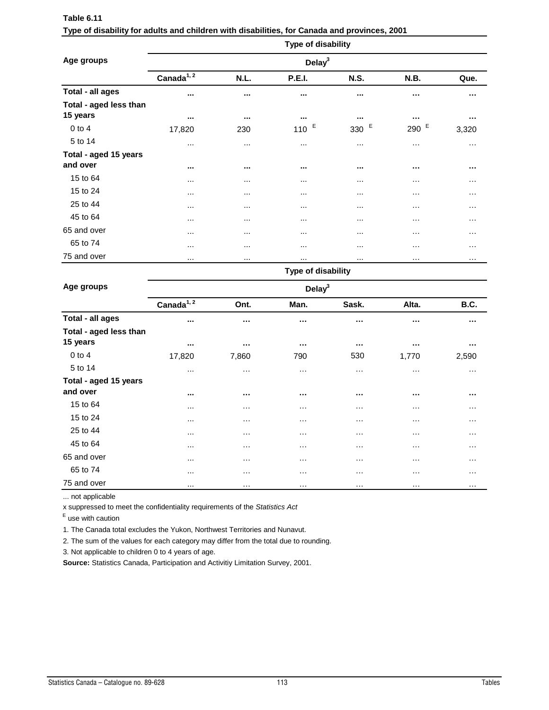| Table 6.11                                                                                   |
|----------------------------------------------------------------------------------------------|
| Type of disability for adults and children with disabilities, for Canada and provinces, 2001 |

|                        | Type of disability<br>Delay $3$ |          |               |             |          |          |  |  |
|------------------------|---------------------------------|----------|---------------|-------------|----------|----------|--|--|
| Age groups             |                                 |          |               |             |          |          |  |  |
|                        | Canada $1,2$                    | N.L.     | <b>P.E.I.</b> | <b>N.S.</b> | N.B.     | Que.     |  |  |
| Total - all ages       | $\cdots$                        | $\cdots$ | $\cdots$      |             | $\cdots$ | $\cdots$ |  |  |
| Total - aged less than |                                 |          |               |             |          |          |  |  |
| 15 years               | $\cdots$                        | $\cdots$ | $\cdots$      | $\cdots$    |          | $\cdots$ |  |  |
| $0$ to $4$             | 17,820                          | 230      | Ε<br>110      | Ε<br>330    | 290 E    | 3,320    |  |  |
| 5 to 14                | $\cdots$                        | $\cdots$ | $\cdots$      | $\cdots$    | $\cdots$ | $\cdots$ |  |  |
| Total - aged 15 years  |                                 |          |               |             |          |          |  |  |
| and over               | $\cdots$                        | $\cdots$ | $\cdots$      | $\cdots$    | $\cdots$ | $\cdots$ |  |  |
| 15 to 64               | $\cdots$                        | $\cdots$ | $\cdots$      | $\cdots$    | .        | $\cdots$ |  |  |
| 15 to 24               | $\cdots$                        | $\cdots$ | $\cdots$      | $\cdots$    | $\cdots$ | $\cdots$ |  |  |
| 25 to 44               | $\cdots$                        | $\cdots$ | $\cdots$      | $\cdots$    | $\cdots$ | $\cdots$ |  |  |
| 45 to 64               | $\cdots$                        | $\cdots$ | $\cdots$      | $\cdots$    | .        | $\cdots$ |  |  |
| 65 and over            | $\cdots$                        | $\cdots$ | $\cdots$      | $\cdots$    | $\cdots$ | $\cdots$ |  |  |
| 65 to 74               | $\cdots$                        | $\cdots$ | $\cdots$      | $\cdots$    | .        | $\cdots$ |  |  |
| 75 and over            | $\cdots$                        | $\cdots$ | $\cdots$      | $\cdots$    | $\cdots$ | $\cdots$ |  |  |

|                         | Type of disability<br>Delay $3$ |          |          |          |          |             |  |  |
|-------------------------|---------------------------------|----------|----------|----------|----------|-------------|--|--|
| Age groups              |                                 |          |          |          |          |             |  |  |
|                         | Canada $1, 2$                   | Ont.     | Man.     | Sask.    | Alta.    | <b>B.C.</b> |  |  |
| <b>Total - all ages</b> | $\cdots$                        | $\cdots$ | $\cdots$ | $\cdots$ | $\cdots$ | $\cdots$    |  |  |
| Total - aged less than  |                                 |          |          |          |          |             |  |  |
| 15 years                | $\cdots$                        | $\cdots$ | $\cdots$ | $\cdots$ | $\cdots$ | $\cdots$    |  |  |
| $0$ to $4$              | 17,820                          | 7,860    | 790      | 530      | 1,770    | 2,590       |  |  |
| 5 to 14                 | $\cdots$                        | $\cdots$ | $\cdots$ | $\cdots$ | $\cdots$ | $\cdots$    |  |  |
| Total - aged 15 years   |                                 |          |          |          |          |             |  |  |
| and over                | $\cdots$                        | $\cdots$ | $\cdots$ | $\cdots$ | $\cdots$ | $\cdots$    |  |  |
| 15 to 64                | $\cdots$                        | $\cdots$ | $\cdots$ | $\cdots$ | $\cdots$ | $\cdots$    |  |  |
| 15 to 24                | $\cdots$                        | $\cdots$ | $\cdots$ | $\cdots$ | $\cdots$ | $\cdots$    |  |  |
| 25 to 44                | $\cdots$                        | $\cdots$ | $\cdots$ | $\cdots$ | $\cdots$ | $\cdots$    |  |  |
| 45 to 64                | $\cdots$                        | $\cdots$ | $\cdots$ | $\cdots$ | $\cdots$ | $\cdots$    |  |  |
| 65 and over             | $\cdots$                        | $\cdots$ | $\cdots$ | $\cdots$ | $\cdots$ | $\cdots$    |  |  |
| 65 to 74                | $\cdots$                        | $\cdots$ | $\cdots$ | $\cdots$ | $\cdots$ | $\cdots$    |  |  |
| 75 and over             | $\cdots$                        | $\cdots$ | $\cdots$ | $\cdots$ | $\cdots$ | $\cdots$    |  |  |

x suppressed to meet the confidentiality requirements of the *Statistics Act* 

E use with caution

1. The Canada total excludes the Yukon, Northwest Territories and Nunavut.

2. The sum of the values for each category may differ from the total due to rounding.

3. Not applicable to children 0 to 4 years of age.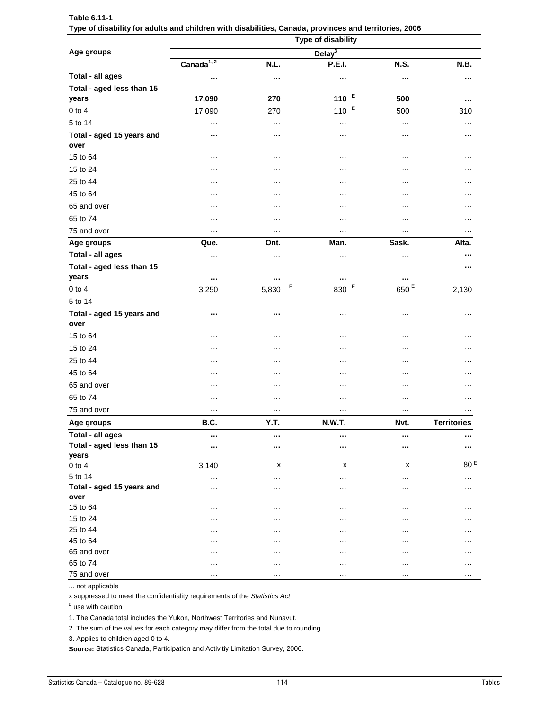|                                   | <b>Type of disability</b> |            |                    |                  |                    |  |  |  |
|-----------------------------------|---------------------------|------------|--------------------|------------------|--------------------|--|--|--|
| Age groups                        |                           |            | Delay <sup>3</sup> |                  |                    |  |  |  |
|                                   | Canada <sup>1, 2</sup>    | N.L.       | <b>P.E.I.</b>      | <b>N.S.</b>      | N.B.               |  |  |  |
| Total - all ages                  | $\cdots$                  | $\cdots$   | $\cdots$           | $\cdots$         | $\cdots$           |  |  |  |
| Total - aged less than 15         |                           |            |                    |                  |                    |  |  |  |
| years                             | 17,090                    | 270        | E<br>110           | 500              |                    |  |  |  |
| $0$ to $4$                        | 17,090                    | 270        | Ε<br>110           | 500              | 310                |  |  |  |
| 5 to 14                           | $\cdots$                  | $\cdots$   | $\cdots$           | $\cdots$         | .                  |  |  |  |
| Total - aged 15 years and<br>over |                           | $\cdots$   | $\cdots$           |                  | $\cdots$           |  |  |  |
| 15 to 64                          | $\cdots$                  | $\cdots$   | $\cdots$           | $\cdots$         |                    |  |  |  |
| 15 to 24                          | $\cdots$                  | $\cdots$   | $\cdots$           | $\cdots$         | .                  |  |  |  |
| 25 to 44                          | $\ddotsc$                 | $\cdots$   | $\cdots$           | $\cdots$         | .                  |  |  |  |
| 45 to 64                          | $\ddotsc$                 | $\cdots$   | $\cdots$           | $\cdots$         | .                  |  |  |  |
| 65 and over                       | $\cdots$                  | $\cdots$   | $\cdots$           | $\cdots$         | $\cdots$           |  |  |  |
| 65 to 74                          | $\ddotsc$                 | $\cdots$   | $\ddotsc$          | $\cdots$         | $\cdots$           |  |  |  |
| 75 and over                       | $\ddotsc$                 | $\cdots$   | $\ldots$           | $\ldots$         | $\cdots$           |  |  |  |
| Age groups                        | Que.                      | Ont.       | Man.               | Sask.            | Alta.              |  |  |  |
| Total - all ages                  |                           | $\cdots$   |                    |                  | $\cdots$           |  |  |  |
| Total - aged less than 15         | $\cdots$                  |            | $\cdots$           | $\cdots$         |                    |  |  |  |
| years                             | $\cdots$                  | $\cdots$   | $\cdots$           |                  |                    |  |  |  |
| $0$ to $4$                        | 3,250                     | Ε<br>5,830 | E<br>830           | 650 <sup>E</sup> | 2,130              |  |  |  |
| 5 to 14                           | $\cdots$                  | $\cdots$   | $\cdots$           | $\cdots$         | $\cdots$           |  |  |  |
| Total - aged 15 years and         | $\cdots$                  |            | $\cdots$           | $\cdots$         | $\cdots$           |  |  |  |
| over                              |                           |            |                    |                  |                    |  |  |  |
| 15 to 64                          | $\ddotsc$                 | $\cdots$   | $\cdots$           | $\cdots$         | $\cdots$           |  |  |  |
| 15 to 24                          | $\cdots$                  | $\cdots$   | $\cdots$           | $\cdots$         | $\cdots$           |  |  |  |
| 25 to 44                          | $\cdots$                  | $\cdots$   | $\cdots$           | $\cdots$         | $\cdots$           |  |  |  |
| 45 to 64                          | $\ddotsc$                 | $\cdots$   | $\cdots$           | $\cdots$         | .                  |  |  |  |
| 65 and over                       | $\ddotsc$                 | $\cdots$   | $\cdots$           | $\cdots$         | .                  |  |  |  |
| 65 to 74                          | $\cdots$                  | $\cdots$   | $\cdots$           | $\cdots$         | .                  |  |  |  |
| 75 and over                       | $\cdots$                  | $\cdots$   | $\cdots$           | $\cdots$         | $\cdots$           |  |  |  |
| Age groups                        | B.C.                      | Y.T.       | <b>N.W.T.</b>      | Nvt.             | <b>Territories</b> |  |  |  |
| Total - all ages                  | $\cdots$                  | $\cdots$   | $\cdots$           | $\cdots$         | $\cdots$           |  |  |  |
| Total - aged less than 15         | $\cdots$                  |            | $\cdots$           |                  |                    |  |  |  |
| years                             |                           |            |                    |                  |                    |  |  |  |
| $0$ to $4$                        | 3,140                     | х          | х                  | х                | 80 E               |  |  |  |
| 5 to 14                           | $\cdots$                  | $\cdots$   | $\cdots$           | $\cdots$         | $\cdots$           |  |  |  |
| Total - aged 15 years and         | $\ddotsc$                 | $\cdots$   | $\cdots$           | $\cdots$         | .                  |  |  |  |
| over                              |                           |            |                    |                  |                    |  |  |  |
| 15 to 64                          | $\cdots$                  | $\cdots$   | $\cdots$           | $\cdots$         | $\cdots$           |  |  |  |
| 15 to 24<br>25 to 44              | $\ddotsc$                 | $\cdots$   | $\cdots$           |                  | .                  |  |  |  |
|                                   | .                         | $\ddotsc$  | $\ddotsc$          |                  | .                  |  |  |  |
| 45 to 64                          | .                         | $\cdots$   | $\cdots$           | $\cdots$         | .                  |  |  |  |
| 65 and over                       | $\cdots$                  | $\cdots$   | $\cdots$           | $\cdots$         | .                  |  |  |  |
| 65 to 74                          | $\ddotsc$                 | $\cdots$   | $\cdots$           | $\cdots$         |                    |  |  |  |
| 75 and over                       | $\cdots$                  | $\cdots$   | $\cdots$           | $\cdots$         | $\cdots$           |  |  |  |

**Type of disability for adults and children with disabilities, Canada, provinces and territories, 2006 Table 6.11-1**

x suppressed to meet the confidentiality requirements of the *Statistics Act* 

E use with caution

1. The Canada total includes the Yukon, Northwest Territories and Nunavut.

2. The sum of the values for each category may differ from the total due to rounding.

3. Applies to children aged 0 to 4.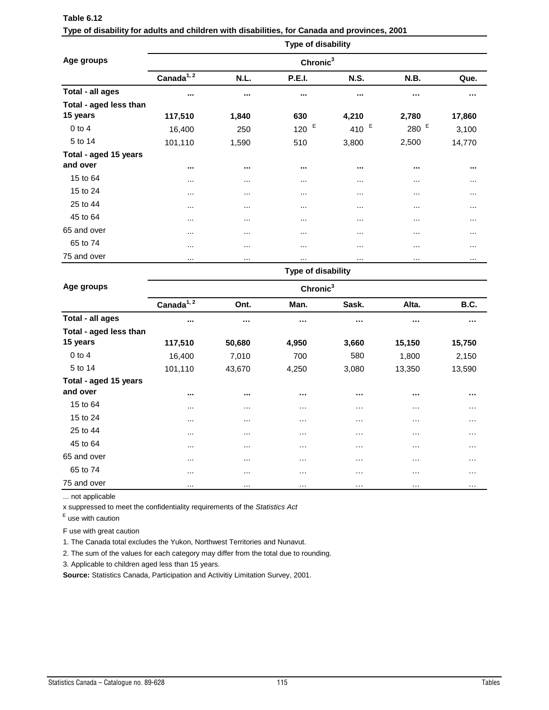| Table 6.12                                                                                   |  |
|----------------------------------------------------------------------------------------------|--|
| Type of disability for adults and children with disabilities, for Canada and provinces, 2001 |  |

|                        |              | Type of disability<br>Chronic <sup>3</sup> |               |             |          |          |  |  |  |
|------------------------|--------------|--------------------------------------------|---------------|-------------|----------|----------|--|--|--|
| Age groups             |              |                                            |               |             |          |          |  |  |  |
|                        | Canada $1,2$ | N.L.                                       | <b>P.E.I.</b> | <b>N.S.</b> | N.B.     | Que.     |  |  |  |
| Total - all ages       | $\cdots$     | $\cdots$                                   | $\cdots$      | $\cdots$    |          | $\cdots$ |  |  |  |
| Total - aged less than |              |                                            |               |             |          |          |  |  |  |
| 15 years               | 117,510      | 1,840                                      | 630           | 4,210       | 2,780    | 17,860   |  |  |  |
| $0$ to $4$             | 16,400       | 250                                        | E<br>120      | Ε<br>410    | 280 E    | 3,100    |  |  |  |
| 5 to 14                | 101,110      | 1,590                                      | 510           | 3,800       | 2,500    | 14,770   |  |  |  |
| Total - aged 15 years  |              |                                            |               |             |          |          |  |  |  |
| and over               | $\cdots$     | $\cdots$                                   | $\cdots$      | $\cdots$    | $\cdots$ | $\cdots$ |  |  |  |
| 15 to 64               | $\cdots$     | $\cdots$                                   | $\cdots$      | $\cdots$    | $\cdots$ | $\cdots$ |  |  |  |
| 15 to 24               | $\cdots$     | $\cdots$                                   | $\cdots$      | $\cdots$    | $\cdots$ | $\cdots$ |  |  |  |
| 25 to 44               | $\cdots$     | $\cdots$                                   | $\cdots$      | $\cdots$    | $\cdots$ | $\cdots$ |  |  |  |
| 45 to 64               | $\cdots$     | $\cdots$                                   | $\cdots$      | $\cdots$    | $\cdots$ | $\cdots$ |  |  |  |
| 65 and over            | $\cdots$     | $\cdots$                                   | $\cdots$      | $\cdots$    | $\cdots$ | $\cdots$ |  |  |  |
| 65 to 74               | $\cdots$     | $\cdots$                                   | $\cdots$      | $\cdots$    | $\cdots$ | $\cdots$ |  |  |  |
| 75 and over            | $\cdots$     | $\cdots$                                   | $\cdots$      | $\cdots$    | $\cdots$ | $\cdots$ |  |  |  |

|                        | Type of disability<br>Chronic <sup>3</sup> |          |          |          |          |             |  |  |
|------------------------|--------------------------------------------|----------|----------|----------|----------|-------------|--|--|
| Age groups             |                                            |          |          |          |          |             |  |  |
|                        | Canada <sup>1, 2</sup>                     | Ont.     | Man.     | Sask.    | Alta.    | <b>B.C.</b> |  |  |
| Total - all ages       |                                            | $\cdots$ | $\cdots$ |          | $\cdots$ | $\cdots$    |  |  |
| Total - aged less than |                                            |          |          |          |          |             |  |  |
| 15 years               | 117,510                                    | 50,680   | 4,950    | 3,660    | 15,150   | 15,750      |  |  |
| $0$ to $4$             | 16,400                                     | 7,010    | 700      | 580      | 1,800    | 2,150       |  |  |
| 5 to 14                | 101,110                                    | 43,670   | 4,250    | 3,080    | 13,350   | 13,590      |  |  |
| Total - aged 15 years  |                                            |          |          |          |          |             |  |  |
| and over               | $\cdots$                                   | $\cdots$ | $\cdots$ |          | $\cdots$ | $\cdots$    |  |  |
| 15 to 64               | $\cdots$                                   | $\cdots$ | $\cdots$ | $\cdots$ | $\cdots$ | $\cdots$    |  |  |
| 15 to 24               | $\cdots$                                   | $\cdots$ | $\cdots$ | $\cdots$ | $\cdots$ | $\cdots$    |  |  |
| 25 to 44               | $\cdots$                                   | $\cdots$ | $\cdots$ | $\cdots$ | $\cdots$ | $\cdots$    |  |  |
| 45 to 64               | $\cdots$                                   | $\cdots$ | $\cdots$ | $\cdots$ | $\cdots$ | $\cdots$    |  |  |
| 65 and over            | $\cdots$                                   | $\cdots$ | $\cdots$ | $\cdots$ | $\cdots$ | $\cdots$    |  |  |
| 65 to 74               | $\cdots$                                   | $\cdots$ | $\cdots$ | $\cdots$ | $\cdots$ | $\cdots$    |  |  |
| 75 and over            | $\cdots$                                   | $\cdots$ | $\cdots$ | $\cdots$ | $\cdots$ | $\cdots$    |  |  |

x suppressed to meet the confidentiality requirements of the *Statistics Act* 

E use with caution

F use with great caution

1. The Canada total excludes the Yukon, Northwest Territories and Nunavut.

2. The sum of the values for each category may differ from the total due to rounding.

3. Applicable to children aged less than 15 years.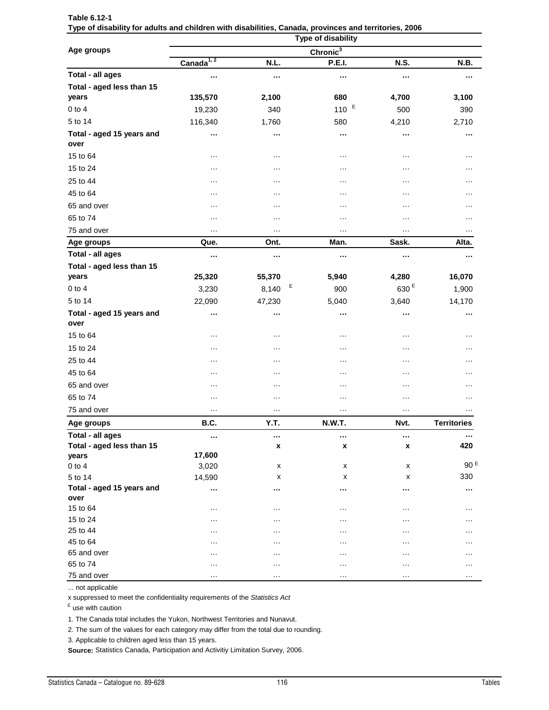|                           | i ype or alsability for addits and children with disabilities, candual, provinces and territories, 2000<br>Type of disability |            |                      |                  |                    |  |  |
|---------------------------|-------------------------------------------------------------------------------------------------------------------------------|------------|----------------------|------------------|--------------------|--|--|
| Age groups                |                                                                                                                               |            | Chronic <sup>3</sup> |                  |                    |  |  |
|                           | Canada <sup>1,2</sup>                                                                                                         | N.L.       | <b>P.E.I.</b>        | <b>N.S.</b>      | N.B.               |  |  |
| Total - all ages          | $\cdots$                                                                                                                      | $\cdots$   | $\cdots$             | $\cdots$         |                    |  |  |
| Total - aged less than 15 |                                                                                                                               |            |                      |                  |                    |  |  |
| years                     | 135,570                                                                                                                       | 2,100      | 680                  | 4,700            | 3,100              |  |  |
| $0$ to $4$                | 19,230                                                                                                                        | 340        | Ε<br>110             | 500              | 390                |  |  |
| 5 to 14                   | 116,340                                                                                                                       | 1,760      | 580                  | 4,210            | 2,710              |  |  |
| Total - aged 15 years and | $\cdots$                                                                                                                      | $\cdots$   | $\cdots$             | $\cdots$         | $\cdots$           |  |  |
| over                      |                                                                                                                               |            |                      |                  |                    |  |  |
| 15 to 64                  | $\cdots$                                                                                                                      | $\cdots$   | $\cdots$             | $\cdots$         |                    |  |  |
| 15 to 24                  | $\cdots$                                                                                                                      | $\cdots$   | $\cdots$             | $\cdots$         |                    |  |  |
| 25 to 44                  | $\cdots$                                                                                                                      | $\cdots$   | $\cdots$             | $\cdots$         |                    |  |  |
| 45 to 64                  | $\cdots$                                                                                                                      | $\cdots$   | $\cdots$             | $\cdots$         |                    |  |  |
| 65 and over               | $\cdots$                                                                                                                      | $\cdots$   | $\cdots$             | .                | .                  |  |  |
| 65 to 74                  |                                                                                                                               |            |                      |                  |                    |  |  |
|                           | $\cdots$                                                                                                                      | $\cdots$   | $\cdots$             | $\cdots$         | .                  |  |  |
| 75 and over               | $\cdots$                                                                                                                      | $\cdots$   | $\cdots$             | $\cdots$         | $\cdots$           |  |  |
| Age groups                | Que.                                                                                                                          | Ont.       | Man.                 | Sask.            | Alta.              |  |  |
| Total - all ages          | $\cdots$                                                                                                                      | $\cdots$   | $\cdots$             | $\cdots$         |                    |  |  |
| Total - aged less than 15 |                                                                                                                               |            |                      |                  |                    |  |  |
| years                     | 25,320                                                                                                                        | 55,370     | 5,940                | 4,280            | 16,070             |  |  |
| $0$ to $4$                | 3,230                                                                                                                         | E<br>8,140 | 900                  | 630 <sup>E</sup> | 1,900              |  |  |
| 5 to 14                   | 22,090                                                                                                                        | 47,230     | 5,040                | 3,640            | 14,170             |  |  |
| Total - aged 15 years and | $\cdots$                                                                                                                      | $\cdots$   | $\cdots$             | $\cdots$         |                    |  |  |
| over                      |                                                                                                                               |            |                      |                  |                    |  |  |
| 15 to 64                  | $\cdots$                                                                                                                      | $\cdots$   | $\cdots$             | $\cdots$         | .                  |  |  |
| 15 to 24                  | $\cdots$                                                                                                                      | $\cdots$   | $\cdots$             | $\cdots$         |                    |  |  |
| 25 to 44                  | $\cdots$                                                                                                                      | $\cdots$   | $\cdots$             |                  | .                  |  |  |
| 45 to 64                  | $\cdots$                                                                                                                      | $\cdots$   | $\cdots$             | $\cdots$         |                    |  |  |
| 65 and over               | $\cdots$                                                                                                                      | $\cdots$   | $\cdots$             | $\cdots$         | .                  |  |  |
| 65 to 74                  | $\cdots$                                                                                                                      | $\cdots$   | $\cdots$             | $\cdots$         | .                  |  |  |
| 75 and over               | $\cdots$                                                                                                                      | $\cdots$   | $\cdots$             | $\cdots$         | .                  |  |  |
| Age groups                | B.C.                                                                                                                          | Y.T.       | <b>N.W.T.</b>        | Nvt.             | <b>Territories</b> |  |  |
| Total - all ages          | $\cdots$                                                                                                                      | $\cdots$   | $\cdots$             | $\cdots$         | $\cdots$           |  |  |
| Total - aged less than 15 |                                                                                                                               | x          | X                    | x                | 420                |  |  |
| years                     | 17,600                                                                                                                        |            |                      |                  |                    |  |  |
| $0$ to $4$                | 3,020                                                                                                                         | x          | х                    | X                | 90E                |  |  |
| 5 to 14                   | 14,590                                                                                                                        | x          | x                    | х                | 330                |  |  |
| Total - aged 15 years and | $\cdots$                                                                                                                      | $\cdots$   | $\cdots$             | $\cdots$         | $\cdots$           |  |  |
| over                      |                                                                                                                               |            |                      |                  |                    |  |  |
| 15 to 64                  | $\cdots$                                                                                                                      | $\cdots$   | $\cdots$             | $\cdots$         | .                  |  |  |
| 15 to 24                  | $\cdots$                                                                                                                      | $\cdots$   | $\cdots$             | $\cdots$         |                    |  |  |
| 25 to 44                  | $\cdots$                                                                                                                      | $\cdots$   | $\cdots$             | .                |                    |  |  |
| 45 to 64                  |                                                                                                                               | $\cdots$   | $\cdots$             |                  |                    |  |  |
| 65 and over               | $\cdots$                                                                                                                      | $\cdots$   | $\cdots$             | $\cdots$         | .                  |  |  |
| 65 to 74                  | $\cdots$                                                                                                                      | $\cdots$   | $\cdots$             | .                |                    |  |  |
| 75 and over               | $\cdots$                                                                                                                      | $\cdots$   | $\cdots$             | $\cdots$         |                    |  |  |

**Type of disability for adults and children with disabilities, Canada, provinces and territories, 2006 Table 6.12-1**

x suppressed to meet the confidentiality requirements of the *Statistics Act* 

E use with caution

1. The Canada total includes the Yukon, Northwest Territories and Nunavut.

2. The sum of the values for each category may differ from the total due to rounding.

3. Applicable to children aged less than 15 years.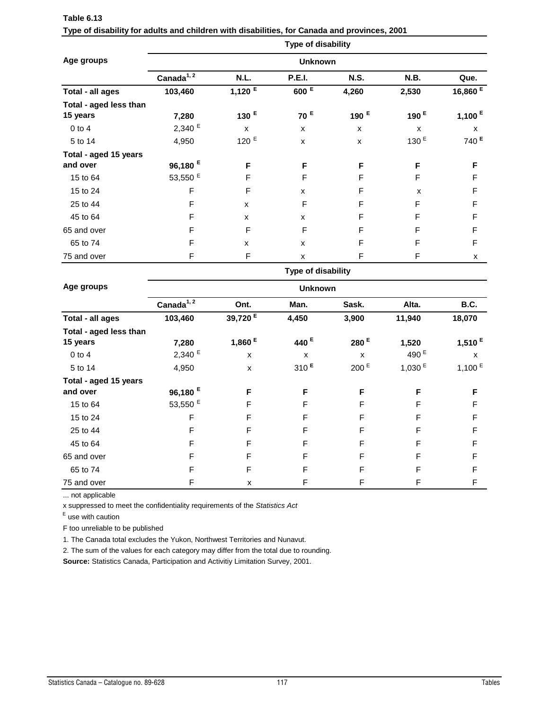|                        | Type of disability     |                    |                 |                  |                           |                     |  |  |
|------------------------|------------------------|--------------------|-----------------|------------------|---------------------------|---------------------|--|--|
| Age groups             | <b>Unknown</b>         |                    |                 |                  |                           |                     |  |  |
|                        | Canada <sup>1, 2</sup> | N.L.               | <b>P.E.I.</b>   | <b>N.S.</b>      | N.B.                      | Que.                |  |  |
| Total - all ages       | 103,460                | 1,120E             | 600 $E$         | 4,260            | 2,530                     | 16,860 <sup>E</sup> |  |  |
| Total - aged less than |                        |                    |                 |                  |                           |                     |  |  |
| 15 years               | 7,280                  | 130 $E$            | 70 <sup>E</sup> | 190 <sup>E</sup> | 190 $E$                   | 1,100 $E$           |  |  |
| $0$ to $4$             | $2,340$ <sup>E</sup>   | $\pmb{\times}$     | $\pmb{\times}$  | X                | X                         | X                   |  |  |
| 5 to 14                | 4,950                  | $120$ <sup>E</sup> | $\pmb{\times}$  | X                | 130 <sup>E</sup>          | 740 <sup>E</sup>    |  |  |
| Total - aged 15 years  |                        |                    |                 |                  |                           |                     |  |  |
| and over               | 96,180 $E$             | F                  | F               | F                | F                         | F                   |  |  |
| 15 to 64               | 53,550 <sup>E</sup>    | F                  | F               | F                | F                         | F                   |  |  |
| 15 to 24               | F                      | F                  | X               | F                | $\boldsymbol{\mathsf{x}}$ | F                   |  |  |
| 25 to 44               | F                      | X                  | F               | F                | F                         | F                   |  |  |
| 45 to 64               | F                      | X                  | X               | F                | F                         | F                   |  |  |
| 65 and over            | F                      | F                  | $\mathsf F$     | F                | F                         | F                   |  |  |
| 65 to 74               | F                      | X                  | X               | F                | F                         | $\mathsf F$         |  |  |
| 75 and over            | F                      | F                  | X               | F                | F                         | X                   |  |  |

| Table 6.13                                                                                   |  |
|----------------------------------------------------------------------------------------------|--|
| Type of disability for adults and children with disabilities, for Canada and provinces, 2001 |  |

**Ont. Man. Sask. Alta. B.C. Total - all ages 103,460 39,720 <sup>E</sup> 4,450 3,900 11,940 18,070 Total - aged less than 15 years 7,280 1,860 <sup>E</sup> 440 <sup>E</sup> 280 <sup>E</sup> 1,520 1,510 <sup>E</sup>**  $0$  to  $4$   $2,340$   $5$  x x  $x$   $490$   $5$  x 5 to 14 4,950 x 310 **<sup>E</sup>** 200 <sup>E</sup> 1,030 <sup>E</sup> 1,100 <sup>E</sup> **Total - aged 15 years**  and over 96,180 <sup>E</sup> F F F F F 15 to 64  $53{,}550^{\text{ E}}$  F F F F F 15 to 24 F F F F F F 25 to 44 F F F F F F 45 to 64 F F F F F F 65 and over F F F F F F 65 to 74 F F F F F F 75 and over F x F F F F **Age groups Canada1, 2 Type of disability Unknown**

... not applicable

x suppressed to meet the confidentiality requirements of the *Statistics Act* 

E use with caution

F too unreliable to be published

1. The Canada total excludes the Yukon, Northwest Territories and Nunavut.

2. The sum of the values for each category may differ from the total due to rounding.